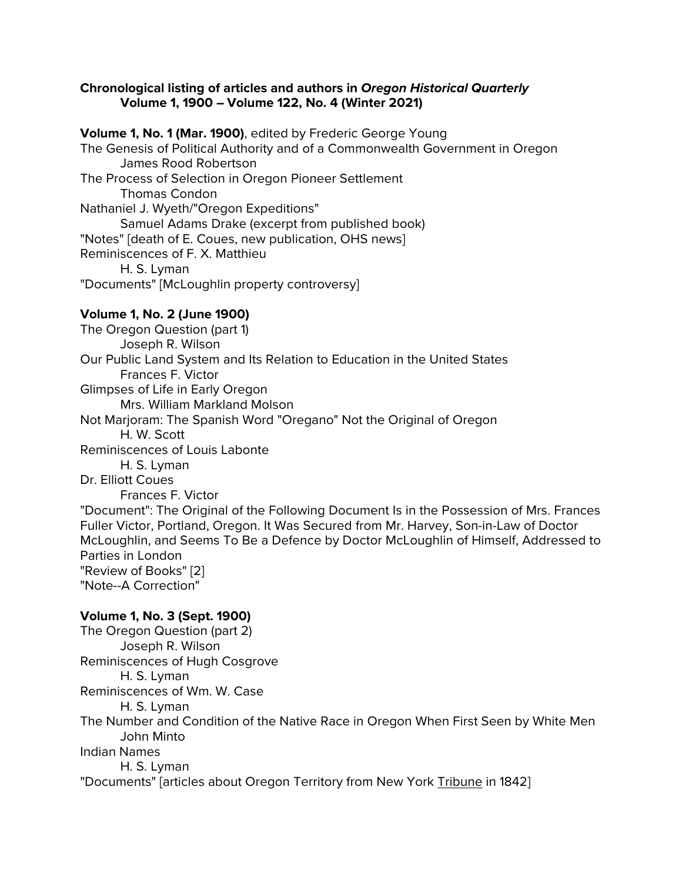## **Chronological listing of articles and authors in** *Oregon Historical Quarterly* **Volume 1, 1900 – Volume 122, No. 4 (Winter 2021)**

**Volume 1, No. 1 (Mar. 1900)**, edited by Frederic George Young The Genesis of Political Authority and of a Commonwealth Government in Oregon James Rood Robertson The Process of Selection in Oregon Pioneer Settlement Thomas Condon Nathaniel J. Wyeth/"Oregon Expeditions" Samuel Adams Drake (excerpt from published book) "Notes" [death of E. Coues, new publication, OHS news] Reminiscences of F. X. Matthieu H. S. Lyman "Documents" [McLoughlin property controversy]

# **Volume 1, No. 2 (June 1900)**

The Oregon Question (part 1) Joseph R. Wilson Our Public Land System and Its Relation to Education in the United States Frances F. Victor Glimpses of Life in Early Oregon Mrs. William Markland Molson Not Marjoram: The Spanish Word "Oregano" Not the Original of Oregon H. W. Scott Reminiscences of Louis Labonte H. S. Lyman Dr. Elliott Coues Frances F. Victor "Document": The Original of the Following Document Is in the Possession of Mrs. Frances Fuller Victor, Portland, Oregon. It Was Secured from Mr. Harvey, Son-in-Law of Doctor McLoughlin, and Seems To Be a Defence by Doctor McLoughlin of Himself, Addressed to Parties in London "Review of Books" [2] "Note--A Correction" **Volume 1, No. 3 (Sept. 1900)**

The Oregon Question (part 2) Joseph R. Wilson Reminiscences of Hugh Cosgrove H. S. Lyman Reminiscences of Wm. W. Case H. S. Lyman The Number and Condition of the Native Race in Oregon When First Seen by White Men John Minto Indian Names H. S. Lyman "Documents" [articles about Oregon Territory from New York Tribune in 1842]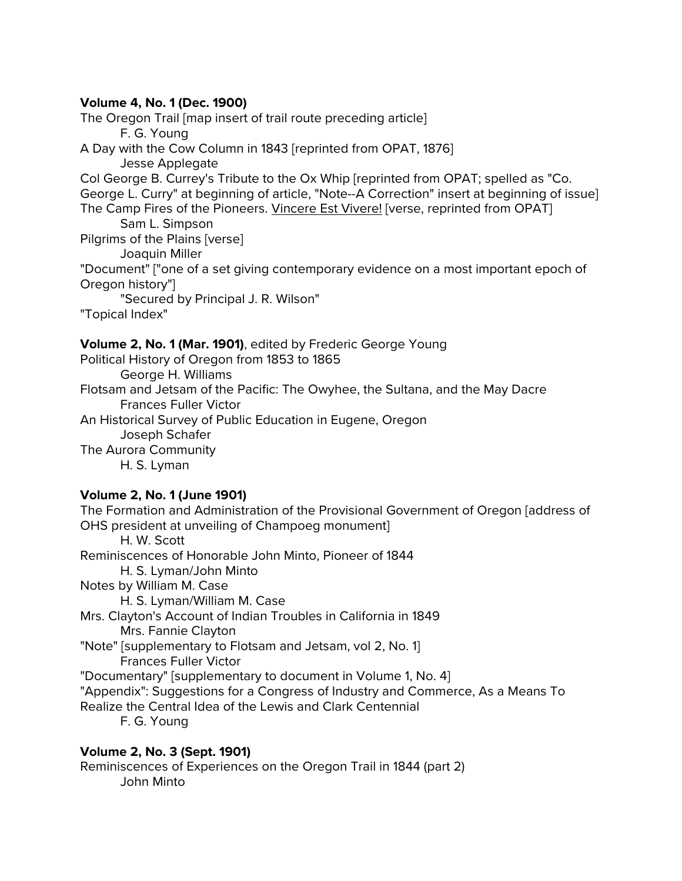## **Volume 4, No. 1 (Dec. 1900)**

The Oregon Trail [map insert of trail route preceding article] F. G. Young A Day with the Cow Column in 1843 [reprinted from OPAT, 1876] Jesse Applegate Col George B. Currey's Tribute to the Ox Whip [reprinted from OPAT; spelled as "Co. George L. Curry" at beginning of article, "Note--A Correction" insert at beginning of issue] The Camp Fires of the Pioneers. Vincere Est Vivere! [verse, reprinted from OPAT] Sam L. Simpson Pilgrims of the Plains [verse] Joaquin Miller "Document" ["one of a set giving contemporary evidence on a most important epoch of Oregon history"] "Secured by Principal J. R. Wilson" "Topical Index"

## **Volume 2, No. 1 (Mar. 1901)**, edited by Frederic George Young

Political History of Oregon from 1853 to 1865 George H. Williams Flotsam and Jetsam of the Pacific: The Owyhee, the Sultana, and the May Dacre Frances Fuller Victor An Historical Survey of Public Education in Eugene, Oregon Joseph Schafer The Aurora Community H. S. Lyman

# **Volume 2, No. 1 (June 1901)**

The Formation and Administration of the Provisional Government of Oregon [address of OHS president at unveiling of Champoeg monument] H. W. Scott Reminiscences of Honorable John Minto, Pioneer of 1844 H. S. Lyman/John Minto Notes by William M. Case H. S. Lyman/William M. Case Mrs. Clayton's Account of Indian Troubles in California in 1849 Mrs. Fannie Clayton "Note" [supplementary to Flotsam and Jetsam, vol 2, No. 1] Frances Fuller Victor "Documentary" [supplementary to document in Volume 1, No. 4] "Appendix": Suggestions for a Congress of Industry and Commerce, As a Means To Realize the Central Idea of the Lewis and Clark Centennial F. G. Young

# **Volume 2, No. 3 (Sept. 1901)**

Reminiscences of Experiences on the Oregon Trail in 1844 (part 2) John Minto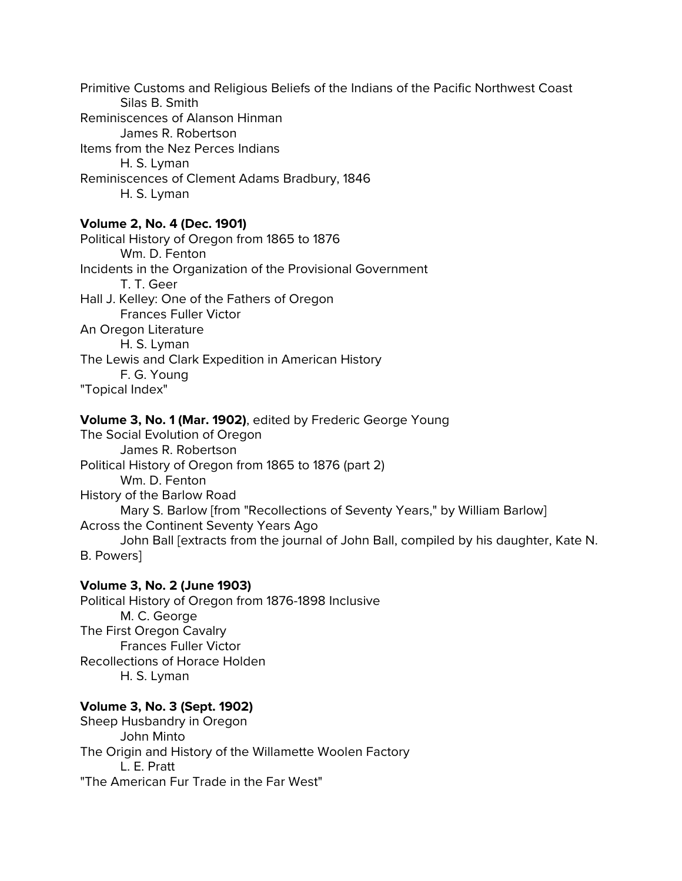Primitive Customs and Religious Beliefs of the Indians of the Pacific Northwest Coast Silas B. Smith Reminiscences of Alanson Hinman James R. Robertson Items from the Nez Perces Indians H. S. Lyman Reminiscences of Clement Adams Bradbury, 1846 H. S. Lyman

## **Volume 2, No. 4 (Dec. 1901)**

Political History of Oregon from 1865 to 1876 Wm. D. Fenton Incidents in the Organization of the Provisional Government T. T. Geer Hall J. Kelley: One of the Fathers of Oregon Frances Fuller Victor An Oregon Literature H. S. Lyman The Lewis and Clark Expedition in American History F. G. Young "Topical Index"

#### **Volume 3, No. 1 (Mar. 1902)**, edited by Frederic George Young

The Social Evolution of Oregon James R. Robertson Political History of Oregon from 1865 to 1876 (part 2) Wm. D. Fenton History of the Barlow Road Mary S. Barlow [from "Recollections of Seventy Years," by William Barlow] Across the Continent Seventy Years Ago John Ball [extracts from the journal of John Ball, compiled by his daughter, Kate N. B. Powers]

#### **Volume 3, No. 2 (June 1903)**

Political History of Oregon from 1876-1898 Inclusive M. C. George The First Oregon Cavalry Frances Fuller Victor Recollections of Horace Holden H. S. Lyman

#### **Volume 3, No. 3 (Sept. 1902)**

Sheep Husbandry in Oregon John Minto The Origin and History of the Willamette Woolen Factory L. E. Pratt "The American Fur Trade in the Far West"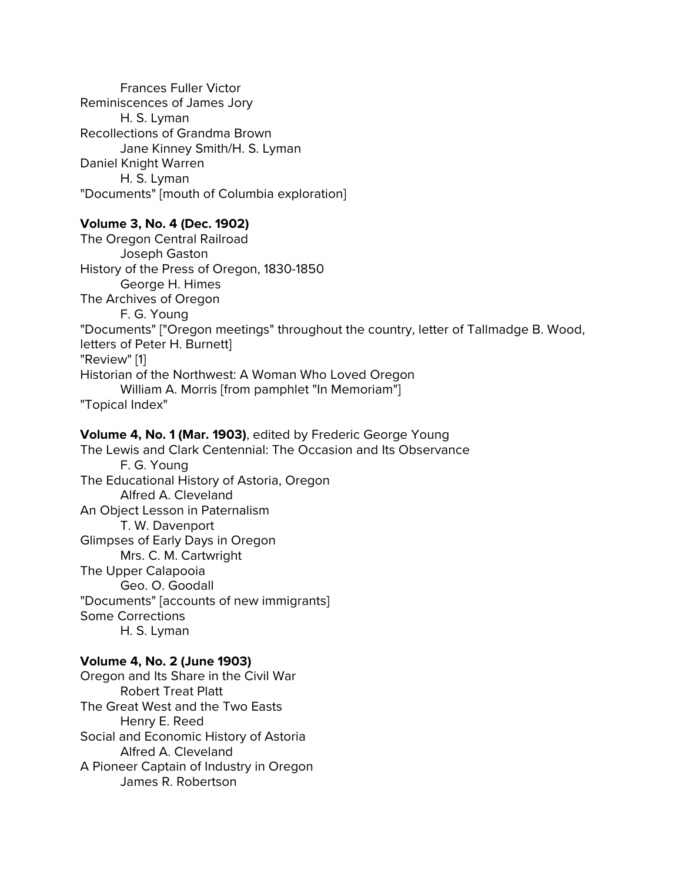Frances Fuller Victor Reminiscences of James Jory H. S. Lyman Recollections of Grandma Brown Jane Kinney Smith/H. S. Lyman Daniel Knight Warren H. S. Lyman "Documents" [mouth of Columbia exploration]

# **Volume 3, No. 4 (Dec. 1902)**

The Oregon Central Railroad Joseph Gaston History of the Press of Oregon, 1830-1850 George H. Himes The Archives of Oregon F. G. Young "Documents" ["Oregon meetings" throughout the country, letter of Tallmadge B. Wood, letters of Peter H. Burnett] "Review" [1] Historian of the Northwest: A Woman Who Loved Oregon William A. Morris [from pamphlet "In Memoriam"] "Topical Index"

**Volume 4, No. 1 (Mar. 1903)**, edited by Frederic George Young The Lewis and Clark Centennial: The Occasion and Its Observance F. G. Young The Educational History of Astoria, Oregon Alfred A. Cleveland An Object Lesson in Paternalism T. W. Davenport Glimpses of Early Days in Oregon Mrs. C. M. Cartwright The Upper Calapooia Geo. O. Goodall "Documents" [accounts of new immigrants] Some Corrections H. S. Lyman

## **Volume 4, No. 2 (June 1903)**

Oregon and Its Share in the Civil War Robert Treat Platt The Great West and the Two Easts Henry E. Reed Social and Economic History of Astoria Alfred A. Cleveland A Pioneer Captain of Industry in Oregon James R. Robertson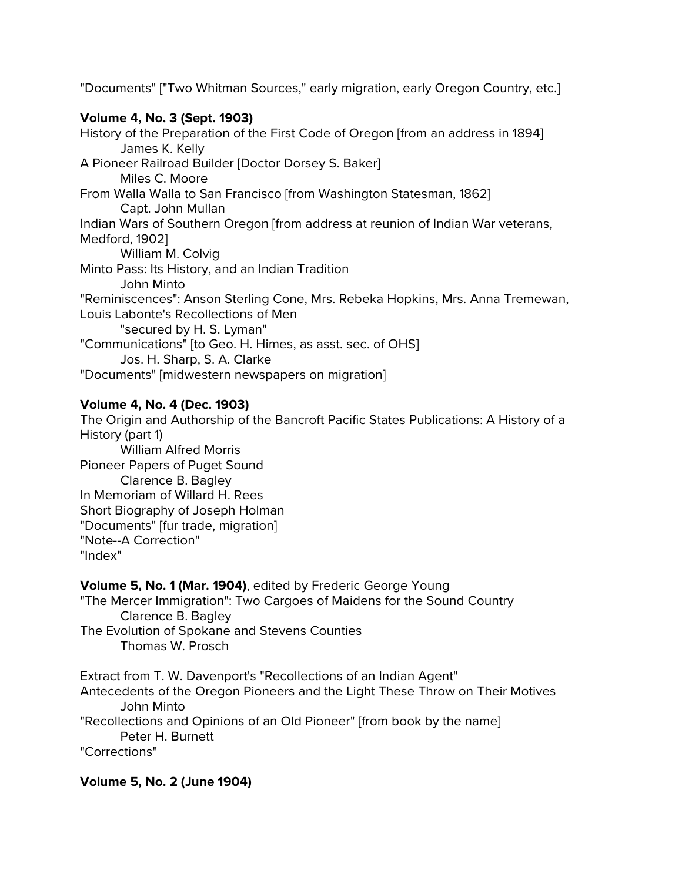"Documents" ["Two Whitman Sources," early migration, early Oregon Country, etc.]

# **Volume 4, No. 3 (Sept. 1903)**

History of the Preparation of the First Code of Oregon [from an address in 1894] James K. Kelly A Pioneer Railroad Builder [Doctor Dorsey S. Baker] Miles C. Moore From Walla Walla to San Francisco [from Washington Statesman, 1862] Capt. John Mullan Indian Wars of Southern Oregon [from address at reunion of Indian War veterans, Medford, 1902] William M. Colvig Minto Pass: Its History, and an Indian Tradition John Minto "Reminiscences": Anson Sterling Cone, Mrs. Rebeka Hopkins, Mrs. Anna Tremewan, Louis Labonte's Recollections of Men "secured by H. S. Lyman" "Communications" [to Geo. H. Himes, as asst. sec. of OHS] Jos. H. Sharp, S. A. Clarke "Documents" [midwestern newspapers on migration]

# **Volume 4, No. 4 (Dec. 1903)**

The Origin and Authorship of the Bancroft Pacific States Publications: A History of a History (part 1) William Alfred Morris Pioneer Papers of Puget Sound Clarence B. Bagley In Memoriam of Willard H. Rees Short Biography of Joseph Holman "Documents" [fur trade, migration] "Note--A Correction" "Index"

**Volume 5, No. 1 (Mar. 1904)**, edited by Frederic George Young

"The Mercer Immigration": Two Cargoes of Maidens for the Sound Country Clarence B. Bagley The Evolution of Spokane and Stevens Counties Thomas W. Prosch

Extract from T. W. Davenport's "Recollections of an Indian Agent" Antecedents of the Oregon Pioneers and the Light These Throw on Their Motives John Minto "Recollections and Opinions of an Old Pioneer" [from book by the name] Peter H. Burnett "Corrections"

**Volume 5, No. 2 (June 1904)**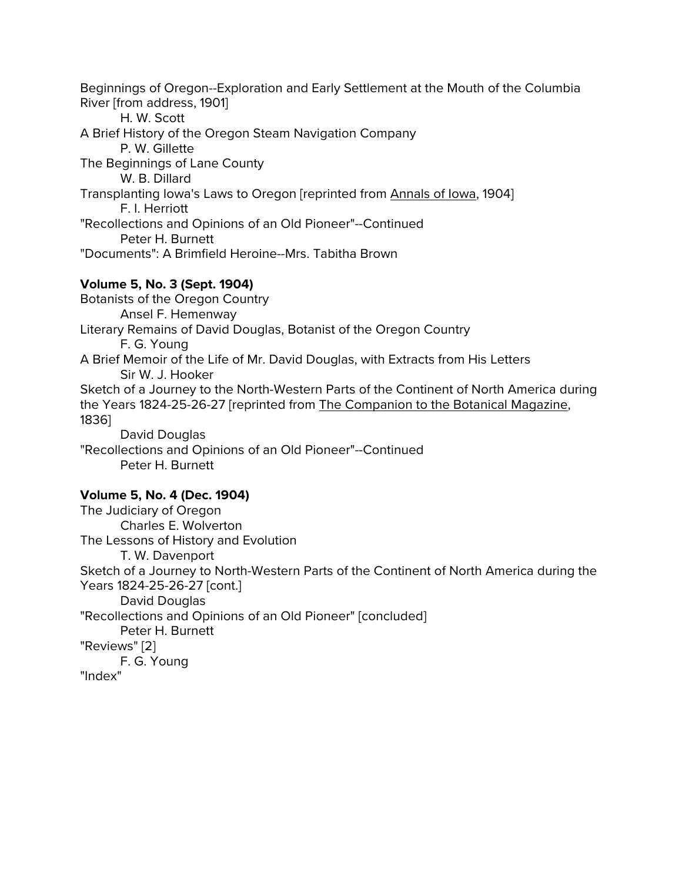Beginnings of Oregon--Exploration and Early Settlement at the Mouth of the Columbia River [from address, 1901] H. W. Scott A Brief History of the Oregon Steam Navigation Company P. W. Gillette The Beginnings of Lane County W. B. Dillard Transplanting Iowa's Laws to Oregon [reprinted from Annals of Iowa, 1904] F. I. Herriott "Recollections and Opinions of an Old Pioneer"--Continued Peter H. Burnett "Documents": A Brimfield Heroine--Mrs. Tabitha Brown **Volume 5, No. 3 (Sept. 1904)** Botanists of the Oregon Country Ansel F. Hemenway Literary Remains of David Douglas, Botanist of the Oregon Country F. G. Young A Brief Memoir of the Life of Mr. David Douglas, with Extracts from His Letters Sir W. J. Hooker Sketch of a Journey to the North-Western Parts of the Continent of North America during the Years 1824-25-26-27 [reprinted from The Companion to the Botanical Magazine, 1836]

David Douglas "Recollections and Opinions of an Old Pioneer"--Continued Peter H. Burnett

## **Volume 5, No. 4 (Dec. 1904)**

The Judiciary of Oregon Charles E. Wolverton The Lessons of History and Evolution T. W. Davenport Sketch of a Journey to North-Western Parts of the Continent of North America during the Years 1824-25-26-27 [cont.] David Douglas "Recollections and Opinions of an Old Pioneer" [concluded] Peter H. Burnett "Reviews" [2] F. G. Young "Index"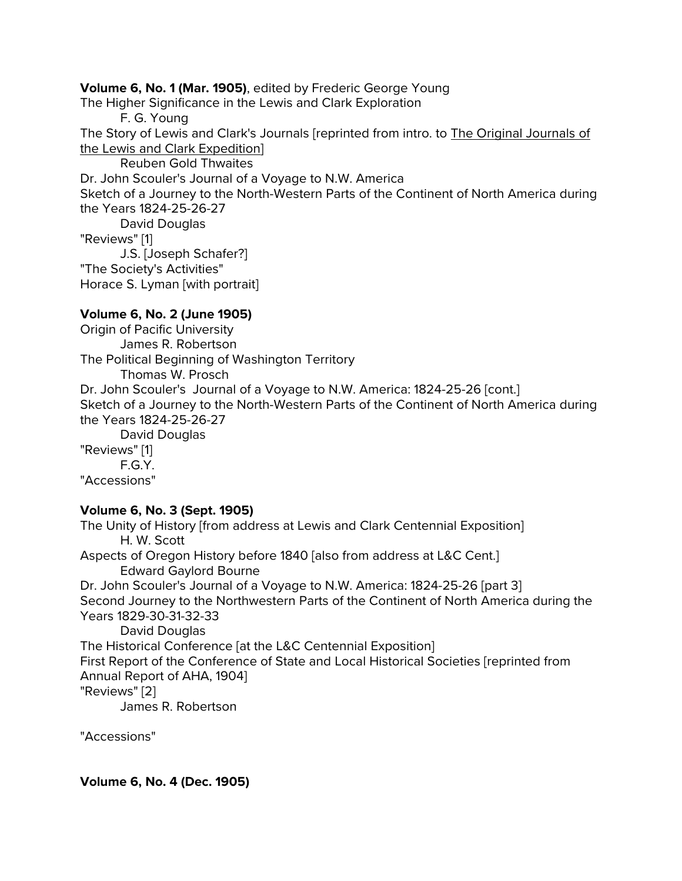**Volume 6, No. 1 (Mar. 1905)**, edited by Frederic George Young

The Higher Significance in the Lewis and Clark Exploration

F. G. Young

The Story of Lewis and Clark's Journals [reprinted from intro. to The Original Journals of the Lewis and Clark Expedition]

Reuben Gold Thwaites

Dr. John Scouler's Journal of a Voyage to N.W. America

Sketch of a Journey to the North-Western Parts of the Continent of North America during the Years 1824-25-26-27

David Douglas

"Reviews" [1]

J.S. [Joseph Schafer?]

"The Society's Activities"

Horace S. Lyman [with portrait]

# **Volume 6, No. 2 (June 1905)**

Origin of Pacific University James R. Robertson The Political Beginning of Washington Territory Thomas W. Prosch Dr. John Scouler's Journal of a Voyage to N.W. America: 1824-25-26 [cont.] Sketch of a Journey to the North-Western Parts of the Continent of North America during the Years 1824-25-26-27 David Douglas "Reviews" [1] F.G.Y. "Accessions"

# **Volume 6, No. 3 (Sept. 1905)**

The Unity of History [from address at Lewis and Clark Centennial Exposition] H. W. Scott Aspects of Oregon History before 1840 [also from address at L&C Cent.] Edward Gaylord Bourne Dr. John Scouler's Journal of a Voyage to N.W. America: 1824-25-26 [part 3] Second Journey to the Northwestern Parts of the Continent of North America during the Years 1829-30-31-32-33 David Douglas The Historical Conference [at the L&C Centennial Exposition] First Report of the Conference of State and Local Historical Societies [reprinted from Annual Report of AHA, 1904] "Reviews" [2] James R. Robertson

"Accessions"

# **Volume 6, No. 4 (Dec. 1905)**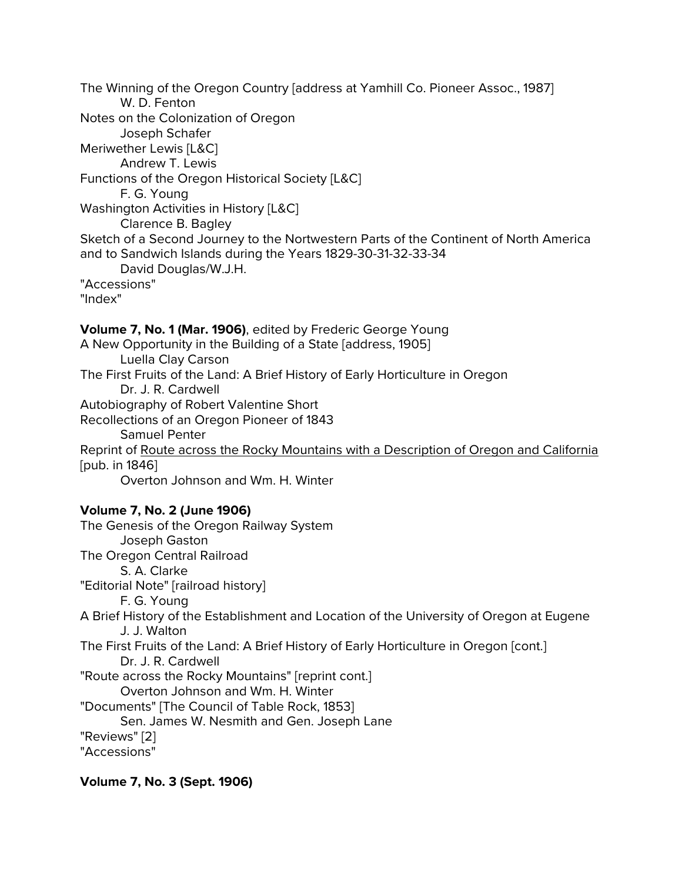The Winning of the Oregon Country [address at Yamhill Co. Pioneer Assoc., 1987] W. D. Fenton Notes on the Colonization of Oregon Joseph Schafer Meriwether Lewis [L&C] Andrew T. Lewis Functions of the Oregon Historical Society [L&C] F. G. Young Washington Activities in History [L&C] Clarence B. Bagley Sketch of a Second Journey to the Nortwestern Parts of the Continent of North America and to Sandwich Islands during the Years 1829-30-31-32-33-34 David Douglas/W.J.H. "Accessions" "Index" **Volume 7, No. 1 (Mar. 1906)**, edited by Frederic George Young A New Opportunity in the Building of a State [address, 1905] Luella Clay Carson The First Fruits of the Land: A Brief History of Early Horticulture in Oregon Dr. J. R. Cardwell Autobiography of Robert Valentine Short Recollections of an Oregon Pioneer of 1843 Samuel Penter Reprint of Route across the Rocky Mountains with a Description of Oregon and California

[pub. in 1846]

Overton Johnson and Wm. H. Winter

**Volume 7, No. 2 (June 1906)**

The Genesis of the Oregon Railway System Joseph Gaston The Oregon Central Railroad S. A. Clarke "Editorial Note" [railroad history] F. G. Young A Brief History of the Establishment and Location of the University of Oregon at Eugene J. J. Walton The First Fruits of the Land: A Brief History of Early Horticulture in Oregon [cont.] Dr. J. R. Cardwell "Route across the Rocky Mountains" [reprint cont.] Overton Johnson and Wm. H. Winter "Documents" [The Council of Table Rock, 1853] Sen. James W. Nesmith and Gen. Joseph Lane "Reviews" [2] "Accessions"

**Volume 7, No. 3 (Sept. 1906)**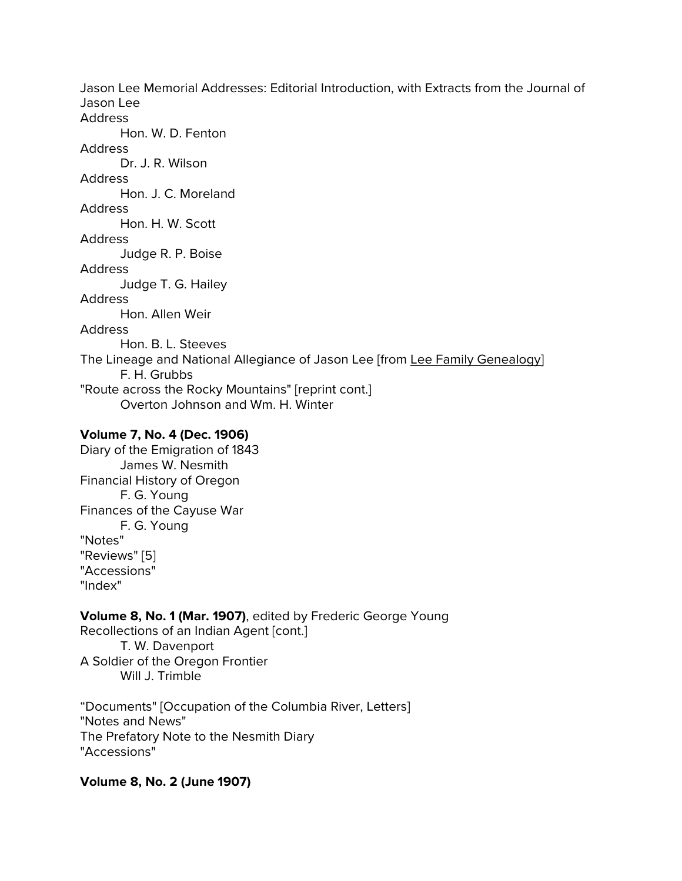Jason Lee Memorial Addresses: Editorial Introduction, with Extracts from the Journal of Jason Lee Address Hon. W. D. Fenton Address Dr. J. R. Wilson **Address** Hon. J. C. Moreland Address Hon. H. W. Scott Address Judge R. P. Boise Address Judge T. G. Hailey Address Hon. Allen Weir Address Hon. B. L. Steeves The Lineage and National Allegiance of Jason Lee [from Lee Family Genealogy] F. H. Grubbs "Route across the Rocky Mountains" [reprint cont.] Overton Johnson and Wm. H. Winter

## **Volume 7, No. 4 (Dec. 1906)**

Diary of the Emigration of 1843 James W. Nesmith Financial History of Oregon F. G. Young Finances of the Cayuse War F. G. Young "Notes" "Reviews" [5] "Accessions" "Index"

# **Volume 8, No. 1 (Mar. 1907)**, edited by Frederic George Young

Recollections of an Indian Agent [cont.]

T. W. Davenport A Soldier of the Oregon Frontier Will J. Trimble

"Documents" [Occupation of the Columbia River, Letters] "Notes and News" The Prefatory Note to the Nesmith Diary "Accessions"

**Volume 8, No. 2 (June 1907)**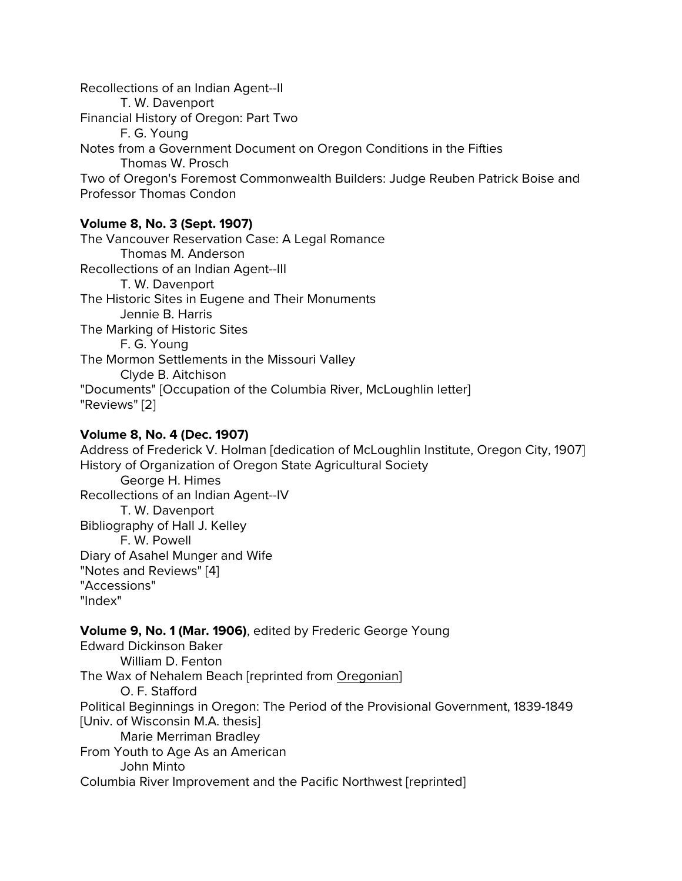Recollections of an Indian Agent--II T. W. Davenport Financial History of Oregon: Part Two F. G. Young Notes from a Government Document on Oregon Conditions in the Fifties Thomas W. Prosch Two of Oregon's Foremost Commonwealth Builders: Judge Reuben Patrick Boise and Professor Thomas Condon

# **Volume 8, No. 3 (Sept. 1907)**

The Vancouver Reservation Case: A Legal Romance Thomas M. Anderson Recollections of an Indian Agent--III T. W. Davenport The Historic Sites in Eugene and Their Monuments Jennie B. Harris The Marking of Historic Sites F. G. Young The Mormon Settlements in the Missouri Valley Clyde B. Aitchison "Documents" [Occupation of the Columbia River, McLoughlin letter] "Reviews" [2]

# **Volume 8, No. 4 (Dec. 1907)**

Address of Frederick V. Holman [dedication of McLoughlin Institute, Oregon City, 1907] History of Organization of Oregon State Agricultural Society George H. Himes Recollections of an Indian Agent--IV T. W. Davenport Bibliography of Hall J. Kelley F. W. Powell Diary of Asahel Munger and Wife "Notes and Reviews" [4] "Accessions" "Index"

# **Volume 9, No. 1 (Mar. 1906)**, edited by Frederic George Young

Edward Dickinson Baker William D. Fenton The Wax of Nehalem Beach [reprinted from Oregonian] O. F. Stafford Political Beginnings in Oregon: The Period of the Provisional Government, 1839-1849 [Univ. of Wisconsin M.A. thesis] Marie Merriman Bradley From Youth to Age As an American John Minto Columbia River Improvement and the Pacific Northwest [reprinted]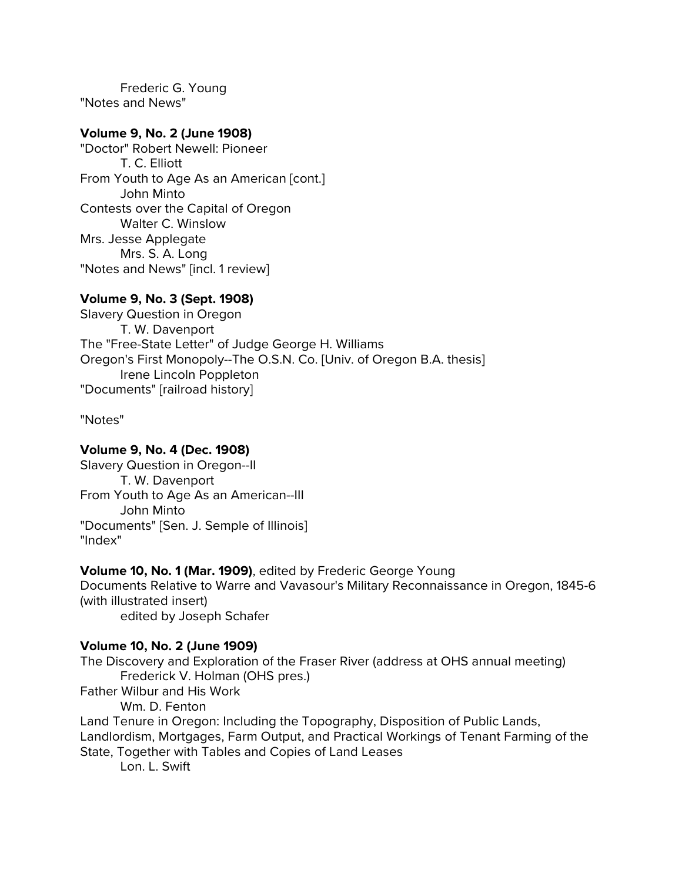Frederic G. Young "Notes and News"

## **Volume 9, No. 2 (June 1908)**

"Doctor" Robert Newell: Pioneer T. C. Elliott From Youth to Age As an American [cont.] John Minto Contests over the Capital of Oregon Walter C. Winslow Mrs. Jesse Applegate Mrs. S. A. Long "Notes and News" [incl. 1 review]

# **Volume 9, No. 3 (Sept. 1908)**

Slavery Question in Oregon T. W. Davenport The "Free-State Letter" of Judge George H. Williams Oregon's First Monopoly--The O.S.N. Co. [Univ. of Oregon B.A. thesis] Irene Lincoln Poppleton "Documents" [railroad history]

"Notes"

## **Volume 9, No. 4 (Dec. 1908)**

Slavery Question in Oregon--II T. W. Davenport From Youth to Age As an American--III John Minto "Documents" [Sen. J. Semple of Illinois] "Index"

## **Volume 10, No. 1 (Mar. 1909)**, edited by Frederic George Young

Documents Relative to Warre and Vavasour's Military Reconnaissance in Oregon, 1845-6 (with illustrated insert) edited by Joseph Schafer

## **Volume 10, No. 2 (June 1909)**

The Discovery and Exploration of the Fraser River (address at OHS annual meeting) Frederick V. Holman (OHS pres.) Father Wilbur and His Work Wm. D. Fenton Land Tenure in Oregon: Including the Topography, Disposition of Public Lands, Landlordism, Mortgages, Farm Output, and Practical Workings of Tenant Farming of the State, Together with Tables and Copies of Land Leases Lon. L. Swift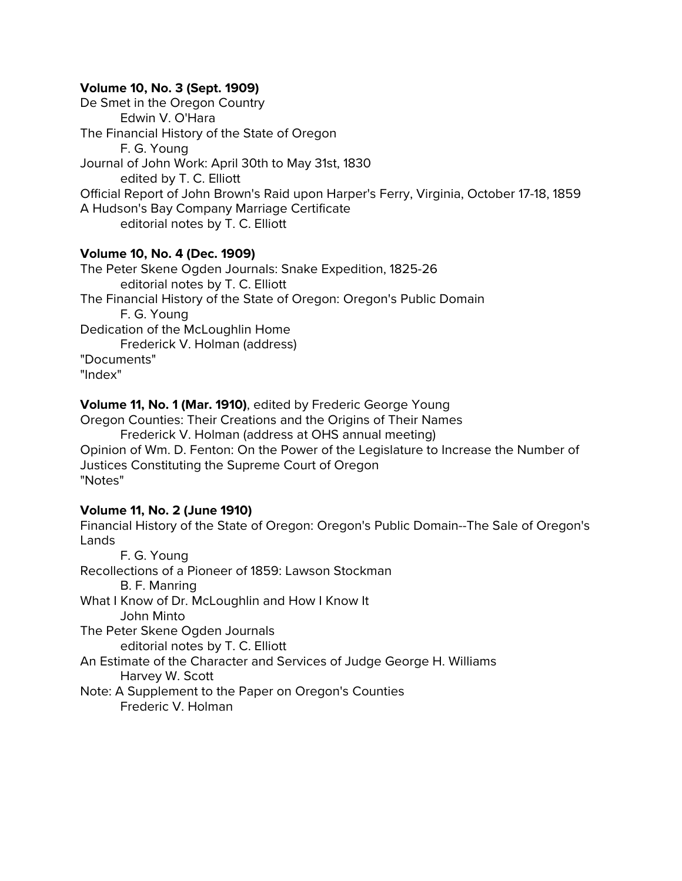## **Volume 10, No. 3 (Sept. 1909)**

De Smet in the Oregon Country Edwin V. O'Hara The Financial History of the State of Oregon F. G. Young Journal of John Work: April 30th to May 31st, 1830 edited by T. C. Elliott Official Report of John Brown's Raid upon Harper's Ferry, Virginia, October 17-18, 1859 A Hudson's Bay Company Marriage Certificate editorial notes by T. C. Elliott

## **Volume 10, No. 4 (Dec. 1909)**

The Peter Skene Ogden Journals: Snake Expedition, 1825-26 editorial notes by T. C. Elliott The Financial History of the State of Oregon: Oregon's Public Domain F. G. Young Dedication of the McLoughlin Home Frederick V. Holman (address) "Documents" "Index"

**Volume 11, No. 1 (Mar. 1910)**, edited by Frederic George Young

Oregon Counties: Their Creations and the Origins of Their Names Frederick V. Holman (address at OHS annual meeting) Opinion of Wm. D. Fenton: On the Power of the Legislature to Increase the Number of Justices Constituting the Supreme Court of Oregon "Notes"

#### **Volume 11, No. 2 (June 1910)**

Financial History of the State of Oregon: Oregon's Public Domain--The Sale of Oregon's Lands F. G. Young

Recollections of a Pioneer of 1859: Lawson Stockman B. F. Manring What I Know of Dr. McLoughlin and How I Know It John Minto The Peter Skene Ogden Journals editorial notes by T. C. Elliott An Estimate of the Character and Services of Judge George H. Williams Harvey W. Scott Note: A Supplement to the Paper on Oregon's Counties Frederic V. Holman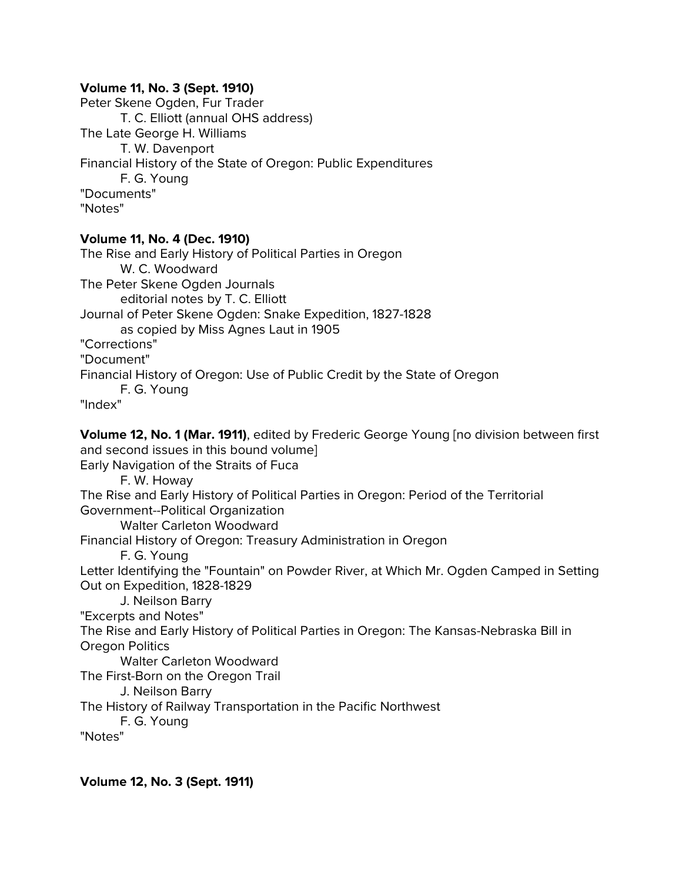## **Volume 11, No. 3 (Sept. 1910)**

Peter Skene Ogden, Fur Trader T. C. Elliott (annual OHS address) The Late George H. Williams T. W. Davenport Financial History of the State of Oregon: Public Expenditures F. G. Young "Documents" "Notes"

## **Volume 11, No. 4 (Dec. 1910)**

The Rise and Early History of Political Parties in Oregon W. C. Woodward The Peter Skene Ogden Journals editorial notes by T. C. Elliott Journal of Peter Skene Ogden: Snake Expedition, 1827-1828 as copied by Miss Agnes Laut in 1905 "Corrections" "Document" Financial History of Oregon: Use of Public Credit by the State of Oregon F. G. Young "Index" **Volume 12, No. 1 (Mar. 1911)**, edited by Frederic George Young [no division between first and second issues in this bound volume] Early Navigation of the Straits of Fuca F. W. Howay The Rise and Early History of Political Parties in Oregon: Period of the Territorial Government--Political Organization Walter Carleton Woodward Financial History of Oregon: Treasury Administration in Oregon F. G. Young Letter Identifying the "Fountain" on Powder River, at Which Mr. Ogden Camped in Setting Out on Expedition, 1828-1829 J. Neilson Barry "Excerpts and Notes" The Rise and Early History of Political Parties in Oregon: The Kansas-Nebraska Bill in Oregon Politics Walter Carleton Woodward The First-Born on the Oregon Trail J. Neilson Barry The History of Railway Transportation in the Pacific Northwest F. G. Young "Notes"

**Volume 12, No. 3 (Sept. 1911)**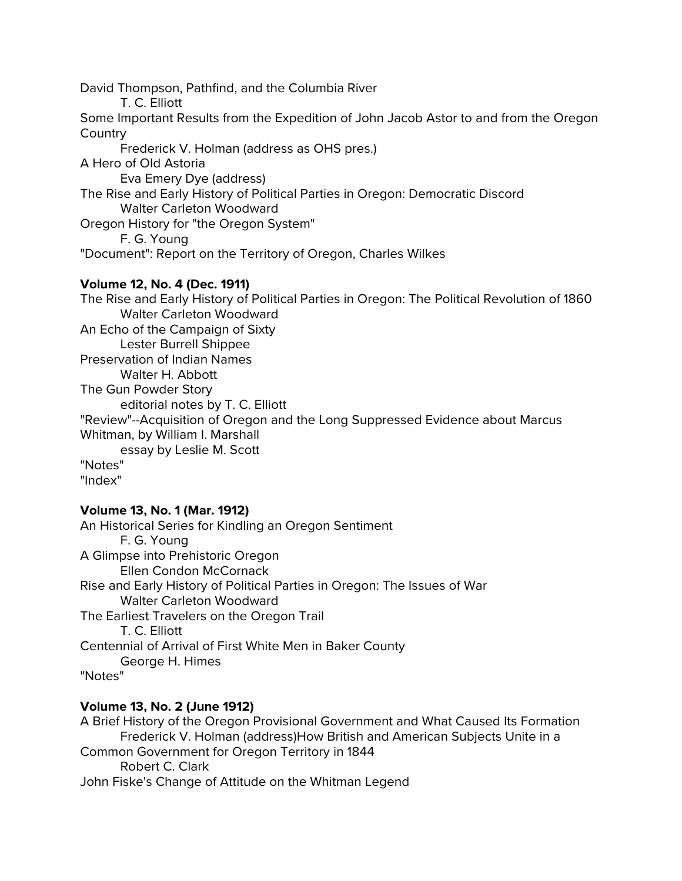David Thompson, Pathfind, and the Columbia River T. C. Elliott Some Important Results from the Expedition of John Jacob Astor to and from the Oregon **Country** Frederick V. Holman (address as OHS pres.) A Hero of Old Astoria Eva Emery Dye (address) The Rise and Early History of Political Parties in Oregon: Democratic Discord Walter Carleton Woodward Oregon History for "the Oregon System" F. G. Young "Document": Report on the Territory of Oregon, Charles Wilkes **Volume 12, No. 4 (Dec. 1911)** The Rise and Early History of Political Parties in Oregon: The Political Revolution of 1860 Walter Carleton Woodward An Echo of the Campaign of Sixty Lester Burrell Shippee Preservation of Indian Names Walter H. Abbott The Gun Powder Story editorial notes by T. C. Elliott "Review"--Acquisition of Oregon and the Long Suppressed Evidence about Marcus Whitman, by William I. Marshall essay by Leslie M. Scott

"Notes" "Index"

## **Volume 13, No. 1 (Mar. 1912)**

An Historical Series for Kindling an Oregon Sentiment F. G. Young A Glimpse into Prehistoric Oregon Ellen Condon McCornack Rise and Early History of Political Parties in Oregon: The Issues of War Walter Carleton Woodward The Earliest Travelers on the Oregon Trail T. C. Elliott Centennial of Arrival of First White Men in Baker County George H. Himes "Notes"

# **Volume 13, No. 2 (June 1912)**

A Brief History of the Oregon Provisional Government and What Caused Its Formation Frederick V. Holman (address)How British and American Subjects Unite in a Common Government for Oregon Territory in 1844 Robert C. Clark John Fiske's Change of Attitude on the Whitman Legend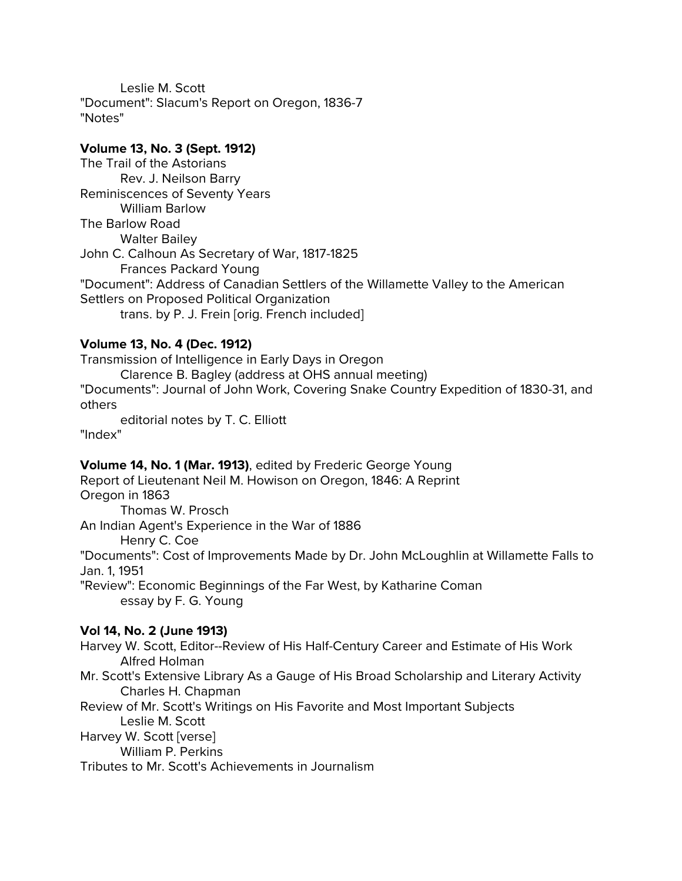Leslie M. Scott "Document": Slacum's Report on Oregon, 1836-7 "Notes"

# **Volume 13, No. 3 (Sept. 1912)**

The Trail of the Astorians Rev. J. Neilson Barry Reminiscences of Seventy Years William Barlow The Barlow Road Walter Bailey John C. Calhoun As Secretary of War, 1817-1825 Frances Packard Young "Document": Address of Canadian Settlers of the Willamette Valley to the American Settlers on Proposed Political Organization trans. by P. J. Frein [orig. French included]

# **Volume 13, No. 4 (Dec. 1912)**

Transmission of Intelligence in Early Days in Oregon Clarence B. Bagley (address at OHS annual meeting) "Documents": Journal of John Work, Covering Snake Country Expedition of 1830-31, and others editorial notes by T. C. Elliott

"Index"

# **Volume 14, No. 1 (Mar. 1913)**, edited by Frederic George Young

Report of Lieutenant Neil M. Howison on Oregon, 1846: A Reprint Oregon in 1863 Thomas W. Prosch An Indian Agent's Experience in the War of 1886 Henry C. Coe "Documents": Cost of Improvements Made by Dr. John McLoughlin at Willamette Falls to Jan. 1, 1951 "Review": Economic Beginnings of the Far West, by Katharine Coman essay by F. G. Young

# **Vol 14, No. 2 (June 1913)**

Harvey W. Scott, Editor--Review of His Half-Century Career and Estimate of His Work Alfred Holman

Mr. Scott's Extensive Library As a Gauge of His Broad Scholarship and Literary Activity Charles H. Chapman

Review of Mr. Scott's Writings on His Favorite and Most Important Subjects Leslie M. Scott Harvey W. Scott [verse]

William P. Perkins

Tributes to Mr. Scott's Achievements in Journalism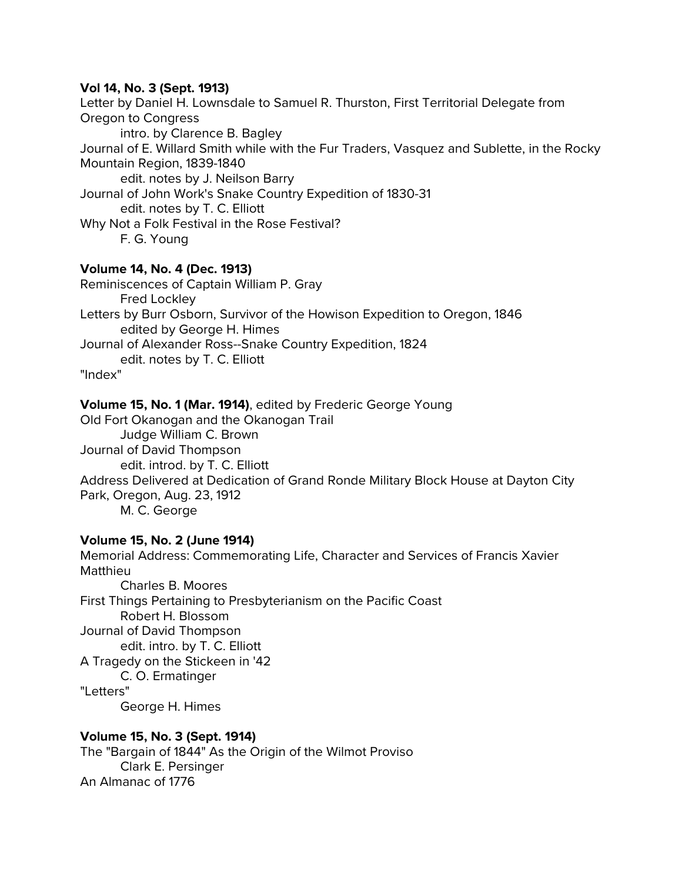## **Vol 14, No. 3 (Sept. 1913)**

Letter by Daniel H. Lownsdale to Samuel R. Thurston, First Territorial Delegate from Oregon to Congress intro. by Clarence B. Bagley Journal of E. Willard Smith while with the Fur Traders, Vasquez and Sublette, in the Rocky Mountain Region, 1839-1840 edit. notes by J. Neilson Barry Journal of John Work's Snake Country Expedition of 1830-31 edit. notes by T. C. Elliott Why Not a Folk Festival in the Rose Festival? F. G. Young

## **Volume 14, No. 4 (Dec. 1913)**

Reminiscences of Captain William P. Gray Fred Lockley Letters by Burr Osborn, Survivor of the Howison Expedition to Oregon, 1846 edited by George H. Himes Journal of Alexander Ross--Snake Country Expedition, 1824 edit. notes by T. C. Elliott

"Index"

#### **Volume 15, No. 1 (Mar. 1914)**, edited by Frederic George Young

Old Fort Okanogan and the Okanogan Trail Judge William C. Brown Journal of David Thompson edit. introd. by T. C. Elliott Address Delivered at Dedication of Grand Ronde Military Block House at Dayton City Park, Oregon, Aug. 23, 1912 M. C. George

#### **Volume 15, No. 2 (June 1914)**

Memorial Address: Commemorating Life, Character and Services of Francis Xavier Matthieu Charles B. Moores First Things Pertaining to Presbyterianism on the Pacific Coast Robert H. Blossom Journal of David Thompson edit. intro. by T. C. Elliott A Tragedy on the Stickeen in '42 C. O. Ermatinger "Letters" George H. Himes

#### **Volume 15, No. 3 (Sept. 1914)**

The "Bargain of 1844" As the Origin of the Wilmot Proviso Clark E. Persinger An Almanac of 1776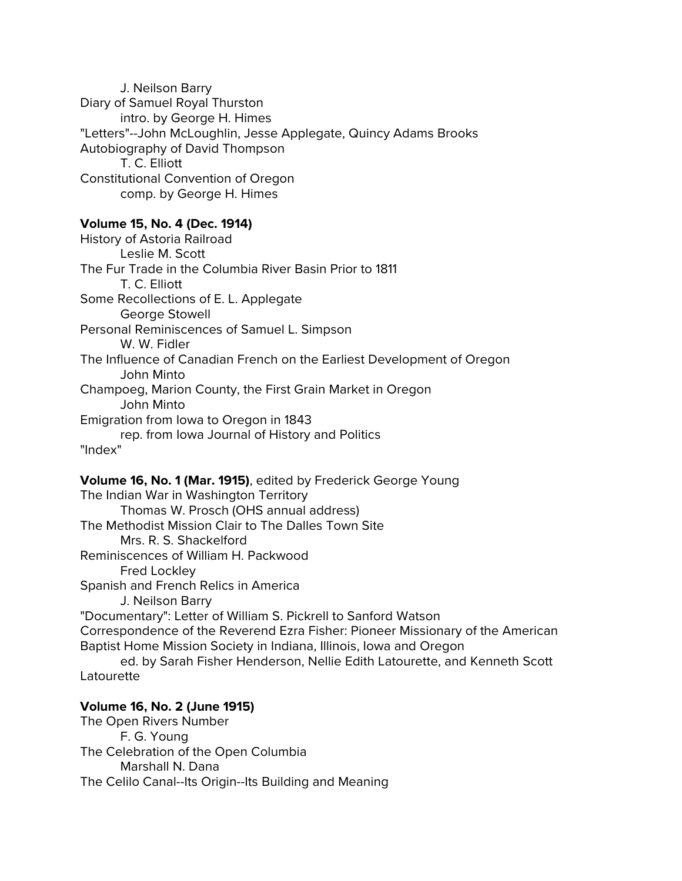J. Neilson Barry Diary of Samuel Royal Thurston intro. by George H. Himes "Letters"--John McLoughlin, Jesse Applegate, Quincy Adams Brooks Autobiography of David Thompson T. C. Elliott Constitutional Convention of Oregon comp. by George H. Himes

#### **Volume 15, No. 4 (Dec. 1914)**

History of Astoria Railroad Leslie M. Scott The Fur Trade in the Columbia River Basin Prior to 1811 T. C. Elliott Some Recollections of E. L. Applegate George Stowell Personal Reminiscences of Samuel L. Simpson W. W. Fidler The Influence of Canadian French on the Earliest Development of Oregon John Minto Champoeg, Marion County, the First Grain Market in Oregon John Minto Emigration from Iowa to Oregon in 1843 rep. from Iowa Journal of History and Politics "Index"

**Volume 16, No. 1 (Mar. 1915)**, edited by Frederick George Young The Indian War in Washington Territory Thomas W. Prosch (OHS annual address) The Methodist Mission Clair to The Dalles Town Site Mrs. R. S. Shackelford Reminiscences of William H. Packwood Fred Lockley Spanish and French Relics in America J. Neilson Barry "Documentary": Letter of William S. Pickrell to Sanford Watson Correspondence of the Reverend Ezra Fisher: Pioneer Missionary of the American Baptist Home Mission Society in Indiana, Illinois, Iowa and Oregon ed. by Sarah Fisher Henderson, Nellie Edith Latourette, and Kenneth Scott Latourette

## **Volume 16, No. 2 (June 1915)**

The Open Rivers Number F. G. Young The Celebration of the Open Columbia Marshall N. Dana The Celilo Canal--Its Origin--Its Building and Meaning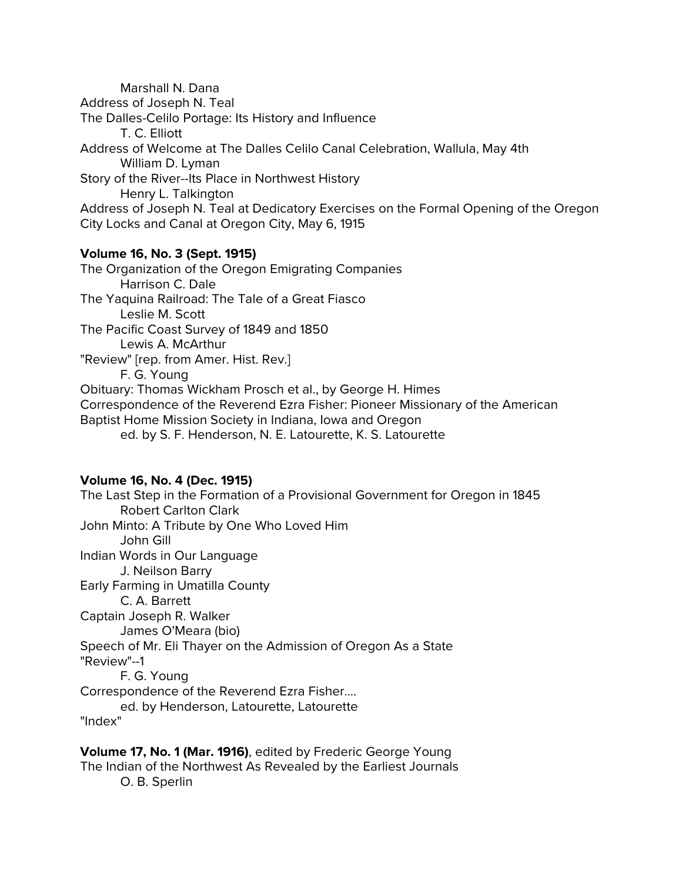Marshall N. Dana Address of Joseph N. Teal The Dalles-Celilo Portage: Its History and Influence T. C. Elliott Address of Welcome at The Dalles Celilo Canal Celebration, Wallula, May 4th William D. Lyman Story of the River--Its Place in Northwest History Henry L. Talkington Address of Joseph N. Teal at Dedicatory Exercises on the Formal Opening of the Oregon City Locks and Canal at Oregon City, May 6, 1915

#### **Volume 16, No. 3 (Sept. 1915)**

The Organization of the Oregon Emigrating Companies Harrison C. Dale The Yaquina Railroad: The Tale of a Great Fiasco Leslie M. Scott The Pacific Coast Survey of 1849 and 1850 Lewis A. McArthur "Review" [rep. from Amer. Hist. Rev.] F. G. Young Obituary: Thomas Wickham Prosch et al., by George H. Himes Correspondence of the Reverend Ezra Fisher: Pioneer Missionary of the American Baptist Home Mission Society in Indiana, Iowa and Oregon ed. by S. F. Henderson, N. E. Latourette, K. S. Latourette

## **Volume 16, No. 4 (Dec. 1915)**

The Last Step in the Formation of a Provisional Government for Oregon in 1845 Robert Carlton Clark John Minto: A Tribute by One Who Loved Him John Gill Indian Words in Our Language J. Neilson Barry Early Farming in Umatilla County C. A. Barrett Captain Joseph R. Walker James O'Meara (bio) Speech of Mr. Eli Thayer on the Admission of Oregon As a State "Review"--1 F. G. Young Correspondence of the Reverend Ezra Fisher.... ed. by Henderson, Latourette, Latourette "Index"

**Volume 17, No. 1 (Mar. 1916)**, edited by Frederic George Young The Indian of the Northwest As Revealed by the Earliest Journals O. B. Sperlin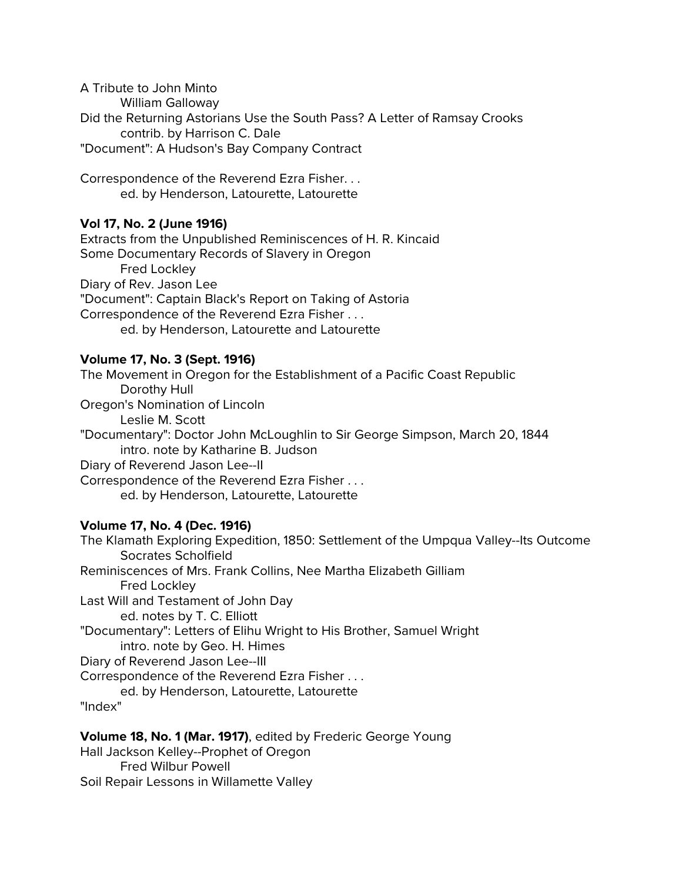A Tribute to John Minto William Galloway Did the Returning Astorians Use the South Pass? A Letter of Ramsay Crooks contrib. by Harrison C. Dale "Document": A Hudson's Bay Company Contract

Correspondence of the Reverend Ezra Fisher. . . ed. by Henderson, Latourette, Latourette

# **Vol 17, No. 2 (June 1916)**

Extracts from the Unpublished Reminiscences of H. R. Kincaid Some Documentary Records of Slavery in Oregon Fred Lockley Diary of Rev. Jason Lee "Document": Captain Black's Report on Taking of Astoria Correspondence of the Reverend Ezra Fisher . . . ed. by Henderson, Latourette and Latourette

## **Volume 17, No. 3 (Sept. 1916)**

The Movement in Oregon for the Establishment of a Pacific Coast Republic Dorothy Hull Oregon's Nomination of Lincoln Leslie M. Scott "Documentary": Doctor John McLoughlin to Sir George Simpson, March 20, 1844 intro. note by Katharine B. Judson Diary of Reverend Jason Lee--II Correspondence of the Reverend Ezra Fisher . . . ed. by Henderson, Latourette, Latourette

# **Volume 17, No. 4 (Dec. 1916)**

The Klamath Exploring Expedition, 1850: Settlement of the Umpqua Valley--Its Outcome Socrates Scholfield Reminiscences of Mrs. Frank Collins, Nee Martha Elizabeth Gilliam Fred Lockley Last Will and Testament of John Day ed. notes by T. C. Elliott "Documentary": Letters of Elihu Wright to His Brother, Samuel Wright intro. note by Geo. H. Himes Diary of Reverend Jason Lee--III Correspondence of the Reverend Ezra Fisher . . . ed. by Henderson, Latourette, Latourette "Index"

**Volume 18, No. 1 (Mar. 1917)**, edited by Frederic George Young

Hall Jackson Kelley--Prophet of Oregon Fred Wilbur Powell Soil Repair Lessons in Willamette Valley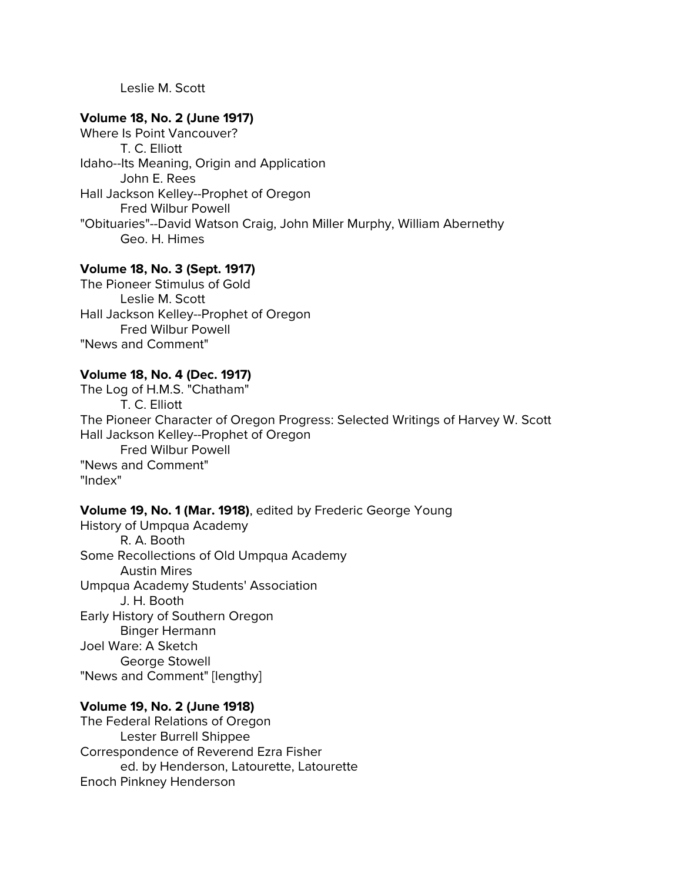Leslie M. Scott

#### **Volume 18, No. 2 (June 1917)**

Where Is Point Vancouver? T. C. Elliott Idaho--Its Meaning, Origin and Application John E. Rees Hall Jackson Kelley--Prophet of Oregon Fred Wilbur Powell "Obituaries"--David Watson Craig, John Miller Murphy, William Abernethy Geo. H. Himes

## **Volume 18, No. 3 (Sept. 1917)**

The Pioneer Stimulus of Gold Leslie M. Scott Hall Jackson Kelley--Prophet of Oregon Fred Wilbur Powell "News and Comment"

## **Volume 18, No. 4 (Dec. 1917)**

The Log of H.M.S. "Chatham" T. C. Elliott The Pioneer Character of Oregon Progress: Selected Writings of Harvey W. Scott Hall Jackson Kelley--Prophet of Oregon Fred Wilbur Powell "News and Comment" "Index"

#### **Volume 19, No. 1 (Mar. 1918)**, edited by Frederic George Young

History of Umpqua Academy R. A. Booth Some Recollections of Old Umpqua Academy Austin Mires Umpqua Academy Students' Association J. H. Booth Early History of Southern Oregon Binger Hermann Joel Ware: A Sketch George Stowell "News and Comment" [lengthy]

#### **Volume 19, No. 2 (June 1918)**

The Federal Relations of Oregon Lester Burrell Shippee Correspondence of Reverend Ezra Fisher ed. by Henderson, Latourette, Latourette Enoch Pinkney Henderson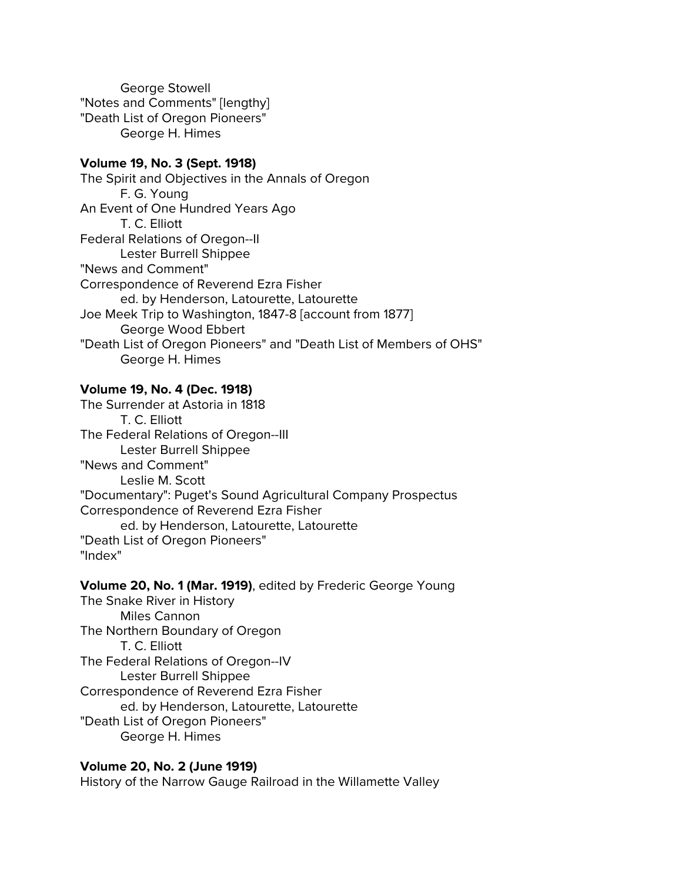George Stowell "Notes and Comments" [lengthy] "Death List of Oregon Pioneers" George H. Himes

#### **Volume 19, No. 3 (Sept. 1918)**

The Spirit and Objectives in the Annals of Oregon F. G. Young An Event of One Hundred Years Ago T. C. Elliott Federal Relations of Oregon--II Lester Burrell Shippee "News and Comment" Correspondence of Reverend Ezra Fisher ed. by Henderson, Latourette, Latourette Joe Meek Trip to Washington, 1847-8 [account from 1877] George Wood Ebbert "Death List of Oregon Pioneers" and "Death List of Members of OHS" George H. Himes

## **Volume 19, No. 4 (Dec. 1918)**

The Surrender at Astoria in 1818 T. C. Elliott The Federal Relations of Oregon--III Lester Burrell Shippee "News and Comment" Leslie M. Scott "Documentary": Puget's Sound Agricultural Company Prospectus Correspondence of Reverend Ezra Fisher ed. by Henderson, Latourette, Latourette "Death List of Oregon Pioneers" "Index"

#### **Volume 20, No. 1 (Mar. 1919)**, edited by Frederic George Young

The Snake River in History Miles Cannon The Northern Boundary of Oregon T. C. Elliott The Federal Relations of Oregon--IV Lester Burrell Shippee Correspondence of Reverend Ezra Fisher ed. by Henderson, Latourette, Latourette "Death List of Oregon Pioneers" George H. Himes

## **Volume 20, No. 2 (June 1919)**

History of the Narrow Gauge Railroad in the Willamette Valley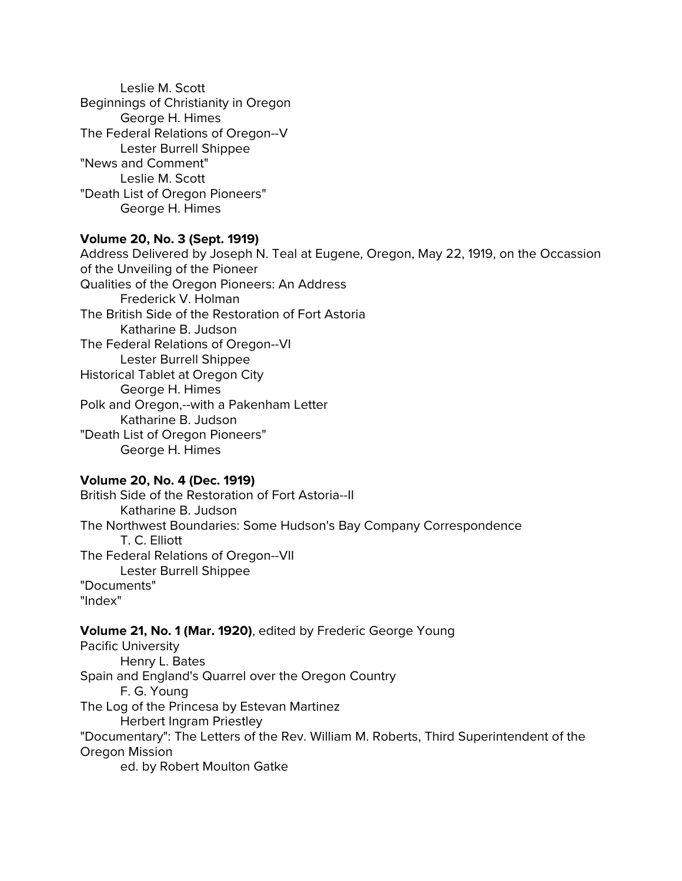Leslie M. Scott Beginnings of Christianity in Oregon George H. Himes The Federal Relations of Oregon--V Lester Burrell Shippee "News and Comment" Leslie M. Scott "Death List of Oregon Pioneers" George H. Himes

## **Volume 20, No. 3 (Sept. 1919)**

Address Delivered by Joseph N. Teal at Eugene, Oregon, May 22, 1919, on the Occassion of the Unveiling of the Pioneer Qualities of the Oregon Pioneers: An Address Frederick V. Holman The British Side of the Restoration of Fort Astoria Katharine B. Judson The Federal Relations of Oregon--VI Lester Burrell Shippee Historical Tablet at Oregon City George H. Himes Polk and Oregon,--with a Pakenham Letter Katharine B. Judson "Death List of Oregon Pioneers" George H. Himes

## **Volume 20, No. 4 (Dec. 1919)**

British Side of the Restoration of Fort Astoria--II Katharine B. Judson The Northwest Boundaries: Some Hudson's Bay Company Correspondence T. C. Elliott The Federal Relations of Oregon--VII Lester Burrell Shippee "Documents" "Index"

# **Volume 21, No. 1 (Mar. 1920)**, edited by Frederic George Young

Pacific University Henry L. Bates Spain and England's Quarrel over the Oregon Country F. G. Young The Log of the Princesa by Estevan Martinez Herbert Ingram Priestley "Documentary": The Letters of the Rev. William M. Roberts, Third Superintendent of the Oregon Mission ed. by Robert Moulton Gatke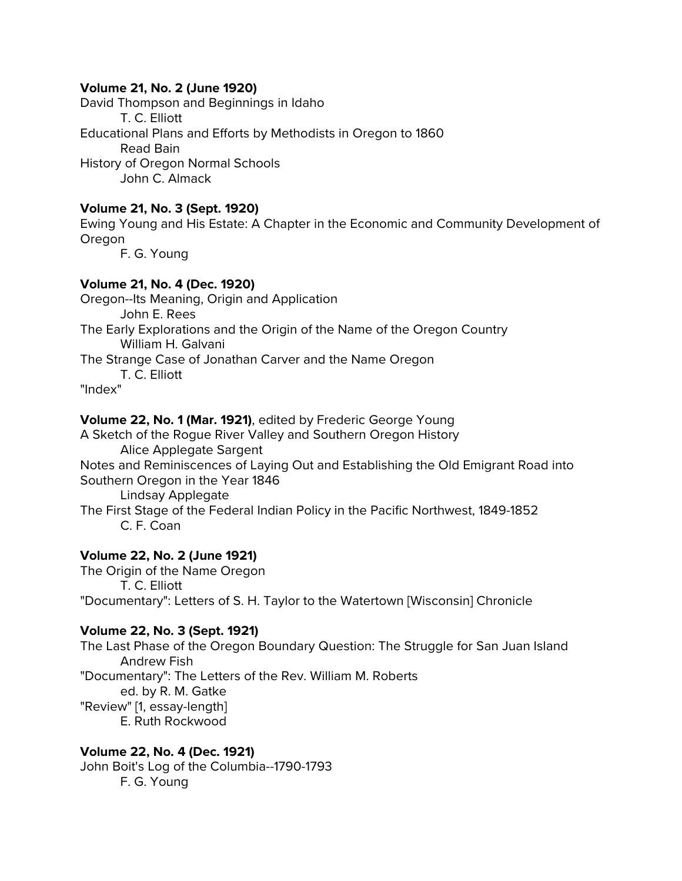## **Volume 21, No. 2 (June 1920)**

David Thompson and Beginnings in Idaho T. C. Elliott Educational Plans and Efforts by Methodists in Oregon to 1860 Read Bain History of Oregon Normal Schools John C. Almack

## **Volume 21, No. 3 (Sept. 1920)**

Ewing Young and His Estate: A Chapter in the Economic and Community Development of Oregon

F. G. Young

## **Volume 21, No. 4 (Dec. 1920)**

Oregon--Its Meaning, Origin and Application John E. Rees The Early Explorations and the Origin of the Name of the Oregon Country William H. Galvani The Strange Case of Jonathan Carver and the Name Oregon T. C. Elliott

"Index"

## **Volume 22, No. 1 (Mar. 1921)**, edited by Frederic George Young

A Sketch of the Rogue River Valley and Southern Oregon History Alice Applegate Sargent

Notes and Reminiscences of Laying Out and Establishing the Old Emigrant Road into Southern Oregon in the Year 1846

Lindsay Applegate

The First Stage of the Federal Indian Policy in the Pacific Northwest, 1849-1852 C. F. Coan

# **Volume 22, No. 2 (June 1921)**

The Origin of the Name Oregon T. C. Elliott "Documentary": Letters of S. H. Taylor to the Watertown [Wisconsin] Chronicle

# **Volume 22, No. 3 (Sept. 1921)**

The Last Phase of the Oregon Boundary Question: The Struggle for San Juan Island Andrew Fish "Documentary": The Letters of the Rev. William M. Roberts ed. by R. M. Gatke "Review" [1, essay-length] E. Ruth Rockwood

## **Volume 22, No. 4 (Dec. 1921)**

John Boit's Log of the Columbia--1790-1793 F. G. Young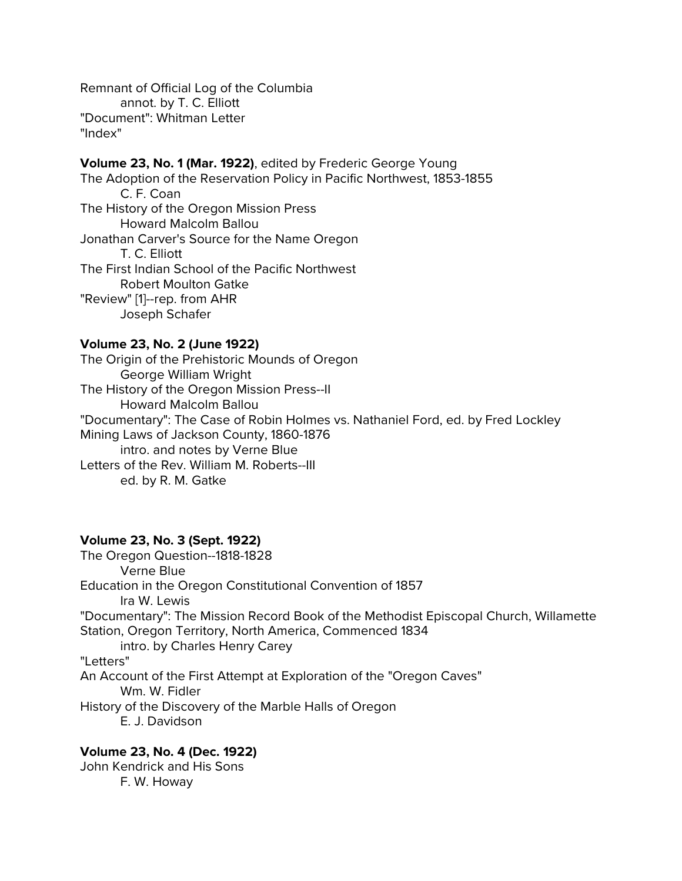Remnant of Official Log of the Columbia annot. by T. C. Elliott "Document": Whitman Letter "Index"

# **Volume 23, No. 1 (Mar. 1922)**, edited by Frederic George Young The Adoption of the Reservation Policy in Pacific Northwest, 1853-1855 C. F. Coan The History of the Oregon Mission Press

Howard Malcolm Ballou Jonathan Carver's Source for the Name Oregon T. C. Elliott The First Indian School of the Pacific Northwest Robert Moulton Gatke "Review" [1]--rep. from AHR Joseph Schafer

# **Volume 23, No. 2 (June 1922)**

The Origin of the Prehistoric Mounds of Oregon George William Wright The History of the Oregon Mission Press--II Howard Malcolm Ballou "Documentary": The Case of Robin Holmes vs. Nathaniel Ford, ed. by Fred Lockley Mining Laws of Jackson County, 1860-1876 intro. and notes by Verne Blue Letters of the Rev. William M. Roberts--III ed. by R. M. Gatke

# **Volume 23, No. 3 (Sept. 1922)**

The Oregon Question--1818-1828 Verne Blue Education in the Oregon Constitutional Convention of 1857 Ira W. Lewis "Documentary": The Mission Record Book of the Methodist Episcopal Church, Willamette Station, Oregon Territory, North America, Commenced 1834 intro. by Charles Henry Carey "Letters" An Account of the First Attempt at Exploration of the "Oregon Caves" Wm. W. Fidler History of the Discovery of the Marble Halls of Oregon E. J. Davidson

# **Volume 23, No. 4 (Dec. 1922)**

John Kendrick and His Sons F. W. Howay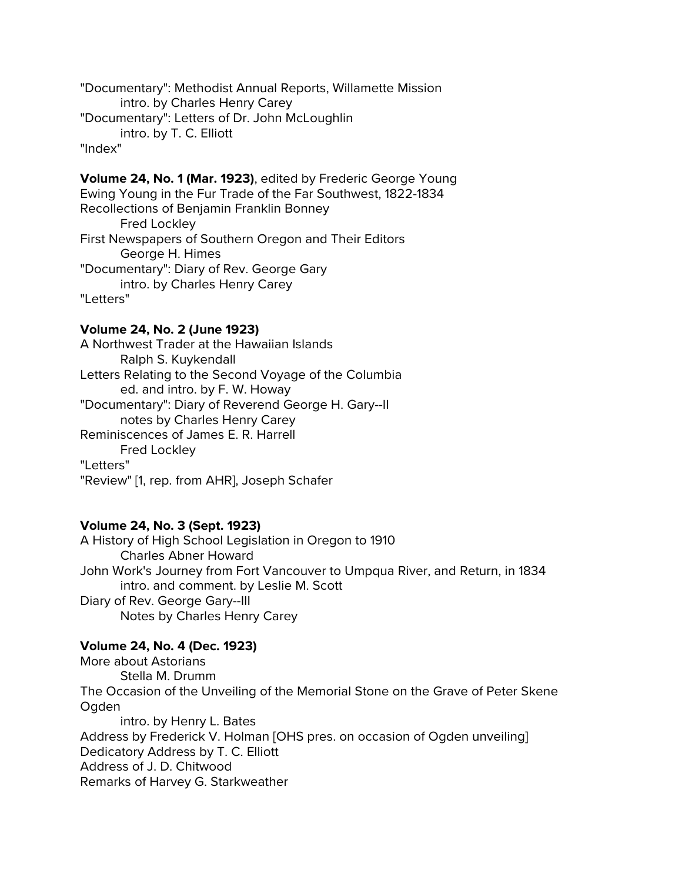"Documentary": Methodist Annual Reports, Willamette Mission intro. by Charles Henry Carey "Documentary": Letters of Dr. John McLoughlin intro. by T. C. Elliott "Index"

**Volume 24, No. 1 (Mar. 1923)**, edited by Frederic George Young Ewing Young in the Fur Trade of the Far Southwest, 1822-1834 Recollections of Benjamin Franklin Bonney Fred Lockley First Newspapers of Southern Oregon and Their Editors George H. Himes "Documentary": Diary of Rev. George Gary intro. by Charles Henry Carey "Letters"

## **Volume 24, No. 2 (June 1923)**

A Northwest Trader at the Hawaiian Islands Ralph S. Kuykendall Letters Relating to the Second Voyage of the Columbia ed. and intro. by F. W. Howay "Documentary": Diary of Reverend George H. Gary--II notes by Charles Henry Carey Reminiscences of James E. R. Harrell Fred Lockley "Letters" "Review" [1, rep. from AHR], Joseph Schafer

## **Volume 24, No. 3 (Sept. 1923)**

A History of High School Legislation in Oregon to 1910 Charles Abner Howard John Work's Journey from Fort Vancouver to Umpqua River, and Return, in 1834 intro. and comment. by Leslie M. Scott Diary of Rev. George Gary--III Notes by Charles Henry Carey

## **Volume 24, No. 4 (Dec. 1923)**

More about Astorians Stella M. Drumm The Occasion of the Unveiling of the Memorial Stone on the Grave of Peter Skene Ogden intro. by Henry L. Bates Address by Frederick V. Holman [OHS pres. on occasion of Ogden unveiling] Dedicatory Address by T. C. Elliott Address of J. D. Chitwood Remarks of Harvey G. Starkweather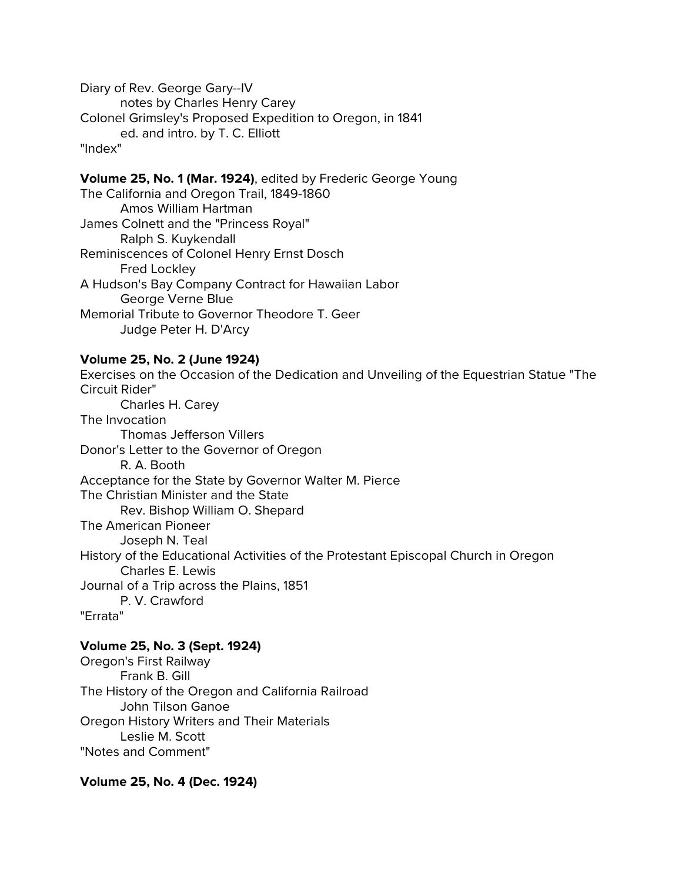Diary of Rev. George Gary--IV notes by Charles Henry Carey Colonel Grimsley's Proposed Expedition to Oregon, in 1841 ed. and intro. by T. C. Elliott "Index"

**Volume 25, No. 1 (Mar. 1924)**, edited by Frederic George Young The California and Oregon Trail, 1849-1860 Amos William Hartman James Colnett and the "Princess Royal" Ralph S. Kuykendall Reminiscences of Colonel Henry Ernst Dosch Fred Lockley A Hudson's Bay Company Contract for Hawaiian Labor

George Verne Blue Memorial Tribute to Governor Theodore T. Geer Judge Peter H. D'Arcy

## **Volume 25, No. 2 (June 1924)**

Exercises on the Occasion of the Dedication and Unveiling of the Equestrian Statue "The Circuit Rider" Charles H. Carey The Invocation Thomas Jefferson Villers Donor's Letter to the Governor of Oregon R. A. Booth Acceptance for the State by Governor Walter M. Pierce The Christian Minister and the State Rev. Bishop William O. Shepard The American Pioneer Joseph N. Teal History of the Educational Activities of the Protestant Episcopal Church in Oregon Charles E. Lewis Journal of a Trip across the Plains, 1851 P. V. Crawford "Errata"

# **Volume 25, No. 3 (Sept. 1924)**

Oregon's First Railway Frank B. Gill The History of the Oregon and California Railroad John Tilson Ganoe Oregon History Writers and Their Materials Leslie M. Scott "Notes and Comment"

**Volume 25, No. 4 (Dec. 1924)**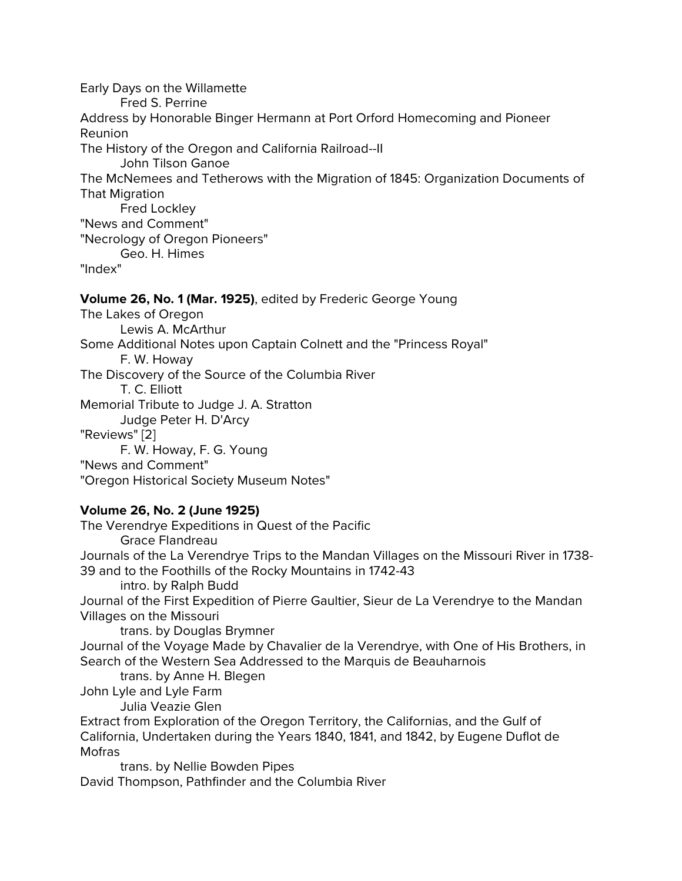Early Days on the Willamette Fred S. Perrine Address by Honorable Binger Hermann at Port Orford Homecoming and Pioneer Reunion The History of the Oregon and California Railroad--II John Tilson Ganoe The McNemees and Tetherows with the Migration of 1845: Organization Documents of That Migration Fred Lockley "News and Comment" "Necrology of Oregon Pioneers" Geo. H. Himes "Index"

## **Volume 26, No. 1 (Mar. 1925)**, edited by Frederic George Young

The Lakes of Oregon Lewis A. McArthur Some Additional Notes upon Captain Colnett and the "Princess Royal" F. W. Howay The Discovery of the Source of the Columbia River T. C. Elliott Memorial Tribute to Judge J. A. Stratton Judge Peter H. D'Arcy "Reviews" [2] F. W. Howay, F. G. Young "News and Comment"

"Oregon Historical Society Museum Notes"

# **Volume 26, No. 2 (June 1925)**

The Verendrye Expeditions in Quest of the Pacific Grace Flandreau Journals of the La Verendrye Trips to the Mandan Villages on the Missouri River in 1738- 39 and to the Foothills of the Rocky Mountains in 1742-43 intro. by Ralph Budd Journal of the First Expedition of Pierre Gaultier, Sieur de La Verendrye to the Mandan Villages on the Missouri trans. by Douglas Brymner Journal of the Voyage Made by Chavalier de la Verendrye, with One of His Brothers, in Search of the Western Sea Addressed to the Marquis de Beauharnois trans. by Anne H. Blegen John Lyle and Lyle Farm Julia Veazie Glen Extract from Exploration of the Oregon Territory, the Californias, and the Gulf of California, Undertaken during the Years 1840, 1841, and 1842, by Eugene Duflot de Mofras trans. by Nellie Bowden Pipes

David Thompson, Pathfinder and the Columbia River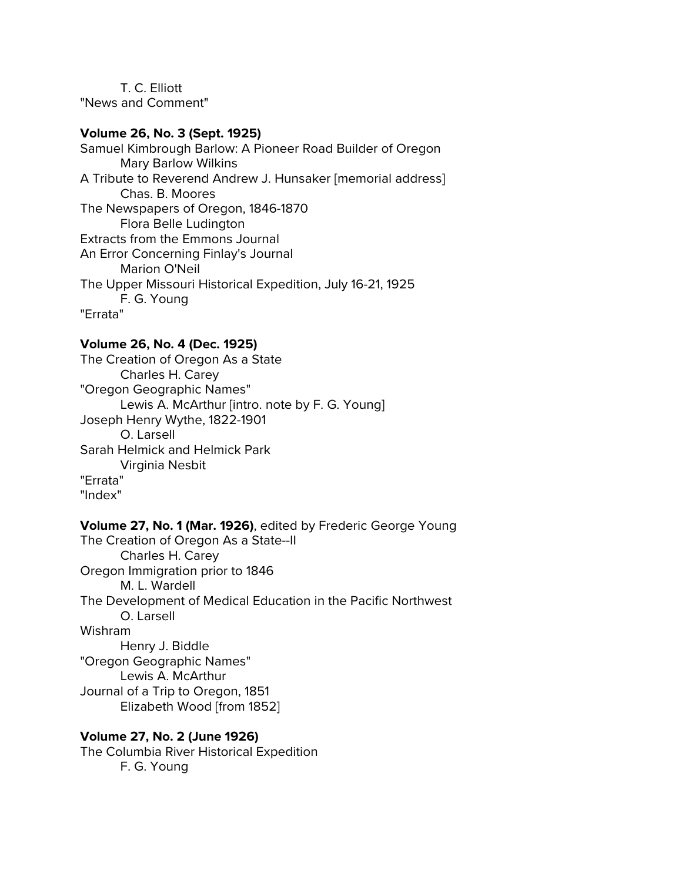T. C. Elliott "News and Comment"

## **Volume 26, No. 3 (Sept. 1925)**

Samuel Kimbrough Barlow: A Pioneer Road Builder of Oregon Mary Barlow Wilkins A Tribute to Reverend Andrew J. Hunsaker [memorial address] Chas. B. Moores The Newspapers of Oregon, 1846-1870 Flora Belle Ludington Extracts from the Emmons Journal An Error Concerning Finlay's Journal Marion O'Neil The Upper Missouri Historical Expedition, July 16-21, 1925 F. G. Young "Errata"

#### **Volume 26, No. 4 (Dec. 1925)**

The Creation of Oregon As a State Charles H. Carey "Oregon Geographic Names" Lewis A. McArthur [intro. note by F. G. Young] Joseph Henry Wythe, 1822-1901 O. Larsell Sarah Helmick and Helmick Park Virginia Nesbit "Errata" "Index"

#### **Volume 27, No. 1 (Mar. 1926)**, edited by Frederic George Young The Creation of Oregon As a State--II

Charles H. Carey Oregon Immigration prior to 1846 M. L. Wardell The Development of Medical Education in the Pacific Northwest O. Larsell Wishram Henry J. Biddle "Oregon Geographic Names" Lewis A. McArthur Journal of a Trip to Oregon, 1851 Elizabeth Wood [from 1852]

## **Volume 27, No. 2 (June 1926)** The Columbia River Historical Expedition F. G. Young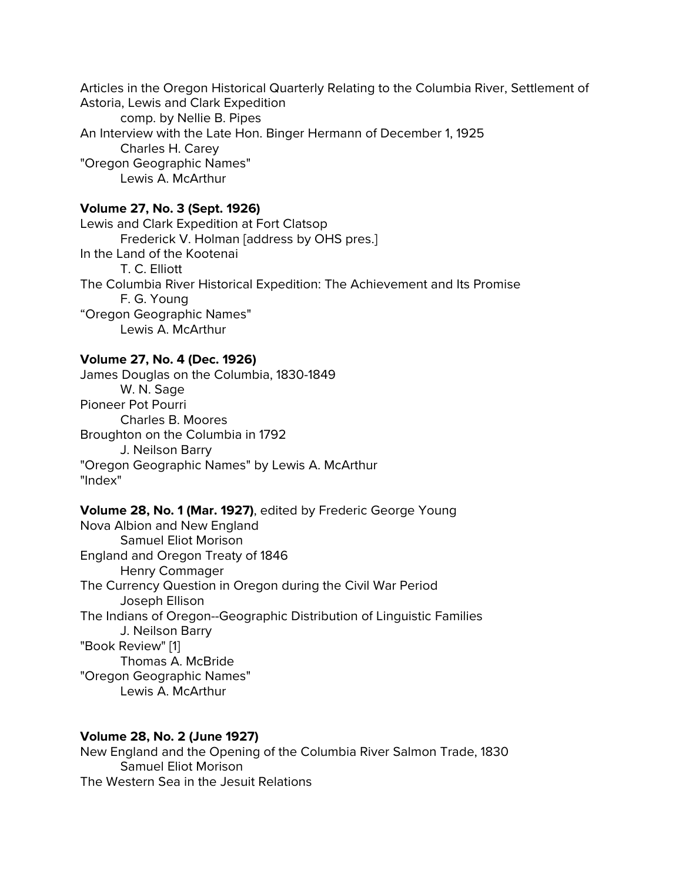Articles in the Oregon Historical Quarterly Relating to the Columbia River, Settlement of Astoria, Lewis and Clark Expedition comp. by Nellie B. Pipes An Interview with the Late Hon. Binger Hermann of December 1, 1925 Charles H. Carey "Oregon Geographic Names" Lewis A. McArthur

## **Volume 27, No. 3 (Sept. 1926)**

Lewis and Clark Expedition at Fort Clatsop Frederick V. Holman [address by OHS pres.] In the Land of the Kootenai T. C. Elliott The Columbia River Historical Expedition: The Achievement and Its Promise F. G. Young "Oregon Geographic Names" Lewis A. McArthur

#### **Volume 27, No. 4 (Dec. 1926)**

James Douglas on the Columbia, 1830-1849 W. N. Sage Pioneer Pot Pourri Charles B. Moores Broughton on the Columbia in 1792 J. Neilson Barry "Oregon Geographic Names" by Lewis A. McArthur "Index"

#### **Volume 28, No. 1 (Mar. 1927)**, edited by Frederic George Young

Nova Albion and New England Samuel Eliot Morison England and Oregon Treaty of 1846 Henry Commager The Currency Question in Oregon during the Civil War Period Joseph Ellison The Indians of Oregon--Geographic Distribution of Linguistic Families J. Neilson Barry "Book Review" [1] Thomas A. McBride "Oregon Geographic Names" Lewis A. McArthur

#### **Volume 28, No. 2 (June 1927)**

New England and the Opening of the Columbia River Salmon Trade, 1830 Samuel Eliot Morison The Western Sea in the Jesuit Relations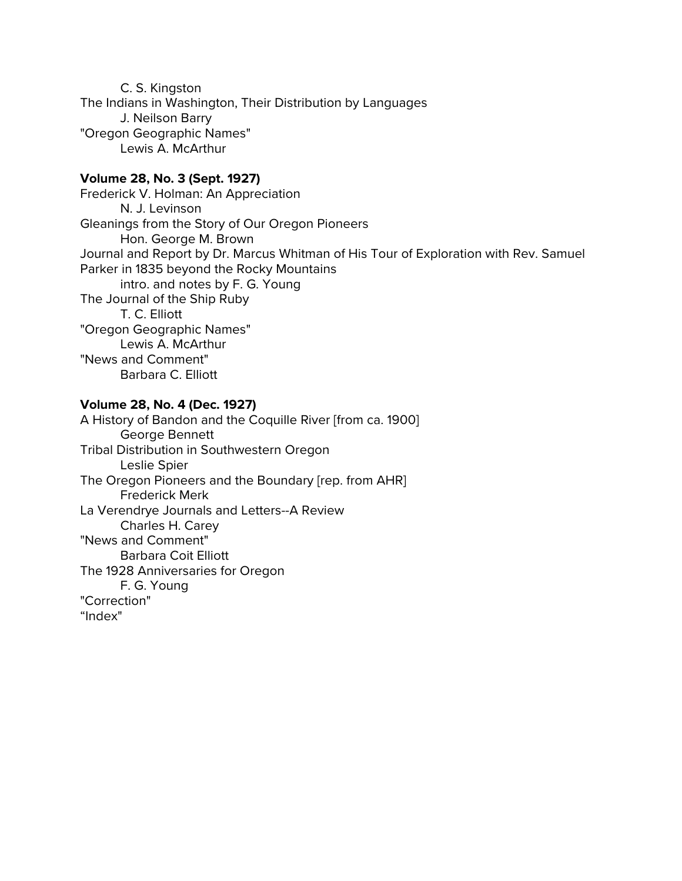C. S. Kingston The Indians in Washington, Their Distribution by Languages J. Neilson Barry "Oregon Geographic Names" Lewis A. McArthur

#### **Volume 28, No. 3 (Sept. 1927)**

Frederick V. Holman: An Appreciation N. J. Levinson Gleanings from the Story of Our Oregon Pioneers Hon. George M. Brown Journal and Report by Dr. Marcus Whitman of His Tour of Exploration with Rev. Samuel Parker in 1835 beyond the Rocky Mountains intro. and notes by F. G. Young The Journal of the Ship Ruby T. C. Elliott "Oregon Geographic Names" Lewis A. McArthur "News and Comment" Barbara C. Elliott

## **Volume 28, No. 4 (Dec. 1927)**

A History of Bandon and the Coquille River [from ca. 1900] George Bennett Tribal Distribution in Southwestern Oregon Leslie Spier The Oregon Pioneers and the Boundary [rep. from AHR] Frederick Merk La Verendrye Journals and Letters--A Review Charles H. Carey "News and Comment" Barbara Coit Elliott The 1928 Anniversaries for Oregon F. G. Young "Correction" "Index"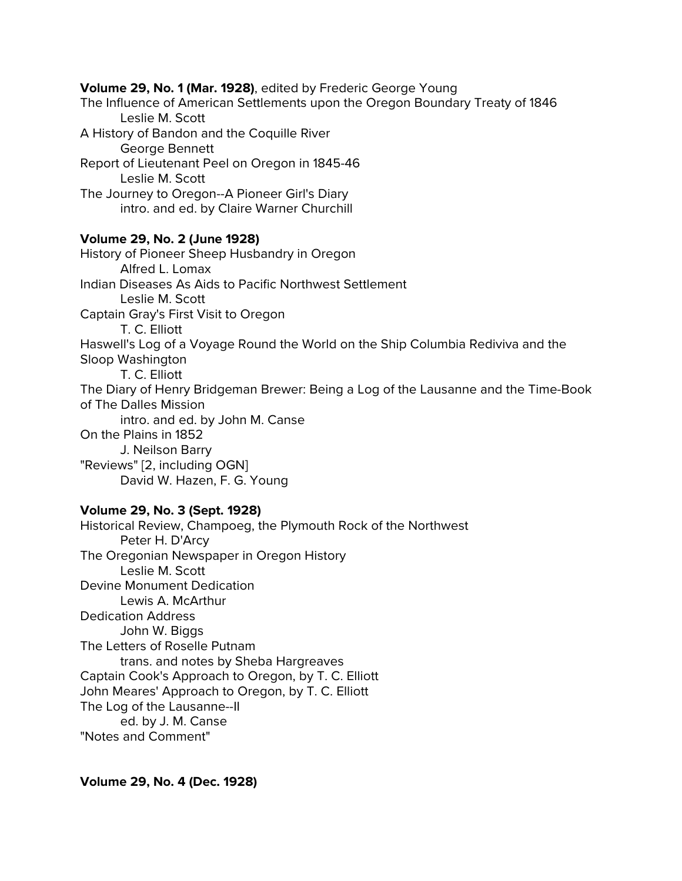# **Volume 29, No. 1 (Mar. 1928)**, edited by Frederic George Young The Influence of American Settlements upon the Oregon Boundary Treaty of 1846 Leslie M. Scott A History of Bandon and the Coquille River George Bennett Report of Lieutenant Peel on Oregon in 1845-46 Leslie M. Scott The Journey to Oregon--A Pioneer Girl's Diary intro. and ed. by Claire Warner Churchill **Volume 29, No. 2 (June 1928)** History of Pioneer Sheep Husbandry in Oregon Alfred L. Lomax Indian Diseases As Aids to Pacific Northwest Settlement Leslie M. Scott Captain Gray's First Visit to Oregon T. C. Elliott Haswell's Log of a Voyage Round the World on the Ship Columbia Rediviva and the Sloop Washington T. C. Elliott The Diary of Henry Bridgeman Brewer: Being a Log of the Lausanne and the Time-Book of The Dalles Mission intro. and ed. by John M. Canse On the Plains in 1852 J. Neilson Barry "Reviews" [2, including OGN] David W. Hazen, F. G. Young

## **Volume 29, No. 3 (Sept. 1928)**

Historical Review, Champoeg, the Plymouth Rock of the Northwest Peter H. D'Arcy The Oregonian Newspaper in Oregon History Leslie M. Scott Devine Monument Dedication Lewis A. McArthur Dedication Address John W. Biggs The Letters of Roselle Putnam trans. and notes by Sheba Hargreaves Captain Cook's Approach to Oregon, by T. C. Elliott John Meares' Approach to Oregon, by T. C. Elliott The Log of the Lausanne--II ed. by J. M. Canse "Notes and Comment"

## **Volume 29, No. 4 (Dec. 1928)**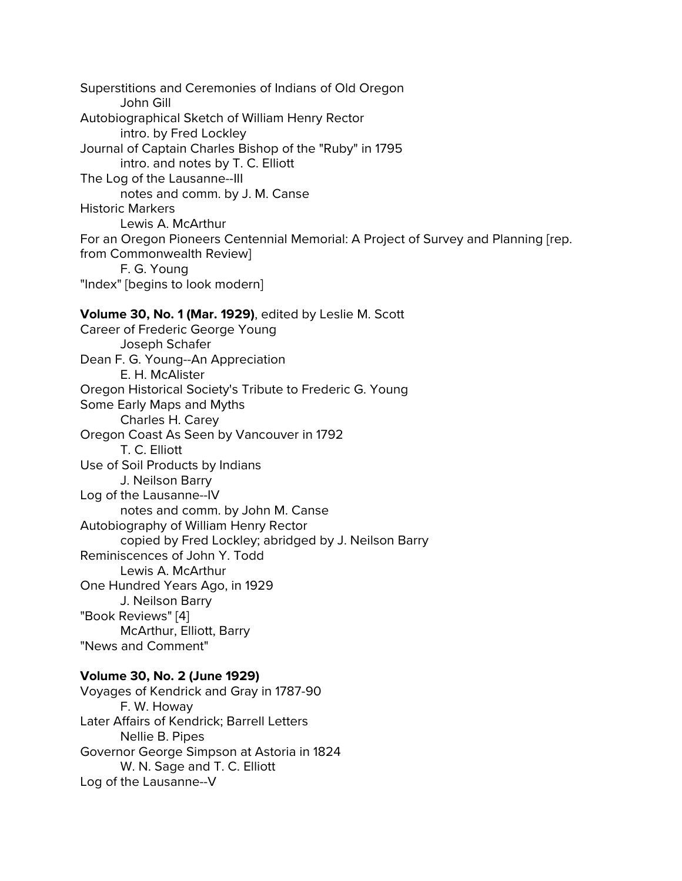Superstitions and Ceremonies of Indians of Old Oregon John Gill Autobiographical Sketch of William Henry Rector intro. by Fred Lockley Journal of Captain Charles Bishop of the "Ruby" in 1795 intro. and notes by T. C. Elliott The Log of the Lausanne--III notes and comm. by J. M. Canse Historic Markers Lewis A. McArthur For an Oregon Pioneers Centennial Memorial: A Project of Survey and Planning [rep. from Commonwealth Review] F. G. Young "Index" [begins to look modern] **Volume 30, No. 1 (Mar. 1929)**, edited by Leslie M. Scott Career of Frederic George Young Joseph Schafer Dean F. G. Young--An Appreciation E. H. McAlister Oregon Historical Society's Tribute to Frederic G. Young Some Early Maps and Myths Charles H. Carey Oregon Coast As Seen by Vancouver in 1792 T. C. Elliott Use of Soil Products by Indians J. Neilson Barry Log of the Lausanne--IV notes and comm. by John M. Canse Autobiography of William Henry Rector copied by Fred Lockley; abridged by J. Neilson Barry Reminiscences of John Y. Todd Lewis A. McArthur One Hundred Years Ago, in 1929 J. Neilson Barry "Book Reviews" [4] McArthur, Elliott, Barry "News and Comment" **Volume 30, No. 2 (June 1929)**

Voyages of Kendrick and Gray in 1787-90 F. W. Howay Later Affairs of Kendrick; Barrell Letters Nellie B. Pipes Governor George Simpson at Astoria in 1824 W. N. Sage and T. C. Elliott Log of the Lausanne--V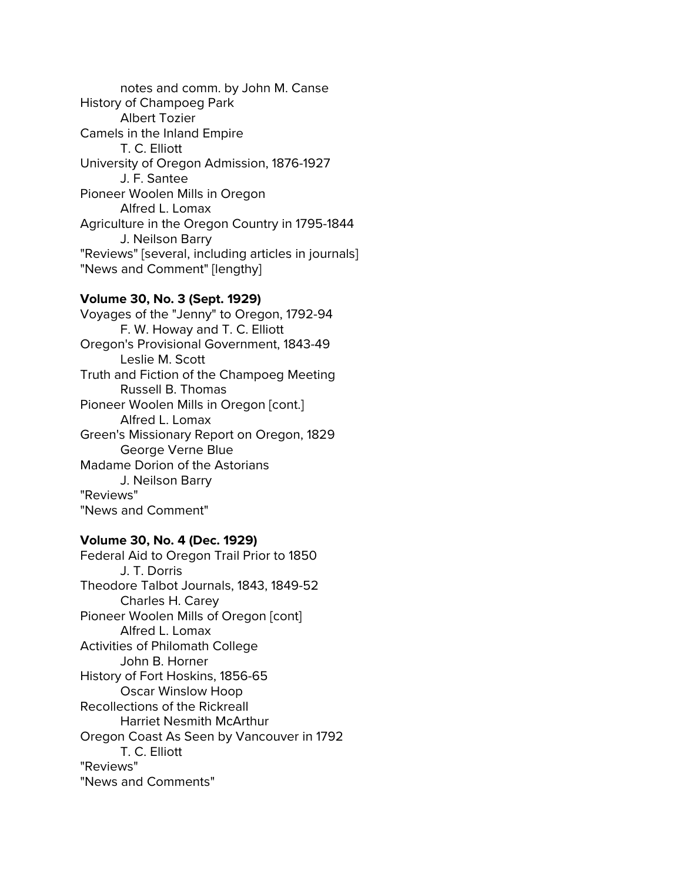notes and comm. by John M. Canse History of Champoeg Park Albert Tozier Camels in the Inland Empire T. C. Elliott University of Oregon Admission, 1876-1927 J. F. Santee Pioneer Woolen Mills in Oregon Alfred L. Lomax Agriculture in the Oregon Country in 1795-1844 J. Neilson Barry "Reviews" [several, including articles in journals] "News and Comment" [lengthy]

#### **Volume 30, No. 3 (Sept. 1929)**

Voyages of the "Jenny" to Oregon, 1792-94 F. W. Howay and T. C. Elliott Oregon's Provisional Government, 1843-49 Leslie M. Scott Truth and Fiction of the Champoeg Meeting Russell B. Thomas Pioneer Woolen Mills in Oregon [cont.] Alfred L. Lomax Green's Missionary Report on Oregon, 1829 George Verne Blue Madame Dorion of the Astorians J. Neilson Barry "Reviews" "News and Comment"

#### **Volume 30, No. 4 (Dec. 1929)**

Federal Aid to Oregon Trail Prior to 1850 J. T. Dorris Theodore Talbot Journals, 1843, 1849-52 Charles H. Carey Pioneer Woolen Mills of Oregon [cont] Alfred L. Lomax Activities of Philomath College John B. Horner History of Fort Hoskins, 1856-65 Oscar Winslow Hoop Recollections of the Rickreall Harriet Nesmith McArthur Oregon Coast As Seen by Vancouver in 1792 T. C. Elliott "Reviews" "News and Comments"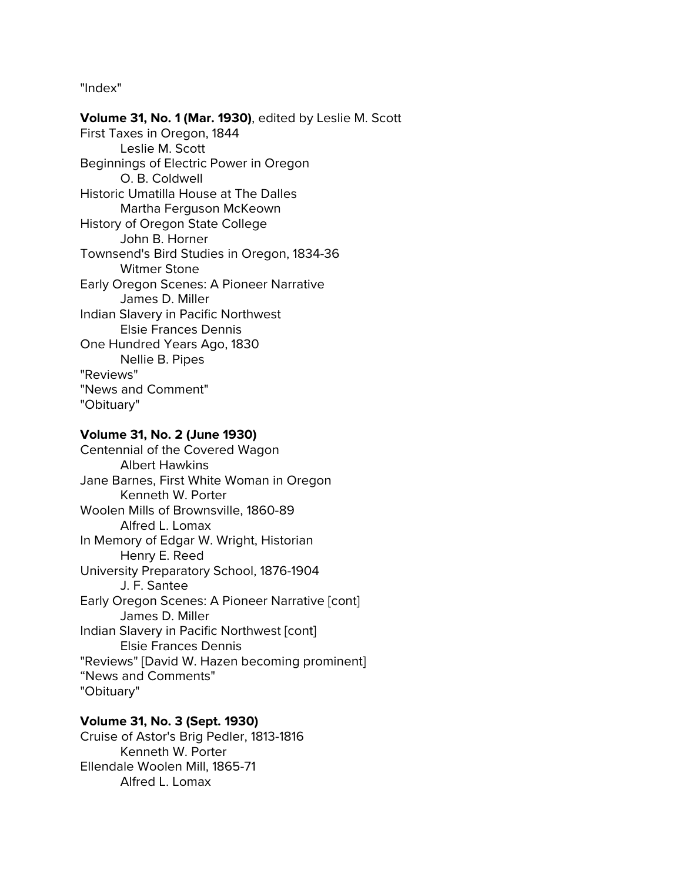"Index"

**Volume 31, No. 1 (Mar. 1930)**, edited by Leslie M. Scott First Taxes in Oregon, 1844 Leslie M. Scott Beginnings of Electric Power in Oregon O. B. Coldwell Historic Umatilla House at The Dalles Martha Ferguson McKeown History of Oregon State College John B. Horner Townsend's Bird Studies in Oregon, 1834-36 Witmer Stone Early Oregon Scenes: A Pioneer Narrative James D. Miller Indian Slavery in Pacific Northwest Elsie Frances Dennis One Hundred Years Ago, 1830 Nellie B. Pipes "Reviews" "News and Comment" "Obituary"

## **Volume 31, No. 2 (June 1930)**

Centennial of the Covered Wagon Albert Hawkins Jane Barnes, First White Woman in Oregon Kenneth W. Porter Woolen Mills of Brownsville, 1860-89 Alfred L. Lomax In Memory of Edgar W. Wright, Historian Henry E. Reed University Preparatory School, 1876-1904 J. F. Santee Early Oregon Scenes: A Pioneer Narrative [cont] James D. Miller Indian Slavery in Pacific Northwest [cont] Elsie Frances Dennis "Reviews" [David W. Hazen becoming prominent] "News and Comments" "Obituary"

# **Volume 31, No. 3 (Sept. 1930)**

Cruise of Astor's Brig Pedler, 1813-1816 Kenneth W. Porter Ellendale Woolen Mill, 1865-71 Alfred L. Lomax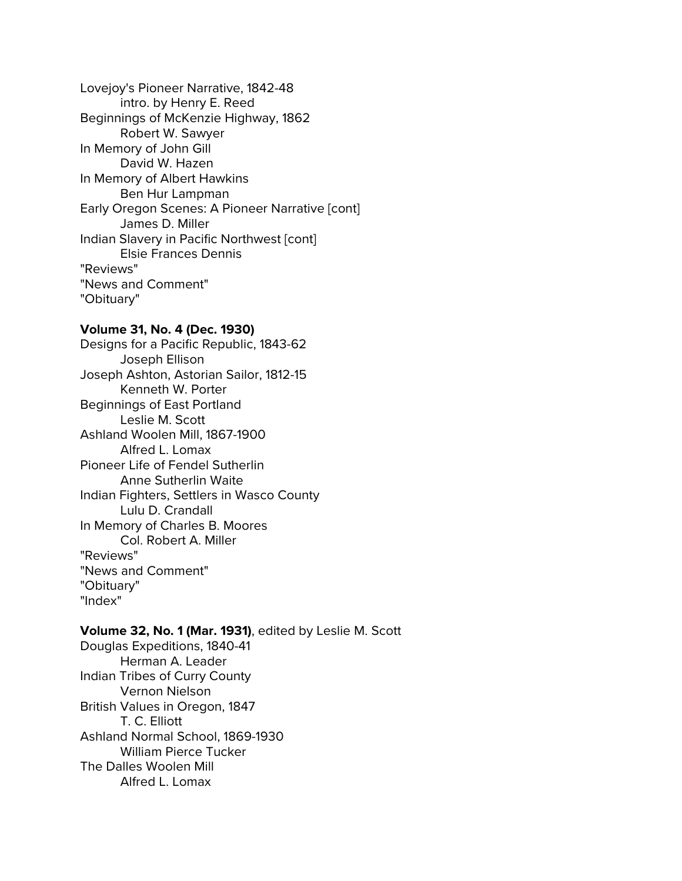Lovejoy's Pioneer Narrative, 1842-48 intro. by Henry E. Reed Beginnings of McKenzie Highway, 1862 Robert W. Sawyer In Memory of John Gill David W. Hazen In Memory of Albert Hawkins Ben Hur Lampman Early Oregon Scenes: A Pioneer Narrative [cont] James D. Miller Indian Slavery in Pacific Northwest [cont] Elsie Frances Dennis "Reviews" "News and Comment" "Obituary"

#### **Volume 31, No. 4 (Dec. 1930)**

Designs for a Pacific Republic, 1843-62 Joseph Ellison Joseph Ashton, Astorian Sailor, 1812-15 Kenneth W. Porter Beginnings of East Portland Leslie M. Scott Ashland Woolen Mill, 1867-1900 Alfred L. Lomax Pioneer Life of Fendel Sutherlin Anne Sutherlin Waite Indian Fighters, Settlers in Wasco County Lulu D. Crandall In Memory of Charles B. Moores Col. Robert A. Miller "Reviews" "News and Comment" "Obituary" "Index"

#### **Volume 32, No. 1 (Mar. 1931)**, edited by Leslie M. Scott

Douglas Expeditions, 1840-41 Herman A. Leader Indian Tribes of Curry County Vernon Nielson British Values in Oregon, 1847 T. C. Elliott Ashland Normal School, 1869-1930 William Pierce Tucker The Dalles Woolen Mill Alfred L. Lomax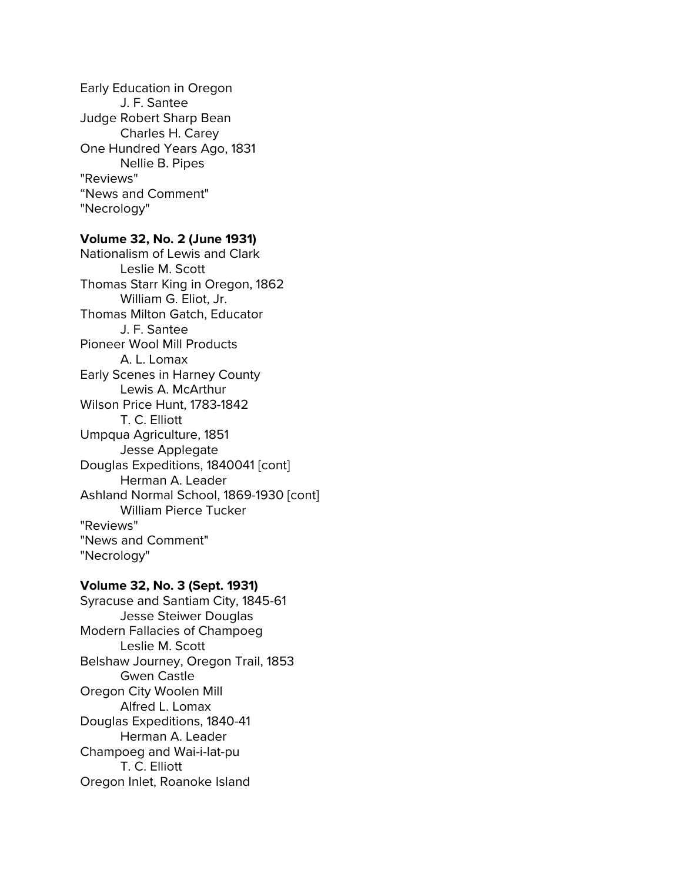Early Education in Oregon J. F. Santee Judge Robert Sharp Bean Charles H. Carey One Hundred Years Ago, 1831 Nellie B. Pipes "Reviews" "News and Comment" "Necrology"

## **Volume 32, No. 2 (June 1931)**

Nationalism of Lewis and Clark Leslie M. Scott Thomas Starr King in Oregon, 1862 William G. Eliot, Jr. Thomas Milton Gatch, Educator J. F. Santee Pioneer Wool Mill Products A. L. Lomax Early Scenes in Harney County Lewis A. McArthur Wilson Price Hunt, 1783-1842 T. C. Elliott Umpqua Agriculture, 1851 Jesse Applegate Douglas Expeditions, 1840041 [cont] Herman A. Leader Ashland Normal School, 1869-1930 [cont] William Pierce Tucker "Reviews" "News and Comment" "Necrology"

#### **Volume 32, No. 3 (Sept. 1931)**

Syracuse and Santiam City, 1845-61 Jesse Steiwer Douglas Modern Fallacies of Champoeg Leslie M. Scott Belshaw Journey, Oregon Trail, 1853 Gwen Castle Oregon City Woolen Mill Alfred L. Lomax Douglas Expeditions, 1840-41 Herman A. Leader Champoeg and Wai-i-lat-pu T. C. Elliott Oregon Inlet, Roanoke Island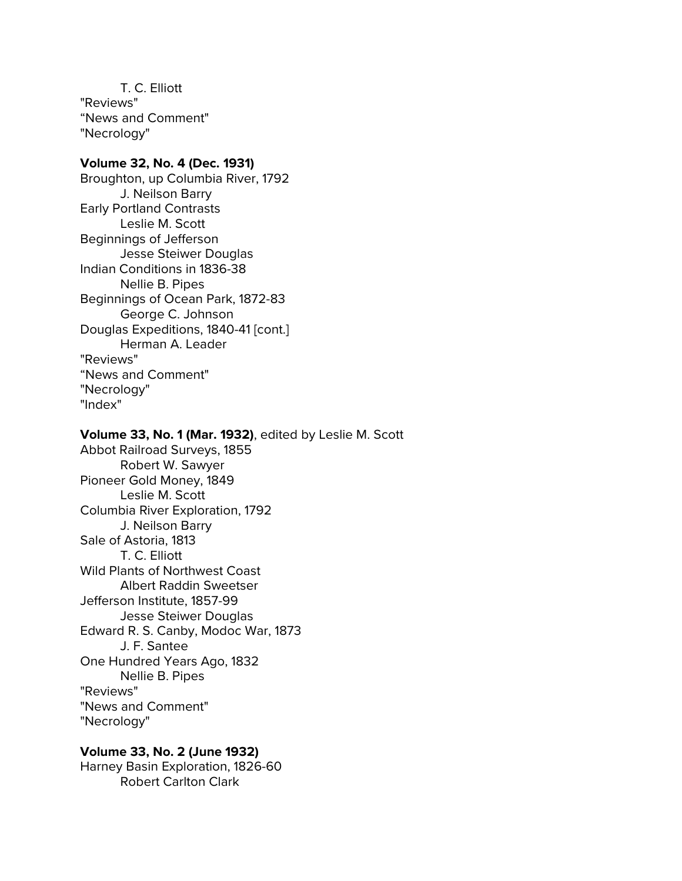T. C. Elliott "Reviews" "News and Comment" "Necrology"

### **Volume 32, No. 4 (Dec. 1931)**

Broughton, up Columbia River, 1792 J. Neilson Barry Early Portland Contrasts Leslie M. Scott Beginnings of Jefferson Jesse Steiwer Douglas Indian Conditions in 1836-38 Nellie B. Pipes Beginnings of Ocean Park, 1872-83 George C. Johnson Douglas Expeditions, 1840-41 [cont.] Herman A. Leader "Reviews" "News and Comment" "Necrology" "Index"

#### **Volume 33, No. 1 (Mar. 1932)**, edited by Leslie M. Scott

Abbot Railroad Surveys, 1855 Robert W. Sawyer Pioneer Gold Money, 1849 Leslie M. Scott Columbia River Exploration, 1792 J. Neilson Barry Sale of Astoria, 1813 T. C. Elliott Wild Plants of Northwest Coast Albert Raddin Sweetser Jefferson Institute, 1857-99 Jesse Steiwer Douglas Edward R. S. Canby, Modoc War, 1873 J. F. Santee One Hundred Years Ago, 1832 Nellie B. Pipes "Reviews" "News and Comment" "Necrology"

### **Volume 33, No. 2 (June 1932)** Harney Basin Exploration, 1826-60 Robert Carlton Clark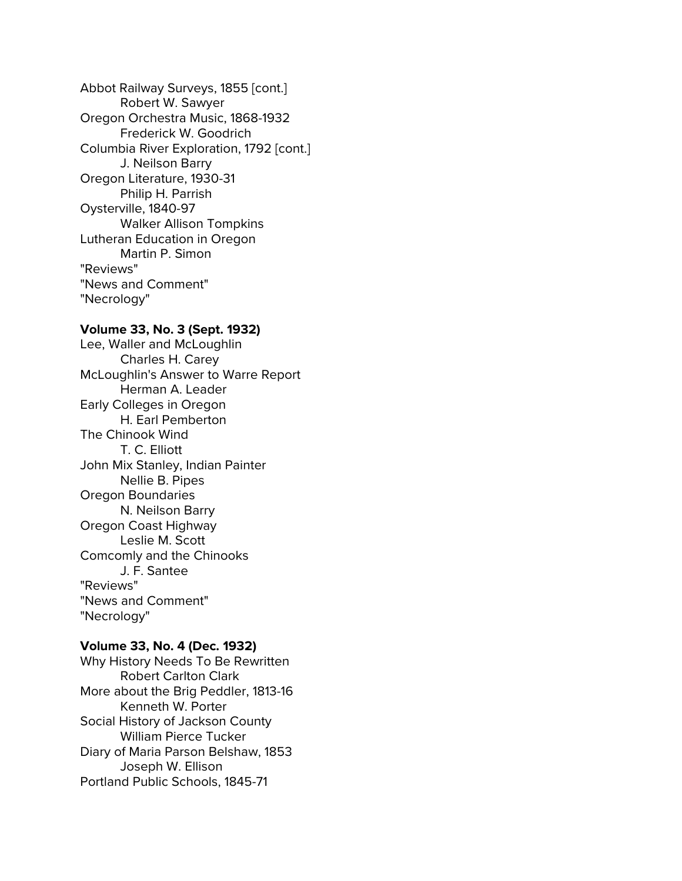Abbot Railway Surveys, 1855 [cont.] Robert W. Sawyer Oregon Orchestra Music, 1868-1932 Frederick W. Goodrich Columbia River Exploration, 1792 [cont.] J. Neilson Barry Oregon Literature, 1930-31 Philip H. Parrish Oysterville, 1840-97 Walker Allison Tompkins Lutheran Education in Oregon Martin P. Simon "Reviews" "News and Comment" "Necrology"

### **Volume 33, No. 3 (Sept. 1932)**

Lee, Waller and McLoughlin Charles H. Carey McLoughlin's Answer to Warre Report Herman A. Leader Early Colleges in Oregon H. Earl Pemberton The Chinook Wind T. C. Elliott John Mix Stanley, Indian Painter Nellie B. Pipes Oregon Boundaries N. Neilson Barry Oregon Coast Highway Leslie M. Scott Comcomly and the Chinooks J. F. Santee "Reviews" "News and Comment" "Necrology"

#### **Volume 33, No. 4 (Dec. 1932)**

Why History Needs To Be Rewritten Robert Carlton Clark More about the Brig Peddler, 1813-16 Kenneth W. Porter Social History of Jackson County William Pierce Tucker Diary of Maria Parson Belshaw, 1853 Joseph W. Ellison Portland Public Schools, 1845-71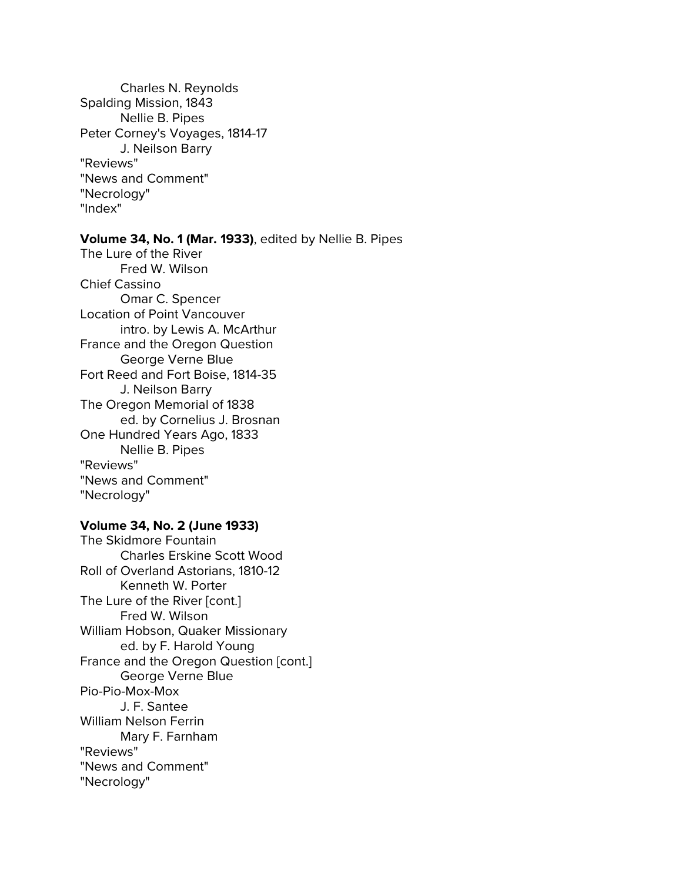Charles N. Reynolds Spalding Mission, 1843 Nellie B. Pipes Peter Corney's Voyages, 1814-17 J. Neilson Barry "Reviews" "News and Comment" "Necrology" "Index"

### **Volume 34, No. 1 (Mar. 1933)**, edited by Nellie B. Pipes

The Lure of the River Fred W. Wilson Chief Cassino Omar C. Spencer Location of Point Vancouver intro. by Lewis A. McArthur France and the Oregon Question George Verne Blue Fort Reed and Fort Boise, 1814-35 J. Neilson Barry The Oregon Memorial of 1838 ed. by Cornelius J. Brosnan One Hundred Years Ago, 1833 Nellie B. Pipes "Reviews" "News and Comment" "Necrology"

### **Volume 34, No. 2 (June 1933)**

The Skidmore Fountain Charles Erskine Scott Wood Roll of Overland Astorians, 1810-12 Kenneth W. Porter The Lure of the River [cont.] Fred W. Wilson William Hobson, Quaker Missionary ed. by F. Harold Young France and the Oregon Question [cont.] George Verne Blue Pio-Pio-Mox-Mox J. F. Santee William Nelson Ferrin Mary F. Farnham "Reviews" "News and Comment" "Necrology"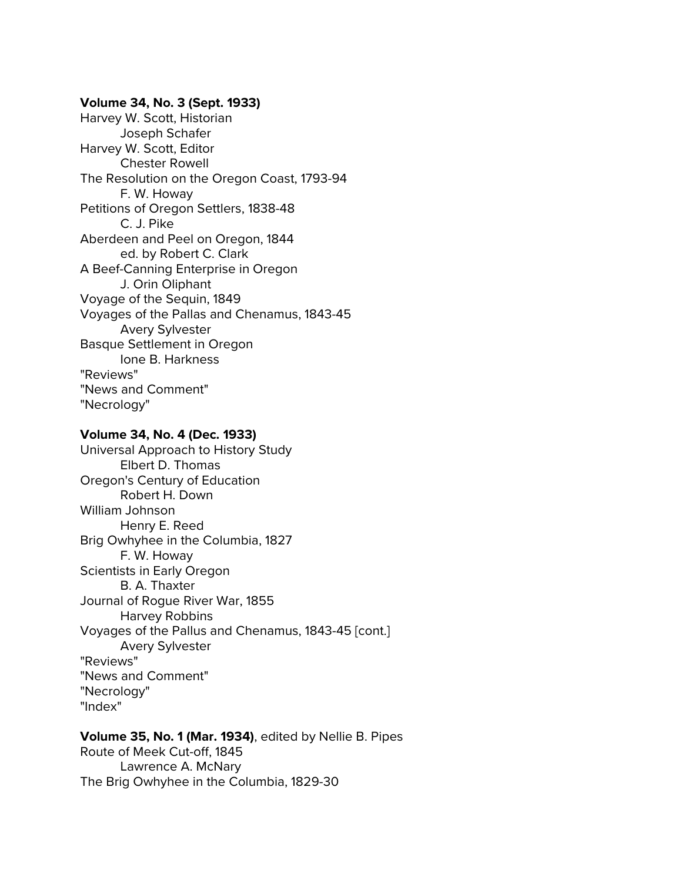### **Volume 34, No. 3 (Sept. 1933)**

Harvey W. Scott, Historian Joseph Schafer Harvey W. Scott, Editor Chester Rowell The Resolution on the Oregon Coast, 1793-94 F. W. Howay Petitions of Oregon Settlers, 1838-48 C. J. Pike Aberdeen and Peel on Oregon, 1844 ed. by Robert C. Clark A Beef-Canning Enterprise in Oregon J. Orin Oliphant Voyage of the Sequin, 1849 Voyages of the Pallas and Chenamus, 1843-45 Avery Sylvester Basque Settlement in Oregon Ione B. Harkness "Reviews" "News and Comment" "Necrology"

#### **Volume 34, No. 4 (Dec. 1933)**

Universal Approach to History Study Elbert D. Thomas Oregon's Century of Education Robert H. Down William Johnson Henry E. Reed Brig Owhyhee in the Columbia, 1827 F. W. Howay Scientists in Early Oregon B. A. Thaxter Journal of Rogue River War, 1855 Harvey Robbins Voyages of the Pallus and Chenamus, 1843-45 [cont.] Avery Sylvester "Reviews" "News and Comment" "Necrology" "Index"

### **Volume 35, No. 1 (Mar. 1934)**, edited by Nellie B. Pipes Route of Meek Cut-off, 1845

Lawrence A. McNary The Brig Owhyhee in the Columbia, 1829-30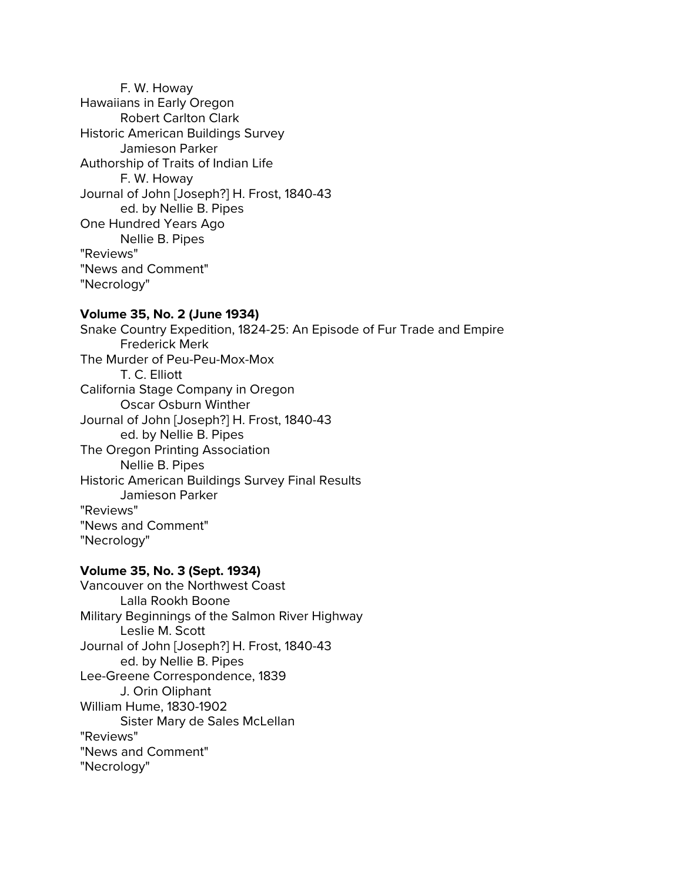F. W. Howay Hawaiians in Early Oregon Robert Carlton Clark Historic American Buildings Survey Jamieson Parker Authorship of Traits of Indian Life F. W. Howay Journal of John [Joseph?] H. Frost, 1840-43 ed. by Nellie B. Pipes One Hundred Years Ago Nellie B. Pipes "Reviews" "News and Comment" "Necrology"

### **Volume 35, No. 2 (June 1934)**

Snake Country Expedition, 1824-25: An Episode of Fur Trade and Empire Frederick Merk The Murder of Peu-Peu-Mox-Mox T. C. Elliott California Stage Company in Oregon Oscar Osburn Winther Journal of John [Joseph?] H. Frost, 1840-43 ed. by Nellie B. Pipes The Oregon Printing Association Nellie B. Pipes Historic American Buildings Survey Final Results Jamieson Parker "Reviews" "News and Comment" "Necrology"

## **Volume 35, No. 3 (Sept. 1934)**

Vancouver on the Northwest Coast Lalla Rookh Boone Military Beginnings of the Salmon River Highway Leslie M. Scott Journal of John [Joseph?] H. Frost, 1840-43 ed. by Nellie B. Pipes Lee-Greene Correspondence, 1839 J. Orin Oliphant William Hume, 1830-1902 Sister Mary de Sales McLellan "Reviews" "News and Comment" "Necrology"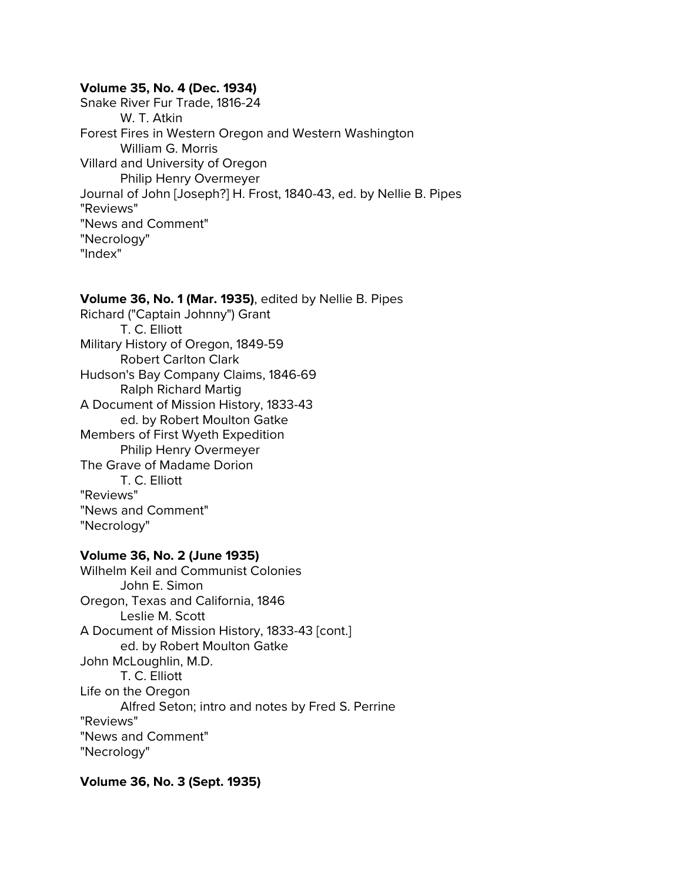#### **Volume 35, No. 4 (Dec. 1934)**

Snake River Fur Trade, 1816-24 W. T. Atkin Forest Fires in Western Oregon and Western Washington William G. Morris Villard and University of Oregon Philip Henry Overmeyer Journal of John [Joseph?] H. Frost, 1840-43, ed. by Nellie B. Pipes "Reviews" "News and Comment" "Necrology" "Index"

#### **Volume 36, No. 1 (Mar. 1935)**, edited by Nellie B. Pipes

Richard ("Captain Johnny") Grant T. C. Elliott Military History of Oregon, 1849-59 Robert Carlton Clark Hudson's Bay Company Claims, 1846-69 Ralph Richard Martig A Document of Mission History, 1833-43 ed. by Robert Moulton Gatke Members of First Wyeth Expedition Philip Henry Overmeyer The Grave of Madame Dorion T. C. Elliott "Reviews" "News and Comment" "Necrology"

#### **Volume 36, No. 2 (June 1935)**

Wilhelm Keil and Communist Colonies John E. Simon Oregon, Texas and California, 1846 Leslie M. Scott A Document of Mission History, 1833-43 [cont.] ed. by Robert Moulton Gatke John McLoughlin, M.D. T. C. Elliott Life on the Oregon Alfred Seton; intro and notes by Fred S. Perrine "Reviews" "News and Comment" "Necrology"

**Volume 36, No. 3 (Sept. 1935)**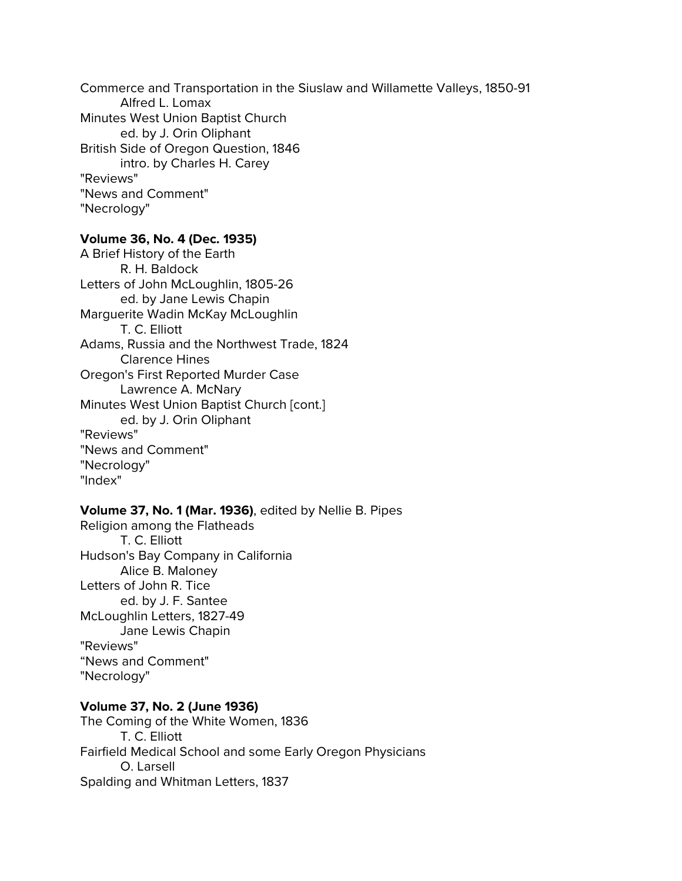Commerce and Transportation in the Siuslaw and Willamette Valleys, 1850-91 Alfred L. Lomax Minutes West Union Baptist Church ed. by J. Orin Oliphant British Side of Oregon Question, 1846 intro. by Charles H. Carey "Reviews" "News and Comment" "Necrology"

### **Volume 36, No. 4 (Dec. 1935)**

A Brief History of the Earth R. H. Baldock Letters of John McLoughlin, 1805-26 ed. by Jane Lewis Chapin Marguerite Wadin McKay McLoughlin T. C. Elliott Adams, Russia and the Northwest Trade, 1824 Clarence Hines Oregon's First Reported Murder Case Lawrence A. McNary Minutes West Union Baptist Church [cont.] ed. by J. Orin Oliphant "Reviews" "News and Comment" "Necrology" "Index"

### **Volume 37, No. 1 (Mar. 1936)**, edited by Nellie B. Pipes

Religion among the Flatheads T. C. Elliott Hudson's Bay Company in California Alice B. Maloney Letters of John R. Tice ed. by J. F. Santee McLoughlin Letters, 1827-49 Jane Lewis Chapin "Reviews" "News and Comment" "Necrology"

#### **Volume 37, No. 2 (June 1936)**

The Coming of the White Women, 1836 T. C. Elliott Fairfield Medical School and some Early Oregon Physicians O. Larsell Spalding and Whitman Letters, 1837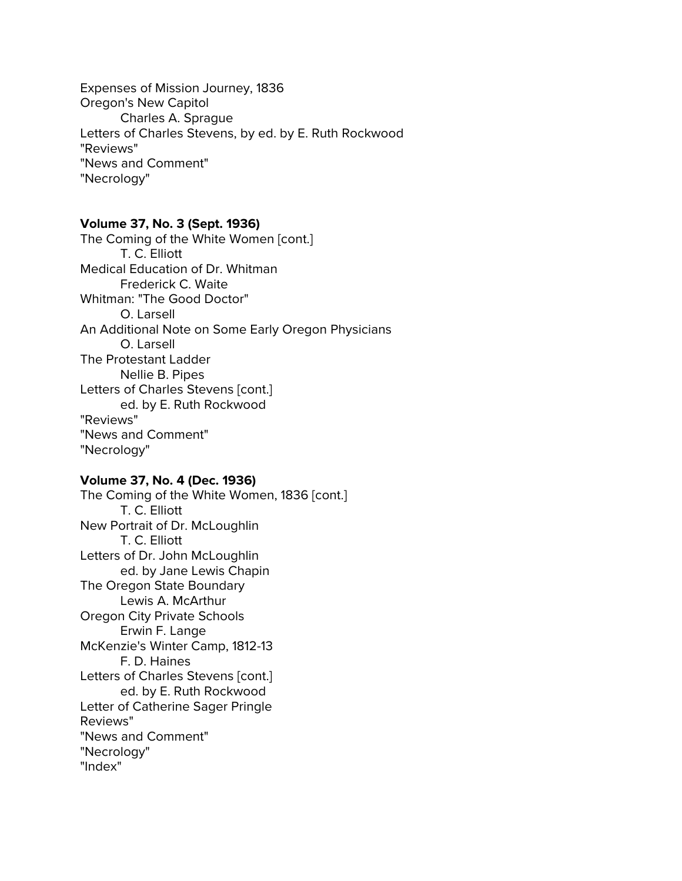Expenses of Mission Journey, 1836 Oregon's New Capitol Charles A. Sprague Letters of Charles Stevens, by ed. by E. Ruth Rockwood "Reviews" "News and Comment" "Necrology"

### **Volume 37, No. 3 (Sept. 1936)**

The Coming of the White Women [cont.] T. C. Elliott Medical Education of Dr. Whitman Frederick C. Waite Whitman: "The Good Doctor" O. Larsell An Additional Note on Some Early Oregon Physicians O. Larsell The Protestant Ladder Nellie B. Pipes Letters of Charles Stevens [cont.] ed. by E. Ruth Rockwood "Reviews" "News and Comment" "Necrology"

### **Volume 37, No. 4 (Dec. 1936)**

The Coming of the White Women, 1836 [cont.] T. C. Elliott New Portrait of Dr. McLoughlin T. C. Elliott Letters of Dr. John McLoughlin ed. by Jane Lewis Chapin The Oregon State Boundary Lewis A. McArthur Oregon City Private Schools Erwin F. Lange McKenzie's Winter Camp, 1812-13 F. D. Haines Letters of Charles Stevens [cont.] ed. by E. Ruth Rockwood Letter of Catherine Sager Pringle Reviews" "News and Comment" "Necrology" "Index"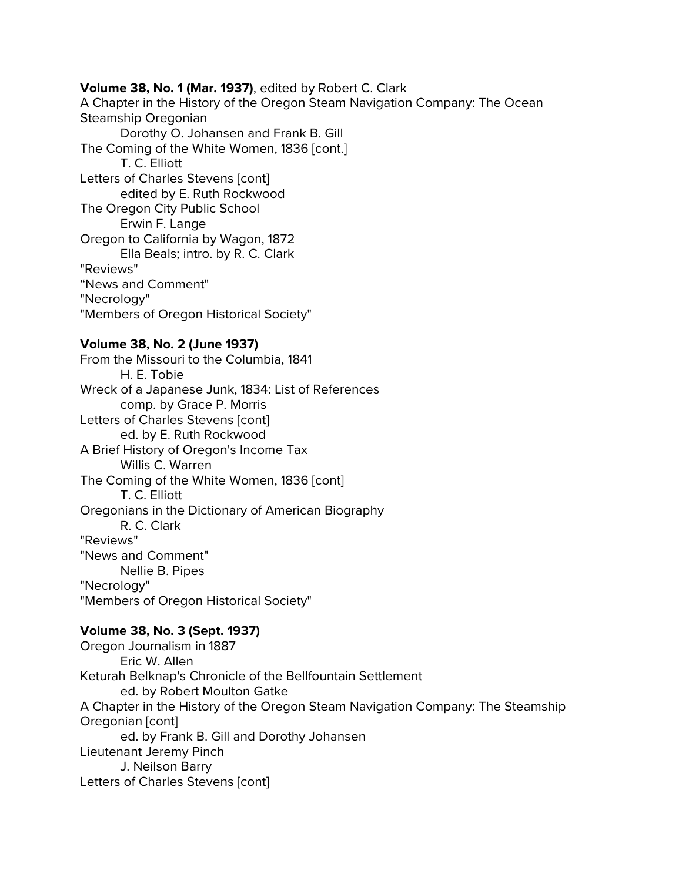### **Volume 38, No. 1 (Mar. 1937)**, edited by Robert C. Clark

A Chapter in the History of the Oregon Steam Navigation Company: The Ocean Steamship Oregonian Dorothy O. Johansen and Frank B. Gill The Coming of the White Women, 1836 [cont.] T. C. Elliott Letters of Charles Stevens [cont] edited by E. Ruth Rockwood The Oregon City Public School Erwin F. Lange Oregon to California by Wagon, 1872

Ella Beals; intro. by R. C. Clark "Reviews"

"News and Comment"

"Necrology"

"Members of Oregon Historical Society"

## **Volume 38, No. 2 (June 1937)**

From the Missouri to the Columbia, 1841 H. E. Tobie Wreck of a Japanese Junk, 1834: List of References comp. by Grace P. Morris Letters of Charles Stevens [cont] ed. by E. Ruth Rockwood A Brief History of Oregon's Income Tax Willis C. Warren The Coming of the White Women, 1836 [cont] T. C. Elliott Oregonians in the Dictionary of American Biography R. C. Clark "Reviews" "News and Comment" Nellie B. Pipes "Necrology" "Members of Oregon Historical Society"

# **Volume 38, No. 3 (Sept. 1937)**

Oregon Journalism in 1887 Eric W. Allen Keturah Belknap's Chronicle of the Bellfountain Settlement ed. by Robert Moulton Gatke A Chapter in the History of the Oregon Steam Navigation Company: The Steamship Oregonian [cont] ed. by Frank B. Gill and Dorothy Johansen Lieutenant Jeremy Pinch J. Neilson Barry Letters of Charles Stevens [cont]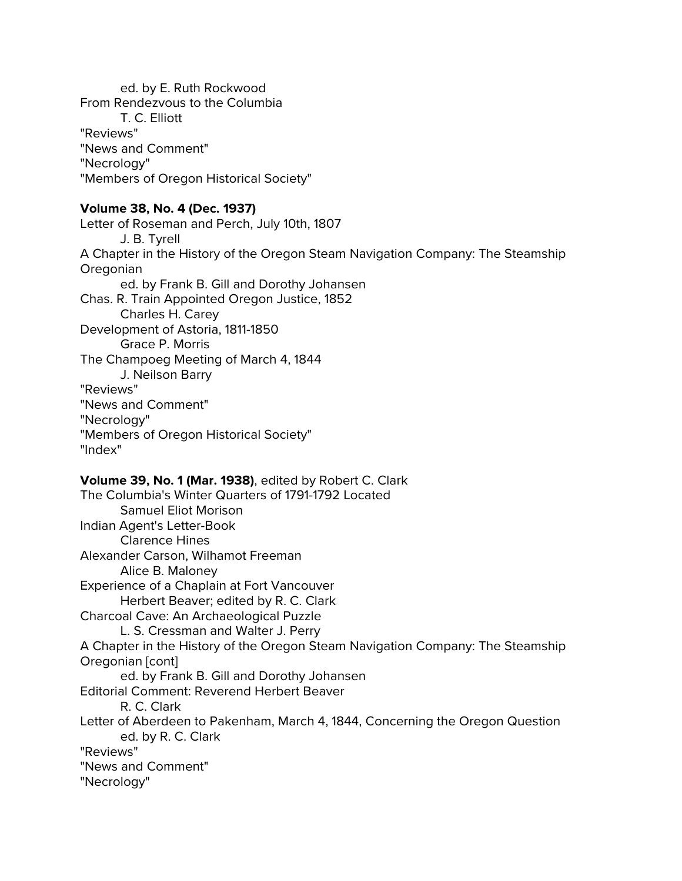ed. by E. Ruth Rockwood From Rendezvous to the Columbia T. C. Elliott "Reviews" "News and Comment" "Necrology" "Members of Oregon Historical Society"

## **Volume 38, No. 4 (Dec. 1937)**

Letter of Roseman and Perch, July 10th, 1807 J. B. Tyrell A Chapter in the History of the Oregon Steam Navigation Company: The Steamship Oregonian ed. by Frank B. Gill and Dorothy Johansen Chas. R. Train Appointed Oregon Justice, 1852 Charles H. Carey Development of Astoria, 1811-1850 Grace P. Morris The Champoeg Meeting of March 4, 1844 J. Neilson Barry "Reviews" "News and Comment" "Necrology" "Members of Oregon Historical Society" "Index"

### **Volume 39, No. 1 (Mar. 1938)**, edited by Robert C. Clark

The Columbia's Winter Quarters of 1791-1792 Located Samuel Eliot Morison Indian Agent's Letter-Book Clarence Hines Alexander Carson, Wilhamot Freeman Alice B. Maloney Experience of a Chaplain at Fort Vancouver Herbert Beaver; edited by R. C. Clark Charcoal Cave: An Archaeological Puzzle L. S. Cressman and Walter J. Perry A Chapter in the History of the Oregon Steam Navigation Company: The Steamship Oregonian [cont] ed. by Frank B. Gill and Dorothy Johansen Editorial Comment: Reverend Herbert Beaver R. C. Clark Letter of Aberdeen to Pakenham, March 4, 1844, Concerning the Oregon Question ed. by R. C. Clark "Reviews" "News and Comment" "Necrology"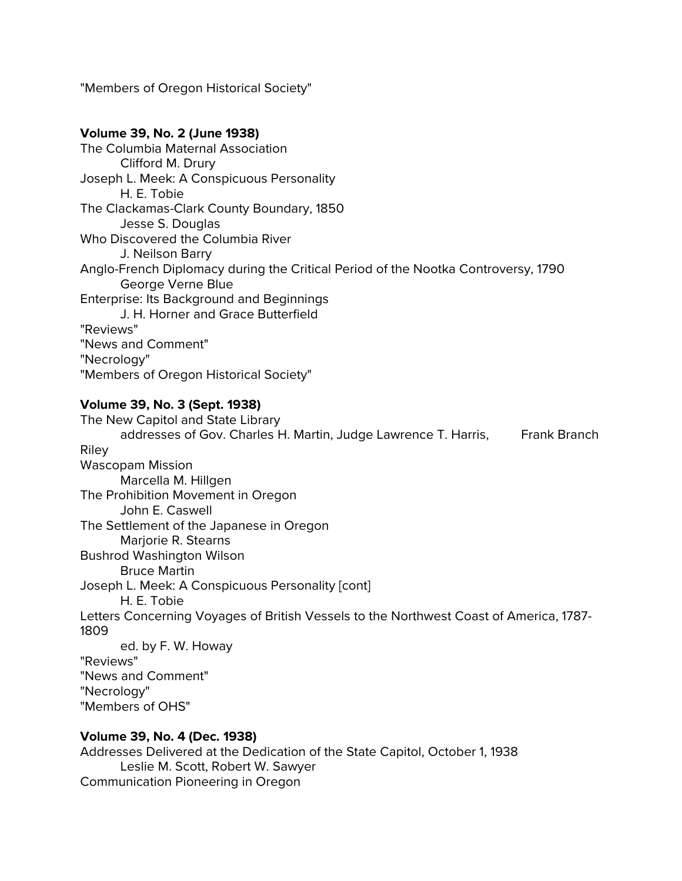"Members of Oregon Historical Society"

# **Volume 39, No. 2 (June 1938)** The Columbia Maternal Association Clifford M. Drury Joseph L. Meek: A Conspicuous Personality H. E. Tobie The Clackamas-Clark County Boundary, 1850 Jesse S. Douglas Who Discovered the Columbia River J. Neilson Barry Anglo-French Diplomacy during the Critical Period of the Nootka Controversy, 1790 George Verne Blue Enterprise: Its Background and Beginnings J. H. Horner and Grace Butterfield "Reviews" "News and Comment" "Necrology" "Members of Oregon Historical Society" **Volume 39, No. 3 (Sept. 1938)** The New Capitol and State Library addresses of Gov. Charles H. Martin, Judge Lawrence T. Harris, Frank Branch Riley Wascopam Mission Marcella M. Hillgen The Prohibition Movement in Oregon John E. Caswell The Settlement of the Japanese in Oregon Marjorie R. Stearns Bushrod Washington Wilson Bruce Martin Joseph L. Meek: A Conspicuous Personality [cont] H. E. Tobie Letters Concerning Voyages of British Vessels to the Northwest Coast of America, 1787- 1809 ed. by F. W. Howay "Reviews" "News and Comment" "Necrology" "Members of OHS"

# **Volume 39, No. 4 (Dec. 1938)**

Addresses Delivered at the Dedication of the State Capitol, October 1, 1938 Leslie M. Scott, Robert W. Sawyer Communication Pioneering in Oregon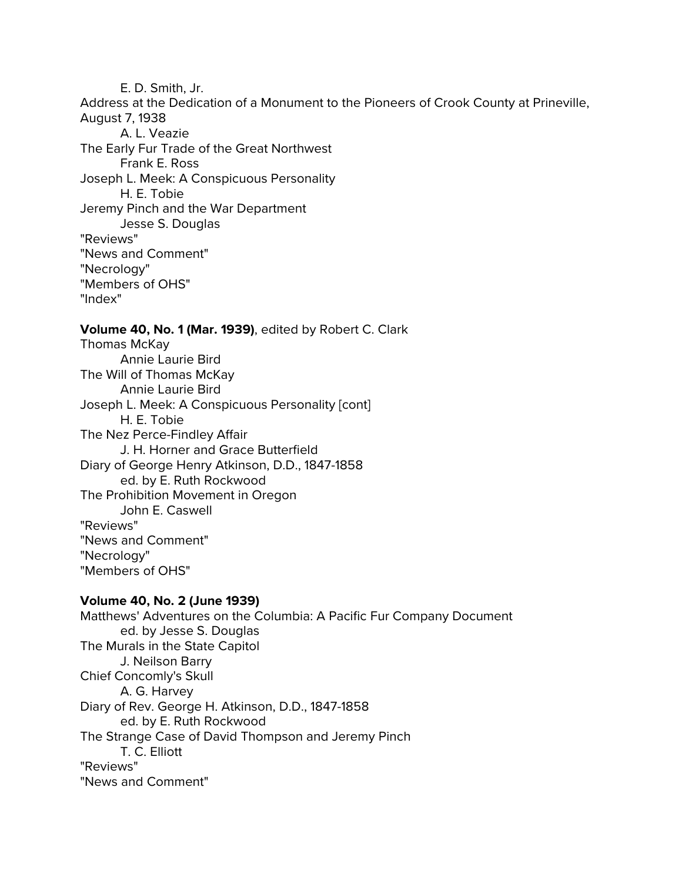E. D. Smith, Jr. Address at the Dedication of a Monument to the Pioneers of Crook County at Prineville, August 7, 1938 A. L. Veazie The Early Fur Trade of the Great Northwest Frank E. Ross Joseph L. Meek: A Conspicuous Personality H. E. Tobie Jeremy Pinch and the War Department Jesse S. Douglas "Reviews" "News and Comment" "Necrology" "Members of OHS" "Index"

## **Volume 40, No. 1 (Mar. 1939)**, edited by Robert C. Clark

Thomas McKay Annie Laurie Bird The Will of Thomas McKay Annie Laurie Bird Joseph L. Meek: A Conspicuous Personality [cont] H. E. Tobie The Nez Perce-Findley Affair J. H. Horner and Grace Butterfield Diary of George Henry Atkinson, D.D., 1847-1858 ed. by E. Ruth Rockwood The Prohibition Movement in Oregon John E. Caswell "Reviews" "News and Comment" "Necrology" "Members of OHS"

## **Volume 40, No. 2 (June 1939)**

Matthews' Adventures on the Columbia: A Pacific Fur Company Document ed. by Jesse S. Douglas The Murals in the State Capitol J. Neilson Barry Chief Concomly's Skull A. G. Harvey Diary of Rev. George H. Atkinson, D.D., 1847-1858 ed. by E. Ruth Rockwood The Strange Case of David Thompson and Jeremy Pinch T. C. Elliott "Reviews" "News and Comment"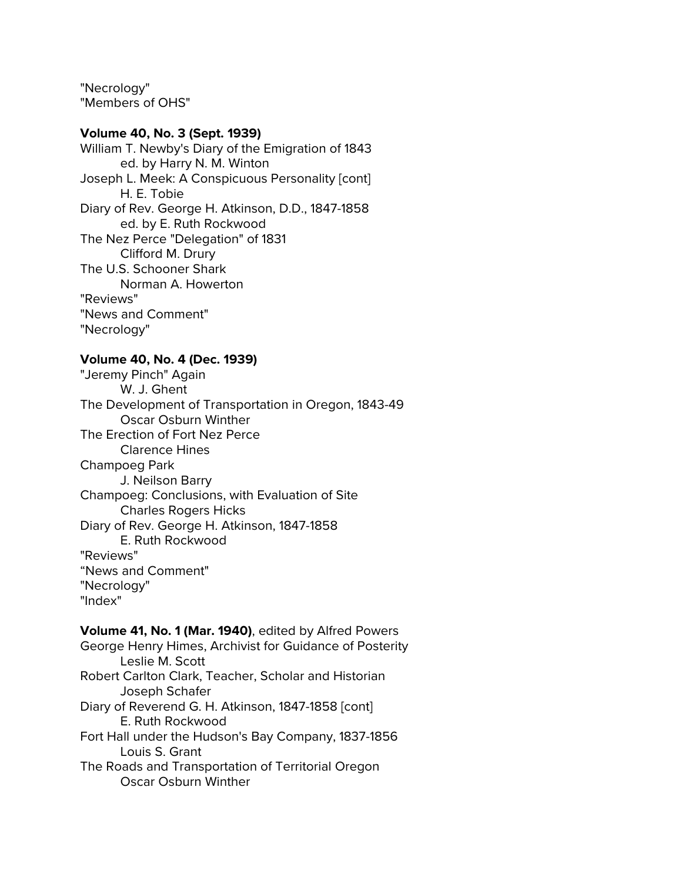"Necrology" "Members of OHS"

### **Volume 40, No. 3 (Sept. 1939)**

William T. Newby's Diary of the Emigration of 1843 ed. by Harry N. M. Winton Joseph L. Meek: A Conspicuous Personality [cont] H. E. Tobie Diary of Rev. George H. Atkinson, D.D., 1847-1858 ed. by E. Ruth Rockwood The Nez Perce "Delegation" of 1831 Clifford M. Drury The U.S. Schooner Shark Norman A. Howerton "Reviews" "News and Comment" "Necrology"

### **Volume 40, No. 4 (Dec. 1939)**

"Jeremy Pinch" Again W. J. Ghent The Development of Transportation in Oregon, 1843-49 Oscar Osburn Winther The Erection of Fort Nez Perce Clarence Hines Champoeg Park J. Neilson Barry Champoeg: Conclusions, with Evaluation of Site Charles Rogers Hicks Diary of Rev. George H. Atkinson, 1847-1858 E. Ruth Rockwood "Reviews" "News and Comment" "Necrology" "Index"

#### **Volume 41, No. 1 (Mar. 1940)**, edited by Alfred Powers

George Henry Himes, Archivist for Guidance of Posterity Leslie M. Scott Robert Carlton Clark, Teacher, Scholar and Historian Joseph Schafer Diary of Reverend G. H. Atkinson, 1847-1858 [cont] E. Ruth Rockwood Fort Hall under the Hudson's Bay Company, 1837-1856 Louis S. Grant The Roads and Transportation of Territorial Oregon Oscar Osburn Winther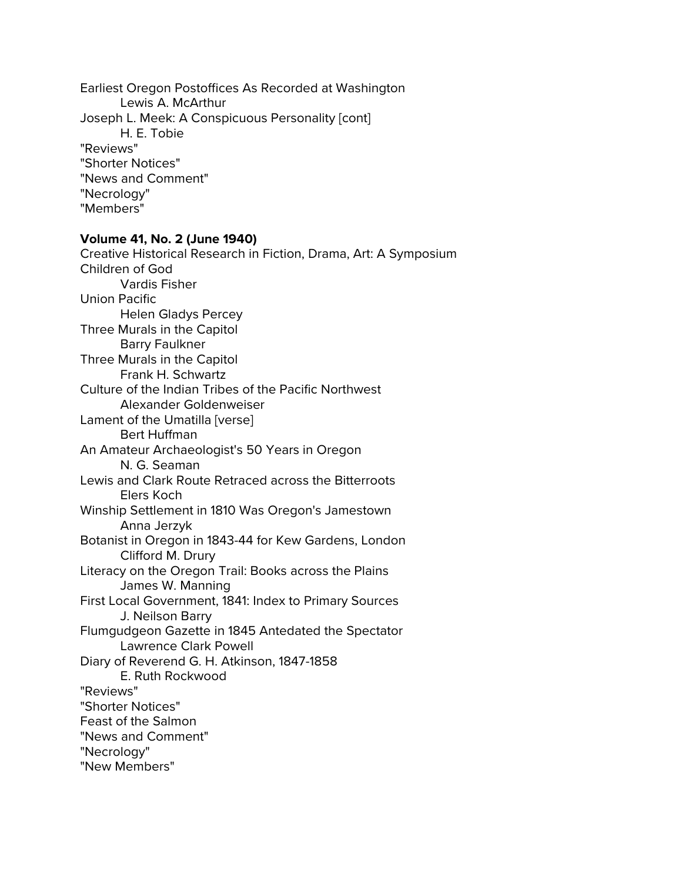Earliest Oregon Postoffices As Recorded at Washington Lewis A. McArthur Joseph L. Meek: A Conspicuous Personality [cont] H. E. Tobie "Reviews" "Shorter Notices" "News and Comment" "Necrology" "Members"

#### **Volume 41, No. 2 (June 1940)**

Creative Historical Research in Fiction, Drama, Art: A Symposium Children of God Vardis Fisher Union Pacific Helen Gladys Percey Three Murals in the Capitol Barry Faulkner Three Murals in the Capitol Frank H. Schwartz Culture of the Indian Tribes of the Pacific Northwest Alexander Goldenweiser Lament of the Umatilla [verse] Bert Huffman An Amateur Archaeologist's 50 Years in Oregon N. G. Seaman Lewis and Clark Route Retraced across the Bitterroots Elers Koch Winship Settlement in 1810 Was Oregon's Jamestown Anna Jerzyk Botanist in Oregon in 1843-44 for Kew Gardens, London Clifford M. Drury Literacy on the Oregon Trail: Books across the Plains James W. Manning First Local Government, 1841: Index to Primary Sources J. Neilson Barry Flumgudgeon Gazette in 1845 Antedated the Spectator Lawrence Clark Powell Diary of Reverend G. H. Atkinson, 1847-1858 E. Ruth Rockwood "Reviews" "Shorter Notices" Feast of the Salmon "News and Comment" "Necrology" "New Members"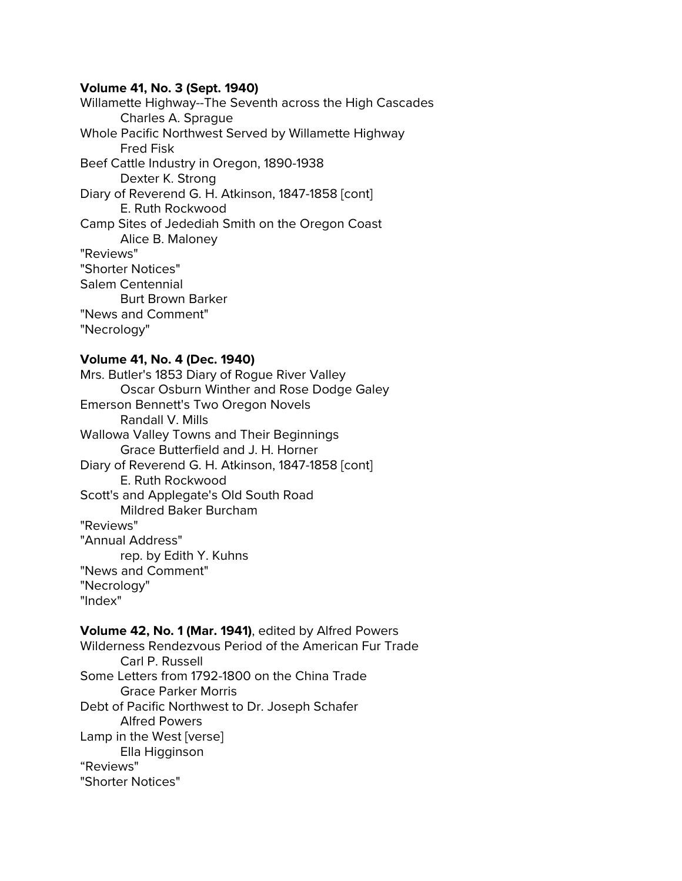### **Volume 41, No. 3 (Sept. 1940)**

Willamette Highway--The Seventh across the High Cascades Charles A. Sprague Whole Pacific Northwest Served by Willamette Highway Fred Fisk Beef Cattle Industry in Oregon, 1890-1938 Dexter K. Strong Diary of Reverend G. H. Atkinson, 1847-1858 [cont] E. Ruth Rockwood Camp Sites of Jedediah Smith on the Oregon Coast Alice B. Maloney "Reviews" "Shorter Notices" Salem Centennial Burt Brown Barker "News and Comment" "Necrology"

### **Volume 41, No. 4 (Dec. 1940)**

Mrs. Butler's 1853 Diary of Rogue River Valley Oscar Osburn Winther and Rose Dodge Galey Emerson Bennett's Two Oregon Novels Randall V. Mills Wallowa Valley Towns and Their Beginnings Grace Butterfield and J. H. Horner Diary of Reverend G. H. Atkinson, 1847-1858 [cont] E. Ruth Rockwood Scott's and Applegate's Old South Road Mildred Baker Burcham "Reviews" "Annual Address" rep. by Edith Y. Kuhns "News and Comment" "Necrology" "Index"

#### **Volume 42, No. 1 (Mar. 1941)**, edited by Alfred Powers

Wilderness Rendezvous Period of the American Fur Trade Carl P. Russell Some Letters from 1792-1800 on the China Trade Grace Parker Morris Debt of Pacific Northwest to Dr. Joseph Schafer Alfred Powers Lamp in the West [verse] Ella Higginson "Reviews" "Shorter Notices"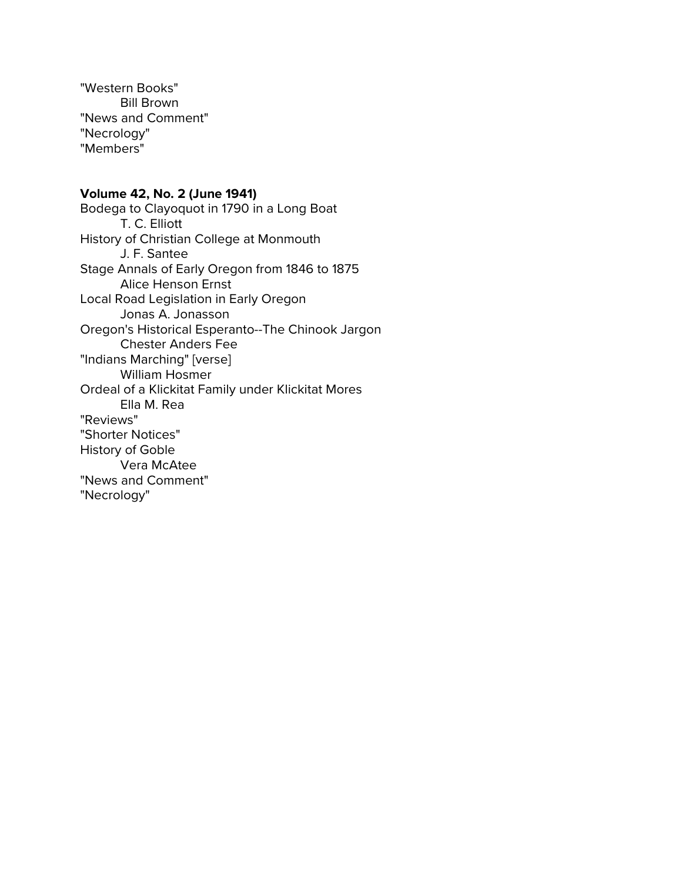"Western Books" Bill Brown "News and Comment" "Necrology" "Members"

# **Volume 42, No. 2 (June 1941)**

Bodega to Clayoquot in 1790 in a Long Boat T. C. Elliott History of Christian College at Monmouth J. F. Santee Stage Annals of Early Oregon from 1846 to 1875 Alice Henson Ernst Local Road Legislation in Early Oregon Jonas A. Jonasson Oregon's Historical Esperanto--The Chinook Jargon Chester Anders Fee "Indians Marching" [verse] William Hosmer Ordeal of a Klickitat Family under Klickitat Mores Ella M. Rea "Reviews" "Shorter Notices" History of Goble Vera McAtee "News and Comment" "Necrology"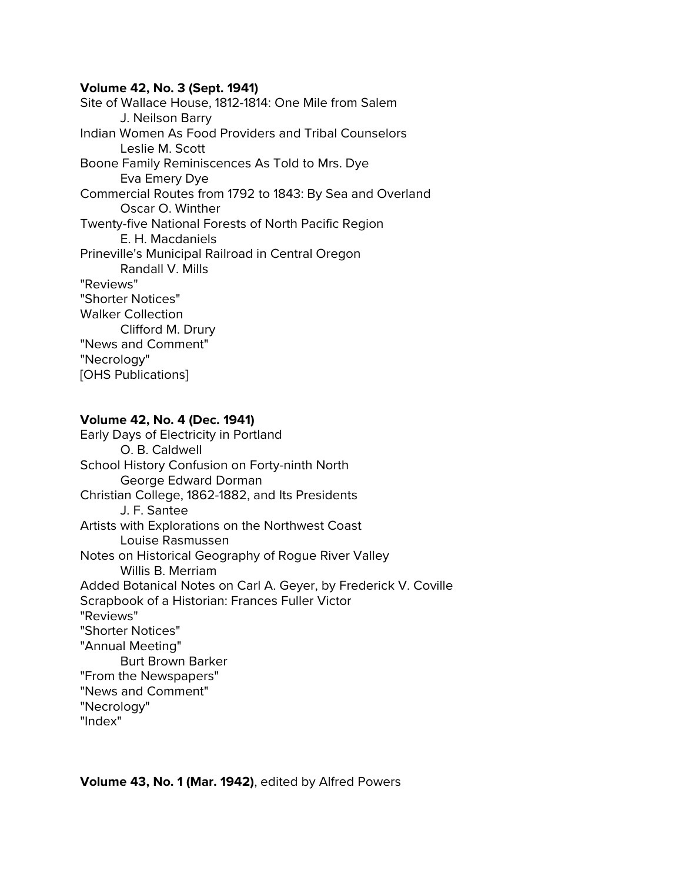### **Volume 42, No. 3 (Sept. 1941)**

Site of Wallace House, 1812-1814: One Mile from Salem J. Neilson Barry Indian Women As Food Providers and Tribal Counselors Leslie M. Scott Boone Family Reminiscences As Told to Mrs. Dye Eva Emery Dye Commercial Routes from 1792 to 1843: By Sea and Overland Oscar O. Winther Twenty-five National Forests of North Pacific Region E. H. Macdaniels Prineville's Municipal Railroad in Central Oregon Randall V. Mills "Reviews" "Shorter Notices" Walker Collection Clifford M. Drury "News and Comment" "Necrology" [OHS Publications]

# **Volume 42, No. 4 (Dec. 1941)**

Early Days of Electricity in Portland O. B. Caldwell School History Confusion on Forty-ninth North George Edward Dorman Christian College, 1862-1882, and Its Presidents J. F. Santee Artists with Explorations on the Northwest Coast Louise Rasmussen Notes on Historical Geography of Rogue River Valley Willis B. Merriam Added Botanical Notes on Carl A. Geyer, by Frederick V. Coville Scrapbook of a Historian: Frances Fuller Victor "Reviews" "Shorter Notices" "Annual Meeting" Burt Brown Barker "From the Newspapers" "News and Comment" "Necrology" "Index"

**Volume 43, No. 1 (Mar. 1942)**, edited by Alfred Powers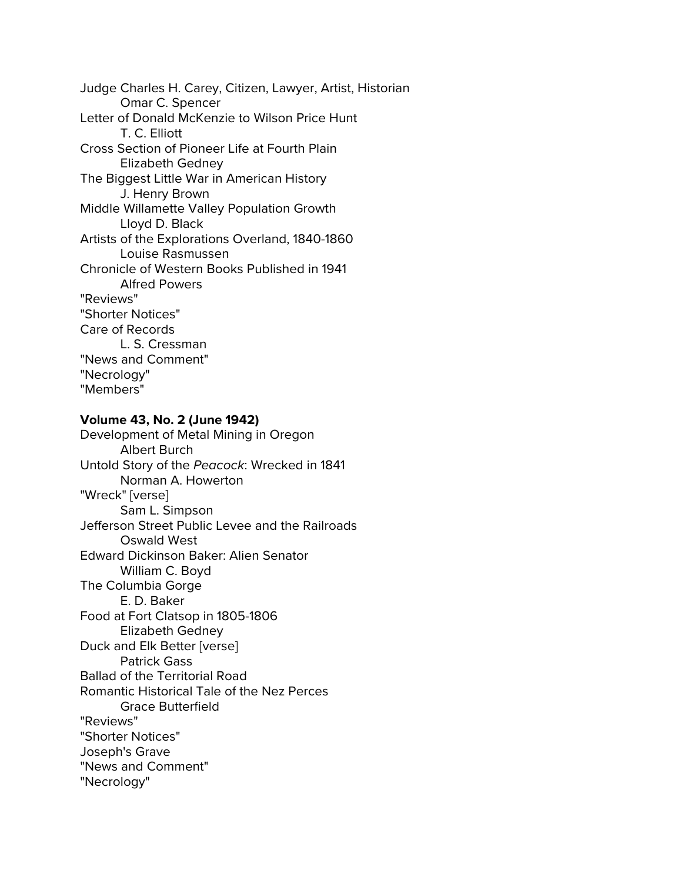Judge Charles H. Carey, Citizen, Lawyer, Artist, Historian Omar C. Spencer Letter of Donald McKenzie to Wilson Price Hunt T. C. Elliott Cross Section of Pioneer Life at Fourth Plain Elizabeth Gedney The Biggest Little War in American History J. Henry Brown Middle Willamette Valley Population Growth Lloyd D. Black Artists of the Explorations Overland, 1840-1860 Louise Rasmussen Chronicle of Western Books Published in 1941 Alfred Powers "Reviews" "Shorter Notices" Care of Records L. S. Cressman "News and Comment" "Necrology" "Members"

## **Volume 43, No. 2 (June 1942)**

Development of Metal Mining in Oregon Albert Burch Untold Story of the *Peacock*: Wrecked in 1841 Norman A. Howerton "Wreck" [verse] Sam L. Simpson Jefferson Street Public Levee and the Railroads Oswald West Edward Dickinson Baker: Alien Senator William C. Boyd The Columbia Gorge E. D. Baker Food at Fort Clatsop in 1805-1806 Elizabeth Gedney Duck and Elk Better [verse] Patrick Gass Ballad of the Territorial Road Romantic Historical Tale of the Nez Perces Grace Butterfield "Reviews" "Shorter Notices" Joseph's Grave "News and Comment" "Necrology"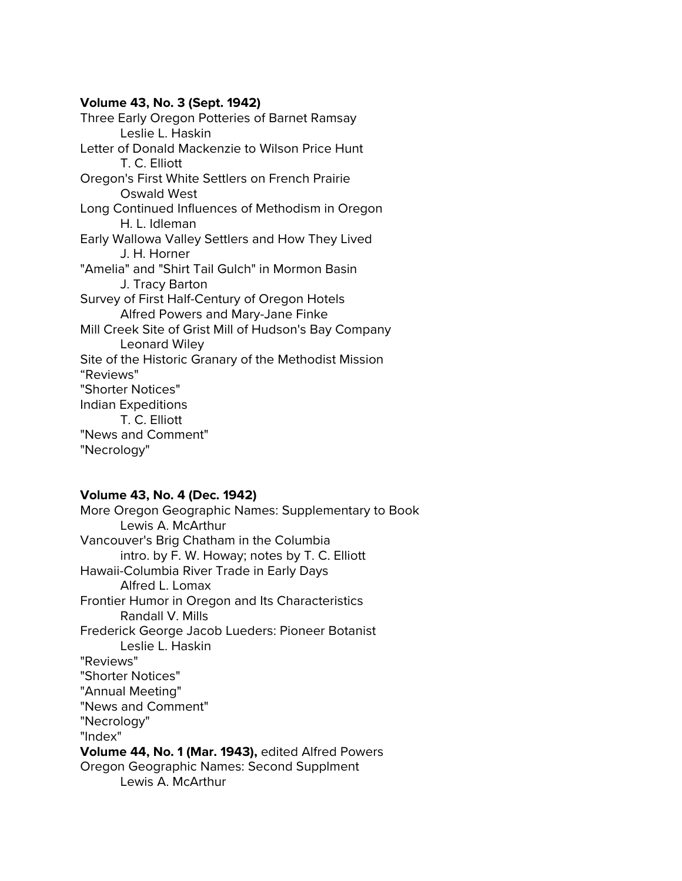### **Volume 43, No. 3 (Sept. 1942)**

Three Early Oregon Potteries of Barnet Ramsay Leslie L. Haskin Letter of Donald Mackenzie to Wilson Price Hunt T. C. Elliott Oregon's First White Settlers on French Prairie Oswald West Long Continued Influences of Methodism in Oregon H. L. Idleman Early Wallowa Valley Settlers and How They Lived J. H. Horner "Amelia" and "Shirt Tail Gulch" in Mormon Basin J. Tracy Barton Survey of First Half-Century of Oregon Hotels Alfred Powers and Mary-Jane Finke Mill Creek Site of Grist Mill of Hudson's Bay Company Leonard Wiley Site of the Historic Granary of the Methodist Mission "Reviews" "Shorter Notices" Indian Expeditions T. C. Elliott "News and Comment" "Necrology"

# **Volume 43, No. 4 (Dec. 1942)**

More Oregon Geographic Names: Supplementary to Book Lewis A. McArthur Vancouver's Brig Chatham in the Columbia intro. by F. W. Howay; notes by T. C. Elliott Hawaii-Columbia River Trade in Early Days Alfred L. Lomax Frontier Humor in Oregon and Its Characteristics Randall V. Mills Frederick George Jacob Lueders: Pioneer Botanist Leslie L. Haskin "Reviews" "Shorter Notices" "Annual Meeting" "News and Comment" "Necrology" "Index" **Volume 44, No. 1 (Mar. 1943),** edited Alfred Powers Oregon Geographic Names: Second Supplment Lewis A. McArthur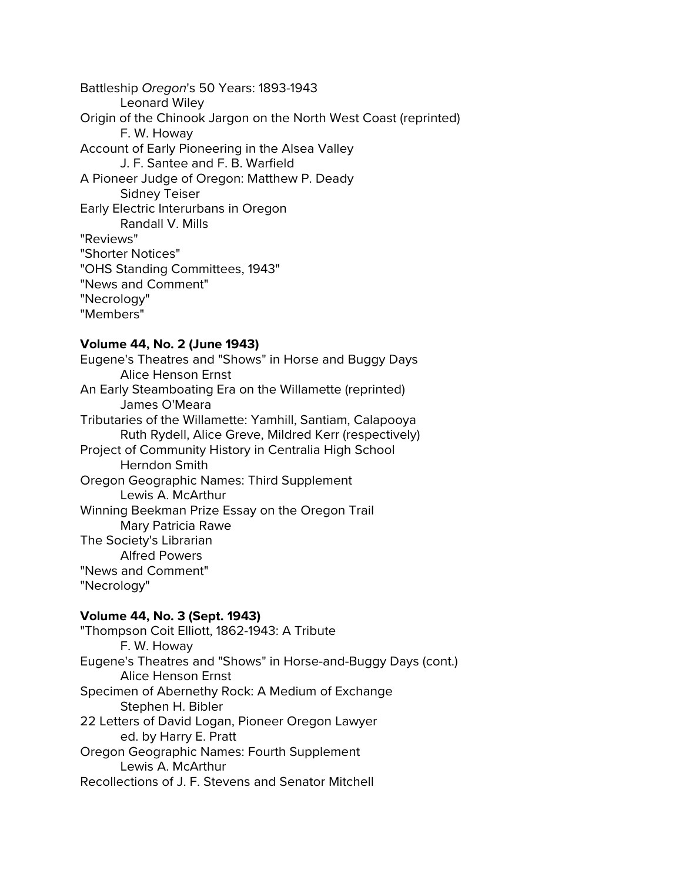Battleship *Oregon*'s 50 Years: 1893-1943 Leonard Wiley Origin of the Chinook Jargon on the North West Coast (reprinted) F. W. Howay Account of Early Pioneering in the Alsea Valley J. F. Santee and F. B. Warfield A Pioneer Judge of Oregon: Matthew P. Deady Sidney Teiser Early Electric Interurbans in Oregon Randall V. Mills "Reviews" "Shorter Notices" "OHS Standing Committees, 1943" "News and Comment" "Necrology" "Members"

### **Volume 44, No. 2 (June 1943)**

Eugene's Theatres and "Shows" in Horse and Buggy Days Alice Henson Ernst An Early Steamboating Era on the Willamette (reprinted) James O'Meara Tributaries of the Willamette: Yamhill, Santiam, Calapooya Ruth Rydell, Alice Greve, Mildred Kerr (respectively) Project of Community History in Centralia High School Herndon Smith Oregon Geographic Names: Third Supplement Lewis A. McArthur Winning Beekman Prize Essay on the Oregon Trail Mary Patricia Rawe The Society's Librarian Alfred Powers "News and Comment" "Necrology"

### **Volume 44, No. 3 (Sept. 1943)**

"Thompson Coit Elliott, 1862-1943: A Tribute F. W. Howay Eugene's Theatres and "Shows" in Horse-and-Buggy Days (cont.) Alice Henson Ernst Specimen of Abernethy Rock: A Medium of Exchange Stephen H. Bibler 22 Letters of David Logan, Pioneer Oregon Lawyer ed. by Harry E. Pratt Oregon Geographic Names: Fourth Supplement Lewis A. McArthur Recollections of J. F. Stevens and Senator Mitchell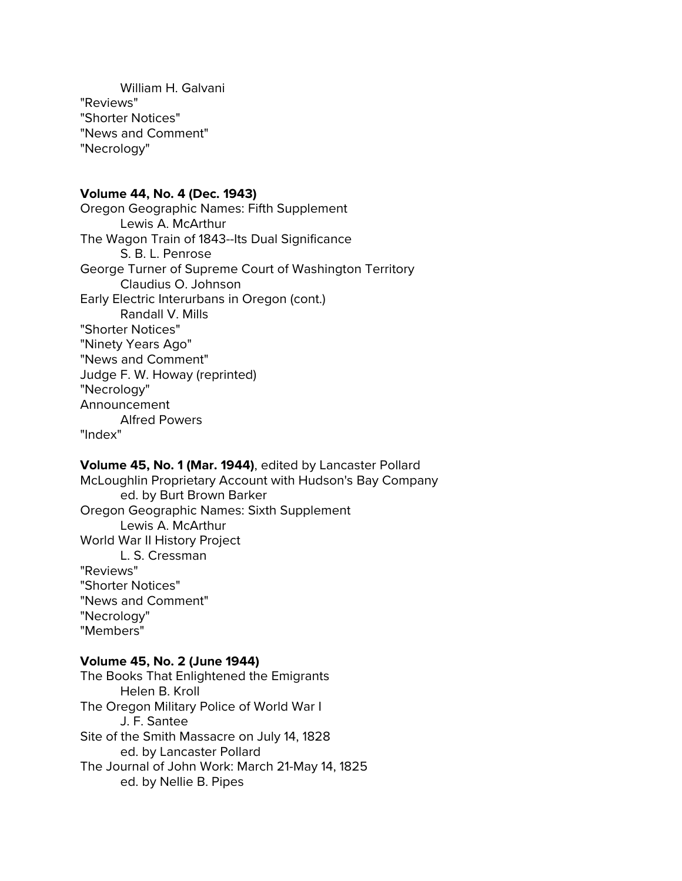William H. Galvani "Reviews" "Shorter Notices" "News and Comment" "Necrology"

#### **Volume 44, No. 4 (Dec. 1943)**

Oregon Geographic Names: Fifth Supplement Lewis A. McArthur The Wagon Train of 1843--Its Dual Significance S. B. L. Penrose George Turner of Supreme Court of Washington Territory Claudius O. Johnson Early Electric Interurbans in Oregon (cont.) Randall V. Mills "Shorter Notices" "Ninety Years Ago" "News and Comment" Judge F. W. Howay (reprinted) "Necrology" Announcement Alfred Powers "Index"

# **Volume 45, No. 1 (Mar. 1944)**, edited by Lancaster Pollard

McLoughlin Proprietary Account with Hudson's Bay Company ed. by Burt Brown Barker Oregon Geographic Names: Sixth Supplement Lewis A. McArthur World War II History Project L. S. Cressman "Reviews" "Shorter Notices" "News and Comment" "Necrology" "Members"

#### **Volume 45, No. 2 (June 1944)**

The Books That Enlightened the Emigrants Helen B. Kroll The Oregon Military Police of World War I J. F. Santee Site of the Smith Massacre on July 14, 1828 ed. by Lancaster Pollard The Journal of John Work: March 21-May 14, 1825 ed. by Nellie B. Pipes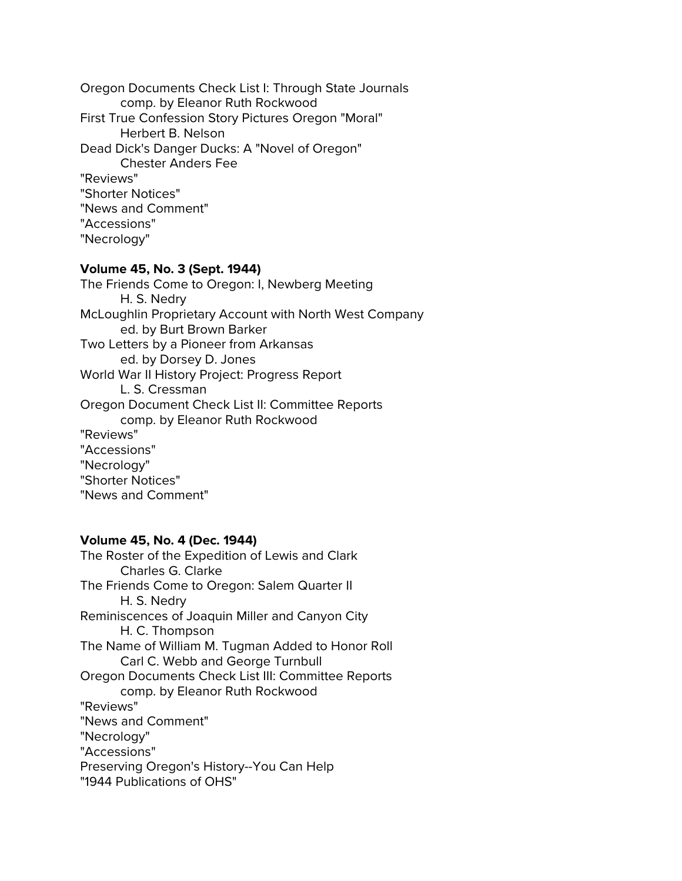Oregon Documents Check List I: Through State Journals comp. by Eleanor Ruth Rockwood First True Confession Story Pictures Oregon "Moral" Herbert B. Nelson Dead Dick's Danger Ducks: A "Novel of Oregon" Chester Anders Fee "Reviews" "Shorter Notices" "News and Comment" "Accessions" "Necrology"

#### **Volume 45, No. 3 (Sept. 1944)**

The Friends Come to Oregon: I, Newberg Meeting H. S. Nedry McLoughlin Proprietary Account with North West Company ed. by Burt Brown Barker Two Letters by a Pioneer from Arkansas ed. by Dorsey D. Jones World War II History Project: Progress Report L. S. Cressman Oregon Document Check List II: Committee Reports comp. by Eleanor Ruth Rockwood "Reviews" "Accessions" "Necrology" "Shorter Notices" "News and Comment"

### **Volume 45, No. 4 (Dec. 1944)**

The Roster of the Expedition of Lewis and Clark Charles G. Clarke The Friends Come to Oregon: Salem Quarter II H. S. Nedry Reminiscences of Joaquin Miller and Canyon City H. C. Thompson The Name of William M. Tugman Added to Honor Roll Carl C. Webb and George Turnbull Oregon Documents Check List III: Committee Reports comp. by Eleanor Ruth Rockwood "Reviews" "News and Comment" "Necrology" "Accessions" Preserving Oregon's History--You Can Help "1944 Publications of OHS"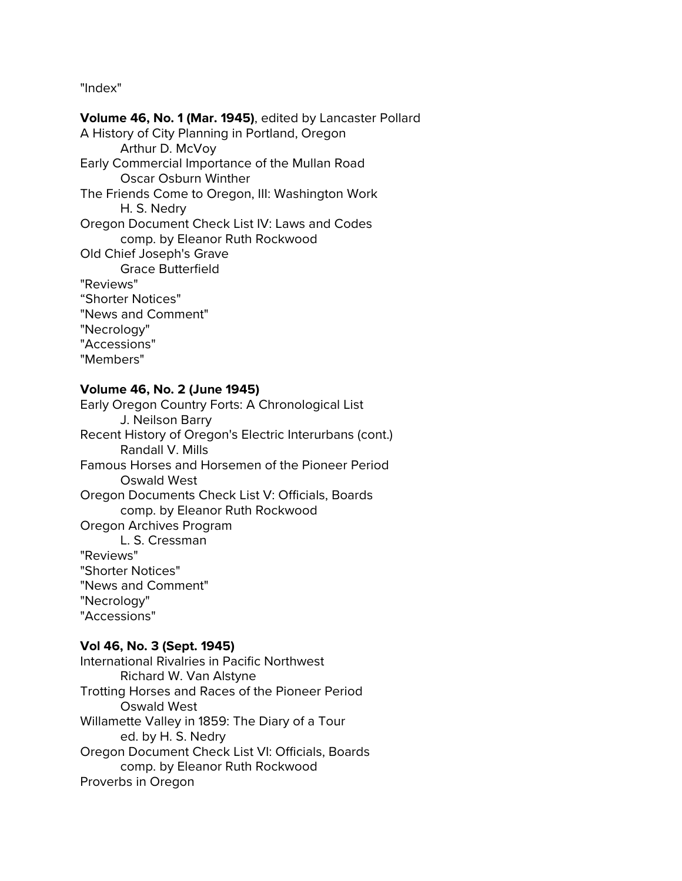"Index"

**Volume 46, No. 1 (Mar. 1945)**, edited by Lancaster Pollard A History of City Planning in Portland, Oregon Arthur D. McVoy Early Commercial Importance of the Mullan Road Oscar Osburn Winther The Friends Come to Oregon, III: Washington Work H. S. Nedry Oregon Document Check List IV: Laws and Codes comp. by Eleanor Ruth Rockwood Old Chief Joseph's Grave Grace Butterfield "Reviews" "Shorter Notices" "News and Comment" "Necrology" "Accessions" "Members"

## **Volume 46, No. 2 (June 1945)**

Early Oregon Country Forts: A Chronological List J. Neilson Barry Recent History of Oregon's Electric Interurbans (cont.) Randall V. Mills Famous Horses and Horsemen of the Pioneer Period Oswald West Oregon Documents Check List V: Officials, Boards comp. by Eleanor Ruth Rockwood Oregon Archives Program L. S. Cressman "Reviews" "Shorter Notices" "News and Comment" "Necrology" "Accessions"

## **Vol 46, No. 3 (Sept. 1945)**

International Rivalries in Pacific Northwest Richard W. Van Alstyne Trotting Horses and Races of the Pioneer Period Oswald West Willamette Valley in 1859: The Diary of a Tour ed. by H. S. Nedry Oregon Document Check List VI: Officials, Boards comp. by Eleanor Ruth Rockwood Proverbs in Oregon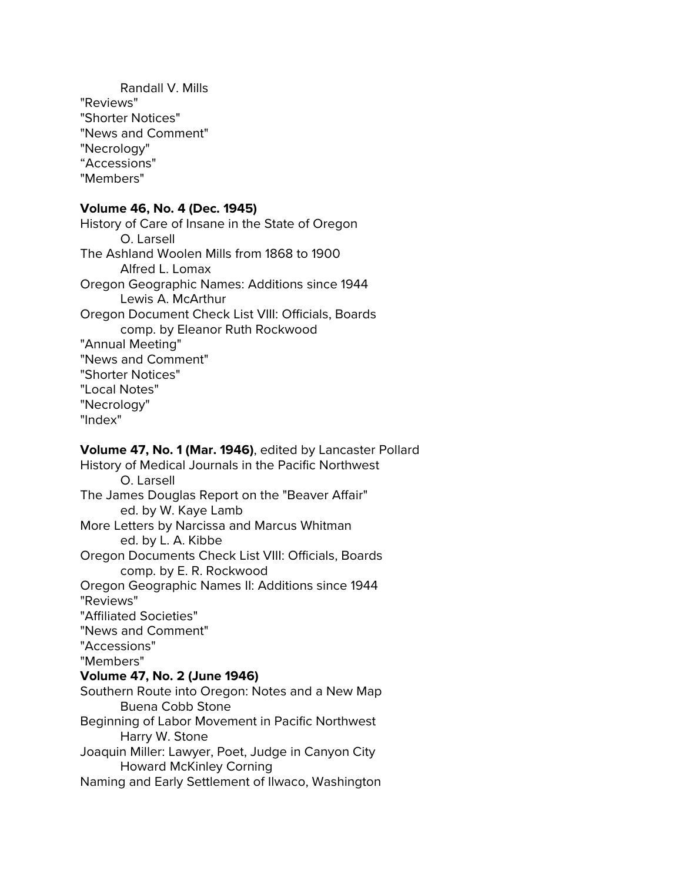Randall V. Mills "Reviews" "Shorter Notices" "News and Comment" "Necrology" "Accessions" "Members"

# **Volume 46, No. 4 (Dec. 1945)**

History of Care of Insane in the State of Oregon O. Larsell The Ashland Woolen Mills from 1868 to 1900 Alfred L. Lomax Oregon Geographic Names: Additions since 1944 Lewis A. McArthur Oregon Document Check List VIII: Officials, Boards comp. by Eleanor Ruth Rockwood "Annual Meeting" "News and Comment" "Shorter Notices" "Local Notes" "Necrology" "Index"

# **Volume 47, No. 1 (Mar. 1946)**, edited by Lancaster Pollard History of Medical Journals in the Pacific Northwest O. Larsell The James Douglas Report on the "Beaver Affair" ed. by W. Kaye Lamb

More Letters by Narcissa and Marcus Whitman ed. by L. A. Kibbe Oregon Documents Check List VIII: Officials, Boards

comp. by E. R. Rockwood Oregon Geographic Names II: Additions since 1944 "Reviews" "Affiliated Societies"

"News and Comment"

"Accessions"

"Members"

### **Volume 47, No. 2 (June 1946)**

Southern Route into Oregon: Notes and a New Map Buena Cobb Stone

Beginning of Labor Movement in Pacific Northwest Harry W. Stone

Joaquin Miller: Lawyer, Poet, Judge in Canyon City Howard McKinley Corning

Naming and Early Settlement of Ilwaco, Washington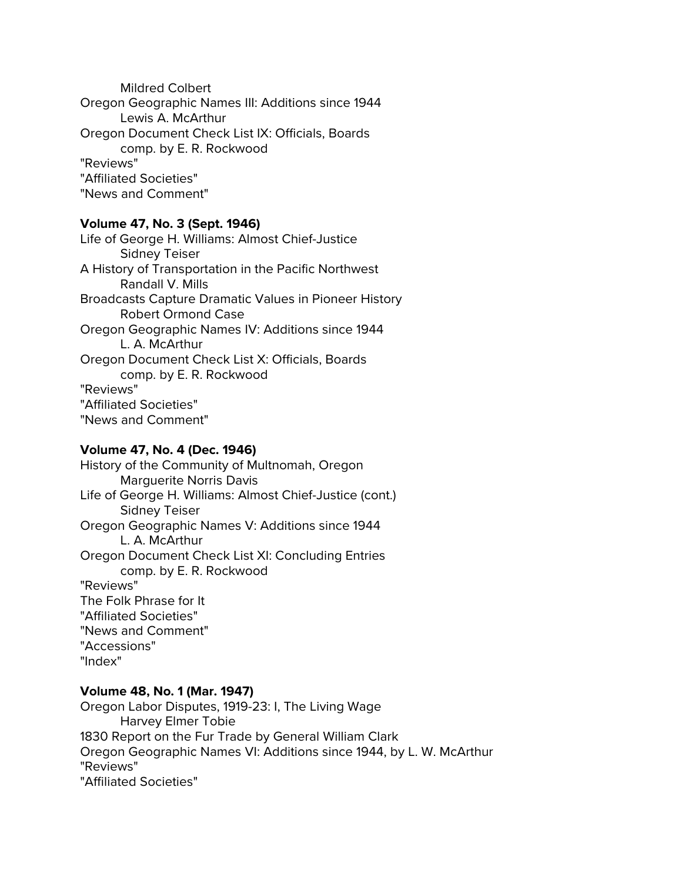Mildred Colbert Oregon Geographic Names III: Additions since 1944 Lewis A. McArthur Oregon Document Check List IX: Officials, Boards comp. by E. R. Rockwood "Reviews" "Affiliated Societies" "News and Comment"

## **Volume 47, No. 3 (Sept. 1946)**

Life of George H. Williams: Almost Chief-Justice Sidney Teiser A History of Transportation in the Pacific Northwest Randall V. Mills Broadcasts Capture Dramatic Values in Pioneer History Robert Ormond Case Oregon Geographic Names IV: Additions since 1944 L. A. McArthur Oregon Document Check List X: Officials, Boards comp. by E. R. Rockwood "Reviews" "Affiliated Societies" "News and Comment"

# **Volume 47, No. 4 (Dec. 1946)**

History of the Community of Multnomah, Oregon Marguerite Norris Davis Life of George H. Williams: Almost Chief-Justice (cont.) Sidney Teiser Oregon Geographic Names V: Additions since 1944 L. A. McArthur Oregon Document Check List XI: Concluding Entries comp. by E. R. Rockwood "Reviews" The Folk Phrase for It "Affiliated Societies" "News and Comment" "Accessions" "Index"

## **Volume 48, No. 1 (Mar. 1947)**

Oregon Labor Disputes, 1919-23: I, The Living Wage Harvey Elmer Tobie 1830 Report on the Fur Trade by General William Clark Oregon Geographic Names VI: Additions since 1944, by L. W. McArthur "Reviews" "Affiliated Societies"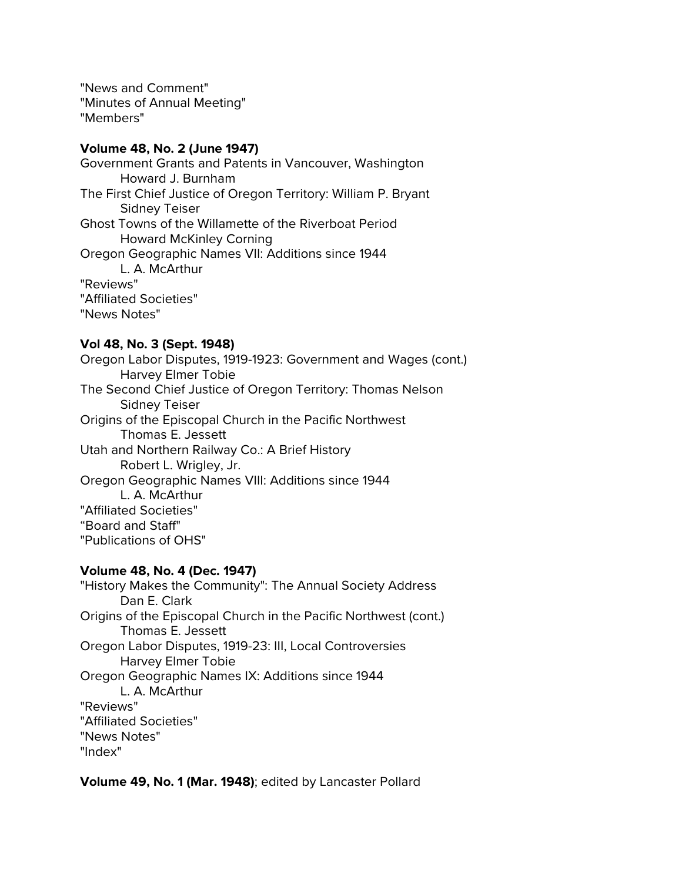"News and Comment" "Minutes of Annual Meeting" "Members"

### **Volume 48, No. 2 (June 1947)**

Government Grants and Patents in Vancouver, Washington Howard J. Burnham The First Chief Justice of Oregon Territory: William P. Bryant Sidney Teiser Ghost Towns of the Willamette of the Riverboat Period Howard McKinley Corning Oregon Geographic Names VII: Additions since 1944 L. A. McArthur "Reviews" "Affiliated Societies" "News Notes"

### **Vol 48, No. 3 (Sept. 1948)**

Oregon Labor Disputes, 1919-1923: Government and Wages (cont.) Harvey Elmer Tobie The Second Chief Justice of Oregon Territory: Thomas Nelson Sidney Teiser Origins of the Episcopal Church in the Pacific Northwest Thomas E. Jessett Utah and Northern Railway Co.: A Brief History Robert L. Wrigley, Jr. Oregon Geographic Names VIII: Additions since 1944 L. A. McArthur "Affiliated Societies" "Board and Staff" "Publications of OHS"

### **Volume 48, No. 4 (Dec. 1947)**

"History Makes the Community": The Annual Society Address Dan E. Clark Origins of the Episcopal Church in the Pacific Northwest (cont.) Thomas E. Jessett Oregon Labor Disputes, 1919-23: III, Local Controversies Harvey Elmer Tobie Oregon Geographic Names IX: Additions since 1944 L. A. McArthur "Reviews" "Affiliated Societies" "News Notes" "Index"

**Volume 49, No. 1 (Mar. 1948)**; edited by Lancaster Pollard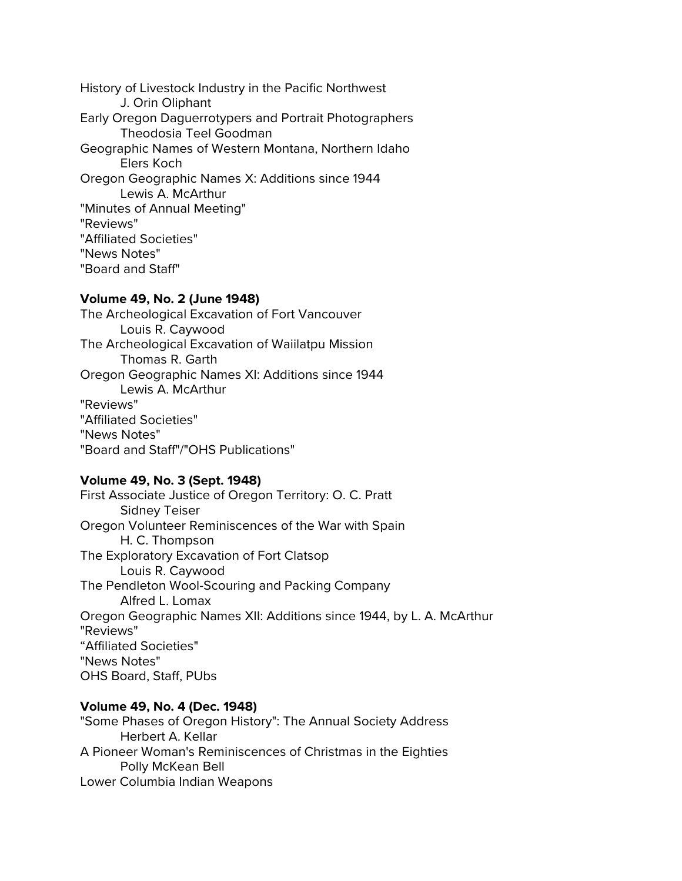History of Livestock Industry in the Pacific Northwest J. Orin Oliphant Early Oregon Daguerrotypers and Portrait Photographers Theodosia Teel Goodman Geographic Names of Western Montana, Northern Idaho Elers Koch Oregon Geographic Names X: Additions since 1944 Lewis A. McArthur "Minutes of Annual Meeting" "Reviews" "Affiliated Societies" "News Notes" "Board and Staff"

### **Volume 49, No. 2 (June 1948)**

The Archeological Excavation of Fort Vancouver Louis R. Caywood The Archeological Excavation of Waiilatpu Mission Thomas R. Garth Oregon Geographic Names XI: Additions since 1944 Lewis A. McArthur "Reviews" "Affiliated Societies" "News Notes" "Board and Staff"/"OHS Publications"

### **Volume 49, No. 3 (Sept. 1948)**

First Associate Justice of Oregon Territory: O. C. Pratt Sidney Teiser Oregon Volunteer Reminiscences of the War with Spain H. C. Thompson The Exploratory Excavation of Fort Clatsop Louis R. Caywood The Pendleton Wool-Scouring and Packing Company Alfred L. Lomax Oregon Geographic Names XII: Additions since 1944, by L. A. McArthur "Reviews" "Affiliated Societies" "News Notes" OHS Board, Staff, PUbs

### **Volume 49, No. 4 (Dec. 1948)**

"Some Phases of Oregon History": The Annual Society Address Herbert A. Kellar A Pioneer Woman's Reminiscences of Christmas in the Eighties Polly McKean Bell Lower Columbia Indian Weapons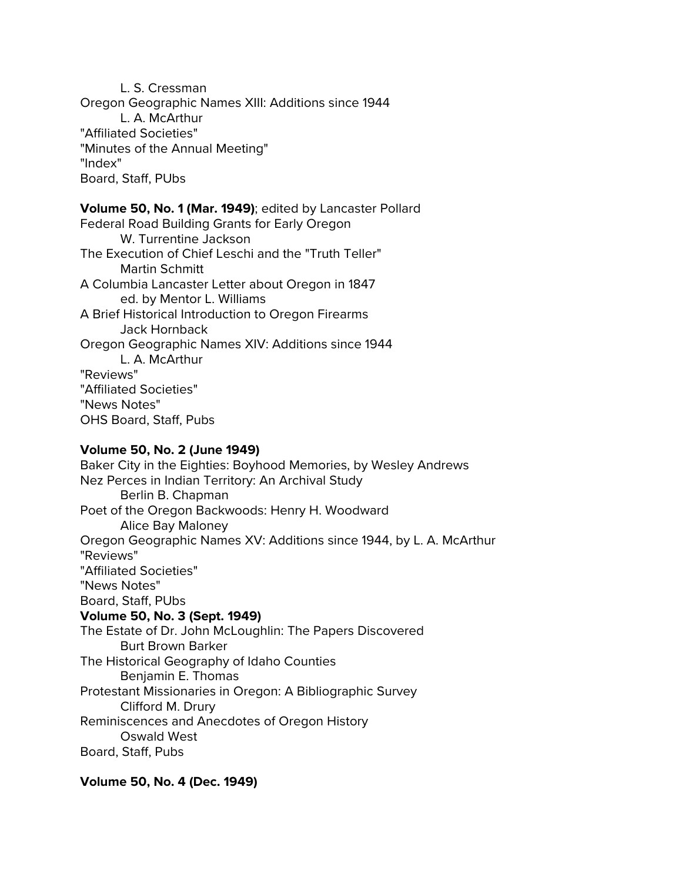L. S. Cressman Oregon Geographic Names XIII: Additions since 1944 L. A. McArthur "Affiliated Societies" "Minutes of the Annual Meeting" "Index" Board, Staff, PUbs

### **Volume 50, No. 1 (Mar. 1949)**; edited by Lancaster Pollard

Federal Road Building Grants for Early Oregon W. Turrentine Jackson The Execution of Chief Leschi and the "Truth Teller" Martin Schmitt A Columbia Lancaster Letter about Oregon in 1847 ed. by Mentor L. Williams A Brief Historical Introduction to Oregon Firearms Jack Hornback Oregon Geographic Names XIV: Additions since 1944 L. A. McArthur "Reviews" "Affiliated Societies" "News Notes" OHS Board, Staff, Pubs

## **Volume 50, No. 2 (June 1949)**

Baker City in the Eighties: Boyhood Memories, by Wesley Andrews Nez Perces in Indian Territory: An Archival Study Berlin B. Chapman Poet of the Oregon Backwoods: Henry H. Woodward Alice Bay Maloney Oregon Geographic Names XV: Additions since 1944, by L. A. McArthur "Reviews" "Affiliated Societies" "News Notes" Board, Staff, PUbs **Volume 50, No. 3 (Sept. 1949)** The Estate of Dr. John McLoughlin: The Papers Discovered Burt Brown Barker The Historical Geography of Idaho Counties Benjamin E. Thomas Protestant Missionaries in Oregon: A Bibliographic Survey Clifford M. Drury Reminiscences and Anecdotes of Oregon History Oswald West Board, Staff, Pubs

**Volume 50, No. 4 (Dec. 1949)**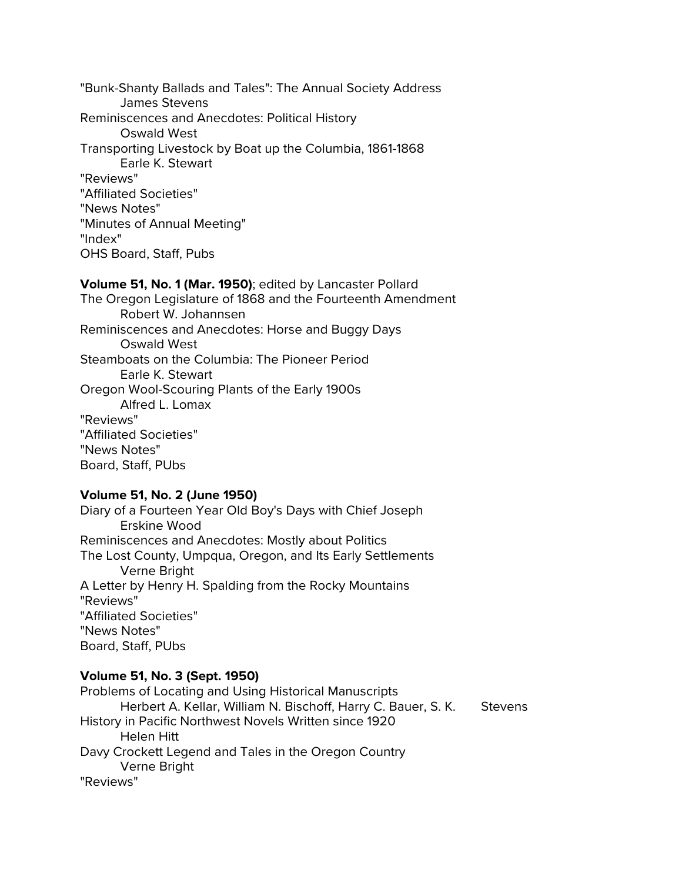"Bunk-Shanty Ballads and Tales": The Annual Society Address James Stevens Reminiscences and Anecdotes: Political History Oswald West Transporting Livestock by Boat up the Columbia, 1861-1868 Earle K. Stewart "Reviews" "Affiliated Societies" "News Notes" "Minutes of Annual Meeting" "Index" OHS Board, Staff, Pubs

# **Volume 51, No. 1 (Mar. 1950)**; edited by Lancaster Pollard

The Oregon Legislature of 1868 and the Fourteenth Amendment Robert W. Johannsen Reminiscences and Anecdotes: Horse and Buggy Days Oswald West Steamboats on the Columbia: The Pioneer Period Earle K. Stewart Oregon Wool-Scouring Plants of the Early 1900s Alfred L. Lomax "Reviews" "Affiliated Societies" "News Notes" Board, Staff, PUbs

### **Volume 51, No. 2 (June 1950)**

Diary of a Fourteen Year Old Boy's Days with Chief Joseph Erskine Wood Reminiscences and Anecdotes: Mostly about Politics The Lost County, Umpqua, Oregon, and Its Early Settlements Verne Bright A Letter by Henry H. Spalding from the Rocky Mountains "Reviews" "Affiliated Societies" "News Notes" Board, Staff, PUbs

## **Volume 51, No. 3 (Sept. 1950)**

Problems of Locating and Using Historical Manuscripts Herbert A. Kellar, William N. Bischoff, Harry C. Bauer, S. K. Stevens History in Pacific Northwest Novels Written since 1920 Helen Hitt Davy Crockett Legend and Tales in the Oregon Country Verne Bright "Reviews"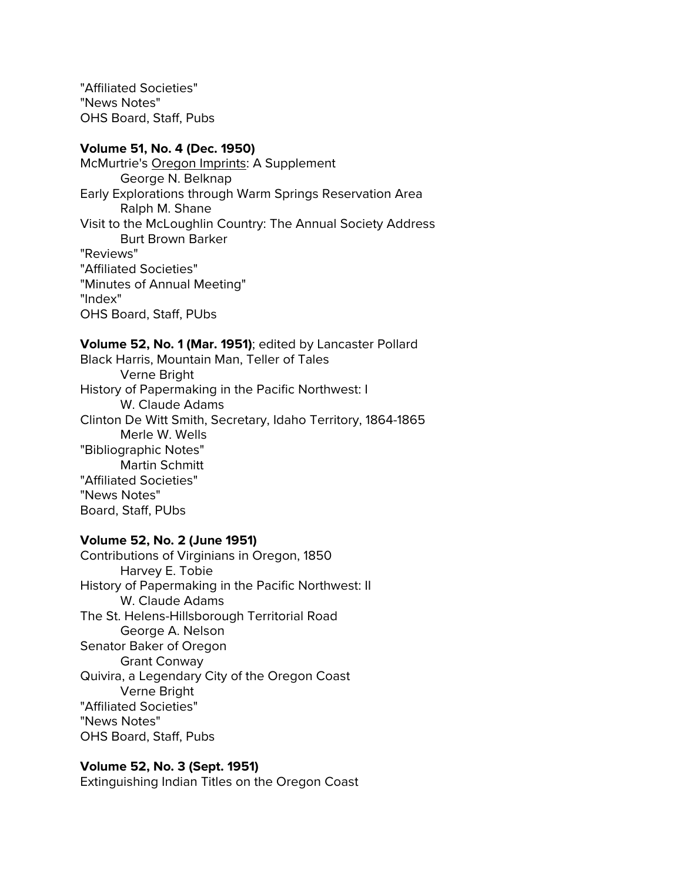"Affiliated Societies" "News Notes" OHS Board, Staff, Pubs

### **Volume 51, No. 4 (Dec. 1950)**

McMurtrie's Oregon Imprints: A Supplement George N. Belknap Early Explorations through Warm Springs Reservation Area Ralph M. Shane Visit to the McLoughlin Country: The Annual Society Address Burt Brown Barker "Reviews" "Affiliated Societies" "Minutes of Annual Meeting" "Index" OHS Board, Staff, PUbs

**Volume 52, No. 1 (Mar. 1951)**; edited by Lancaster Pollard Black Harris, Mountain Man, Teller of Tales Verne Bright History of Papermaking in the Pacific Northwest: I W. Claude Adams Clinton De Witt Smith, Secretary, Idaho Territory, 1864-1865 Merle W. Wells "Bibliographic Notes" Martin Schmitt "Affiliated Societies" "News Notes" Board, Staff, PUbs

### **Volume 52, No. 2 (June 1951)**

Contributions of Virginians in Oregon, 1850 Harvey E. Tobie History of Papermaking in the Pacific Northwest: II W. Claude Adams The St. Helens-Hillsborough Territorial Road George A. Nelson Senator Baker of Oregon Grant Conway Quivira, a Legendary City of the Oregon Coast Verne Bright "Affiliated Societies" "News Notes" OHS Board, Staff, Pubs

### **Volume 52, No. 3 (Sept. 1951)**

Extinguishing Indian Titles on the Oregon Coast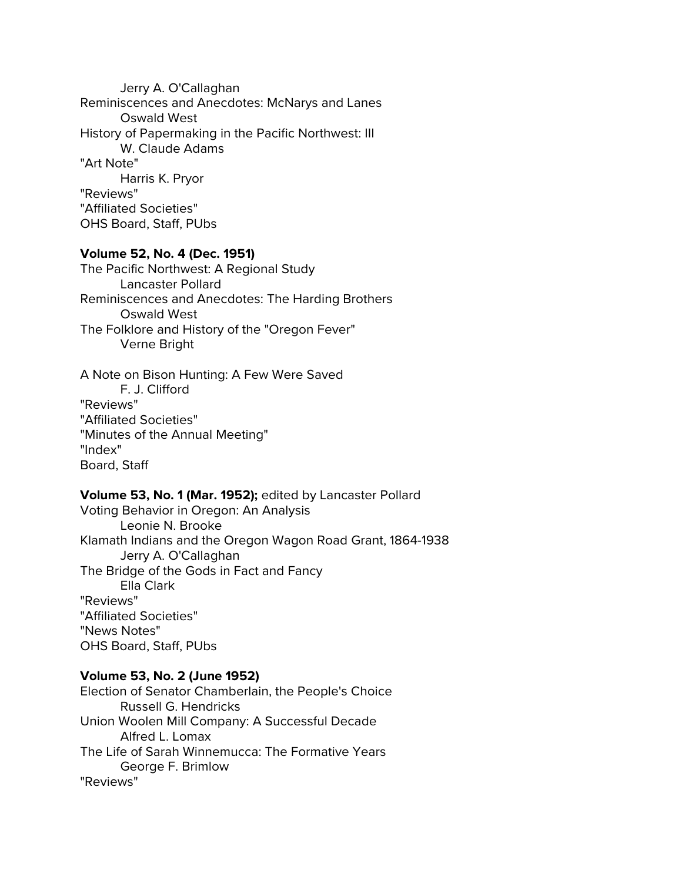Jerry A. O'Callaghan Reminiscences and Anecdotes: McNarys and Lanes Oswald West History of Papermaking in the Pacific Northwest: III W. Claude Adams "Art Note" Harris K. Pryor "Reviews" "Affiliated Societies" OHS Board, Staff, PUbs

## **Volume 52, No. 4 (Dec. 1951)**

The Pacific Northwest: A Regional Study Lancaster Pollard Reminiscences and Anecdotes: The Harding Brothers Oswald West The Folklore and History of the "Oregon Fever" Verne Bright

# A Note on Bison Hunting: A Few Were Saved F. J. Clifford "Reviews" "Affiliated Societies" "Minutes of the Annual Meeting" "Index" Board, Staff

# **Volume 53, No. 1 (Mar. 1952);** edited by Lancaster Pollard

Voting Behavior in Oregon: An Analysis Leonie N. Brooke Klamath Indians and the Oregon Wagon Road Grant, 1864-1938 Jerry A. O'Callaghan The Bridge of the Gods in Fact and Fancy Ella Clark "Reviews" "Affiliated Societies" "News Notes" OHS Board, Staff, PUbs

#### **Volume 53, No. 2 (June 1952)**

Election of Senator Chamberlain, the People's Choice Russell G. Hendricks Union Woolen Mill Company: A Successful Decade Alfred L. Lomax The Life of Sarah Winnemucca: The Formative Years George F. Brimlow "Reviews"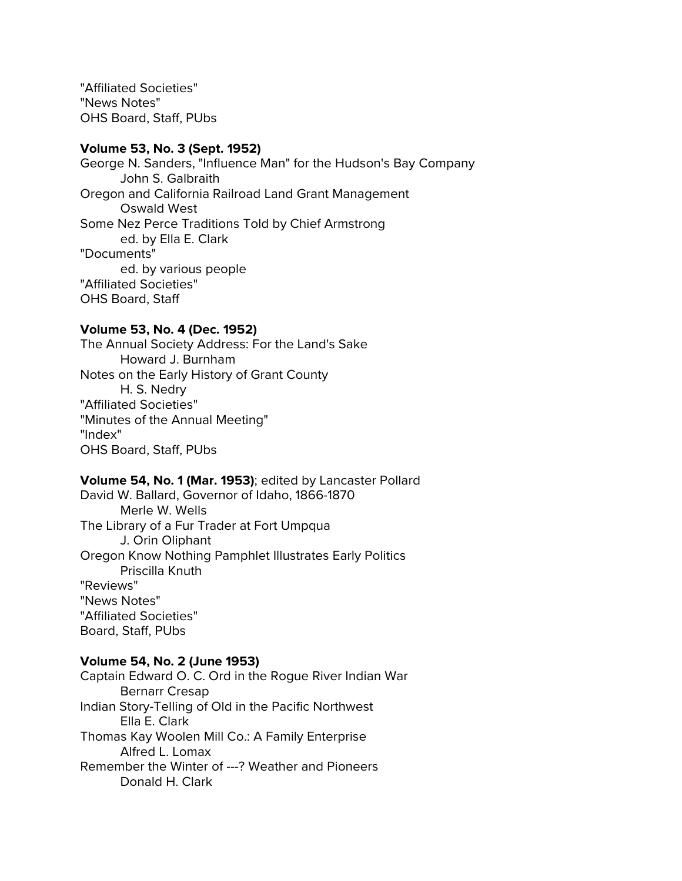"Affiliated Societies" "News Notes" OHS Board, Staff, PUbs

### **Volume 53, No. 3 (Sept. 1952)**

George N. Sanders, "Influence Man" for the Hudson's Bay Company John S. Galbraith Oregon and California Railroad Land Grant Management Oswald West Some Nez Perce Traditions Told by Chief Armstrong ed. by Ella E. Clark "Documents" ed. by various people "Affiliated Societies" OHS Board, Staff

### **Volume 53, No. 4 (Dec. 1952)**

The Annual Society Address: For the Land's Sake Howard J. Burnham Notes on the Early History of Grant County H. S. Nedry "Affiliated Societies" "Minutes of the Annual Meeting" "Index" OHS Board, Staff, PUbs

### **Volume 54, No. 1 (Mar. 1953)**; edited by Lancaster Pollard

David W. Ballard, Governor of Idaho, 1866-1870 Merle W. Wells The Library of a Fur Trader at Fort Umpqua J. Orin Oliphant Oregon Know Nothing Pamphlet Illustrates Early Politics Priscilla Knuth "Reviews" "News Notes" "Affiliated Societies" Board, Staff, PUbs

#### **Volume 54, No. 2 (June 1953)**

Captain Edward O. C. Ord in the Rogue River Indian War Bernarr Cresap Indian Story-Telling of Old in the Pacific Northwest Ella E. Clark Thomas Kay Woolen Mill Co.: A Family Enterprise Alfred L. Lomax Remember the Winter of ---? Weather and Pioneers Donald H. Clark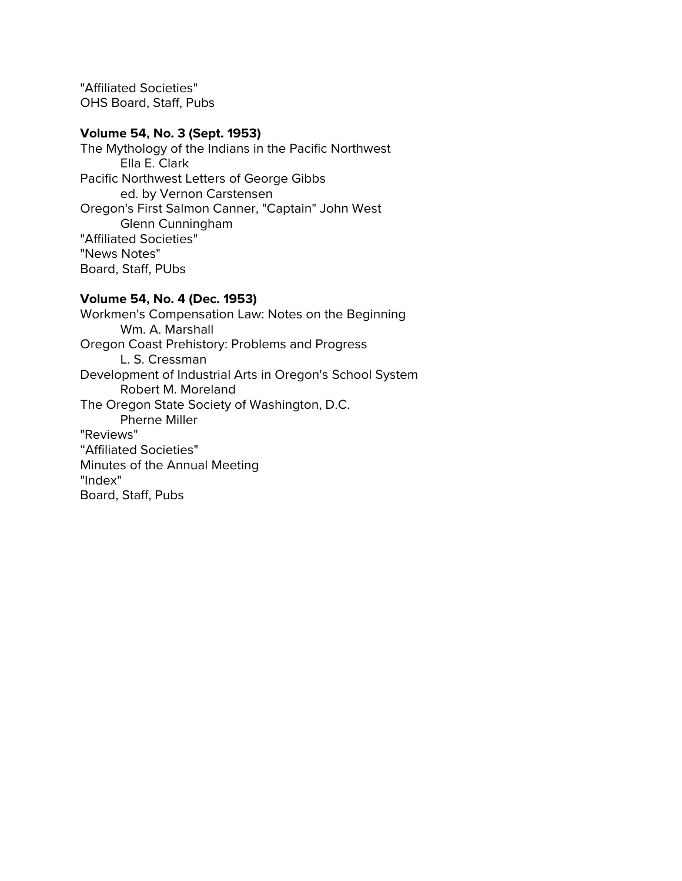"Affiliated Societies" OHS Board, Staff, Pubs

### **Volume 54, No. 3 (Sept. 1953)**

The Mythology of the Indians in the Pacific Northwest Ella E. Clark Pacific Northwest Letters of George Gibbs ed. by Vernon Carstensen Oregon's First Salmon Canner, "Captain" John West Glenn Cunningham "Affiliated Societies" "News Notes" Board, Staff, PUbs

## **Volume 54, No. 4 (Dec. 1953)**

Workmen's Compensation Law: Notes on the Beginning Wm. A. Marshall Oregon Coast Prehistory: Problems and Progress L. S. Cressman Development of Industrial Arts in Oregon's School System Robert M. Moreland The Oregon State Society of Washington, D.C. Pherne Miller "Reviews" "Affiliated Societies" Minutes of the Annual Meeting "Index" Board, Staff, Pubs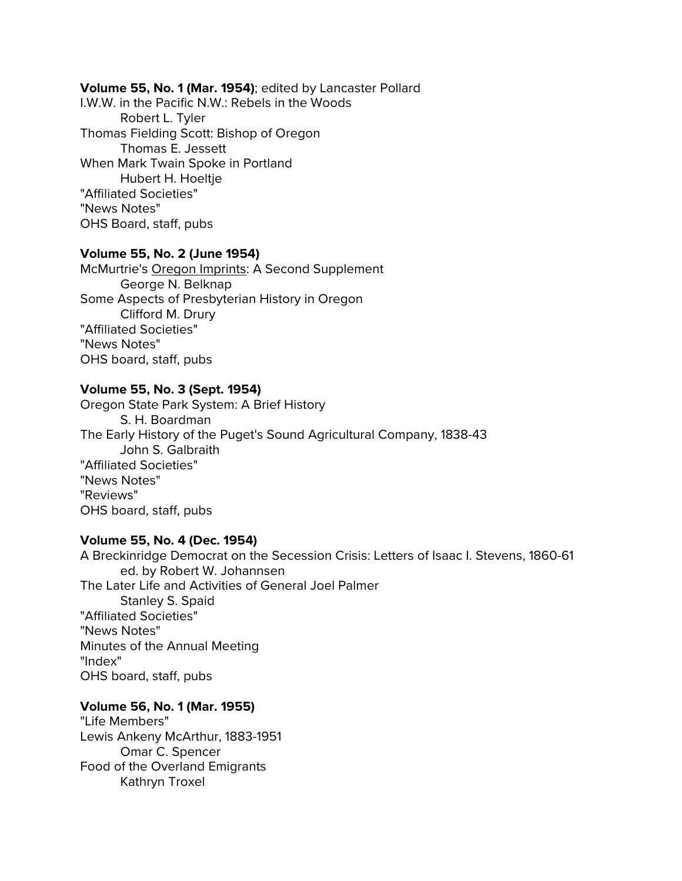### **Volume 55, No. 1 (Mar. 1954)**; edited by Lancaster Pollard

I.W.W. in the Pacific N.W.: Rebels in the Woods Robert L. Tyler Thomas Fielding Scott: Bishop of Oregon Thomas E. Jessett When Mark Twain Spoke in Portland Hubert H. Hoeltje "Affiliated Societies" "News Notes" OHS Board, staff, pubs

### **Volume 55, No. 2 (June 1954)**

McMurtrie's Oregon Imprints: A Second Supplement George N. Belknap Some Aspects of Presbyterian History in Oregon Clifford M. Drury "Affiliated Societies" "News Notes" OHS board, staff, pubs

### **Volume 55, No. 3 (Sept. 1954)**

Oregon State Park System: A Brief History S. H. Boardman The Early History of the Puget's Sound Agricultural Company, 1838-43 John S. Galbraith "Affiliated Societies" "News Notes" "Reviews" OHS board, staff, pubs

### **Volume 55, No. 4 (Dec. 1954)**

A Breckinridge Democrat on the Secession Crisis: Letters of Isaac I. Stevens, 1860-61 ed. by Robert W. Johannsen The Later Life and Activities of General Joel Palmer Stanley S. Spaid "Affiliated Societies" "News Notes" Minutes of the Annual Meeting "Index" OHS board, staff, pubs

## **Volume 56, No. 1 (Mar. 1955)**

"Life Members" Lewis Ankeny McArthur, 1883-1951 Omar C. Spencer Food of the Overland Emigrants Kathryn Troxel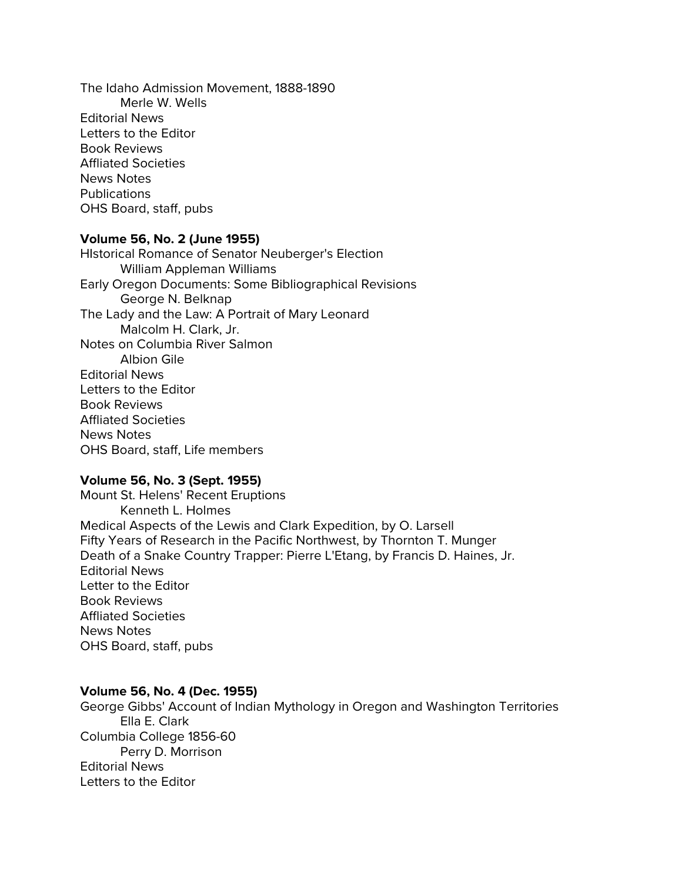The Idaho Admission Movement, 1888-1890 Merle W. Wells Editorial News Letters to the Editor Book Reviews Affliated Societies News Notes **Publications** OHS Board, staff, pubs

### **Volume 56, No. 2 (June 1955)**

HIstorical Romance of Senator Neuberger's Election William Appleman Williams Early Oregon Documents: Some Bibliographical Revisions George N. Belknap The Lady and the Law: A Portrait of Mary Leonard Malcolm H. Clark, Jr. Notes on Columbia River Salmon Albion Gile Editorial News Letters to the Editor Book Reviews Affliated Societies News Notes OHS Board, staff, Life members

## **Volume 56, No. 3 (Sept. 1955)**

Mount St. Helens' Recent Eruptions Kenneth L. Holmes Medical Aspects of the Lewis and Clark Expedition, by O. Larsell Fifty Years of Research in the Pacific Northwest, by Thornton T. Munger Death of a Snake Country Trapper: Pierre L'Etang, by Francis D. Haines, Jr. Editorial News Letter to the Editor Book Reviews Affliated Societies News Notes OHS Board, staff, pubs

### **Volume 56, No. 4 (Dec. 1955)**

George Gibbs' Account of Indian Mythology in Oregon and Washington Territories Ella E. Clark Columbia College 1856-60 Perry D. Morrison Editorial News Letters to the Editor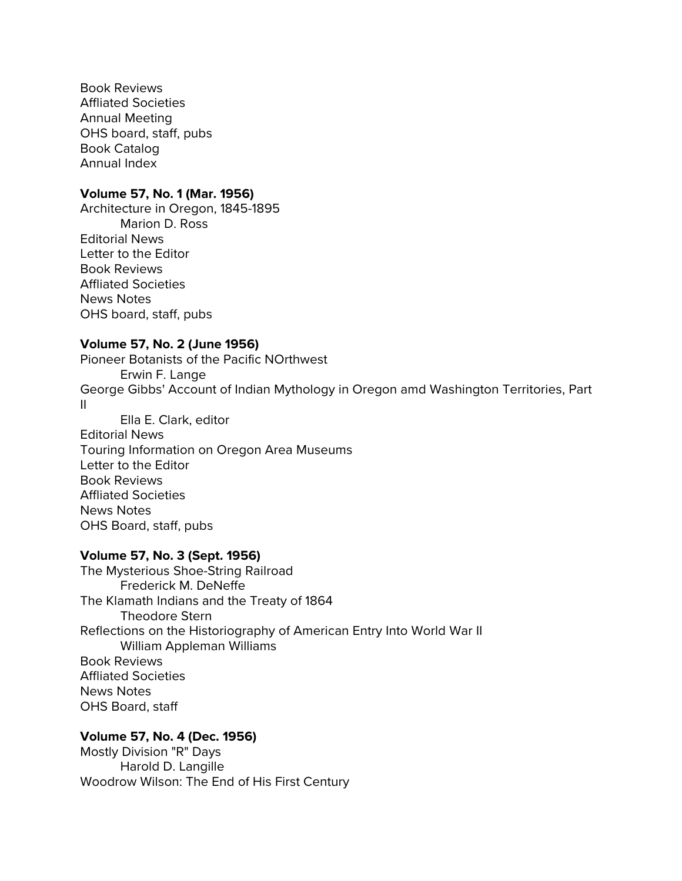Book Reviews Affliated Societies Annual Meeting OHS board, staff, pubs Book Catalog Annual Index

### **Volume 57, No. 1 (Mar. 1956)**

Architecture in Oregon, 1845-1895 Marion D. Ross Editorial News Letter to the Editor Book Reviews Affliated Societies News Notes OHS board, staff, pubs

### **Volume 57, No. 2 (June 1956)**

Pioneer Botanists of the Pacific NOrthwest Erwin F. Lange George Gibbs' Account of Indian Mythology in Oregon amd Washington Territories, Part II Ella E. Clark, editor

Editorial News Touring Information on Oregon Area Museums Letter to the Editor Book Reviews Affliated Societies News Notes OHS Board, staff, pubs

### **Volume 57, No. 3 (Sept. 1956)**

The Mysterious Shoe-String Railroad Frederick M. DeNeffe The Klamath Indians and the Treaty of 1864 Theodore Stern Reflections on the Historiography of American Entry Into World War II William Appleman Williams Book Reviews Affliated Societies News Notes OHS Board, staff

### **Volume 57, No. 4 (Dec. 1956)**

Mostly Division "R" Days Harold D. Langille Woodrow Wilson: The End of His First Century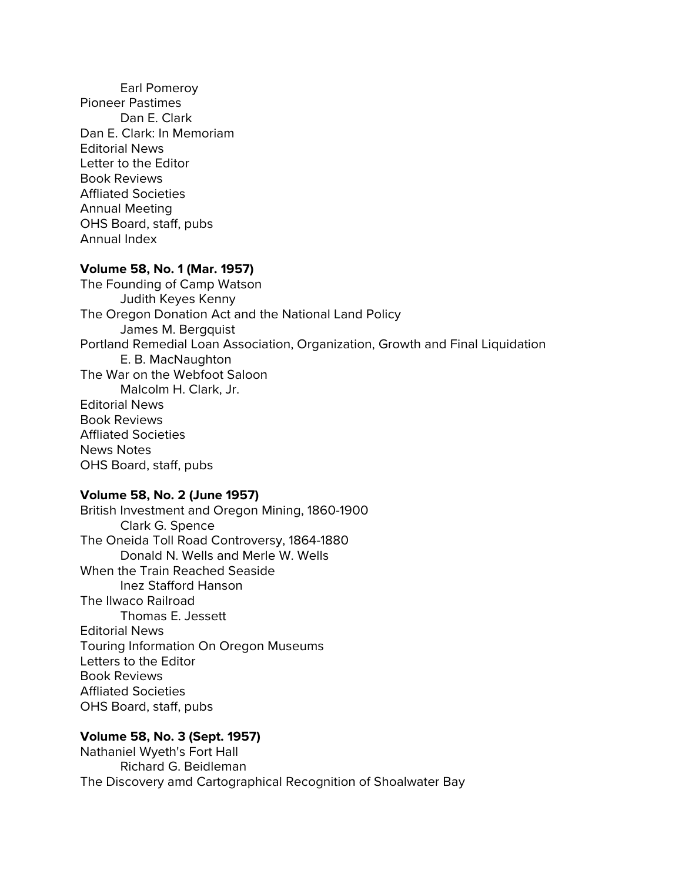Earl Pomeroy Pioneer Pastimes Dan E. Clark Dan E. Clark: In Memoriam Editorial News Letter to the Editor Book Reviews Affliated Societies Annual Meeting OHS Board, staff, pubs Annual Index

# **Volume 58, No. 1 (Mar. 1957)**

The Founding of Camp Watson Judith Keyes Kenny The Oregon Donation Act and the National Land Policy James M. Bergquist Portland Remedial Loan Association, Organization, Growth and Final Liquidation E. B. MacNaughton The War on the Webfoot Saloon Malcolm H. Clark, Jr. Editorial News Book Reviews Affliated Societies News Notes OHS Board, staff, pubs

#### **Volume 58, No. 2 (June 1957)**

British Investment and Oregon Mining, 1860-1900 Clark G. Spence The Oneida Toll Road Controversy, 1864-1880 Donald N. Wells and Merle W. Wells When the Train Reached Seaside Inez Stafford Hanson The Ilwaco Railroad Thomas E. Jessett Editorial News Touring Information On Oregon Museums Letters to the Editor Book Reviews Affliated Societies OHS Board, staff, pubs

### **Volume 58, No. 3 (Sept. 1957)**

Nathaniel Wyeth's Fort Hall Richard G. Beidleman The Discovery amd Cartographical Recognition of Shoalwater Bay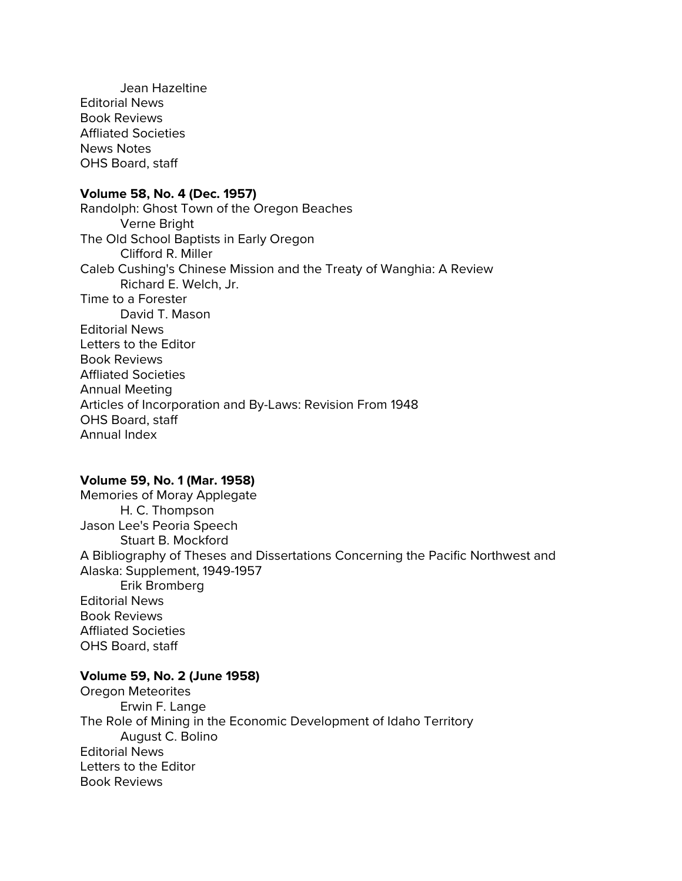Jean Hazeltine Editorial News Book Reviews Affliated Societies News Notes OHS Board, staff

#### **Volume 58, No. 4 (Dec. 1957)**

Randolph: Ghost Town of the Oregon Beaches Verne Bright The Old School Baptists in Early Oregon Clifford R. Miller Caleb Cushing's Chinese Mission and the Treaty of Wanghia: A Review Richard E. Welch, Jr. Time to a Forester David T. Mason Editorial News Letters to the Editor Book Reviews Affliated Societies Annual Meeting Articles of Incorporation and By-Laws: Revision From 1948 OHS Board, staff Annual Index

## **Volume 59, No. 1 (Mar. 1958)**

Memories of Moray Applegate H. C. Thompson Jason Lee's Peoria Speech Stuart B. Mockford A Bibliography of Theses and Dissertations Concerning the Pacific Northwest and Alaska: Supplement, 1949-1957 Erik Bromberg Editorial News Book Reviews Affliated Societies OHS Board, staff

#### **Volume 59, No. 2 (June 1958)**

Oregon Meteorites Erwin F. Lange The Role of Mining in the Economic Development of Idaho Territory August C. Bolino Editorial News Letters to the Editor Book Reviews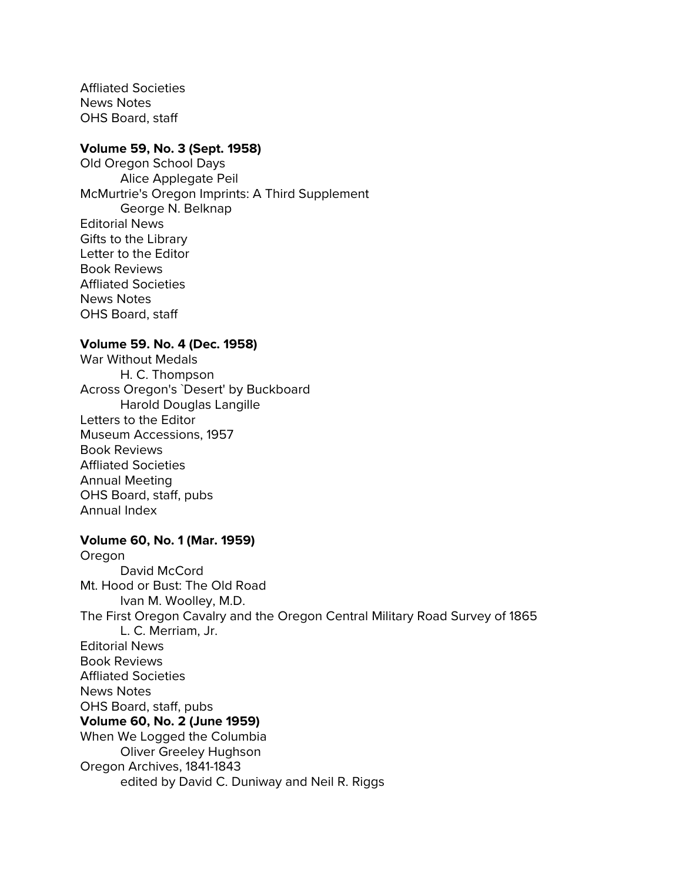Affliated Societies News Notes OHS Board, staff

# **Volume 59, No. 3 (Sept. 1958)**

Old Oregon School Days Alice Applegate Peil McMurtrie's Oregon Imprints: A Third Supplement George N. Belknap Editorial News Gifts to the Library Letter to the Editor Book Reviews Affliated Societies News Notes OHS Board, staff

#### **Volume 59. No. 4 (Dec. 1958)**

War Without Medals H. C. Thompson Across Oregon's `Desert' by Buckboard Harold Douglas Langille Letters to the Editor Museum Accessions, 1957 Book Reviews Affliated Societies Annual Meeting OHS Board, staff, pubs Annual Index

### **Volume 60, No. 1 (Mar. 1959)**

Oregon David McCord Mt. Hood or Bust: The Old Road Ivan M. Woolley, M.D. The First Oregon Cavalry and the Oregon Central Military Road Survey of 1865 L. C. Merriam, Jr. Editorial News Book Reviews Affliated Societies News Notes OHS Board, staff, pubs **Volume 60, No. 2 (June 1959)** When We Logged the Columbia Oliver Greeley Hughson Oregon Archives, 1841-1843 edited by David C. Duniway and Neil R. Riggs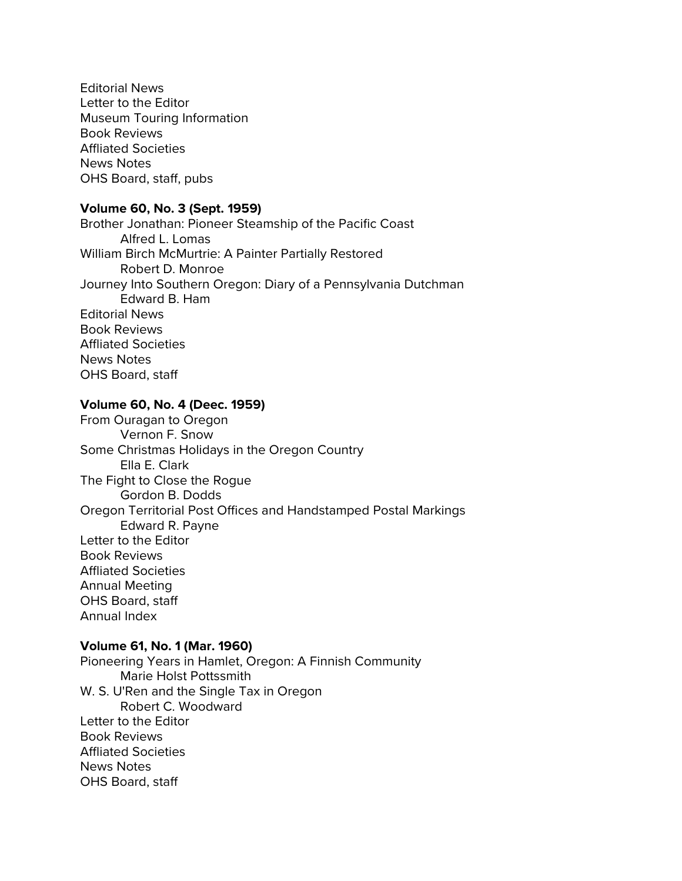Editorial News Letter to the Editor Museum Touring Information Book Reviews Affliated Societies News Notes OHS Board, staff, pubs

# **Volume 60, No. 3 (Sept. 1959)**

Brother Jonathan: Pioneer Steamship of the Pacific Coast Alfred L. Lomas William Birch McMurtrie: A Painter Partially Restored Robert D. Monroe Journey Into Southern Oregon: Diary of a Pennsylvania Dutchman Edward B. Ham Editorial News Book Reviews Affliated Societies News Notes OHS Board, staff

## **Volume 60, No. 4 (Deec. 1959)**

From Ouragan to Oregon Vernon F. Snow Some Christmas Holidays in the Oregon Country Ella E. Clark The Fight to Close the Rogue Gordon B. Dodds Oregon Territorial Post Offices and Handstamped Postal Markings Edward R. Payne Letter to the Editor Book Reviews Affliated Societies Annual Meeting OHS Board, staff Annual Index

#### **Volume 61, No. 1 (Mar. 1960)**

Pioneering Years in Hamlet, Oregon: A Finnish Community Marie Holst Pottssmith W. S. U'Ren and the Single Tax in Oregon Robert C. Woodward Letter to the Editor Book Reviews Affliated Societies News Notes OHS Board, staff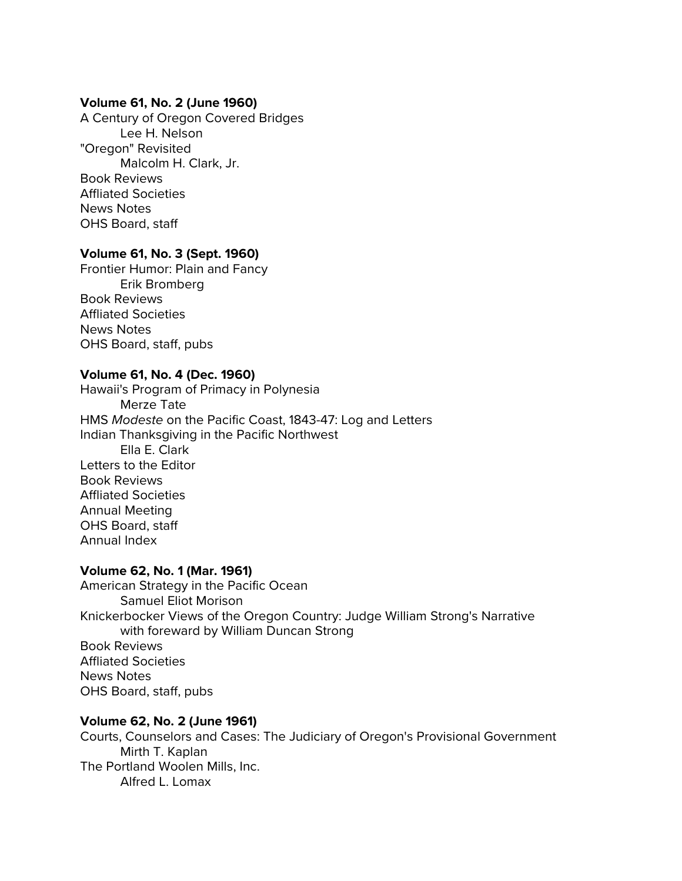### **Volume 61, No. 2 (June 1960)**

A Century of Oregon Covered Bridges Lee H. Nelson "Oregon" Revisited Malcolm H. Clark, Jr. Book Reviews Affliated Societies News Notes OHS Board, staff

# **Volume 61, No. 3 (Sept. 1960)**

Frontier Humor: Plain and Fancy Erik Bromberg Book Reviews Affliated Societies News Notes OHS Board, staff, pubs

# **Volume 61, No. 4 (Dec. 1960)**

Hawaii's Program of Primacy in Polynesia Merze Tate HMS *Modeste* on the Pacific Coast, 1843-47: Log and Letters Indian Thanksgiving in the Pacific Northwest Ella E. Clark Letters to the Editor Book Reviews Affliated Societies Annual Meeting OHS Board, staff Annual Index

#### **Volume 62, No. 1 (Mar. 1961)**

American Strategy in the Pacific Ocean Samuel Eliot Morison Knickerbocker Views of the Oregon Country: Judge William Strong's Narrative with foreward by William Duncan Strong Book Reviews Affliated Societies News Notes OHS Board, staff, pubs

# **Volume 62, No. 2 (June 1961)**

Courts, Counselors and Cases: The Judiciary of Oregon's Provisional Government Mirth T. Kaplan The Portland Woolen Mills, Inc. Alfred L. Lomax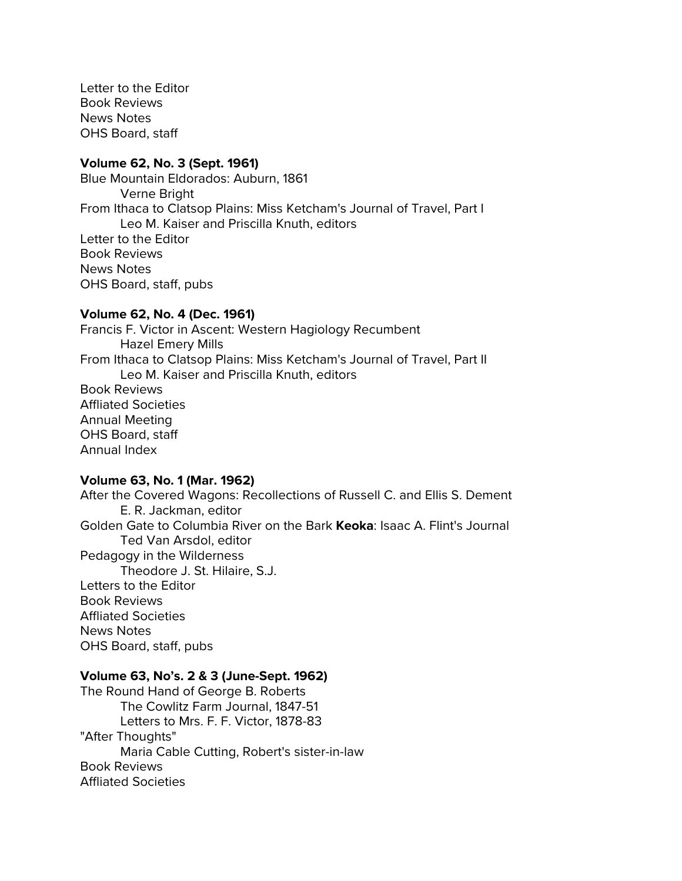Letter to the Editor Book Reviews News Notes OHS Board, staff

#### **Volume 62, No. 3 (Sept. 1961)**

Blue Mountain Eldorados: Auburn, 1861 Verne Bright From Ithaca to Clatsop Plains: Miss Ketcham's Journal of Travel, Part I Leo M. Kaiser and Priscilla Knuth, editors Letter to the Editor Book Reviews News Notes OHS Board, staff, pubs

#### **Volume 62, No. 4 (Dec. 1961)**

Francis F. Victor in Ascent: Western Hagiology Recumbent Hazel Emery Mills From Ithaca to Clatsop Plains: Miss Ketcham's Journal of Travel, Part II Leo M. Kaiser and Priscilla Knuth, editors Book Reviews Affliated Societies Annual Meeting OHS Board, staff Annual Index

#### **Volume 63, No. 1 (Mar. 1962)**

After the Covered Wagons: Recollections of Russell C. and Ellis S. Dement E. R. Jackman, editor Golden Gate to Columbia River on the Bark **Keoka**: Isaac A. Flint's Journal Ted Van Arsdol, editor Pedagogy in the Wilderness Theodore J. St. Hilaire, S.J. Letters to the Editor Book Reviews Affliated Societies News Notes OHS Board, staff, pubs

#### **Volume 63, No's. 2 & 3 (June-Sept. 1962)**

The Round Hand of George B. Roberts The Cowlitz Farm Journal, 1847-51 Letters to Mrs. F. F. Victor, 1878-83 "After Thoughts" Maria Cable Cutting, Robert's sister-in-law Book Reviews Affliated Societies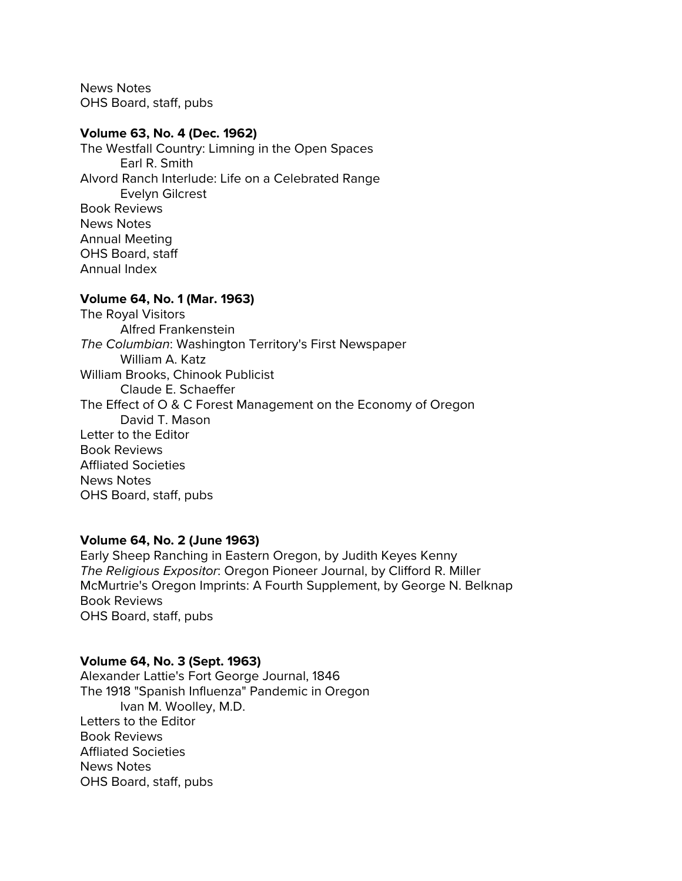News Notes OHS Board, staff, pubs

#### **Volume 63, No. 4 (Dec. 1962)**

The Westfall Country: Limning in the Open Spaces Earl R. Smith Alvord Ranch Interlude: Life on a Celebrated Range Evelyn Gilcrest Book Reviews News Notes Annual Meeting OHS Board, staff Annual Index

## **Volume 64, No. 1 (Mar. 1963)**

The Royal Visitors Alfred Frankenstein *The Columbian*: Washington Territory's First Newspaper William A. Katz William Brooks, Chinook Publicist Claude E. Schaeffer The Effect of O & C Forest Management on the Economy of Oregon David T. Mason Letter to the Editor Book Reviews Affliated Societies News Notes OHS Board, staff, pubs

#### **Volume 64, No. 2 (June 1963)**

Early Sheep Ranching in Eastern Oregon, by Judith Keyes Kenny *The Religious Expositor*: Oregon Pioneer Journal, by Clifford R. Miller McMurtrie's Oregon Imprints: A Fourth Supplement, by George N. Belknap Book Reviews OHS Board, staff, pubs

#### **Volume 64, No. 3 (Sept. 1963)**

Alexander Lattie's Fort George Journal, 1846 The 1918 "Spanish Influenza" Pandemic in Oregon Ivan M. Woolley, M.D. Letters to the Editor Book Reviews Affliated Societies News Notes OHS Board, staff, pubs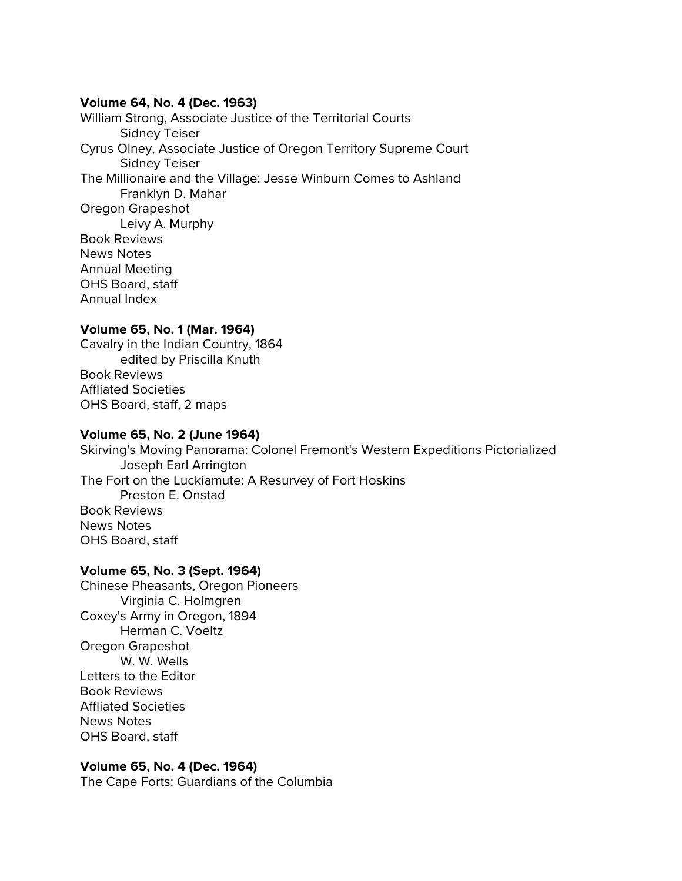#### **Volume 64, No. 4 (Dec. 1963)**

William Strong, Associate Justice of the Territorial Courts Sidney Teiser Cyrus Olney, Associate Justice of Oregon Territory Supreme Court Sidney Teiser The Millionaire and the Village: Jesse Winburn Comes to Ashland Franklyn D. Mahar Oregon Grapeshot Leivy A. Murphy Book Reviews News Notes Annual Meeting OHS Board, staff Annual Index

# **Volume 65, No. 1 (Mar. 1964)**

Cavalry in the Indian Country, 1864 edited by Priscilla Knuth Book Reviews Affliated Societies OHS Board, staff, 2 maps

## **Volume 65, No. 2 (June 1964)**

Skirving's Moving Panorama: Colonel Fremont's Western Expeditions Pictorialized Joseph Earl Arrington The Fort on the Luckiamute: A Resurvey of Fort Hoskins Preston E. Onstad Book Reviews News Notes OHS Board, staff

#### **Volume 65, No. 3 (Sept. 1964)**

Chinese Pheasants, Oregon Pioneers Virginia C. Holmgren Coxey's Army in Oregon, 1894 Herman C. Voeltz Oregon Grapeshot W. W. Wells Letters to the Editor Book Reviews Affliated Societies News Notes OHS Board, staff

# **Volume 65, No. 4 (Dec. 1964)**

The Cape Forts: Guardians of the Columbia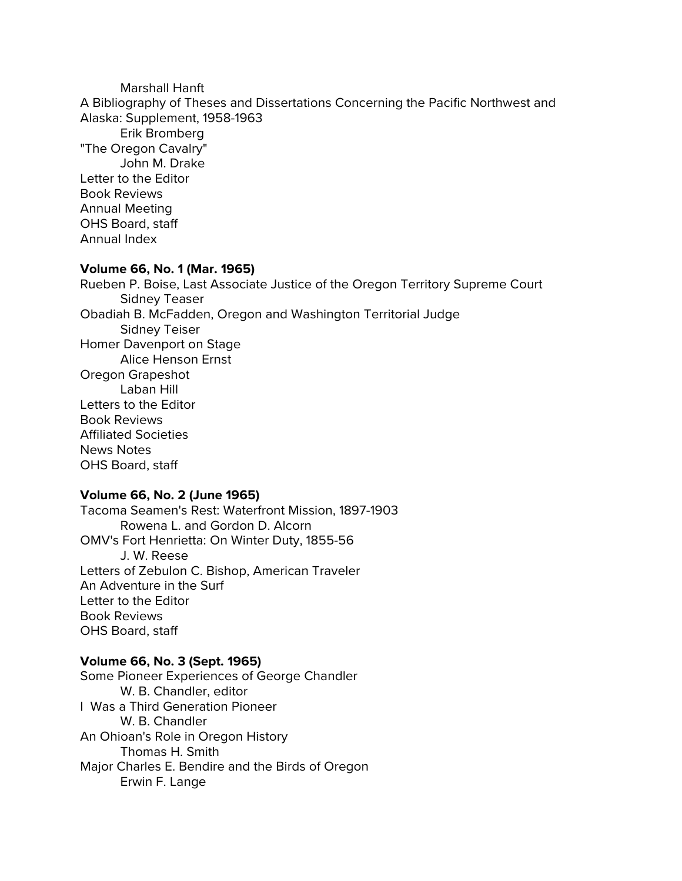Marshall Hanft A Bibliography of Theses and Dissertations Concerning the Pacific Northwest and Alaska: Supplement, 1958-1963 Erik Bromberg "The Oregon Cavalry" John M. Drake Letter to the Editor Book Reviews Annual Meeting OHS Board, staff Annual Index

#### **Volume 66, No. 1 (Mar. 1965)**

Rueben P. Boise, Last Associate Justice of the Oregon Territory Supreme Court Sidney Teaser Obadiah B. McFadden, Oregon and Washington Territorial Judge Sidney Teiser Homer Davenport on Stage Alice Henson Ernst Oregon Grapeshot Laban Hill Letters to the Editor Book Reviews Affiliated Societies News Notes OHS Board, staff

# **Volume 66, No. 2 (June 1965)**

Tacoma Seamen's Rest: Waterfront Mission, 1897-1903 Rowena L. and Gordon D. Alcorn OMV's Fort Henrietta: On Winter Duty, 1855-56 J. W. Reese Letters of Zebulon C. Bishop, American Traveler An Adventure in the Surf Letter to the Editor Book Reviews OHS Board, staff

#### **Volume 66, No. 3 (Sept. 1965)**

Some Pioneer Experiences of George Chandler W. B. Chandler, editor I Was a Third Generation Pioneer W. B. Chandler An Ohioan's Role in Oregon History Thomas H. Smith Major Charles E. Bendire and the Birds of Oregon Erwin F. Lange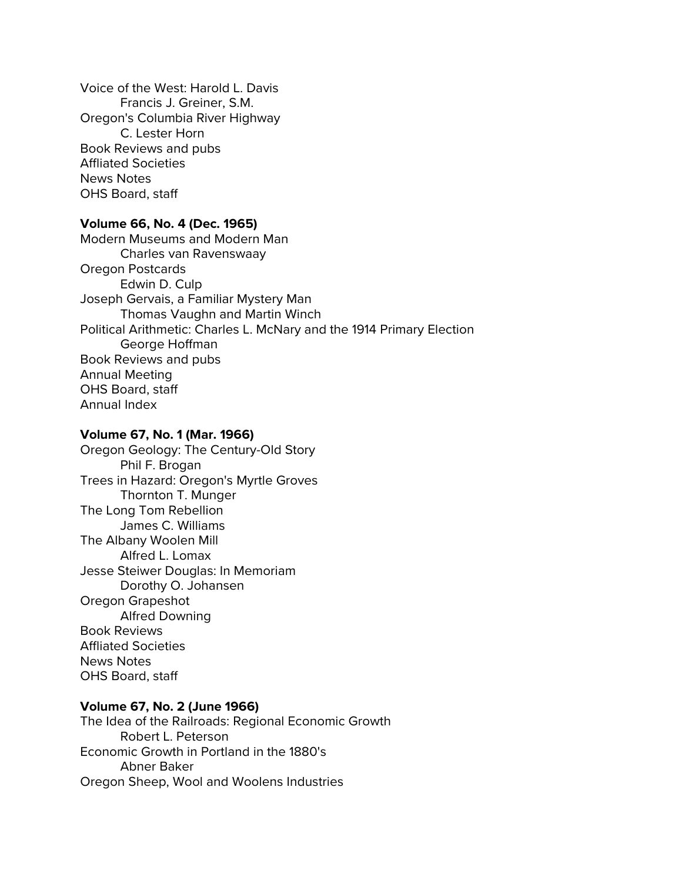Voice of the West: Harold L. Davis Francis J. Greiner, S.M. Oregon's Columbia River Highway C. Lester Horn Book Reviews and pubs Affliated Societies News Notes OHS Board, staff

## **Volume 66, No. 4 (Dec. 1965)**

Modern Museums and Modern Man Charles van Ravenswaay Oregon Postcards Edwin D. Culp Joseph Gervais, a Familiar Mystery Man Thomas Vaughn and Martin Winch Political Arithmetic: Charles L. McNary and the 1914 Primary Election George Hoffman Book Reviews and pubs Annual Meeting OHS Board, staff Annual Index

#### **Volume 67, No. 1 (Mar. 1966)**

Oregon Geology: The Century-Old Story Phil F. Brogan Trees in Hazard: Oregon's Myrtle Groves Thornton T. Munger The Long Tom Rebellion James C. Williams The Albany Woolen Mill Alfred L. Lomax Jesse Steiwer Douglas: In Memoriam Dorothy O. Johansen Oregon Grapeshot Alfred Downing Book Reviews Affliated Societies News Notes OHS Board, staff

#### **Volume 67, No. 2 (June 1966)**

The Idea of the Railroads: Regional Economic Growth Robert L. Peterson Economic Growth in Portland in the 1880's Abner Baker Oregon Sheep, Wool and Woolens Industries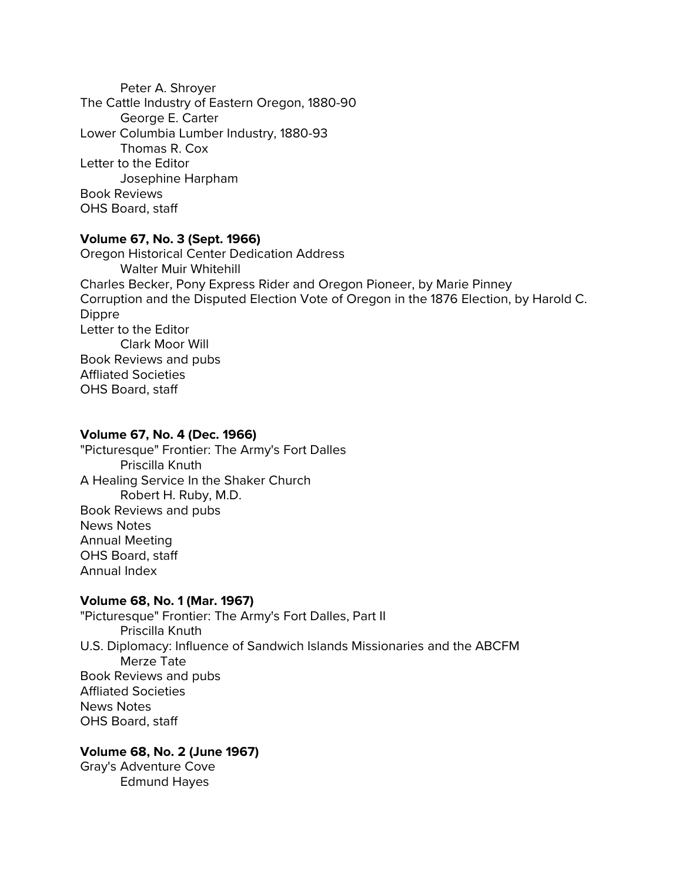Peter A. Shroyer The Cattle Industry of Eastern Oregon, 1880-90 George E. Carter Lower Columbia Lumber Industry, 1880-93 Thomas R. Cox Letter to the Editor Josephine Harpham Book Reviews OHS Board, staff

### **Volume 67, No. 3 (Sept. 1966)**

Oregon Historical Center Dedication Address Walter Muir Whitehill Charles Becker, Pony Express Rider and Oregon Pioneer, by Marie Pinney Corruption and the Disputed Election Vote of Oregon in the 1876 Election, by Harold C. Dippre Letter to the Editor Clark Moor Will Book Reviews and pubs Affliated Societies OHS Board, staff

### **Volume 67, No. 4 (Dec. 1966)**

"Picturesque" Frontier: The Army's Fort Dalles Priscilla Knuth A Healing Service In the Shaker Church Robert H. Ruby, M.D. Book Reviews and pubs News Notes Annual Meeting OHS Board, staff Annual Index

#### **Volume 68, No. 1 (Mar. 1967)**

"Picturesque" Frontier: The Army's Fort Dalles, Part II Priscilla Knuth U.S. Diplomacy: Influence of Sandwich Islands Missionaries and the ABCFM Merze Tate Book Reviews and pubs Affliated Societies News Notes OHS Board, staff

# **Volume 68, No. 2 (June 1967)**

Gray's Adventure Cove Edmund Hayes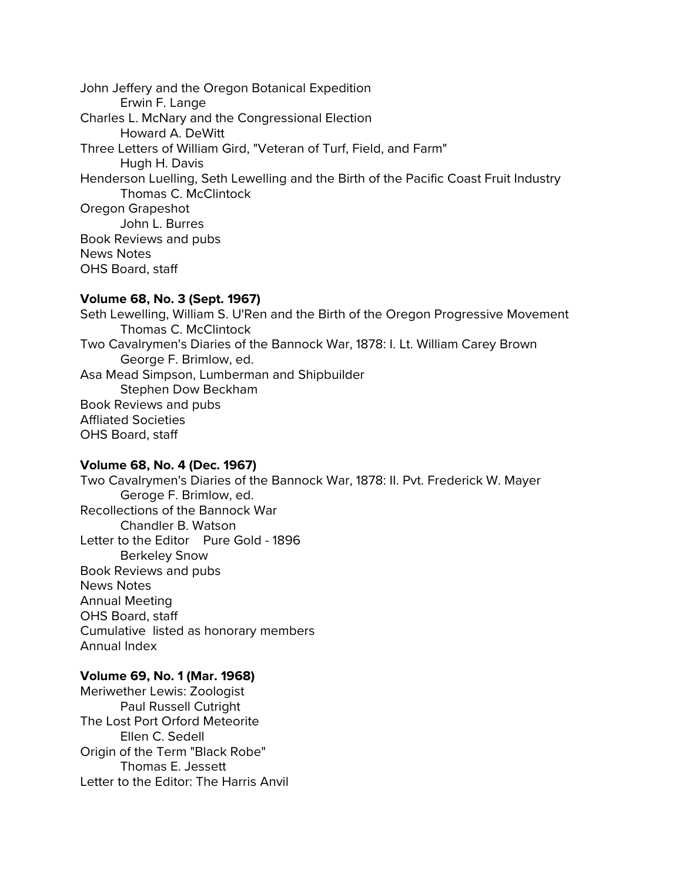John Jeffery and the Oregon Botanical Expedition Erwin F. Lange Charles L. McNary and the Congressional Election Howard A. DeWitt Three Letters of William Gird, "Veteran of Turf, Field, and Farm" Hugh H. Davis Henderson Luelling, Seth Lewelling and the Birth of the Pacific Coast Fruit Industry Thomas C. McClintock Oregon Grapeshot John L. Burres Book Reviews and pubs News Notes OHS Board, staff

#### **Volume 68, No. 3 (Sept. 1967)**

Seth Lewelling, William S. U'Ren and the Birth of the Oregon Progressive Movement Thomas C. McClintock Two Cavalrymen's Diaries of the Bannock War, 1878: I. Lt. William Carey Brown George F. Brimlow, ed. Asa Mead Simpson, Lumberman and Shipbuilder Stephen Dow Beckham Book Reviews and pubs Affliated Societies OHS Board, staff

#### **Volume 68, No. 4 (Dec. 1967)**

Two Cavalrymen's Diaries of the Bannock War, 1878: II. Pvt. Frederick W. Mayer Geroge F. Brimlow, ed. Recollections of the Bannock War Chandler B. Watson Letter to the Editor Pure Gold - 1896 Berkeley Snow Book Reviews and pubs News Notes Annual Meeting OHS Board, staff Cumulative listed as honorary members Annual Index

#### **Volume 69, No. 1 (Mar. 1968)**

Meriwether Lewis: Zoologist Paul Russell Cutright The Lost Port Orford Meteorite Ellen C. Sedell Origin of the Term "Black Robe" Thomas E. Jessett Letter to the Editor: The Harris Anvil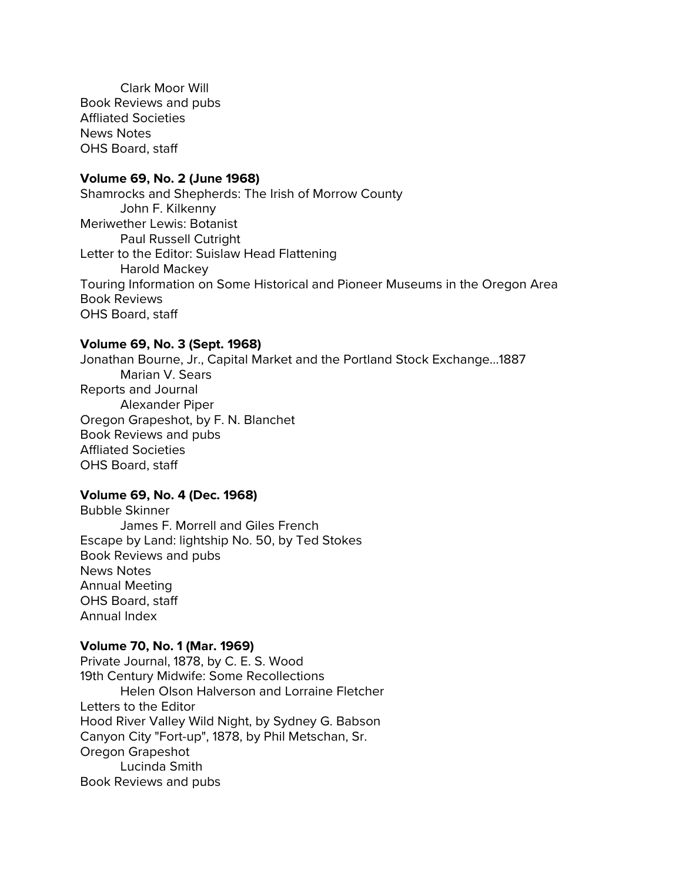Clark Moor Will Book Reviews and pubs Affliated Societies News Notes OHS Board, staff

#### **Volume 69, No. 2 (June 1968)**

Shamrocks and Shepherds: The Irish of Morrow County John F. Kilkenny Meriwether Lewis: Botanist Paul Russell Cutright Letter to the Editor: Suislaw Head Flattening Harold Mackey Touring Information on Some Historical and Pioneer Museums in the Oregon Area Book Reviews OHS Board, staff

#### **Volume 69, No. 3 (Sept. 1968)**

Jonathan Bourne, Jr., Capital Market and the Portland Stock Exchange...1887 Marian V. Sears Reports and Journal Alexander Piper Oregon Grapeshot, by F. N. Blanchet Book Reviews and pubs Affliated Societies OHS Board, staff

# **Volume 69, No. 4 (Dec. 1968)**

Bubble Skinner James F. Morrell and Giles French Escape by Land: lightship No. 50, by Ted Stokes Book Reviews and pubs News Notes Annual Meeting OHS Board, staff Annual Index

#### **Volume 70, No. 1 (Mar. 1969)**

Private Journal, 1878, by C. E. S. Wood 19th Century Midwife: Some Recollections Helen Olson Halverson and Lorraine Fletcher Letters to the Editor Hood River Valley Wild Night, by Sydney G. Babson Canyon City "Fort-up", 1878, by Phil Metschan, Sr. Oregon Grapeshot Lucinda Smith Book Reviews and pubs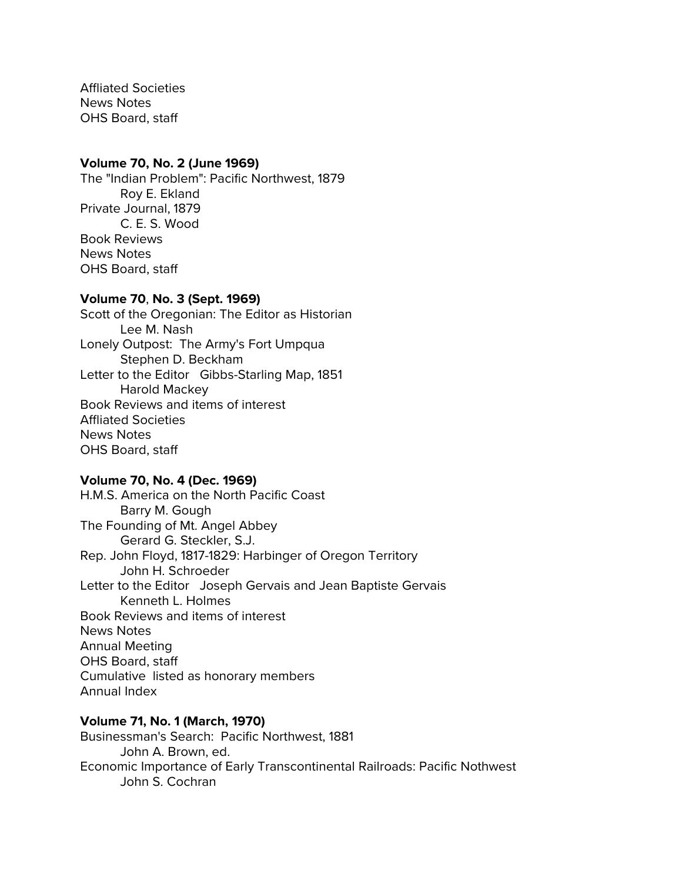Affliated Societies News Notes OHS Board, staff

#### **Volume 70, No. 2 (June 1969)**

The "Indian Problem": Pacific Northwest, 1879 Roy E. Ekland Private Journal, 1879 C. E. S. Wood Book Reviews News Notes OHS Board, staff

#### **Volume 70**, **No. 3 (Sept. 1969)**

Scott of the Oregonian: The Editor as Historian Lee M. Nash Lonely Outpost: The Army's Fort Umpqua Stephen D. Beckham Letter to the Editor Gibbs-Starling Map, 1851 Harold Mackey Book Reviews and items of interest Affliated Societies News Notes OHS Board, staff

#### **Volume 70, No. 4 (Dec. 1969)**

H.M.S. America on the North Pacific Coast Barry M. Gough The Founding of Mt. Angel Abbey Gerard G. Steckler, S.J. Rep. John Floyd, 1817-1829: Harbinger of Oregon Territory John H. Schroeder Letter to the Editor Joseph Gervais and Jean Baptiste Gervais Kenneth L. Holmes Book Reviews and items of interest News Notes Annual Meeting OHS Board, staff Cumulative listed as honorary members Annual Index

### **Volume 71, No. 1 (March, 1970)**

Businessman's Search: Pacific Northwest, 1881 John A. Brown, ed. Economic Importance of Early Transcontinental Railroads: Pacific Nothwest John S. Cochran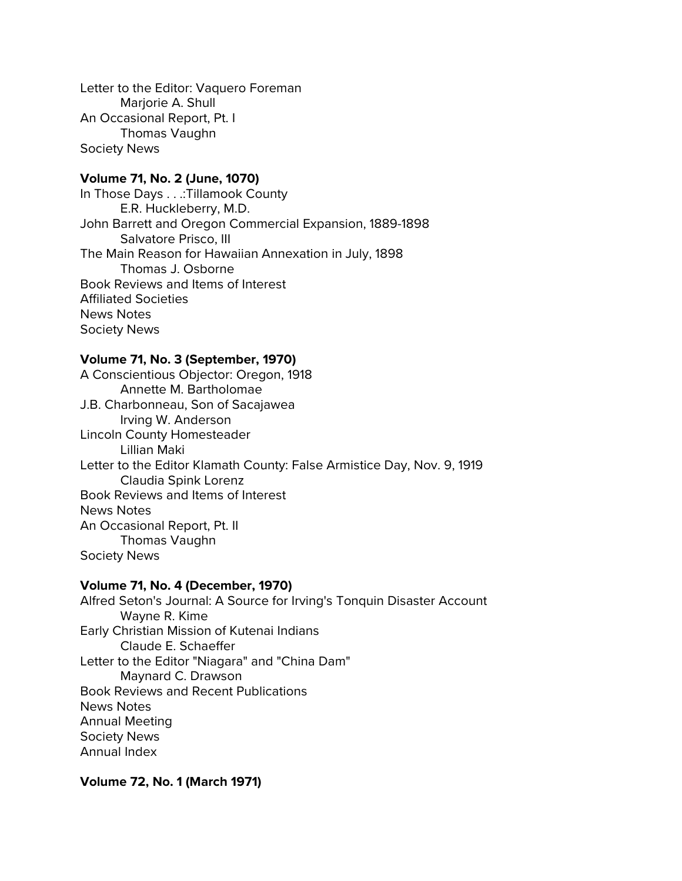Letter to the Editor: Vaquero Foreman Marjorie A. Shull An Occasional Report, Pt. I Thomas Vaughn Society News

# **Volume 71, No. 2 (June, 1070)**

In Those Days . . .:Tillamook County E.R. Huckleberry, M.D. John Barrett and Oregon Commercial Expansion, 1889-1898 Salvatore Prisco, III The Main Reason for Hawaiian Annexation in July, 1898 Thomas J. Osborne Book Reviews and Items of Interest Affiliated Societies News Notes Society News

### **Volume 71, No. 3 (September, 1970)**

A Conscientious Objector: Oregon, 1918 Annette M. Bartholomae J.B. Charbonneau, Son of Sacajawea Irving W. Anderson Lincoln County Homesteader Lillian Maki Letter to the Editor Klamath County: False Armistice Day, Nov. 9, 1919 Claudia Spink Lorenz Book Reviews and Items of Interest News Notes An Occasional Report, Pt. II Thomas Vaughn Society News

# **Volume 71, No. 4 (December, 1970)**

Alfred Seton's Journal: A Source for Irving's Tonquin Disaster Account Wayne R. Kime Early Christian Mission of Kutenai Indians Claude E. Schaeffer Letter to the Editor "Niagara" and "China Dam" Maynard C. Drawson Book Reviews and Recent Publications News Notes Annual Meeting Society News Annual Index

**Volume 72, No. 1 (March 1971)**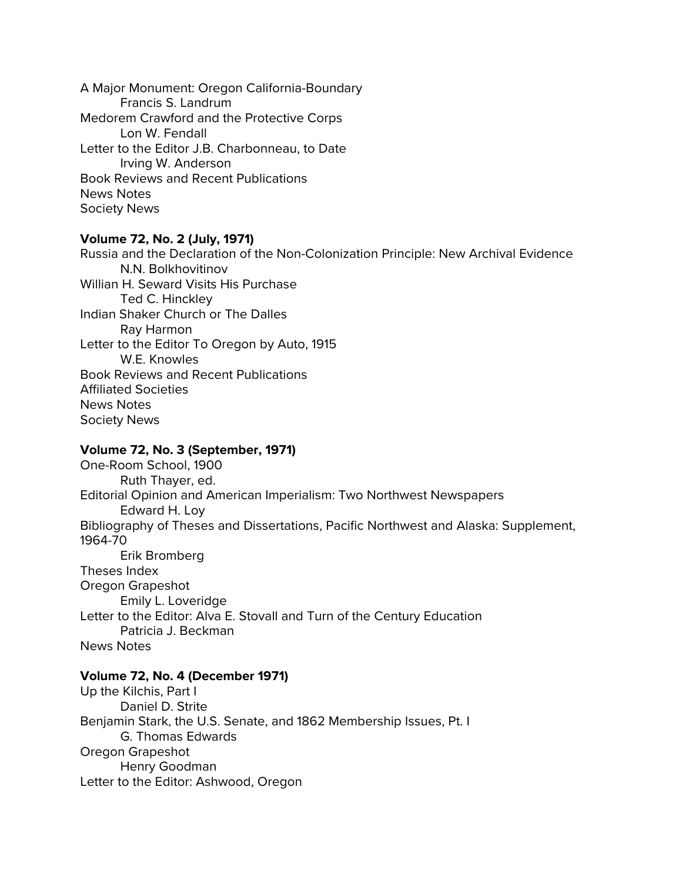A Major Monument: Oregon California-Boundary Francis S. Landrum Medorem Crawford and the Protective Corps Lon W. Fendall Letter to the Editor J.B. Charbonneau, to Date Irving W. Anderson Book Reviews and Recent Publications News Notes Society News

### **Volume 72, No. 2 (July, 1971)**

Russia and the Declaration of the Non-Colonization Principle: New Archival Evidence N.N. Bolkhovitinov Willian H. Seward Visits His Purchase Ted C. Hinckley Indian Shaker Church or The Dalles Ray Harmon Letter to the Editor To Oregon by Auto, 1915 W.E. Knowles Book Reviews and Recent Publications Affiliated Societies News Notes Society News

#### **Volume 72, No. 3 (September, 1971)**

One-Room School, 1900 Ruth Thayer, ed. Editorial Opinion and American Imperialism: Two Northwest Newspapers Edward H. Loy Bibliography of Theses and Dissertations, Pacific Northwest and Alaska: Supplement, 1964-70 Erik Bromberg Theses Index Oregon Grapeshot Emily L. Loveridge Letter to the Editor: Alva E. Stovall and Turn of the Century Education Patricia J. Beckman News Notes

# **Volume 72, No. 4 (December 1971)**

Up the Kilchis, Part I Daniel D. Strite Benjamin Stark, the U.S. Senate, and 1862 Membership Issues, Pt. I G. Thomas Edwards Oregon Grapeshot Henry Goodman Letter to the Editor: Ashwood, Oregon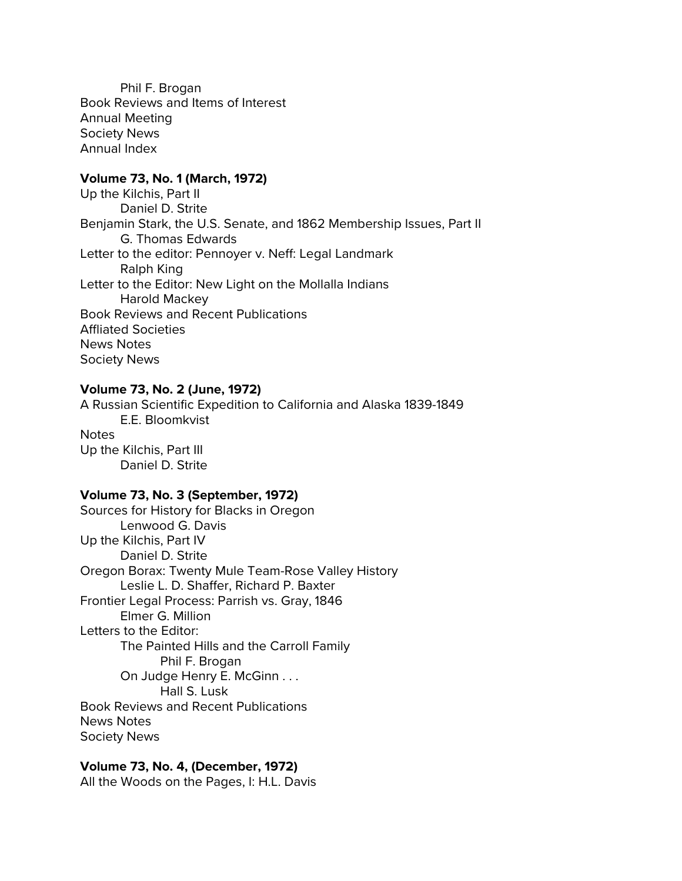Phil F. Brogan Book Reviews and Items of Interest Annual Meeting Society News Annual Index

## **Volume 73, No. 1 (March, 1972)**

Up the Kilchis, Part II Daniel D. Strite Benjamin Stark, the U.S. Senate, and 1862 Membership Issues, Part II G. Thomas Edwards Letter to the editor: Pennoyer v. Neff: Legal Landmark Ralph King Letter to the Editor: New Light on the Mollalla Indians Harold Mackey Book Reviews and Recent Publications Affliated Societies News Notes Society News

# **Volume 73, No. 2 (June, 1972)**

A Russian Scientific Expedition to California and Alaska 1839-1849 E.E. Bloomkvist **Notes** Up the Kilchis, Part III Daniel D. Strite

## **Volume 73, No. 3 (September, 1972)**

Sources for History for Blacks in Oregon Lenwood G. Davis Up the Kilchis, Part IV Daniel D. Strite Oregon Borax: Twenty Mule Team-Rose Valley History Leslie L. D. Shaffer, Richard P. Baxter Frontier Legal Process: Parrish vs. Gray, 1846 Elmer G. Million Letters to the Editor: The Painted Hills and the Carroll Family Phil F. Brogan On Judge Henry E. McGinn . . . Hall S. Lusk Book Reviews and Recent Publications News Notes Society News

#### **Volume 73, No. 4, (December, 1972)** All the Woods on the Pages, I: H.L. Davis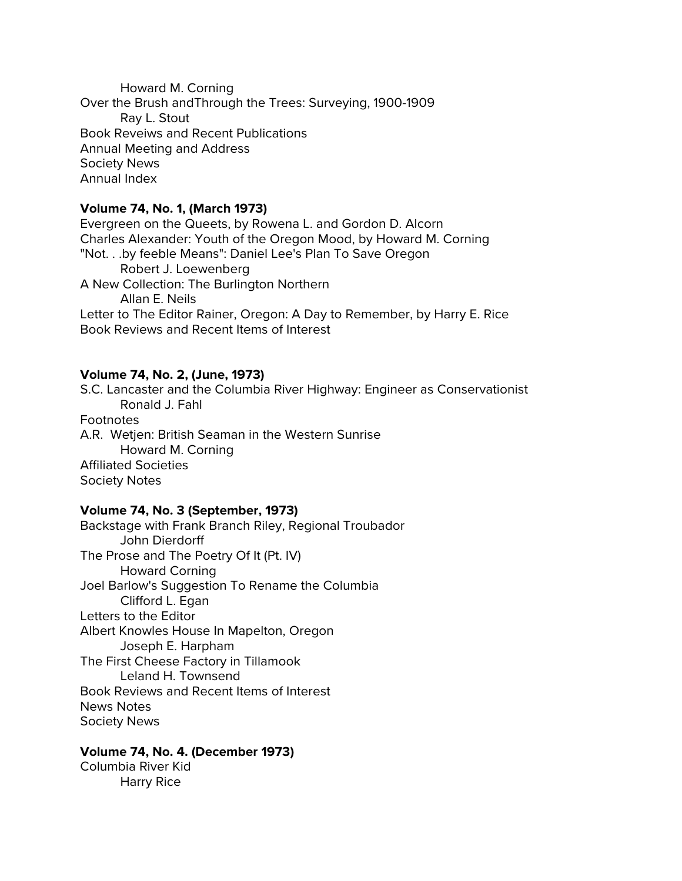Howard M. Corning Over the Brush andThrough the Trees: Surveying, 1900-1909 Ray L. Stout Book Reveiws and Recent Publications Annual Meeting and Address Society News Annual Index

# **Volume 74, No. 1, (March 1973)**

Evergreen on the Queets, by Rowena L. and Gordon D. Alcorn Charles Alexander: Youth of the Oregon Mood, by Howard M. Corning "Not. . .by feeble Means": Daniel Lee's Plan To Save Oregon Robert J. Loewenberg A New Collection: The Burlington Northern Allan E. Neils Letter to The Editor Rainer, Oregon: A Day to Remember, by Harry E. Rice Book Reviews and Recent Items of Interest

# **Volume 74, No. 2, (June, 1973)**

S.C. Lancaster and the Columbia River Highway: Engineer as Conservationist Ronald J. Fahl Footnotes A.R. Wetjen: British Seaman in the Western Sunrise Howard M. Corning Affiliated Societies Society Notes

# **Volume 74, No. 3 (September, 1973)**

Backstage with Frank Branch Riley, Regional Troubador John Dierdorff The Prose and The Poetry Of It (Pt. IV) Howard Corning Joel Barlow's Suggestion To Rename the Columbia Clifford L. Egan Letters to the Editor Albert Knowles House In Mapelton, Oregon Joseph E. Harpham The First Cheese Factory in Tillamook Leland H. Townsend Book Reviews and Recent Items of Interest News Notes Society News

# **Volume 74, No. 4. (December 1973)**

Columbia River Kid Harry Rice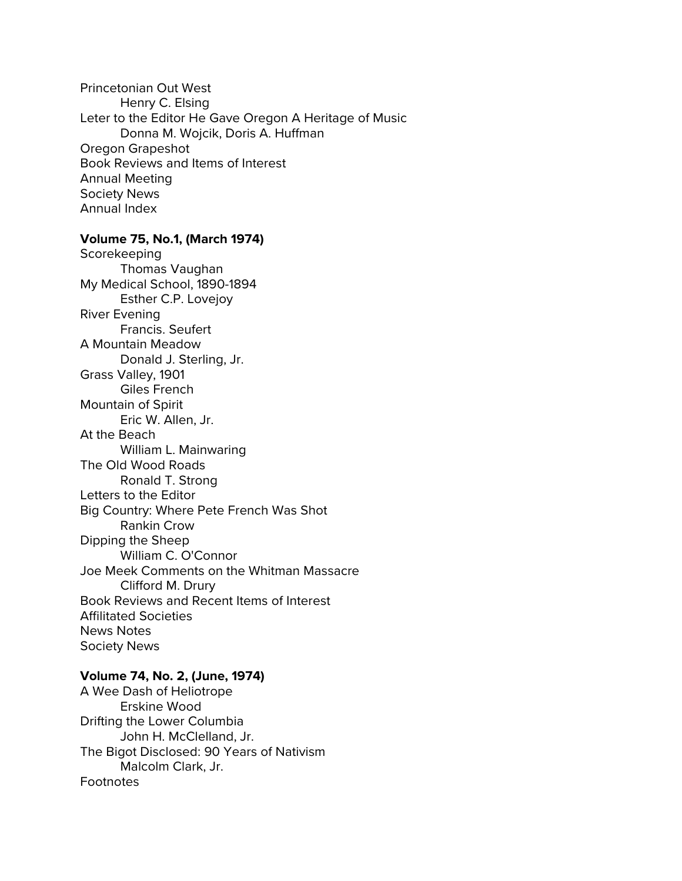Princetonian Out West Henry C. Elsing Leter to the Editor He Gave Oregon A Heritage of Music Donna M. Wojcik, Doris A. Huffman Oregon Grapeshot Book Reviews and Items of Interest Annual Meeting Society News Annual Index

## **Volume 75, No.1, (March 1974)**

Scorekeeping Thomas Vaughan My Medical School, 1890-1894 Esther C.P. Lovejoy River Evening Francis. Seufert A Mountain Meadow Donald J. Sterling, Jr. Grass Valley, 1901 Giles French Mountain of Spirit Eric W. Allen, Jr. At the Beach William L. Mainwaring The Old Wood Roads Ronald T. Strong Letters to the Editor Big Country: Where Pete French Was Shot Rankin Crow Dipping the Sheep William C. O'Connor Joe Meek Comments on the Whitman Massacre Clifford M. Drury Book Reviews and Recent Items of Interest Affilitated Societies News Notes Society News

#### **Volume 74, No. 2, (June, 1974)**

A Wee Dash of Heliotrope Erskine Wood Drifting the Lower Columbia John H. McClelland, Jr. The Bigot Disclosed: 90 Years of Nativism Malcolm Clark, Jr. **Footnotes**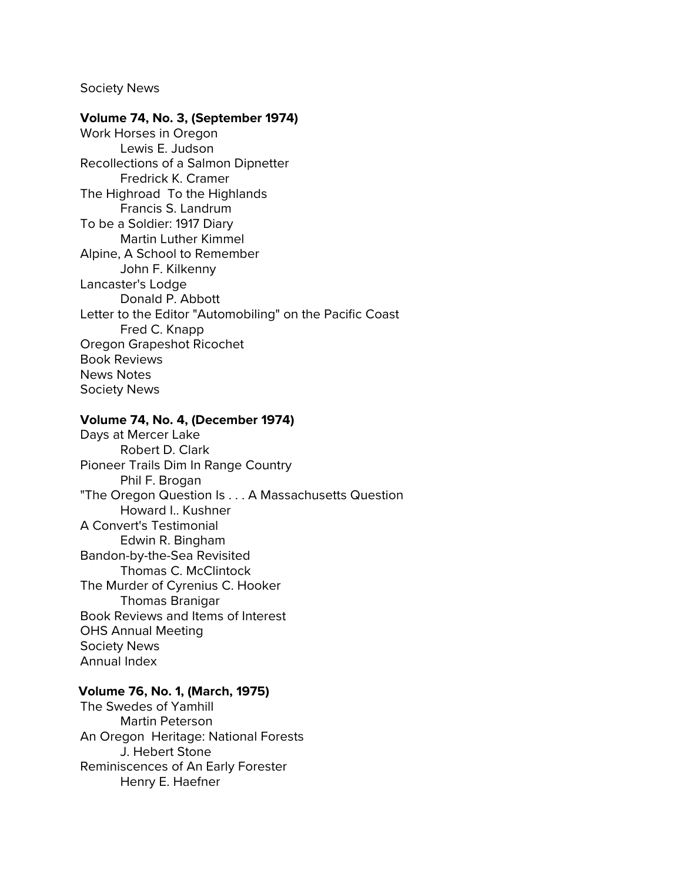Society News

#### **Volume 74, No. 3, (September 1974)**

Work Horses in Oregon Lewis E. Judson Recollections of a Salmon Dipnetter Fredrick K. Cramer The Highroad To the Highlands Francis S. Landrum To be a Soldier: 1917 Diary Martin Luther Kimmel Alpine, A School to Remember John F. Kilkenny Lancaster's Lodge Donald P. Abbott Letter to the Editor "Automobiling" on the Pacific Coast Fred C. Knapp Oregon Grapeshot Ricochet Book Reviews News Notes Society News

#### **Volume 74, No. 4, (December 1974)**

Days at Mercer Lake Robert D. Clark Pioneer Trails Dim In Range Country Phil F. Brogan "The Oregon Question Is . . . A Massachusetts Question Howard I.. Kushner A Convert's Testimonial Edwin R. Bingham Bandon-by-the-Sea Revisited Thomas C. McClintock The Murder of Cyrenius C. Hooker Thomas Branigar Book Reviews and Items of Interest OHS Annual Meeting Society News Annual Index

# **Volume 76, No. 1, (March, 1975)**

The Swedes of Yamhill Martin Peterson An Oregon Heritage: National Forests J. Hebert Stone Reminiscences of An Early Forester Henry E. Haefner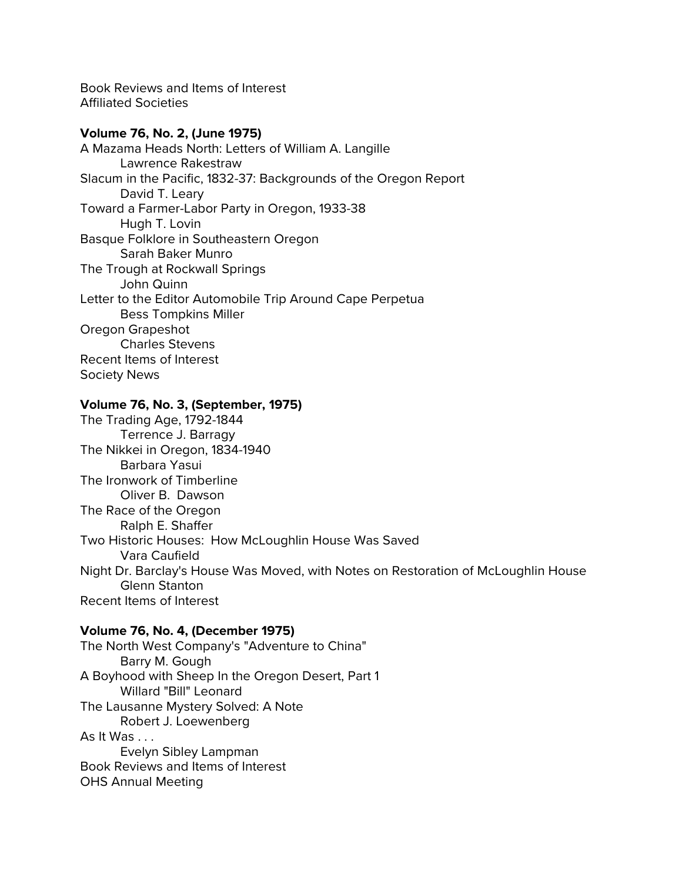Book Reviews and Items of Interest Affiliated Societies

### **Volume 76, No. 2, (June 1975)**

A Mazama Heads North: Letters of William A. Langille Lawrence Rakestraw Slacum in the Pacific, 1832-37: Backgrounds of the Oregon Report David T. Leary Toward a Farmer-Labor Party in Oregon, 1933-38 Hugh T. Lovin Basque Folklore in Southeastern Oregon Sarah Baker Munro The Trough at Rockwall Springs John Quinn Letter to the Editor Automobile Trip Around Cape Perpetua Bess Tompkins Miller Oregon Grapeshot Charles Stevens Recent Items of Interest Society News

## **Volume 76, No. 3, (September, 1975)**

The Trading Age, 1792-1844 Terrence J. Barragy The Nikkei in Oregon, 1834-1940 Barbara Yasui The Ironwork of Timberline Oliver B. Dawson The Race of the Oregon Ralph E. Shaffer Two Historic Houses: How McLoughlin House Was Saved Vara Caufield Night Dr. Barclay's House Was Moved, with Notes on Restoration of McLoughlin House Glenn Stanton Recent Items of Interest

# **Volume 76, No. 4, (December 1975)**

The North West Company's "Adventure to China" Barry M. Gough A Boyhood with Sheep In the Oregon Desert, Part 1 Willard "Bill" Leonard The Lausanne Mystery Solved: A Note Robert J. Loewenberg As It Was . . . Evelyn Sibley Lampman Book Reviews and Items of Interest OHS Annual Meeting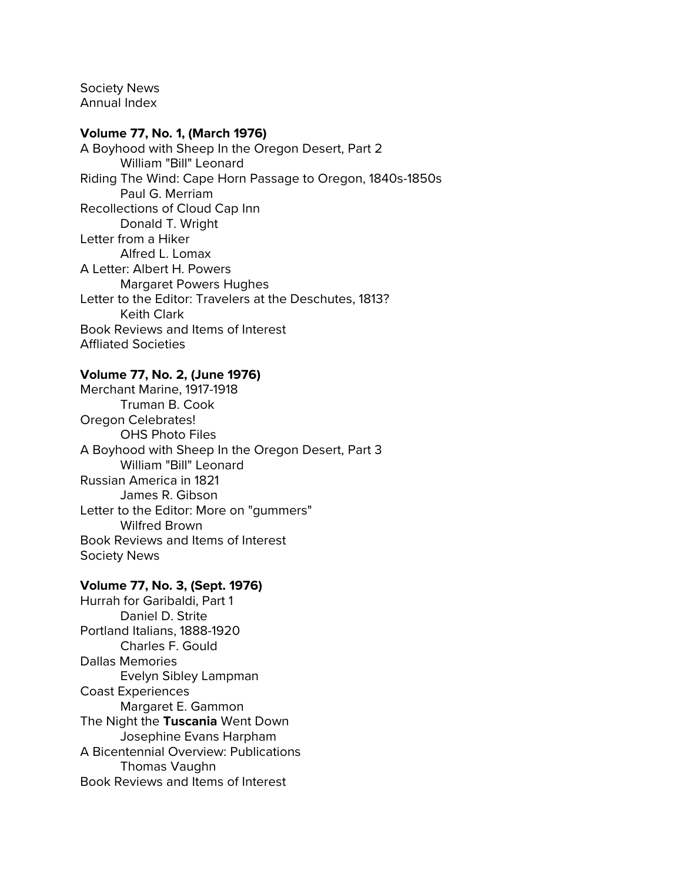Society News Annual Index

### **Volume 77, No. 1, (March 1976)**

A Boyhood with Sheep In the Oregon Desert, Part 2 William "Bill" Leonard Riding The Wind: Cape Horn Passage to Oregon, 1840s-1850s Paul G. Merriam Recollections of Cloud Cap Inn Donald T. Wright Letter from a Hiker Alfred L. Lomax A Letter: Albert H. Powers Margaret Powers Hughes Letter to the Editor: Travelers at the Deschutes, 1813? Keith Clark Book Reviews and Items of Interest Affliated Societies

#### **Volume 77, No. 2, (June 1976)**

Merchant Marine, 1917-1918 Truman B. Cook Oregon Celebrates! OHS Photo Files A Boyhood with Sheep In the Oregon Desert, Part 3 William "Bill" Leonard Russian America in 1821 James R. Gibson Letter to the Editor: More on "gummers" Wilfred Brown Book Reviews and Items of Interest Society News

#### **Volume 77, No. 3, (Sept. 1976)**

Hurrah for Garibaldi, Part 1 Daniel D. Strite Portland Italians, 1888-1920 Charles F. Gould Dallas Memories Evelyn Sibley Lampman Coast Experiences Margaret E. Gammon The Night the **Tuscania** Went Down Josephine Evans Harpham A Bicentennial Overview: Publications Thomas Vaughn Book Reviews and Items of Interest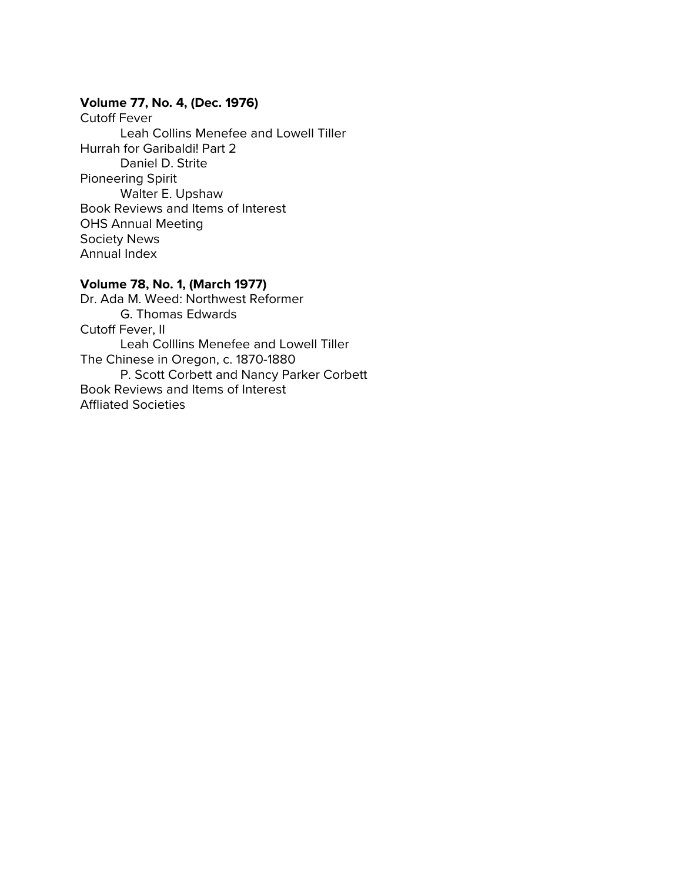# **Volume 77, No. 4, (Dec. 1976)**

Cutoff Fever Leah Collins Menefee and Lowell Tiller Hurrah for Garibaldi! Part 2 Daniel D. Strite Pioneering Spirit Walter E. Upshaw Book Reviews and Items of Interest OHS Annual Meeting Society News Annual Index

# **Volume 78, No. 1, (March 1977)**

Dr. Ada M. Weed: Northwest Reformer G. Thomas Edwards Cutoff Fever, II Leah Colllins Menefee and Lowell Tiller The Chinese in Oregon, c. 1870-1880 P. Scott Corbett and Nancy Parker Corbett Book Reviews and Items of Interest Affliated Societies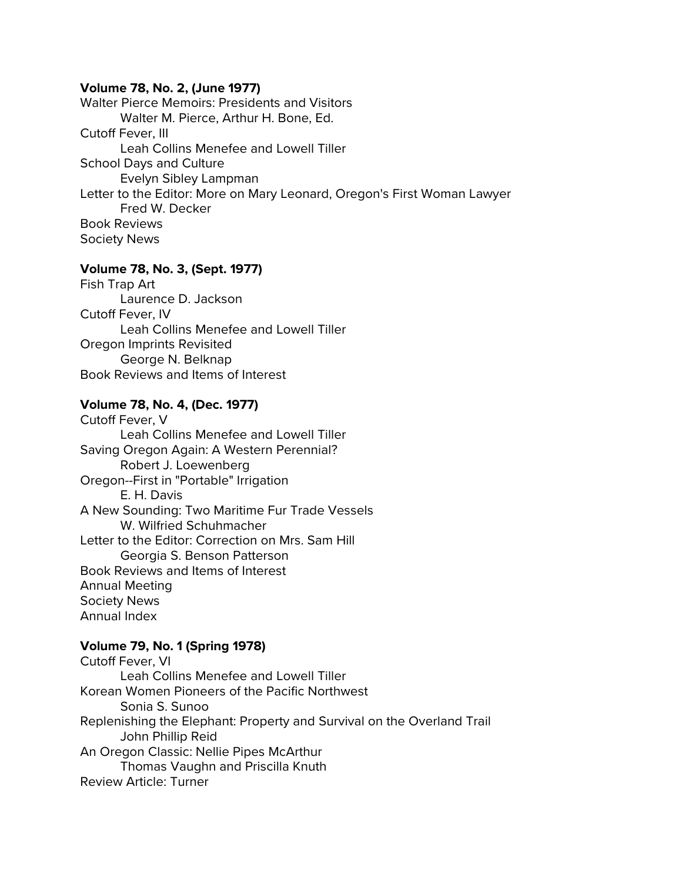#### **Volume 78, No. 2, (June 1977)**

Walter Pierce Memoirs: Presidents and Visitors Walter M. Pierce, Arthur H. Bone, Ed. Cutoff Fever, III Leah Collins Menefee and Lowell Tiller School Days and Culture Evelyn Sibley Lampman Letter to the Editor: More on Mary Leonard, Oregon's First Woman Lawyer Fred W. Decker Book Reviews Society News

# **Volume 78, No. 3, (Sept. 1977)**

Fish Trap Art Laurence D. Jackson Cutoff Fever, IV Leah Collins Menefee and Lowell Tiller Oregon Imprints Revisited George N. Belknap Book Reviews and Items of Interest

# **Volume 78, No. 4, (Dec. 1977)**

Cutoff Fever, V Leah Collins Menefee and Lowell Tiller Saving Oregon Again: A Western Perennial? Robert J. Loewenberg Oregon--First in "Portable" Irrigation E. H. Davis A New Sounding: Two Maritime Fur Trade Vessels W. Wilfried Schuhmacher Letter to the Editor: Correction on Mrs. Sam Hill Georgia S. Benson Patterson Book Reviews and Items of Interest Annual Meeting Society News Annual Index

# **Volume 79, No. 1 (Spring 1978)**

Cutoff Fever, VI Leah Collins Menefee and Lowell Tiller Korean Women Pioneers of the Pacific Northwest Sonia S. Sunoo Replenishing the Elephant: Property and Survival on the Overland Trail John Phillip Reid An Oregon Classic: Nellie Pipes McArthur Thomas Vaughn and Priscilla Knuth Review Article: Turner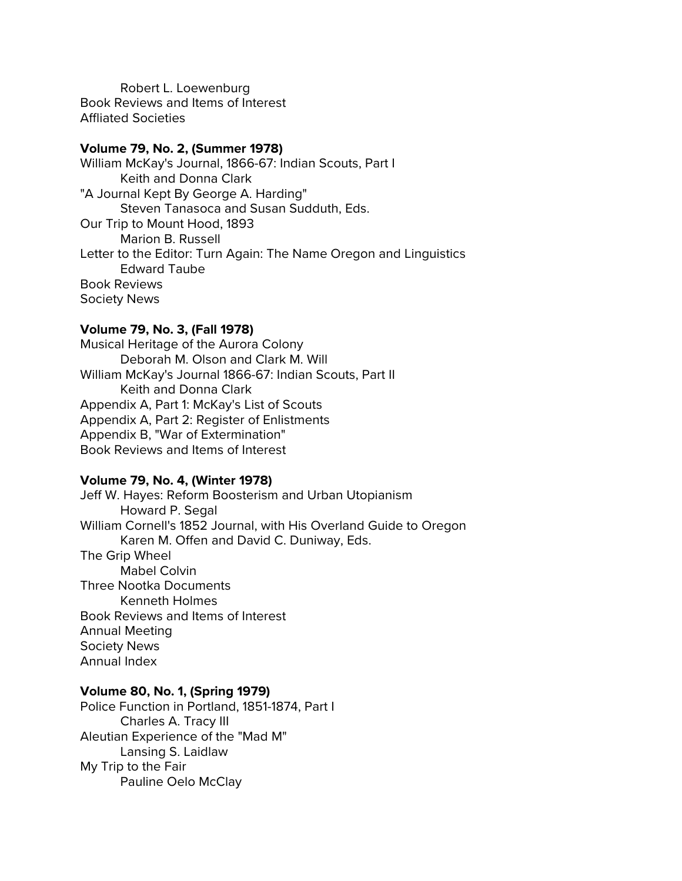Robert L. Loewenburg Book Reviews and Items of Interest Affliated Societies

#### **Volume 79, No. 2, (Summer 1978)**

William McKay's Journal, 1866-67: Indian Scouts, Part I Keith and Donna Clark "A Journal Kept By George A. Harding" Steven Tanasoca and Susan Sudduth, Eds. Our Trip to Mount Hood, 1893 Marion B. Russell Letter to the Editor: Turn Again: The Name Oregon and Linguistics Edward Taube Book Reviews Society News

### **Volume 79, No. 3, (Fall 1978)**

Musical Heritage of the Aurora Colony Deborah M. Olson and Clark M. Will William McKay's Journal 1866-67: Indian Scouts, Part II Keith and Donna Clark Appendix A, Part 1: McKay's List of Scouts Appendix A, Part 2: Register of Enlistments Appendix B, "War of Extermination" Book Reviews and Items of Interest

#### **Volume 79, No. 4, (Winter 1978)**

Jeff W. Hayes: Reform Boosterism and Urban Utopianism Howard P. Segal William Cornell's 1852 Journal, with His Overland Guide to Oregon Karen M. Offen and David C. Duniway, Eds. The Grip Wheel Mabel Colvin Three Nootka Documents Kenneth Holmes Book Reviews and Items of Interest

Annual Meeting Society News Annual Index

#### **Volume 80, No. 1, (Spring 1979)**

Police Function in Portland, 1851-1874, Part I Charles A. Tracy III Aleutian Experience of the "Mad M" Lansing S. Laidlaw My Trip to the Fair Pauline Oelo McClay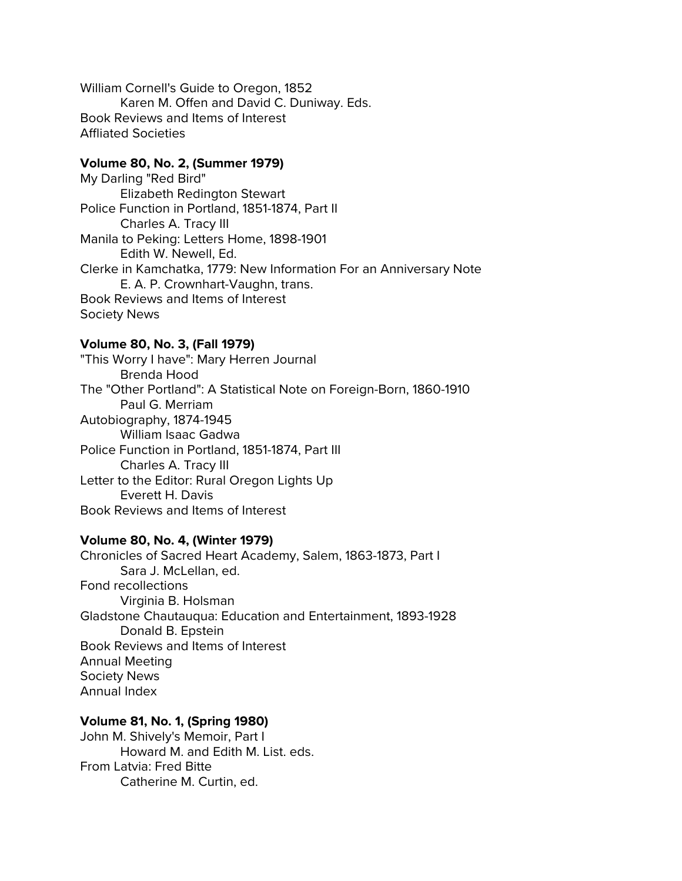William Cornell's Guide to Oregon, 1852 Karen M. Offen and David C. Duniway. Eds. Book Reviews and Items of Interest Affliated Societies

### **Volume 80, No. 2, (Summer 1979)**

My Darling "Red Bird" Elizabeth Redington Stewart Police Function in Portland, 1851-1874, Part II Charles A. Tracy III Manila to Peking: Letters Home, 1898-1901 Edith W. Newell, Ed. Clerke in Kamchatka, 1779: New Information For an Anniversary Note E. A. P. Crownhart-Vaughn, trans. Book Reviews and Items of Interest Society News

#### **Volume 80, No. 3, (Fall 1979)**

"This Worry I have": Mary Herren Journal Brenda Hood The "Other Portland": A Statistical Note on Foreign-Born, 1860-1910 Paul G. Merriam Autobiography, 1874-1945 William Isaac Gadwa Police Function in Portland, 1851-1874, Part III Charles A. Tracy III Letter to the Editor: Rural Oregon Lights Up Everett H. Davis Book Reviews and Items of Interest

### **Volume 80, No. 4, (Winter 1979)**

Chronicles of Sacred Heart Academy, Salem, 1863-1873, Part I Sara J. McLellan, ed. Fond recollections Virginia B. Holsman Gladstone Chautauqua: Education and Entertainment, 1893-1928 Donald B. Epstein Book Reviews and Items of Interest Annual Meeting Society News Annual Index

#### **Volume 81, No. 1, (Spring 1980)**

John M. Shively's Memoir, Part I Howard M. and Edith M. List. eds. From Latvia: Fred Bitte Catherine M. Curtin, ed.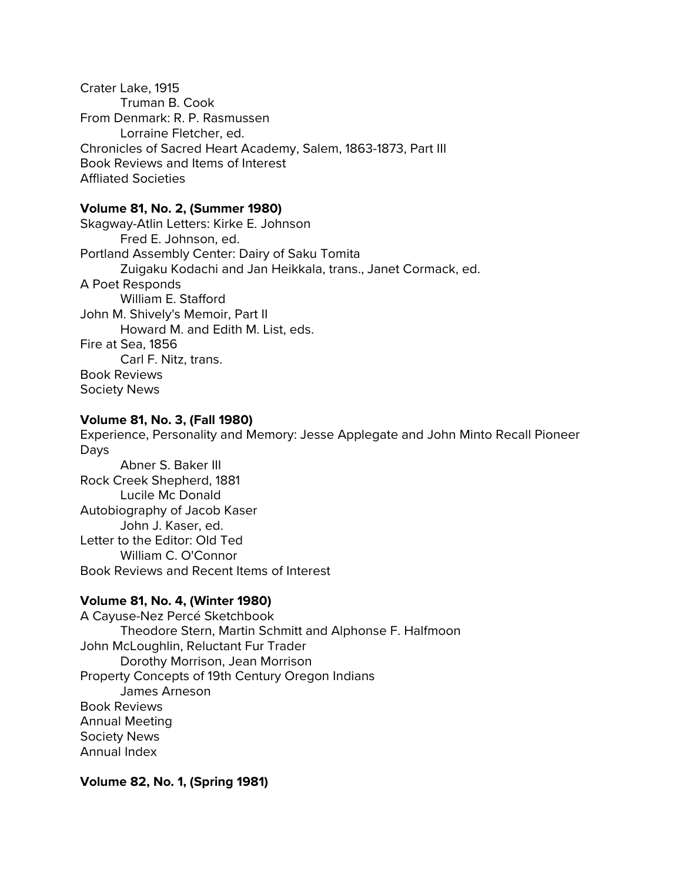Crater Lake, 1915 Truman B. Cook From Denmark: R. P. Rasmussen Lorraine Fletcher, ed. Chronicles of Sacred Heart Academy, Salem, 1863-1873, Part III Book Reviews and Items of Interest Affliated Societies

# **Volume 81, No. 2, (Summer 1980)**

Skagway-Atlin Letters: Kirke E. Johnson Fred E. Johnson, ed. Portland Assembly Center: Dairy of Saku Tomita Zuigaku Kodachi and Jan Heikkala, trans., Janet Cormack, ed. A Poet Responds William E. Stafford John M. Shively's Memoir, Part II Howard M. and Edith M. List, eds. Fire at Sea, 1856 Carl F. Nitz, trans. Book Reviews Society News

# **Volume 81, No. 3, (Fall 1980)**

Experience, Personality and Memory: Jesse Applegate and John Minto Recall Pioneer Days Abner S. Baker III Rock Creek Shepherd, 1881 Lucile Mc Donald Autobiography of Jacob Kaser John J. Kaser, ed. Letter to the Editor: Old Ted William C. O'Connor Book Reviews and Recent Items of Interest

# **Volume 81, No. 4, (Winter 1980)**

A Cayuse-Nez Percé Sketchbook Theodore Stern, Martin Schmitt and Alphonse F. Halfmoon John McLoughlin, Reluctant Fur Trader Dorothy Morrison, Jean Morrison Property Concepts of 19th Century Oregon Indians James Arneson Book Reviews Annual Meeting Society News Annual Index

**Volume 82, No. 1, (Spring 1981)**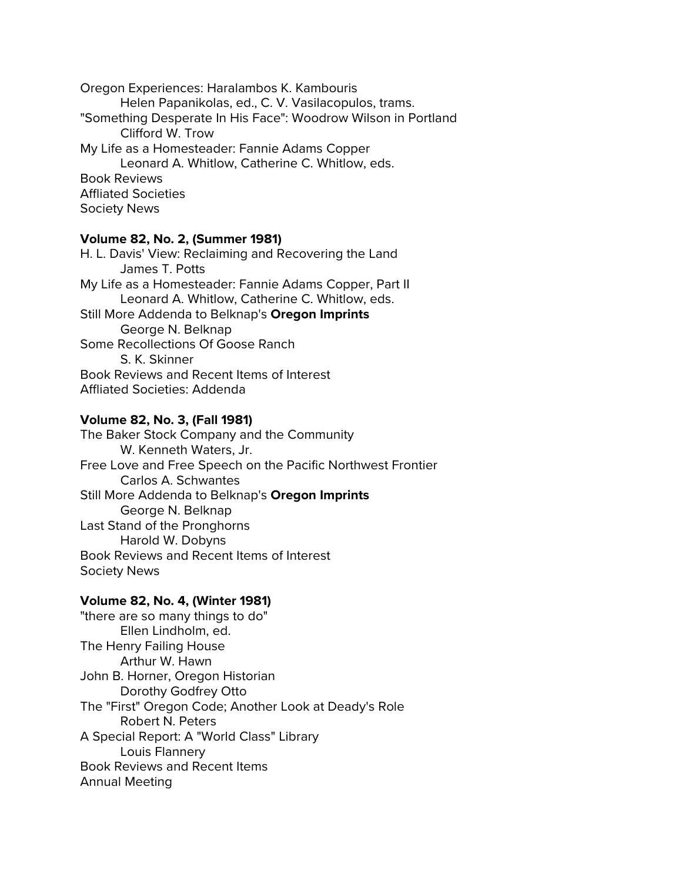Oregon Experiences: Haralambos K. Kambouris Helen Papanikolas, ed., C. V. Vasilacopulos, trams. "Something Desperate In His Face": Woodrow Wilson in Portland Clifford W. Trow My Life as a Homesteader: Fannie Adams Copper Leonard A. Whitlow, Catherine C. Whitlow, eds. Book Reviews Affliated Societies Society News

### **Volume 82, No. 2, (Summer 1981)**

H. L. Davis' View: Reclaiming and Recovering the Land James T. Potts My Life as a Homesteader: Fannie Adams Copper, Part II Leonard A. Whitlow, Catherine C. Whitlow, eds. Still More Addenda to Belknap's **Oregon Imprints** George N. Belknap Some Recollections Of Goose Ranch S. K. Skinner Book Reviews and Recent Items of Interest Affliated Societies: Addenda

# **Volume 82, No. 3, (Fall 1981)**

The Baker Stock Company and the Community W. Kenneth Waters, Jr. Free Love and Free Speech on the Pacific Northwest Frontier Carlos A. Schwantes Still More Addenda to Belknap's **Oregon Imprints** George N. Belknap Last Stand of the Pronghorns Harold W. Dobyns Book Reviews and Recent Items of Interest Society News

#### **Volume 82, No. 4, (Winter 1981)**

"there are so many things to do" Ellen Lindholm, ed. The Henry Failing House Arthur W. Hawn John B. Horner, Oregon Historian Dorothy Godfrey Otto The "First" Oregon Code; Another Look at Deady's Role Robert N. Peters A Special Report: A "World Class" Library Louis Flannery Book Reviews and Recent Items Annual Meeting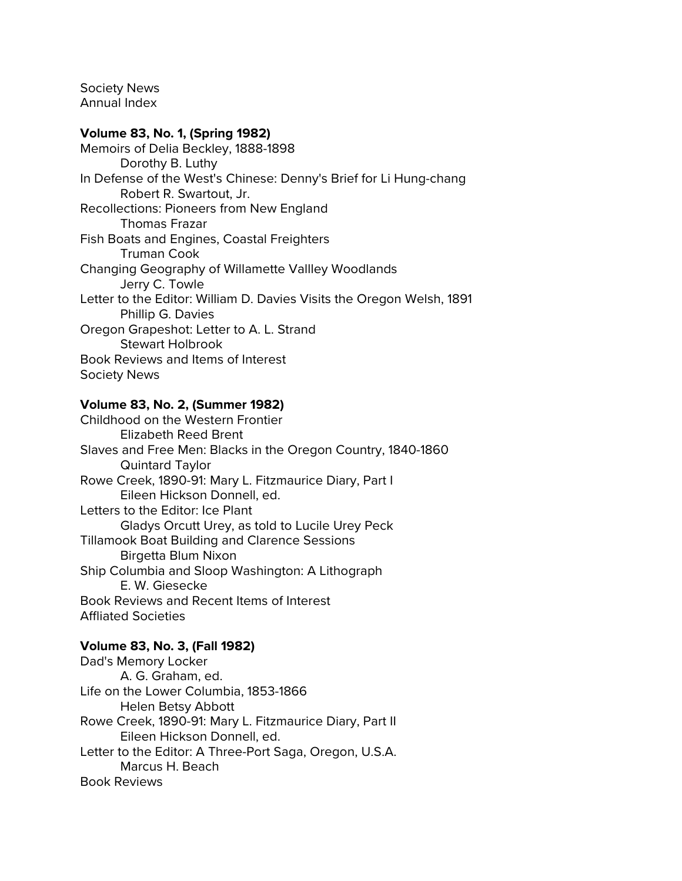Society News Annual Index

### **Volume 83, No. 1, (Spring 1982)**

Memoirs of Delia Beckley, 1888-1898 Dorothy B. Luthy In Defense of the West's Chinese: Denny's Brief for Li Hung-chang Robert R. Swartout, Jr. Recollections: Pioneers from New England Thomas Frazar Fish Boats and Engines, Coastal Freighters Truman Cook Changing Geography of Willamette Vallley Woodlands Jerry C. Towle Letter to the Editor: William D. Davies Visits the Oregon Welsh, 1891 Phillip G. Davies Oregon Grapeshot: Letter to A. L. Strand Stewart Holbrook Book Reviews and Items of Interest Society News

### **Volume 83, No. 2, (Summer 1982)**

Childhood on the Western Frontier Elizabeth Reed Brent Slaves and Free Men: Blacks in the Oregon Country, 1840-1860 Quintard Taylor Rowe Creek, 1890-91: Mary L. Fitzmaurice Diary, Part I Eileen Hickson Donnell, ed. Letters to the Editor: Ice Plant Gladys Orcutt Urey, as told to Lucile Urey Peck Tillamook Boat Building and Clarence Sessions Birgetta Blum Nixon Ship Columbia and Sloop Washington: A Lithograph E. W. Giesecke Book Reviews and Recent Items of Interest Affliated Societies

# **Volume 83, No. 3, (Fall 1982)**

Dad's Memory Locker A. G. Graham, ed. Life on the Lower Columbia, 1853-1866 Helen Betsy Abbott Rowe Creek, 1890-91: Mary L. Fitzmaurice Diary, Part II Eileen Hickson Donnell, ed. Letter to the Editor: A Three-Port Saga, Oregon, U.S.A. Marcus H. Beach Book Reviews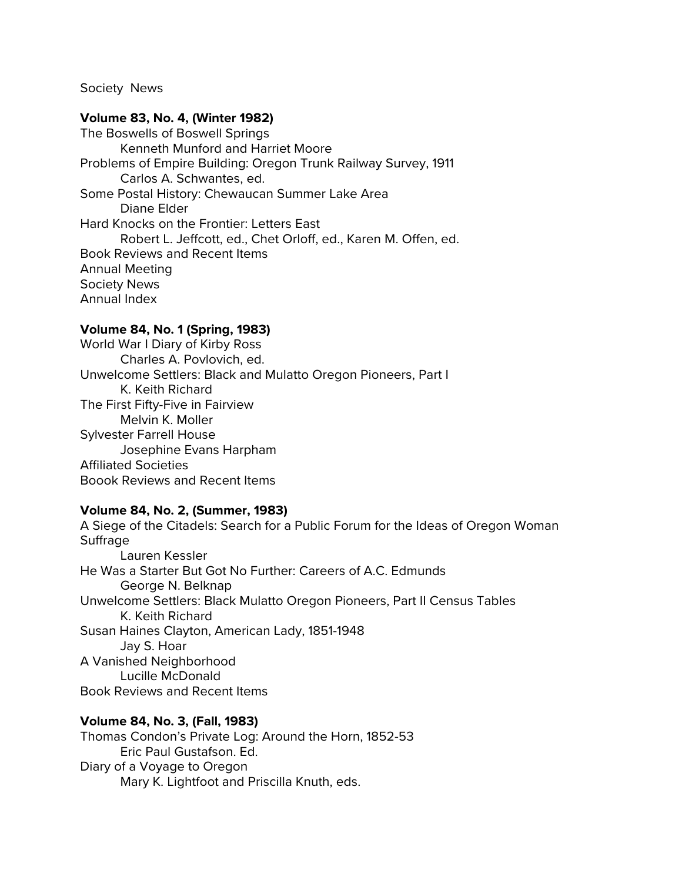Society News

#### **Volume 83, No. 4, (Winter 1982)**

The Boswells of Boswell Springs Kenneth Munford and Harriet Moore Problems of Empire Building: Oregon Trunk Railway Survey, 1911 Carlos A. Schwantes, ed. Some Postal History: Chewaucan Summer Lake Area Diane Elder Hard Knocks on the Frontier: Letters East Robert L. Jeffcott, ed., Chet Orloff, ed., Karen M. Offen, ed. Book Reviews and Recent Items Annual Meeting Society News Annual Index

#### **Volume 84, No. 1 (Spring, 1983)**

World War I Diary of Kirby Ross Charles A. Povlovich, ed. Unwelcome Settlers: Black and Mulatto Oregon Pioneers, Part I K. Keith Richard The First Fifty-Five in Fairview Melvin K. Moller Sylvester Farrell House Josephine Evans Harpham Affiliated Societies Boook Reviews and Recent Items

#### **Volume 84, No. 2, (Summer, 1983)**

A Siege of the Citadels: Search for a Public Forum for the Ideas of Oregon Woman Suffrage Lauren Kessler He Was a Starter But Got No Further: Careers of A.C. Edmunds George N. Belknap Unwelcome Settlers: Black Mulatto Oregon Pioneers, Part II Census Tables K. Keith Richard Susan Haines Clayton, American Lady, 1851-1948 Jay S. Hoar A Vanished Neighborhood Lucille McDonald Book Reviews and Recent Items

#### **Volume 84, No. 3, (Fall, 1983)**

Thomas Condon's Private Log: Around the Horn, 1852-53 Eric Paul Gustafson. Ed. Diary of a Voyage to Oregon Mary K. Lightfoot and Priscilla Knuth, eds.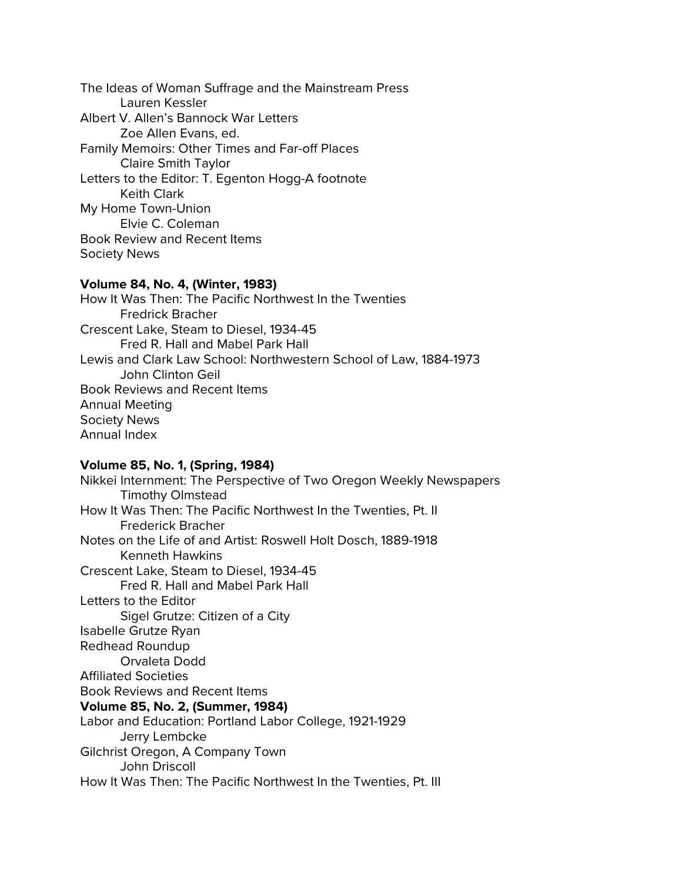The Ideas of Woman Suffrage and the Mainstream Press Lauren Kessler Albert V. Allen's Bannock War Letters Zoe Allen Evans, ed. Family Memoirs: Other Times and Far-off Places Claire Smith Taylor Letters to the Editor: T. Egenton Hogg-A footnote Keith Clark My Home Town-Union Elvie C. Coleman Book Review and Recent Items Society News

#### **Volume 84, No. 4, (Winter, 1983)**

How It Was Then: The Pacific Northwest In the Twenties Fredrick Bracher Crescent Lake, Steam to Diesel, 1934-45 Fred R. Hall and Mabel Park Hall Lewis and Clark Law School: Northwestern School of Law, 1884-1973 John Clinton Geil Book Reviews and Recent Items Annual Meeting Society News Annual Index

#### **Volume 85, No. 1, (Spring, 1984)**

Nikkei Internment: The Perspective of Two Oregon Weekly Newspapers Timothy Olmstead How It Was Then: The Pacific Northwest In the Twenties, Pt. II Frederick Bracher Notes on the Life of and Artist: Roswell Holt Dosch, 1889-1918 Kenneth Hawkins Crescent Lake, Steam to Diesel, 1934-45 Fred R. Hall and Mabel Park Hall Letters to the Editor Sigel Grutze: Citizen of a City Isabelle Grutze Ryan Redhead Roundup Orvaleta Dodd Affiliated Societies Book Reviews and Recent Items **Volume 85, No. 2, (Summer, 1984)** Labor and Education: Portland Labor College, 1921-1929 Jerry Lembcke Gilchrist Oregon, A Company Town John Driscoll How It Was Then: The Pacific Northwest In the Twenties, Pt. III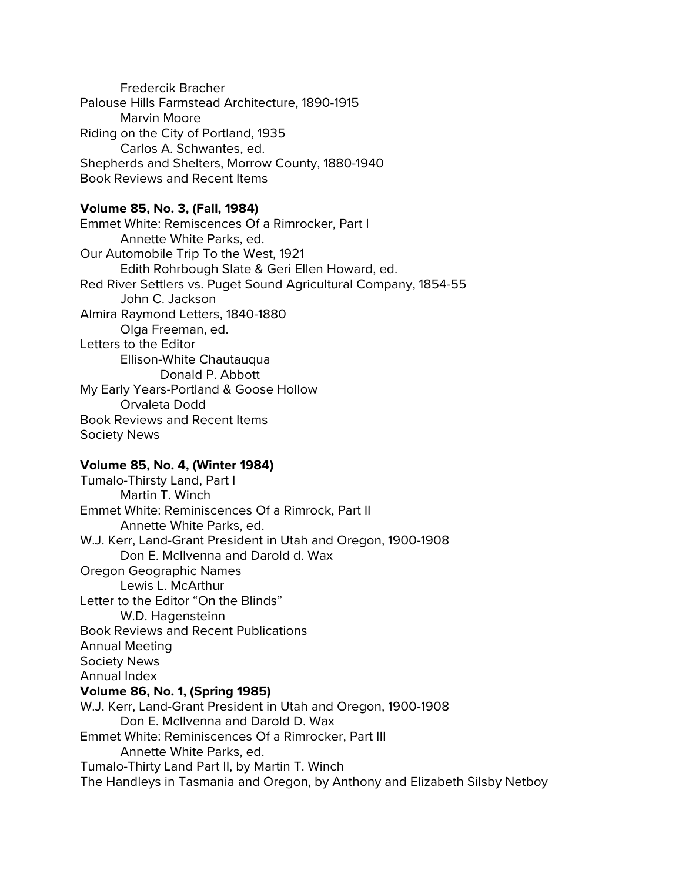Fredercik Bracher Palouse Hills Farmstead Architecture, 1890-1915 Marvin Moore Riding on the City of Portland, 1935 Carlos A. Schwantes, ed. Shepherds and Shelters, Morrow County, 1880-1940 Book Reviews and Recent Items

# **Volume 85, No. 3, (Fall, 1984)**

Emmet White: Remiscences Of a Rimrocker, Part I Annette White Parks, ed. Our Automobile Trip To the West, 1921 Edith Rohrbough Slate & Geri Ellen Howard, ed. Red River Settlers vs. Puget Sound Agricultural Company, 1854-55 John C. Jackson Almira Raymond Letters, 1840-1880 Olga Freeman, ed. Letters to the Editor Ellison-White Chautauqua Donald P. Abbott My Early Years-Portland & Goose Hollow Orvaleta Dodd Book Reviews and Recent Items Society News

#### **Volume 85, No. 4, (Winter 1984)**

Tumalo-Thirsty Land, Part I Martin T. Winch Emmet White: Reminiscences Of a Rimrock, Part II Annette White Parks, ed. W.J. Kerr, Land-Grant President in Utah and Oregon, 1900-1908 Don E. McIlvenna and Darold d. Wax Oregon Geographic Names Lewis L. McArthur Letter to the Editor "On the Blinds" W.D. Hagensteinn Book Reviews and Recent Publications Annual Meeting Society News Annual Index **Volume 86, No. 1, (Spring 1985)** W.J. Kerr, Land-Grant President in Utah and Oregon, 1900-1908 Don E. McIlvenna and Darold D. Wax Emmet White: Reminiscences Of a Rimrocker, Part III Annette White Parks, ed. Tumalo-Thirty Land Part II, by Martin T. Winch The Handleys in Tasmania and Oregon, by Anthony and Elizabeth Silsby Netboy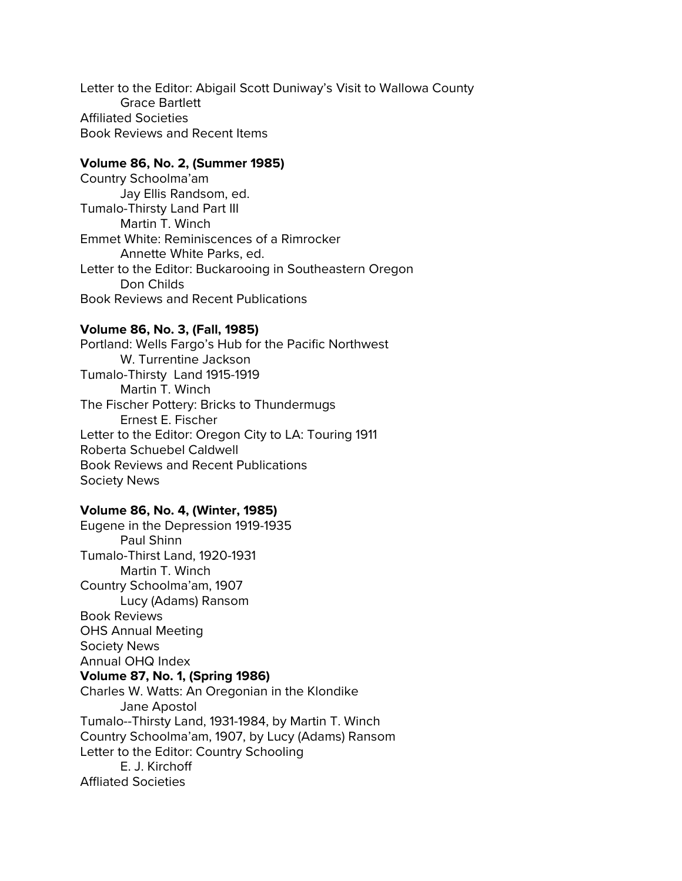Letter to the Editor: Abigail Scott Duniway's Visit to Wallowa County Grace Bartlett Affiliated Societies Book Reviews and Recent Items

## **Volume 86, No. 2, (Summer 1985)**

Country Schoolma'am Jay Ellis Randsom, ed. Tumalo-Thirsty Land Part III Martin T. Winch Emmet White: Reminiscences of a Rimrocker Annette White Parks, ed. Letter to the Editor: Buckarooing in Southeastern Oregon Don Childs Book Reviews and Recent Publications

# **Volume 86, No. 3, (Fall, 1985)**

Portland: Wells Fargo's Hub for the Pacific Northwest W. Turrentine Jackson Tumalo-Thirsty Land 1915-1919 Martin T. Winch The Fischer Pottery: Bricks to Thundermugs Ernest E. Fischer Letter to the Editor: Oregon City to LA: Touring 1911 Roberta Schuebel Caldwell Book Reviews and Recent Publications Society News

# **Volume 86, No. 4, (Winter, 1985)**

Eugene in the Depression 1919-1935 Paul Shinn Tumalo-Thirst Land, 1920-1931 Martin T. Winch Country Schoolma'am, 1907 Lucy (Adams) Ransom Book Reviews OHS Annual Meeting Society News Annual OHQ Index **Volume 87, No. 1, (Spring 1986)** Charles W. Watts: An Oregonian in the Klondike Jane Apostol Tumalo--Thirsty Land, 1931-1984, by Martin T. Winch Country Schoolma'am, 1907, by Lucy (Adams) Ransom Letter to the Editor: Country Schooling E. J. Kirchoff Affliated Societies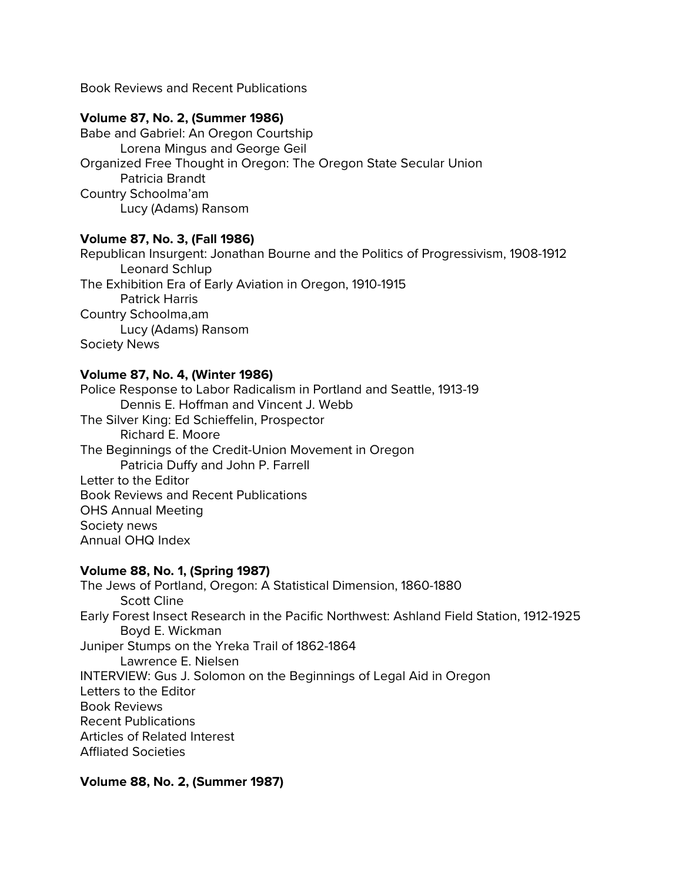Book Reviews and Recent Publications

# **Volume 87, No. 2, (Summer 1986)**

Babe and Gabriel: An Oregon Courtship Lorena Mingus and George Geil Organized Free Thought in Oregon: The Oregon State Secular Union Patricia Brandt Country Schoolma'am Lucy (Adams) Ransom

# **Volume 87, No. 3, (Fall 1986)**

Republican Insurgent: Jonathan Bourne and the Politics of Progressivism, 1908-1912 Leonard Schlup The Exhibition Era of Early Aviation in Oregon, 1910-1915 Patrick Harris Country Schoolma,am Lucy (Adams) Ransom Society News

# **Volume 87, No. 4, (Winter 1986)**

Police Response to Labor Radicalism in Portland and Seattle, 1913-19 Dennis E. Hoffman and Vincent J. Webb The Silver King: Ed Schieffelin, Prospector Richard E. Moore The Beginnings of the Credit-Union Movement in Oregon Patricia Duffy and John P. Farrell Letter to the Editor Book Reviews and Recent Publications OHS Annual Meeting Society news Annual OHQ Index

# **Volume 88, No. 1, (Spring 1987)**

The Jews of Portland, Oregon: A Statistical Dimension, 1860-1880 Scott Cline Early Forest Insect Research in the Pacific Northwest: Ashland Field Station, 1912-1925 Boyd E. Wickman Juniper Stumps on the Yreka Trail of 1862-1864 Lawrence E. Nielsen INTERVIEW: Gus J. Solomon on the Beginnings of Legal Aid in Oregon Letters to the Editor Book Reviews Recent Publications Articles of Related Interest Affliated Societies

# **Volume 88, No. 2, (Summer 1987)**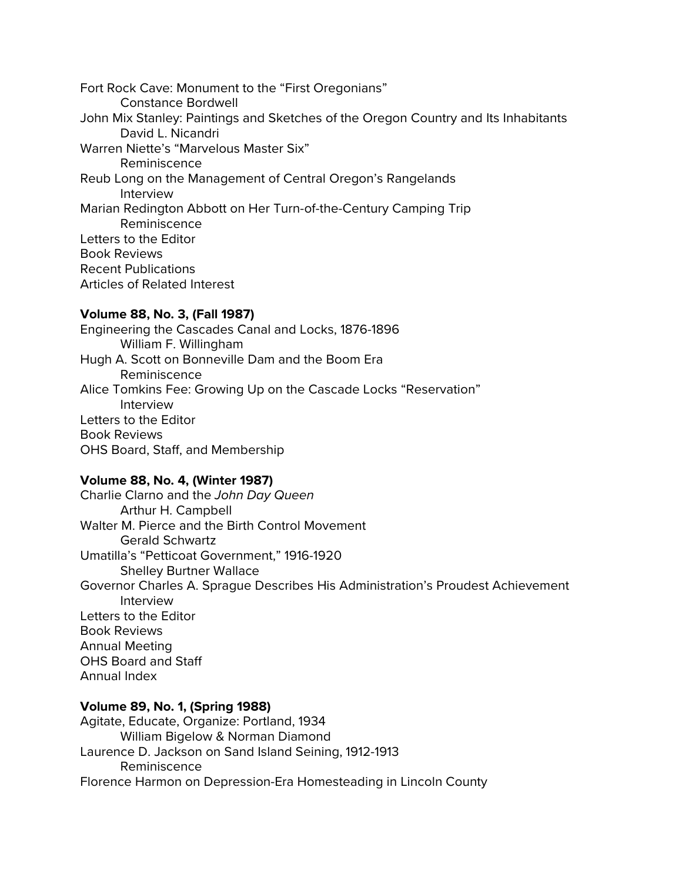Fort Rock Cave: Monument to the "First Oregonians" Constance Bordwell John Mix Stanley: Paintings and Sketches of the Oregon Country and Its Inhabitants David L. Nicandri Warren Niette's "Marvelous Master Six" Reminiscence Reub Long on the Management of Central Oregon's Rangelands Interview Marian Redington Abbott on Her Turn-of-the-Century Camping Trip Reminiscence Letters to the Editor Book Reviews Recent Publications Articles of Related Interest

# **Volume 88, No. 3, (Fall 1987)**

Engineering the Cascades Canal and Locks, 1876-1896 William F. Willingham Hugh A. Scott on Bonneville Dam and the Boom Era Reminiscence Alice Tomkins Fee: Growing Up on the Cascade Locks "Reservation" Interview Letters to the Editor Book Reviews OHS Board, Staff, and Membership

# **Volume 88, No. 4, (Winter 1987)**

Charlie Clarno and the *John Day Queen* Arthur H. Campbell Walter M. Pierce and the Birth Control Movement Gerald Schwartz Umatilla's "Petticoat Government," 1916-1920 Shelley Burtner Wallace Governor Charles A. Sprague Describes His Administration's Proudest Achievement Interview Letters to the Editor Book Reviews Annual Meeting OHS Board and Staff Annual Index

# **Volume 89, No. 1, (Spring 1988)**

Agitate, Educate, Organize: Portland, 1934 William Bigelow & Norman Diamond Laurence D. Jackson on Sand Island Seining, 1912-1913 Reminiscence Florence Harmon on Depression-Era Homesteading in Lincoln County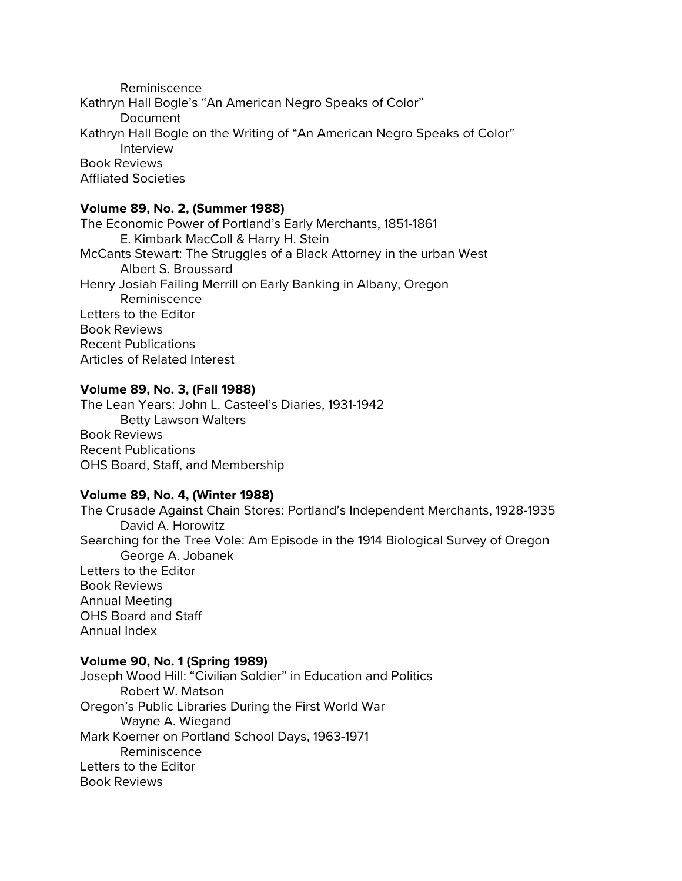Reminiscence Kathryn Hall Bogle's "An American Negro Speaks of Color" Document Kathryn Hall Bogle on the Writing of "An American Negro Speaks of Color" Interview Book Reviews Affliated Societies

#### **Volume 89, No. 2, (Summer 1988)**

The Economic Power of Portland's Early Merchants, 1851-1861 E. Kimbark MacColl & Harry H. Stein McCants Stewart: The Struggles of a Black Attorney in the urban West Albert S. Broussard Henry Josiah Failing Merrill on Early Banking in Albany, Oregon Reminiscence Letters to the Editor Book Reviews Recent Publications Articles of Related Interest

#### **Volume 89, No. 3, (Fall 1988)**

The Lean Years: John L. Casteel's Diaries, 1931-1942 Betty Lawson Walters Book Reviews Recent Publications OHS Board, Staff, and Membership

#### **Volume 89, No. 4, (Winter 1988)**

The Crusade Against Chain Stores: Portland's Independent Merchants, 1928-1935 David A. Horowitz Searching for the Tree Vole: Am Episode in the 1914 Biological Survey of Oregon George A. Jobanek Letters to the Editor Book Reviews Annual Meeting OHS Board and Staff Annual Index

#### **Volume 90, No. 1 (Spring 1989)**

Joseph Wood Hill: "Civilian Soldier" in Education and Politics Robert W. Matson Oregon's Public Libraries During the First World War Wayne A. Wiegand Mark Koerner on Portland School Days, 1963-1971 Reminiscence Letters to the Editor Book Reviews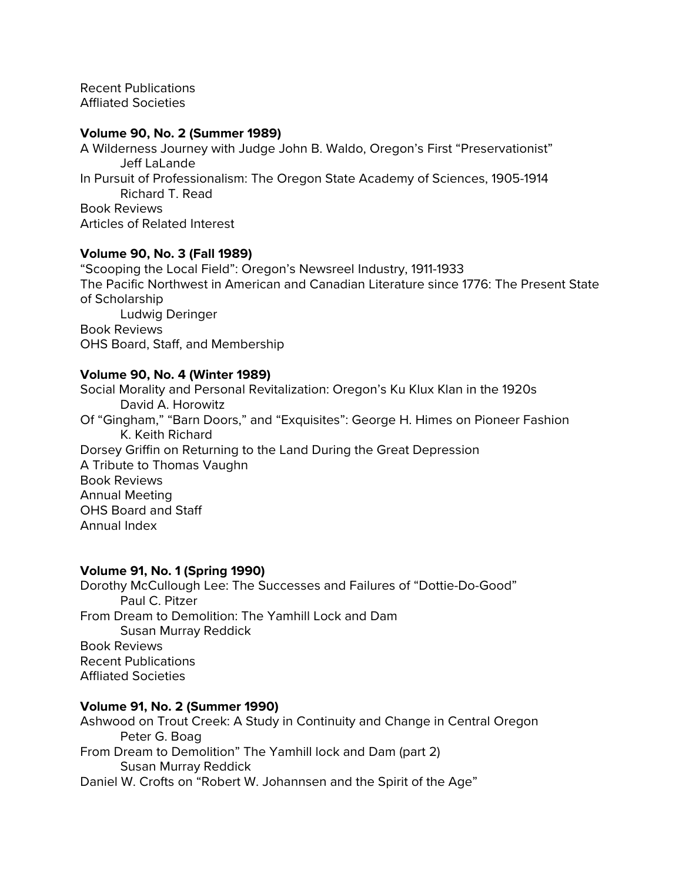Recent Publications Affliated Societies

#### **Volume 90, No. 2 (Summer 1989)**

A Wilderness Journey with Judge John B. Waldo, Oregon's First "Preservationist" Jeff LaLande In Pursuit of Professionalism: The Oregon State Academy of Sciences, 1905-1914 Richard T. Read Book Reviews Articles of Related Interest

## **Volume 90, No. 3 (Fall 1989)**

"Scooping the Local Field": Oregon's Newsreel Industry, 1911-1933 The Pacific Northwest in American and Canadian Literature since 1776: The Present State of Scholarship Ludwig Deringer Book Reviews OHS Board, Staff, and Membership

## **Volume 90, No. 4 (Winter 1989)**

Social Morality and Personal Revitalization: Oregon's Ku Klux Klan in the 1920s David A. Horowitz Of "Gingham," "Barn Doors," and "Exquisites": George H. Himes on Pioneer Fashion K. Keith Richard Dorsey Griffin on Returning to the Land During the Great Depression A Tribute to Thomas Vaughn Book Reviews Annual Meeting OHS Board and Staff Annual Index

#### **Volume 91, No. 1 (Spring 1990)**

Dorothy McCullough Lee: The Successes and Failures of "Dottie-Do-Good" Paul C. Pitzer From Dream to Demolition: The Yamhill Lock and Dam Susan Murray Reddick Book Reviews Recent Publications Affliated Societies

#### **Volume 91, No. 2 (Summer 1990)**

Ashwood on Trout Creek: A Study in Continuity and Change in Central Oregon Peter G. Boag From Dream to Demolition" The Yamhill lock and Dam (part 2) Susan Murray Reddick Daniel W. Crofts on "Robert W. Johannsen and the Spirit of the Age"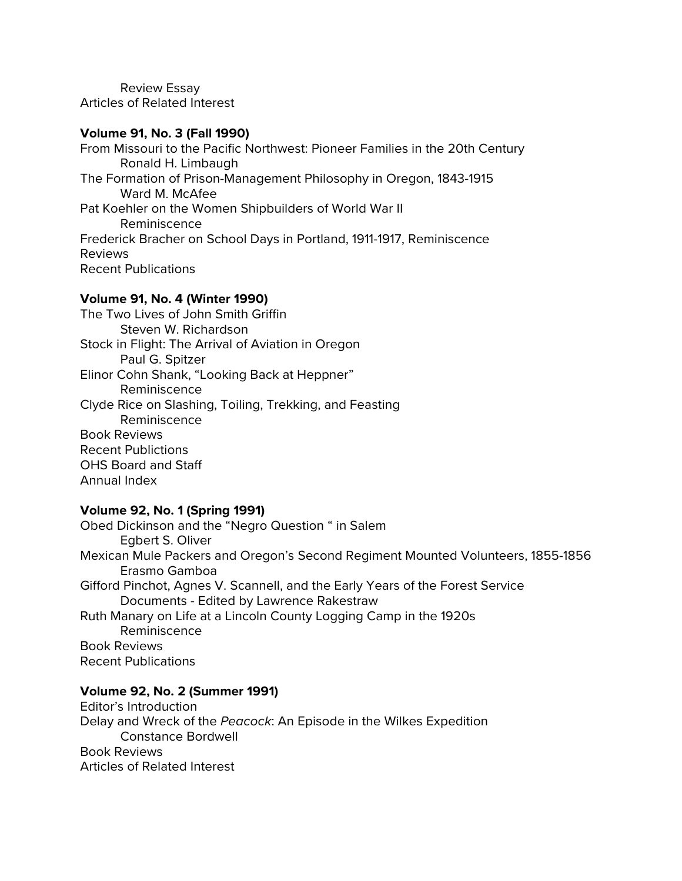Review Essay Articles of Related Interest

#### **Volume 91, No. 3 (Fall 1990)**

From Missouri to the Pacific Northwest: Pioneer Families in the 20th Century Ronald H. Limbaugh The Formation of Prison-Management Philosophy in Oregon, 1843-1915 Ward M. McAfee Pat Koehler on the Women Shipbuilders of World War II Reminiscence Frederick Bracher on School Days in Portland, 1911-1917, Reminiscence Reviews Recent Publications

# **Volume 91, No. 4 (Winter 1990)**

The Two Lives of John Smith Griffin Steven W. Richardson Stock in Flight: The Arrival of Aviation in Oregon Paul G. Spitzer Elinor Cohn Shank, "Looking Back at Heppner" Reminiscence Clyde Rice on Slashing, Toiling, Trekking, and Feasting Reminiscence Book Reviews Recent Publictions OHS Board and Staff Annual Index

## **Volume 92, No. 1 (Spring 1991)**

Obed Dickinson and the "Negro Question " in Salem Egbert S. Oliver Mexican Mule Packers and Oregon's Second Regiment Mounted Volunteers, 1855-1856 Erasmo Gamboa Gifford Pinchot, Agnes V. Scannell, and the Early Years of the Forest Service Documents - Edited by Lawrence Rakestraw Ruth Manary on Life at a Lincoln County Logging Camp in the 1920s Reminiscence Book Reviews Recent Publications

## **Volume 92, No. 2 (Summer 1991)**

Editor's Introduction Delay and Wreck of the *Peacock*: An Episode in the Wilkes Expedition Constance Bordwell Book Reviews Articles of Related Interest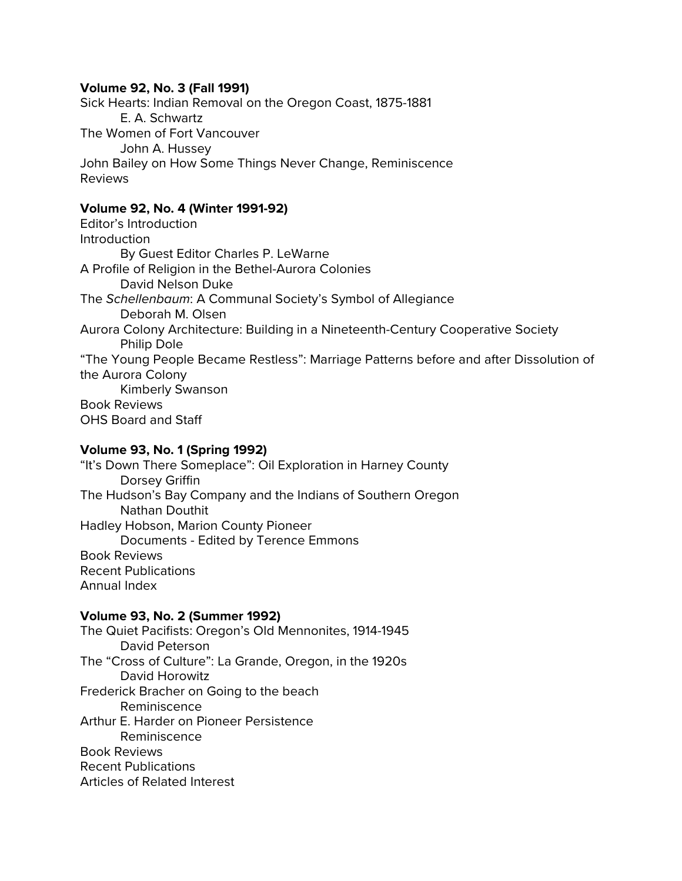## **Volume 92, No. 3 (Fall 1991)**

Sick Hearts: Indian Removal on the Oregon Coast, 1875-1881 E. A. Schwartz The Women of Fort Vancouver John A. Hussey John Bailey on How Some Things Never Change, Reminiscence Reviews

## **Volume 92, No. 4 (Winter 1991-92)**

Editor's Introduction Introduction By Guest Editor Charles P. LeWarne A Profile of Religion in the Bethel-Aurora Colonies David Nelson Duke The *Schellenbaum*: A Communal Society's Symbol of Allegiance Deborah M. Olsen Aurora Colony Architecture: Building in a Nineteenth-Century Cooperative Society Philip Dole "The Young People Became Restless": Marriage Patterns before and after Dissolution of the Aurora Colony Kimberly Swanson Book Reviews OHS Board and Staff

## **Volume 93, No. 1 (Spring 1992)**

"It's Down There Someplace": Oil Exploration in Harney County Dorsey Griffin The Hudson's Bay Company and the Indians of Southern Oregon Nathan Douthit Hadley Hobson, Marion County Pioneer Documents - Edited by Terence Emmons Book Reviews Recent Publications Annual Index

## **Volume 93, No. 2 (Summer 1992)**

The Quiet Pacifists: Oregon's Old Mennonites, 1914-1945 David Peterson The "Cross of Culture": La Grande, Oregon, in the 1920s David Horowitz Frederick Bracher on Going to the beach Reminiscence Arthur E. Harder on Pioneer Persistence Reminiscence Book Reviews Recent Publications Articles of Related Interest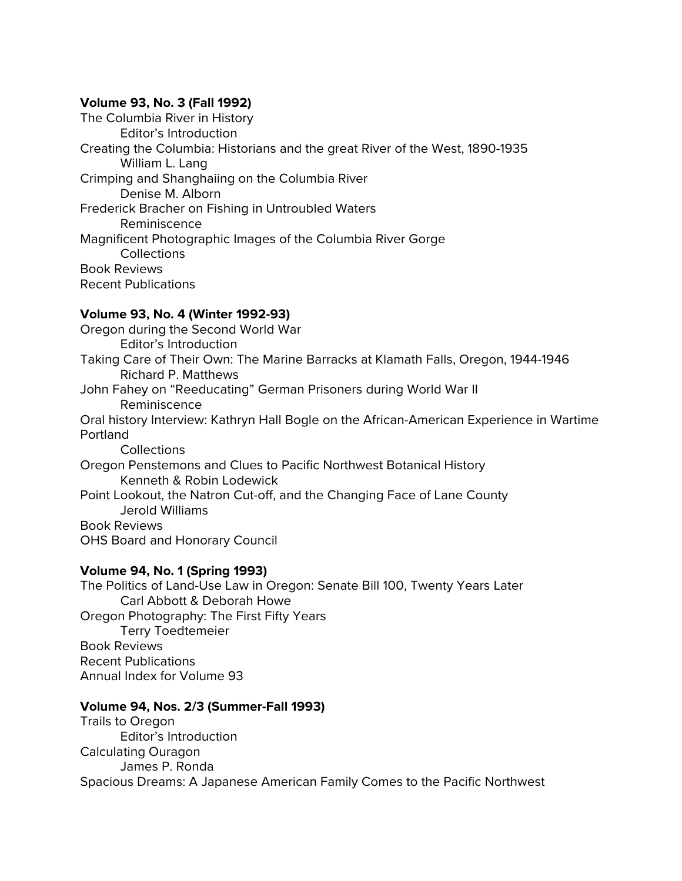## **Volume 93, No. 3 (Fall 1992)**

The Columbia River in History Editor's Introduction Creating the Columbia: Historians and the great River of the West, 1890-1935 William L. Lang Crimping and Shanghaiing on the Columbia River Denise M. Alborn Frederick Bracher on Fishing in Untroubled Waters Reminiscence Magnificent Photographic Images of the Columbia River Gorge **Collections** Book Reviews Recent Publications

# **Volume 93, No. 4 (Winter 1992-93)**

Oregon during the Second World War Editor's Introduction Taking Care of Their Own: The Marine Barracks at Klamath Falls, Oregon, 1944-1946 Richard P. Matthews John Fahey on "Reeducating" German Prisoners during World War II Reminiscence Oral history Interview: Kathryn Hall Bogle on the African-American Experience in Wartime Portland Collections Oregon Penstemons and Clues to Pacific Northwest Botanical History Kenneth & Robin Lodewick Point Lookout, the Natron Cut-off, and the Changing Face of Lane County Jerold Williams Book Reviews OHS Board and Honorary Council

# **Volume 94, No. 1 (Spring 1993)**

The Politics of Land-Use Law in Oregon: Senate Bill 100, Twenty Years Later Carl Abbott & Deborah Howe Oregon Photography: The First Fifty Years Terry Toedtemeier Book Reviews Recent Publications Annual Index for Volume 93

# **Volume 94, Nos. 2/3 (Summer-Fall 1993)**

Trails to Oregon Editor's Introduction Calculating Ouragon James P. Ronda Spacious Dreams: A Japanese American Family Comes to the Pacific Northwest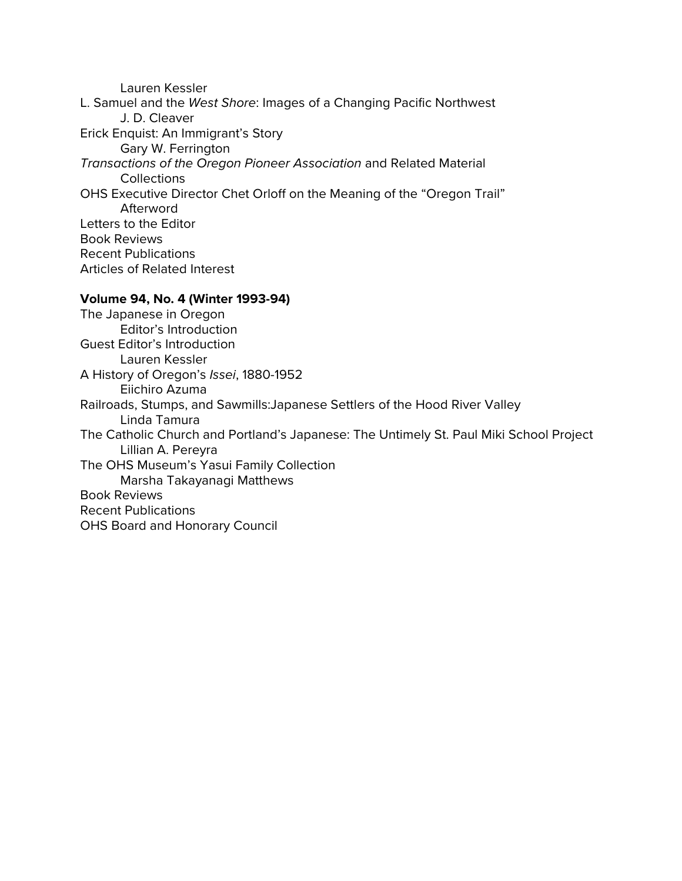Lauren Kessler L. Samuel and the *West Shore*: Images of a Changing Pacific Northwest J. D. Cleaver Erick Enquist: An Immigrant's Story Gary W. Ferrington *Transactions of the Oregon Pioneer Association* and Related Material **Collections** OHS Executive Director Chet Orloff on the Meaning of the "Oregon Trail" Afterword Letters to the Editor Book Reviews Recent Publications Articles of Related Interest

#### **Volume 94, No. 4 (Winter 1993-94)**

The Japanese in Oregon Editor's Introduction Guest Editor's Introduction Lauren Kessler A History of Oregon's *Issei*, 1880-1952 Eiichiro Azuma Railroads, Stumps, and Sawmills:Japanese Settlers of the Hood River Valley Linda Tamura The Catholic Church and Portland's Japanese: The Untimely St. Paul Miki School Project Lillian A. Pereyra The OHS Museum's Yasui Family Collection Marsha Takayanagi Matthews Book Reviews Recent Publications OHS Board and Honorary Council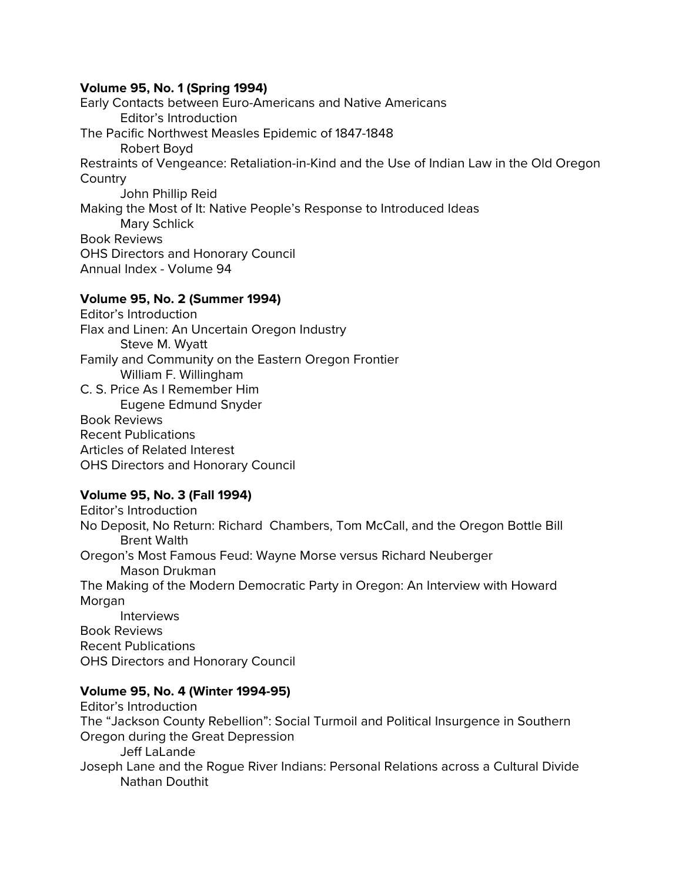## **Volume 95, No. 1 (Spring 1994)**

Early Contacts between Euro-Americans and Native Americans Editor's Introduction The Pacific Northwest Measles Epidemic of 1847-1848 Robert Boyd Restraints of Vengeance: Retaliation-in-Kind and the Use of Indian Law in the Old Oregon **Country** John Phillip Reid Making the Most of It: Native People's Response to Introduced Ideas Mary Schlick Book Reviews OHS Directors and Honorary Council Annual Index - Volume 94

## **Volume 95, No. 2 (Summer 1994)**

Editor's Introduction Flax and Linen: An Uncertain Oregon Industry Steve M. Wyatt Family and Community on the Eastern Oregon Frontier William F. Willingham C. S. Price As I Remember Him Eugene Edmund Snyder Book Reviews Recent Publications Articles of Related Interest OHS Directors and Honorary Council

## **Volume 95, No. 3 (Fall 1994)**

Editor's Introduction No Deposit, No Return: Richard Chambers, Tom McCall, and the Oregon Bottle Bill Brent Walth Oregon's Most Famous Feud: Wayne Morse versus Richard Neuberger Mason Drukman The Making of the Modern Democratic Party in Oregon: An Interview with Howard Morgan Interviews Book Reviews Recent Publications

OHS Directors and Honorary Council

# **Volume 95, No. 4 (Winter 1994-95)**

Editor's Introduction The "Jackson County Rebellion": Social Turmoil and Political Insurgence in Southern Oregon during the Great Depression Jeff LaLande Joseph Lane and the Rogue River Indians: Personal Relations across a Cultural Divide Nathan Douthit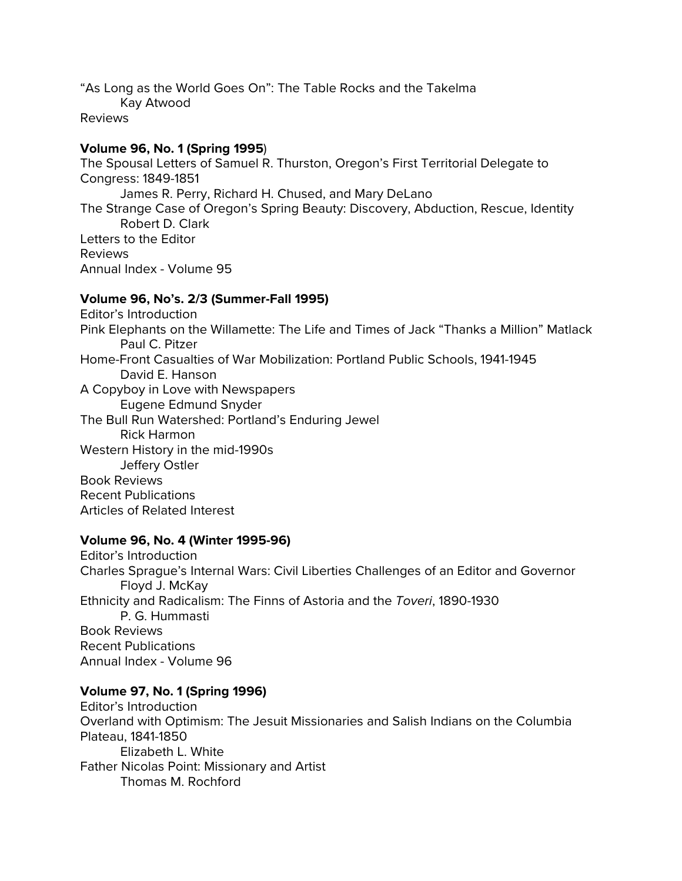"As Long as the World Goes On": The Table Rocks and the Takelma

Kay Atwood

Reviews

# **Volume 96, No. 1 (Spring 1995**)

The Spousal Letters of Samuel R. Thurston, Oregon's First Territorial Delegate to Congress: 1849-1851 James R. Perry, Richard H. Chused, and Mary DeLano The Strange Case of Oregon's Spring Beauty: Discovery, Abduction, Rescue, Identity Robert D. Clark Letters to the Editor Reviews Annual Index - Volume 95

# **Volume 96, No's. 2/3 (Summer-Fall 1995)**

Editor's Introduction Pink Elephants on the Willamette: The Life and Times of Jack "Thanks a Million" Matlack Paul C. Pitzer Home-Front Casualties of War Mobilization: Portland Public Schools, 1941-1945 David E. Hanson A Copyboy in Love with Newspapers Eugene Edmund Snyder The Bull Run Watershed: Portland's Enduring Jewel Rick Harmon Western History in the mid-1990s Jeffery Ostler Book Reviews Recent Publications Articles of Related Interest

**Volume 96, No. 4 (Winter 1995-96)** Editor's Introduction Charles Sprague's Internal Wars: Civil Liberties Challenges of an Editor and Governor Floyd J. McKay Ethnicity and Radicalism: The Finns of Astoria and the *Toveri*, 1890-1930 P. G. Hummasti Book Reviews Recent Publications Annual Index - Volume 96

# **Volume 97, No. 1 (Spring 1996)**

Editor's Introduction Overland with Optimism: The Jesuit Missionaries and Salish Indians on the Columbia Plateau, 1841-1850 Elizabeth L. White Father Nicolas Point: Missionary and Artist Thomas M. Rochford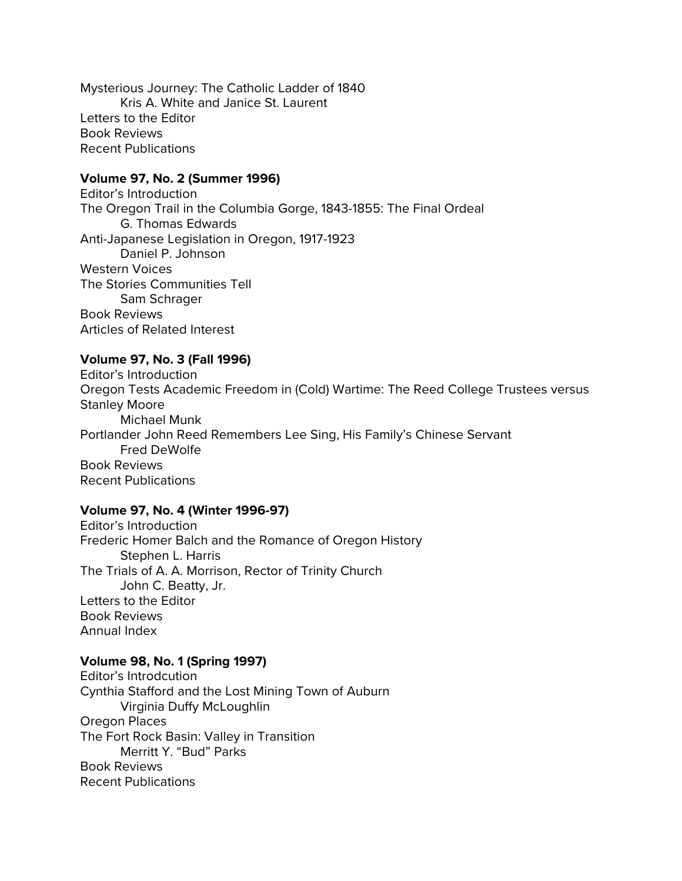Mysterious Journey: The Catholic Ladder of 1840 Kris A. White and Janice St. Laurent Letters to the Editor Book Reviews Recent Publications

#### **Volume 97, No. 2 (Summer 1996)**

Editor's Introduction The Oregon Trail in the Columbia Gorge, 1843-1855: The Final Ordeal G. Thomas Edwards Anti-Japanese Legislation in Oregon, 1917-1923 Daniel P. Johnson Western Voices The Stories Communities Tell Sam Schrager Book Reviews Articles of Related Interest

## **Volume 97, No. 3 (Fall 1996)**

Editor's Introduction Oregon Tests Academic Freedom in (Cold) Wartime: The Reed College Trustees versus Stanley Moore Michael Munk Portlander John Reed Remembers Lee Sing, His Family's Chinese Servant Fred DeWolfe Book Reviews Recent Publications

#### **Volume 97, No. 4 (Winter 1996-97)**

Editor's Introduction Frederic Homer Balch and the Romance of Oregon History Stephen L. Harris The Trials of A. A. Morrison, Rector of Trinity Church John C. Beatty, Jr. Letters to the Editor Book Reviews Annual Index

#### **Volume 98, No. 1 (Spring 1997)**

Editor's Introdcution Cynthia Stafford and the Lost Mining Town of Auburn Virginia Duffy McLoughlin Oregon Places The Fort Rock Basin: Valley in Transition Merritt Y. "Bud" Parks Book Reviews Recent Publications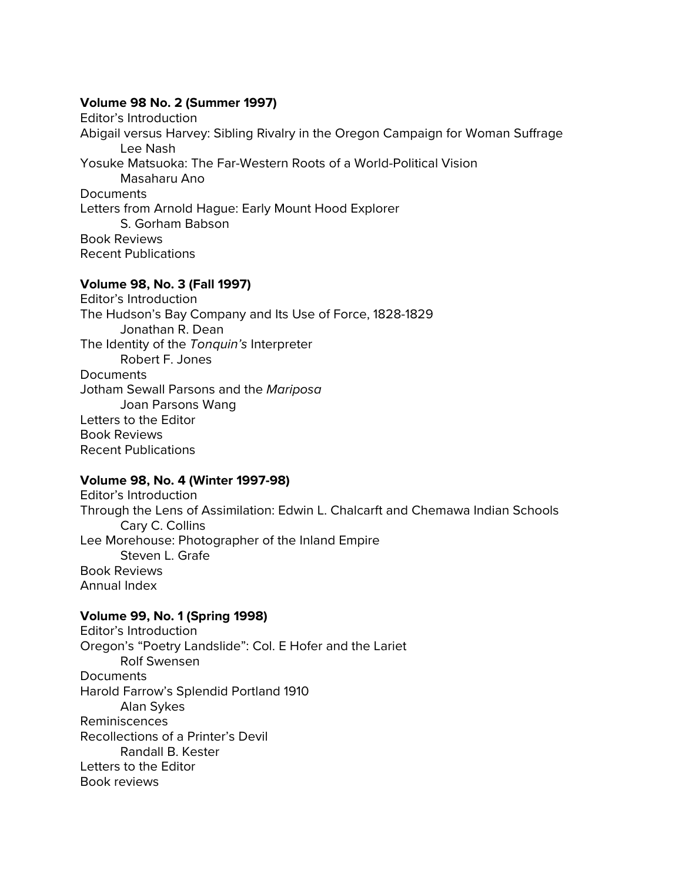#### **Volume 98 No. 2 (Summer 1997)**

Editor's Introduction Abigail versus Harvey: Sibling Rivalry in the Oregon Campaign for Woman Suffrage Lee Nash Yosuke Matsuoka: The Far-Western Roots of a World-Political Vision Masaharu Ano **Documents** Letters from Arnold Hague: Early Mount Hood Explorer S. Gorham Babson Book Reviews Recent Publications

## **Volume 98, No. 3 (Fall 1997)**

Editor's Introduction The Hudson's Bay Company and Its Use of Force, 1828-1829 Jonathan R. Dean The Identity of the *Tonquin's* Interpreter Robert F. Jones **Documents** Jotham Sewall Parsons and the *Mariposa* Joan Parsons Wang Letters to the Editor Book Reviews Recent Publications

## **Volume 98, No. 4 (Winter 1997-98)**

Editor's Introduction Through the Lens of Assimilation: Edwin L. Chalcarft and Chemawa Indian Schools Cary C. Collins Lee Morehouse: Photographer of the Inland Empire Steven L. Grafe Book Reviews Annual Index

#### **Volume 99, No. 1 (Spring 1998)**

Editor's Introduction Oregon's "Poetry Landslide": Col. E Hofer and the Lariet Rolf Swensen **Documents** Harold Farrow's Splendid Portland 1910 Alan Sykes Reminiscences Recollections of a Printer's Devil Randall B. Kester Letters to the Editor Book reviews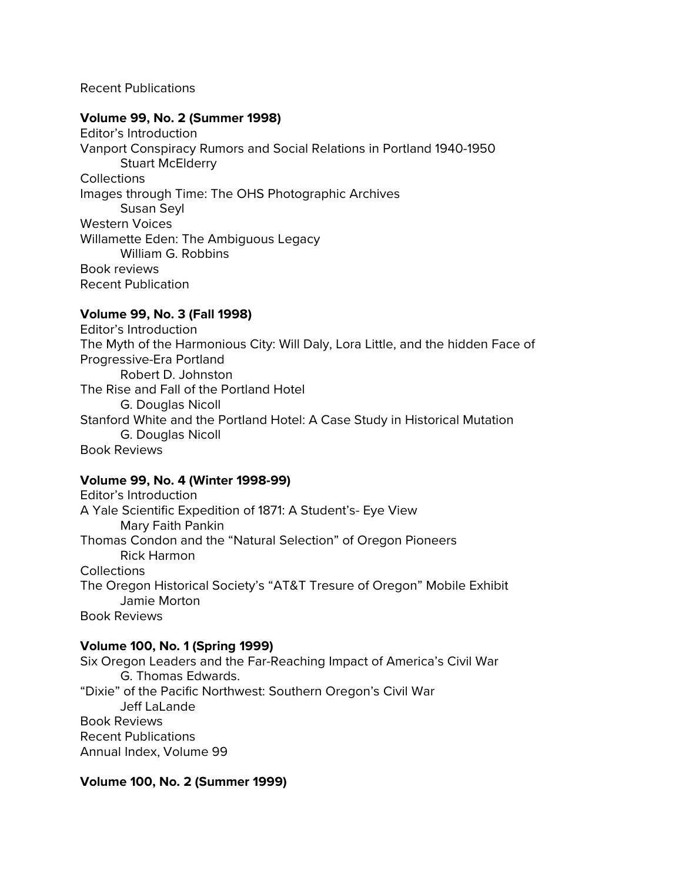#### Recent Publications

#### **Volume 99, No. 2 (Summer 1998)**

Editor's Introduction Vanport Conspiracy Rumors and Social Relations in Portland 1940-1950 Stuart McElderry **Collections** Images through Time: The OHS Photographic Archives Susan Seyl Western Voices Willamette Eden: The Ambiguous Legacy William G. Robbins Book reviews Recent Publication

# **Volume 99, No. 3 (Fall 1998)**

Editor's Introduction The Myth of the Harmonious City: Will Daly, Lora Little, and the hidden Face of Progressive-Era Portland Robert D. Johnston The Rise and Fall of the Portland Hotel G. Douglas Nicoll Stanford White and the Portland Hotel: A Case Study in Historical Mutation G. Douglas Nicoll Book Reviews

## **Volume 99, No. 4 (Winter 1998-99)**

Editor's Introduction A Yale Scientific Expedition of 1871: A Student's- Eye View Mary Faith Pankin Thomas Condon and the "Natural Selection" of Oregon Pioneers Rick Harmon **Collections** The Oregon Historical Society's "AT&T Tresure of Oregon" Mobile Exhibit Jamie Morton Book Reviews

## **Volume 100, No. 1 (Spring 1999)**

Six Oregon Leaders and the Far-Reaching Impact of America's Civil War G. Thomas Edwards. "Dixie" of the Pacific Northwest: Southern Oregon's Civil War Jeff LaLande Book Reviews Recent Publications Annual Index, Volume 99

## **Volume 100, No. 2 (Summer 1999)**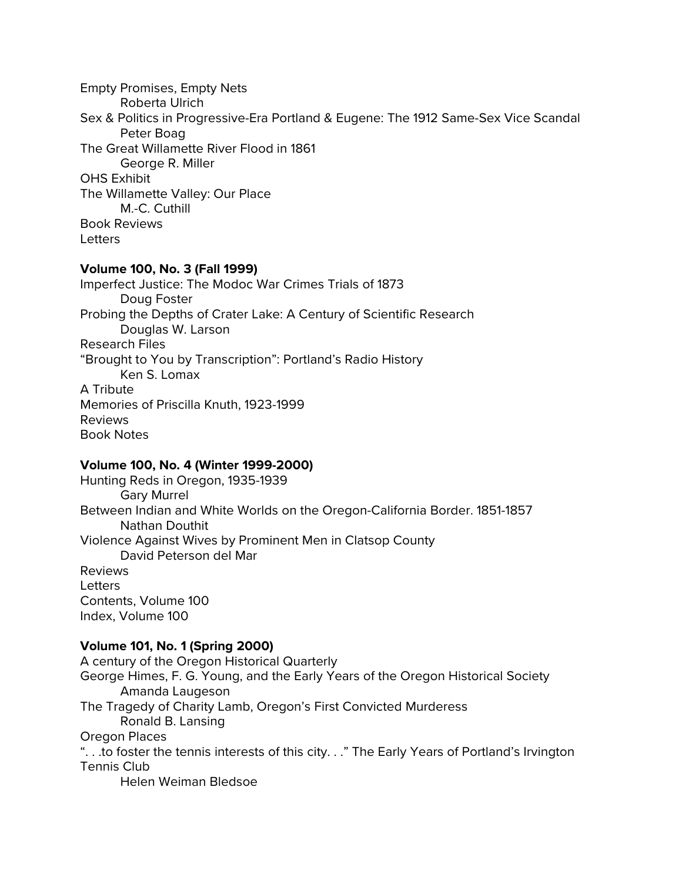Empty Promises, Empty Nets Roberta Ulrich Sex & Politics in Progressive-Era Portland & Eugene: The 1912 Same-Sex Vice Scandal Peter Boag The Great Willamette River Flood in 1861 George R. Miller OHS Exhibit The Willamette Valley: Our Place M.-C. Cuthill Book Reviews **Letters** 

#### **Volume 100, No. 3 (Fall 1999)**

Imperfect Justice: The Modoc War Crimes Trials of 1873 Doug Foster Probing the Depths of Crater Lake: A Century of Scientific Research Douglas W. Larson Research Files "Brought to You by Transcription": Portland's Radio History Ken S. Lomax A Tribute Memories of Priscilla Knuth, 1923-1999 Reviews Book Notes

## **Volume 100, No. 4 (Winter 1999-2000)**

Hunting Reds in Oregon, 1935-1939 Gary Murrel Between Indian and White Worlds on the Oregon-California Border. 1851-1857 Nathan Douthit Violence Against Wives by Prominent Men in Clatsop County David Peterson del Mar Reviews Letters Contents, Volume 100 Index, Volume 100

## **Volume 101, No. 1 (Spring 2000)**

A century of the Oregon Historical Quarterly George Himes, F. G. Young, and the Early Years of the Oregon Historical Society Amanda Laugeson The Tragedy of Charity Lamb, Oregon's First Convicted Murderess Ronald B. Lansing Oregon Places ". . .to foster the tennis interests of this city. . ." The Early Years of Portland's Irvington Tennis Club Helen Weiman Bledsoe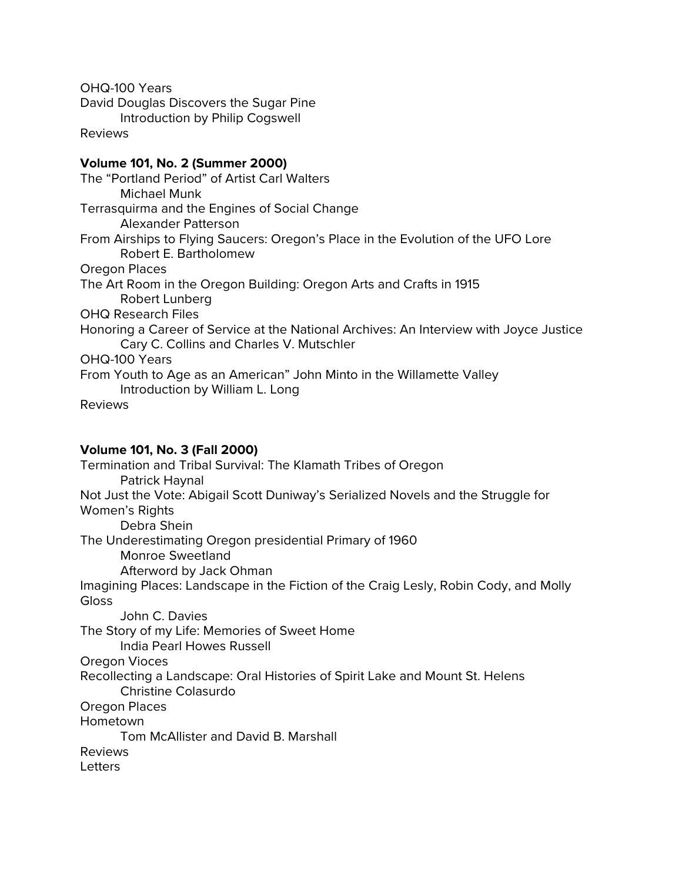OHQ-100 Years David Douglas Discovers the Sugar Pine Introduction by Philip Cogswell Reviews

## **Volume 101, No. 2 (Summer 2000)**

The "Portland Period" of Artist Carl Walters Michael Munk Terrasquirma and the Engines of Social Change Alexander Patterson From Airships to Flying Saucers: Oregon's Place in the Evolution of the UFO Lore Robert E. Bartholomew Oregon Places The Art Room in the Oregon Building: Oregon Arts and Crafts in 1915 Robert Lunberg OHQ Research Files Honoring a Career of Service at the National Archives: An Interview with Joyce Justice Cary C. Collins and Charles V. Mutschler OHQ-100 Years From Youth to Age as an American" John Minto in the Willamette Valley Introduction by William L. Long Reviews

## **Volume 101, No. 3 (Fall 2000)**

Termination and Tribal Survival: The Klamath Tribes of Oregon Patrick Haynal Not Just the Vote: Abigail Scott Duniway's Serialized Novels and the Struggle for Women's Rights Debra Shein The Underestimating Oregon presidential Primary of 1960 Monroe Sweetland Afterword by Jack Ohman Imagining Places: Landscape in the Fiction of the Craig Lesly, Robin Cody, and Molly **Gloss** John C. Davies The Story of my Life: Memories of Sweet Home India Pearl Howes Russell Oregon Vioces Recollecting a Landscape: Oral Histories of Spirit Lake and Mount St. Helens Christine Colasurdo Oregon Places Hometown Tom McAllister and David B. Marshall Reviews Letters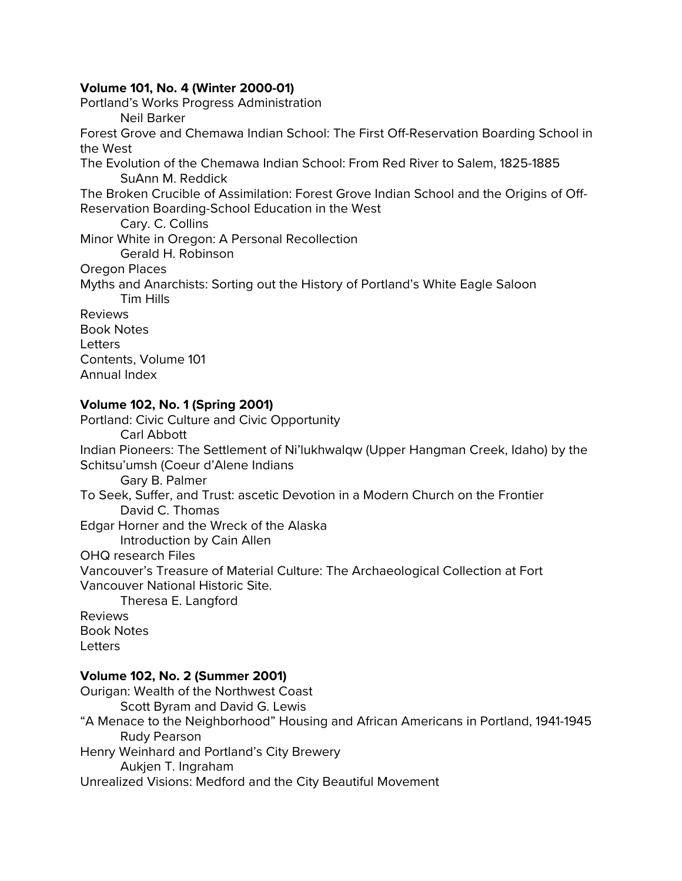## **Volume 101, No. 4 (Winter 2000-01)**

Portland's Works Progress Administration Neil Barker Forest Grove and Chemawa Indian School: The First Off-Reservation Boarding School in the West The Evolution of the Chemawa Indian School: From Red River to Salem, 1825-1885 SuAnn M. Reddick The Broken Crucible of Assimilation: Forest Grove Indian School and the Origins of Off-Reservation Boarding-School Education in the West Cary. C. Collins Minor White in Oregon: A Personal Recollection Gerald H. Robinson Oregon Places Myths and Anarchists: Sorting out the History of Portland's White Eagle Saloon Tim Hills Reviews Book Notes **Letters** Contents, Volume 101 Annual Index **Volume 102, No. 1 (Spring 2001)**

Portland: Civic Culture and Civic Opportunity Carl Abbott Indian Pioneers: The Settlement of Ni'lukhwalqw (Upper Hangman Creek, Idaho) by the Schitsu'umsh (Coeur d'Alene Indians Gary B. Palmer To Seek, Suffer, and Trust: ascetic Devotion in a Modern Church on the Frontier David C. Thomas Edgar Horner and the Wreck of the Alaska Introduction by Cain Allen OHQ research Files Vancouver's Treasure of Material Culture: The Archaeological Collection at Fort Vancouver National Historic Site. Theresa E. Langford Reviews Book Notes Letters

## **Volume 102, No. 2 (Summer 2001)**

Ourigan: Wealth of the Northwest Coast Scott Byram and David G. Lewis "A Menace to the Neighborhood" Housing and African Americans in Portland, 1941-1945 Rudy Pearson Henry Weinhard and Portland's City Brewery Aukjen T. Ingraham Unrealized Visions: Medford and the City Beautiful Movement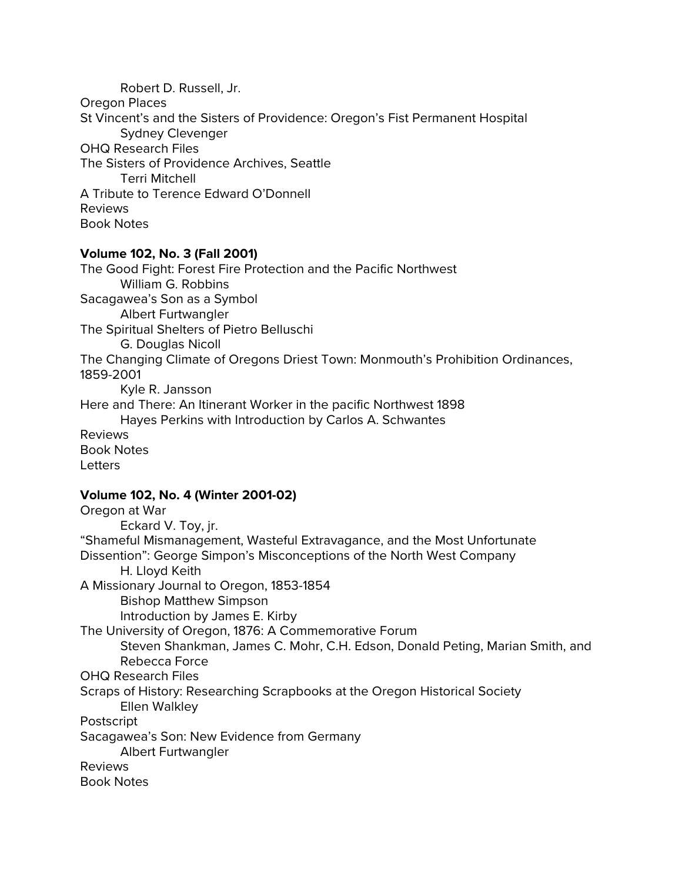Robert D. Russell, Jr. Oregon Places St Vincent's and the Sisters of Providence: Oregon's Fist Permanent Hospital Sydney Clevenger OHQ Research Files The Sisters of Providence Archives, Seattle Terri Mitchell A Tribute to Terence Edward O'Donnell Reviews Book Notes

#### **Volume 102, No. 3 (Fall 2001)**

The Good Fight: Forest Fire Protection and the Pacific Northwest William G. Robbins Sacagawea's Son as a Symbol Albert Furtwangler The Spiritual Shelters of Pietro Belluschi G. Douglas Nicoll The Changing Climate of Oregons Driest Town: Monmouth's Prohibition Ordinances, 1859-2001 Kyle R. Jansson Here and There: An Itinerant Worker in the pacific Northwest 1898 Hayes Perkins with Introduction by Carlos A. Schwantes Reviews Book Notes Letters

# **Volume 102, No. 4 (Winter 2001-02)**

Oregon at War Eckard V. Toy, jr. "Shameful Mismanagement, Wasteful Extravagance, and the Most Unfortunate Dissention": George Simpon's Misconceptions of the North West Company H. Lloyd Keith A Missionary Journal to Oregon, 1853-1854 Bishop Matthew Simpson Introduction by James E. Kirby The University of Oregon, 1876: A Commemorative Forum Steven Shankman, James C. Mohr, C.H. Edson, Donald Peting, Marian Smith, and Rebecca Force OHQ Research Files Scraps of History: Researching Scrapbooks at the Oregon Historical Society Ellen Walkley Postscript Sacagawea's Son: New Evidence from Germany Albert Furtwangler Reviews Book Notes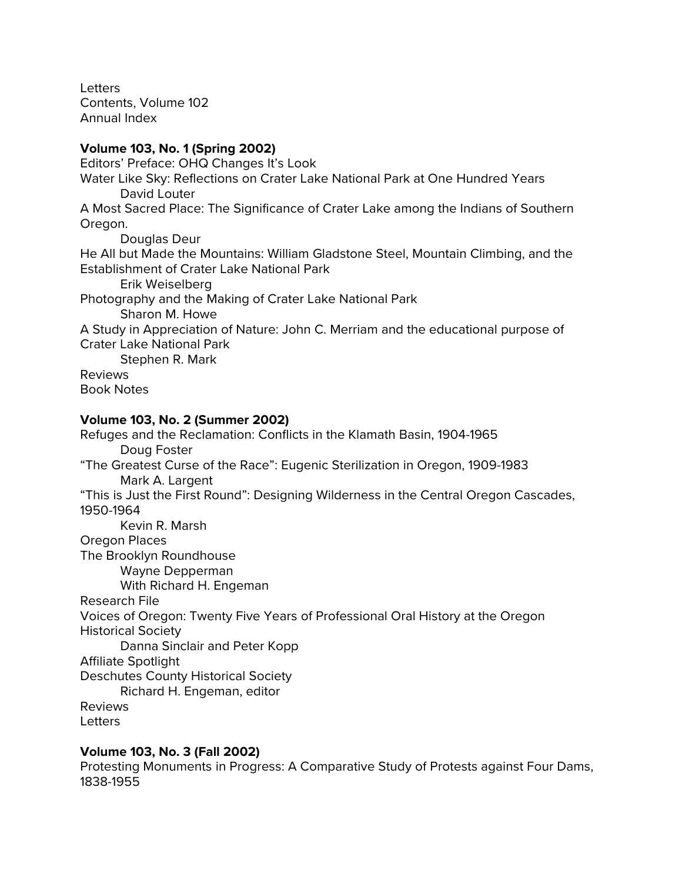Letters Contents, Volume 102 Annual Index

# **Volume 103, No. 1 (Spring 2002)**

Editors' Preface: OHQ Changes It's Look

Water Like Sky: Reflections on Crater Lake National Park at One Hundred Years David Louter

A Most Sacred Place: The Significance of Crater Lake among the Indians of Southern Oregon.

Douglas Deur He All but Made the Mountains: William Gladstone Steel, Mountain Climbing, and the Establishment of Crater Lake National Park Erik Weiselberg Photography and the Making of Crater Lake National Park Sharon M. Howe A Study in Appreciation of Nature: John C. Merriam and the educational purpose of Crater Lake National Park Stephen R. Mark Reviews Book Notes

# **Volume 103, No. 2 (Summer 2002)**

Refuges and the Reclamation: Conflicts in the Klamath Basin, 1904-1965 Doug Foster "The Greatest Curse of the Race": Eugenic Sterilization in Oregon, 1909-1983 Mark A. Largent "This is Just the First Round": Designing Wilderness in the Central Oregon Cascades, 1950-1964 Kevin R. Marsh Oregon Places The Brooklyn Roundhouse Wayne Depperman With Richard H. Engeman Research File Voices of Oregon: Twenty Five Years of Professional Oral History at the Oregon Historical Society Danna Sinclair and Peter Kopp Affiliate Spotlight Deschutes County Historical Society Richard H. Engeman, editor Reviews Letters

# **Volume 103, No. 3 (Fall 2002)**

Protesting Monuments in Progress: A Comparative Study of Protests against Four Dams, 1838-1955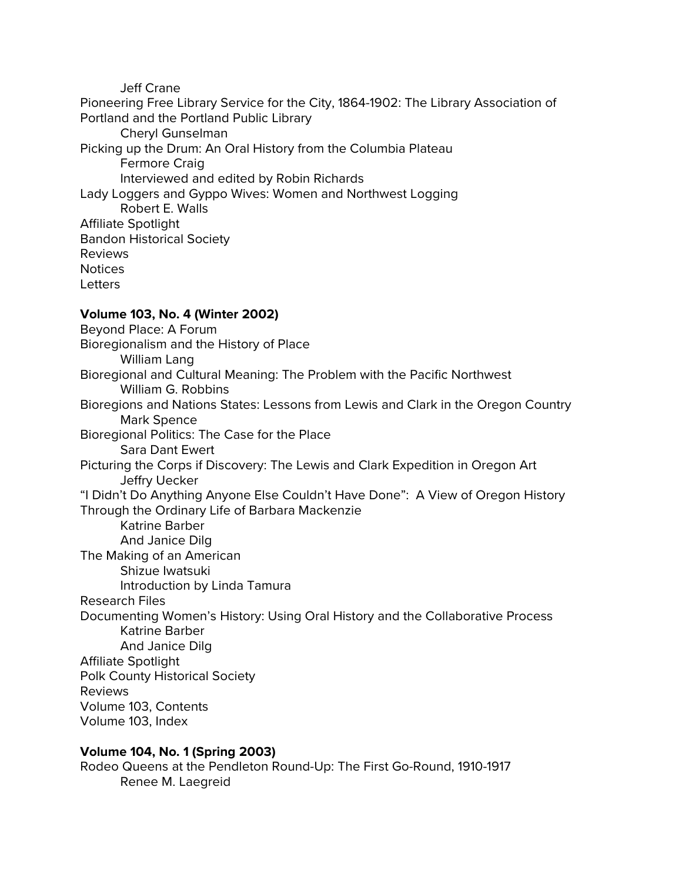Jeff Crane

Pioneering Free Library Service for the City, 1864-1902: The Library Association of Portland and the Portland Public Library Cheryl Gunselman Picking up the Drum: An Oral History from the Columbia Plateau Fermore Craig Interviewed and edited by Robin Richards Lady Loggers and Gyppo Wives: Women and Northwest Logging Robert E. Walls Affiliate Spotlight Bandon Historical Society Reviews **Notices Letters Volume 103, No. 4 (Winter 2002)** Beyond Place: A Forum Bioregionalism and the History of Place William Lang Bioregional and Cultural Meaning: The Problem with the Pacific Northwest William G. Robbins Bioregions and Nations States: Lessons from Lewis and Clark in the Oregon Country Mark Spence Bioregional Politics: The Case for the Place Sara Dant Ewert Picturing the Corps if Discovery: The Lewis and Clark Expedition in Oregon Art Jeffry Uecker "I Didn't Do Anything Anyone Else Couldn't Have Done": A View of Oregon History Through the Ordinary Life of Barbara Mackenzie Katrine Barber And Janice Dilg The Making of an American Shizue Iwatsuki Introduction by Linda Tamura Research Files Documenting Women's History: Using Oral History and the Collaborative Process Katrine Barber And Janice Dilg Affiliate Spotlight Polk County Historical Society Reviews Volume 103, Contents Volume 103, Index

# **Volume 104, No. 1 (Spring 2003)**

Rodeo Queens at the Pendleton Round-Up: The First Go-Round, 1910-1917 Renee M. Laegreid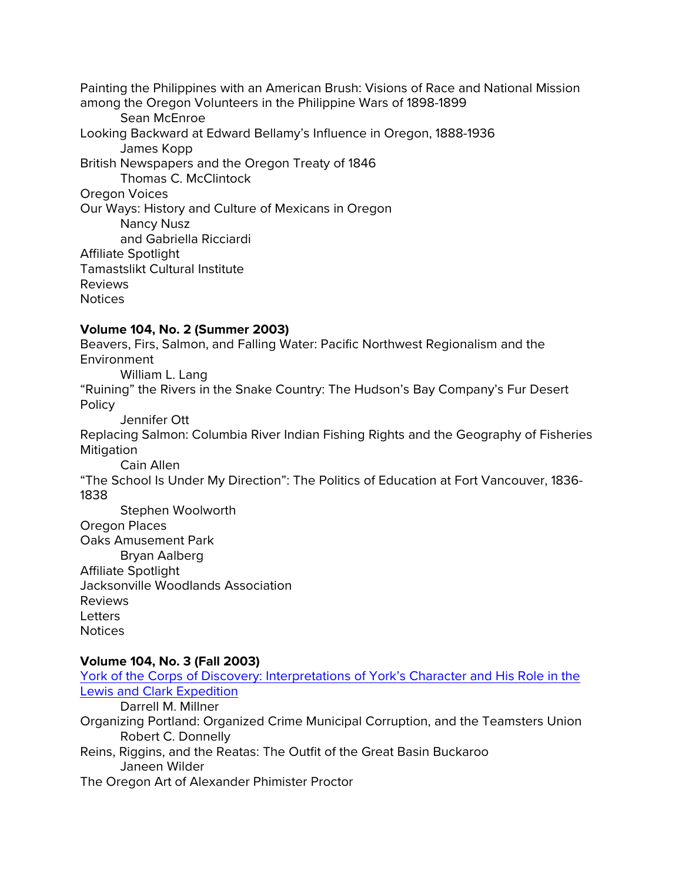Painting the Philippines with an American Brush: Visions of Race and National Mission among the Oregon Volunteers in the Philippine Wars of 1898-1899 Sean McEnroe Looking Backward at Edward Bellamy's Influence in Oregon, 1888-1936 James Kopp British Newspapers and the Oregon Treaty of 1846 Thomas C. McClintock Oregon Voices Our Ways: History and Culture of Mexicans in Oregon Nancy Nusz and Gabriella Ricciardi Affiliate Spotlight Tamastslikt Cultural Institute Reviews **Notices** 

## **Volume 104, No. 2 (Summer 2003)**

Beavers, Firs, Salmon, and Falling Water: Pacific Northwest Regionalism and the Environment William L. Lang "Ruining" the Rivers in the Snake Country: The Hudson's Bay Company's Fur Desert Policy Jennifer Ott Replacing Salmon: Columbia River Indian Fishing Rights and the Geography of Fisheries Mitigation Cain Allen "The School Is Under My Direction": The Politics of Education at Fort Vancouver, 1836- 1838 Stephen Woolworth Oregon Places Oaks Amusement Park Bryan Aalberg Affiliate Spotlight Jacksonville Woodlands Association Reviews Letters **Notices** 

# **Volume 104, No. 3 (Fall 2003)**

| York of the Corps of Discovery: Interpretations of York's Character and His Role in the |
|-----------------------------------------------------------------------------------------|
| <b>Lewis and Clark Expedition</b>                                                       |
| Darrell M. Millner                                                                      |
| Organizing Portland: Organized Crime Municipal Corruption, and the Teamsters Union      |
| Robert C. Donnelly                                                                      |
| Reins, Riggins, and the Reatas: The Outfit of the Great Basin Buckaroo                  |
| Janeen Wilder                                                                           |
| The Oregon Art of Alexander Phimister Proctor                                           |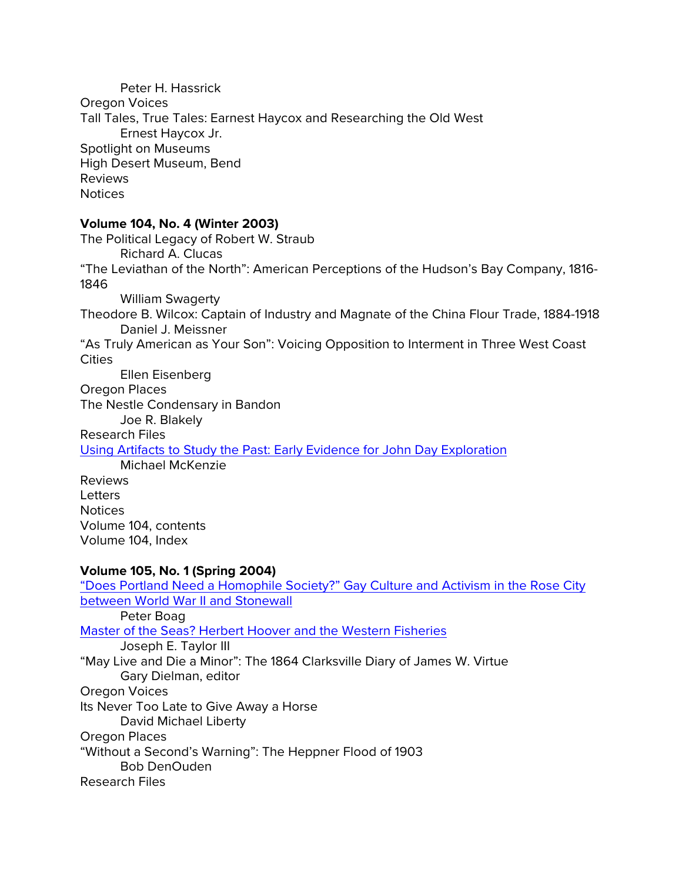Peter H. Hassrick Oregon Voices Tall Tales, True Tales: Earnest Haycox and Researching the Old West Ernest Haycox Jr. Spotlight on Museums High Desert Museum, Bend Reviews Notices

## **Volume 104, No. 4 (Winter 2003)**

The Political Legacy of Robert W. Straub Richard A. Clucas "The Leviathan of the North": American Perceptions of the Hudson's Bay Company, 1816- 1846 William Swagerty Theodore B. Wilcox: Captain of Industry and Magnate of the China Flour Trade, 1884-1918 Daniel J. Meissner "As Truly American as Your Son": Voicing Opposition to Interment in Three West Coast **Cities** Ellen Eisenberg Oregon Places The Nestle Condensary in Bandon Joe R. Blakely Research Files [Using Artifacts to Study the Past: Early Evidence for John Day Exploration](http://ohs.org/research-and-library/oregon-historical-quarterly/upload/Michael-McKenzie_Research-Files_Using-Artifacts-to-Study-the-Past_OHQ-104_4_Winter-2003.pdf) Michael McKenzie Reviews Letters Notices Volume 104, contents Volume 104, Index

## **Volume 105, No. 1 (Spring 2004)**

["Does Portland Need a Homophile Society?" Gay Culture and Activism in the Rose City](http://ohs.org/research-and-library/oregon-historical-quarterly/upload/Boag-Does-Portland-Need-a-Homophile-Society.pdf)  [between World War II and Stonewall](http://ohs.org/research-and-library/oregon-historical-quarterly/upload/Boag-Does-Portland-Need-a-Homophile-Society.pdf) Peter Boag [Master of the Seas? Herbert Hoover and the Western Fisheries](http://ohs.org/research-and-library/oregon-historical-quarterly/upload/Taylor-Master-of-the-Seas.pdf) Joseph E. Taylor III "May Live and Die a Minor": The 1864 Clarksville Diary of James W. Virtue Gary Dielman, editor Oregon Voices Its Never Too Late to Give Away a Horse David Michael Liberty Oregon Places "Without a Second's Warning": The Heppner Flood of 1903 Bob DenOuden Research Files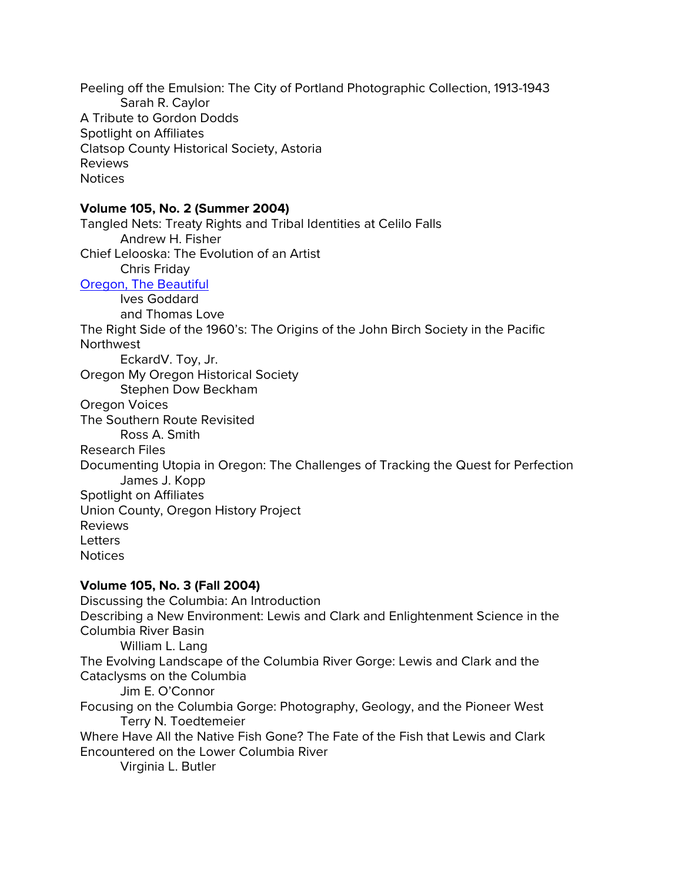Peeling off the Emulsion: The City of Portland Photographic Collection, 1913-1943 Sarah R. Caylor A Tribute to Gordon Dodds Spotlight on Affiliates Clatsop County Historical Society, Astoria Reviews **Notices** 

#### **Volume 105, No. 2 (Summer 2004)**

Tangled Nets: Treaty Rights and Tribal Identities at Celilo Falls Andrew H. Fisher Chief Lelooska: The Evolution of an Artist Chris Friday [Oregon, The Beautiful](http://ohs.org/research-and-library/oregon-historical-quarterly/upload/OHQ_105_2-Goddard-Love-Oregon-the-Beautiful.pdf) Ives Goddard and Thomas Love The Right Side of the 1960's: The Origins of the John Birch Society in the Pacific Northwest EckardV. Toy, Jr. Oregon My Oregon Historical Society Stephen Dow Beckham Oregon Voices The Southern Route Revisited Ross A. Smith Research Files Documenting Utopia in Oregon: The Challenges of Tracking the Quest for Perfection James J. Kopp Spotlight on Affiliates Union County, Oregon History Project Reviews **Letters** Notices

#### **Volume 105, No. 3 (Fall 2004)**

Discussing the Columbia: An Introduction Describing a New Environment: Lewis and Clark and Enlightenment Science in the Columbia River Basin William L. Lang The Evolving Landscape of the Columbia River Gorge: Lewis and Clark and the Cataclysms on the Columbia Jim E. O'Connor Focusing on the Columbia Gorge: Photography, Geology, and the Pioneer West Terry N. Toedtemeier Where Have All the Native Fish Gone? The Fate of the Fish that Lewis and Clark Encountered on the Lower Columbia River Virginia L. Butler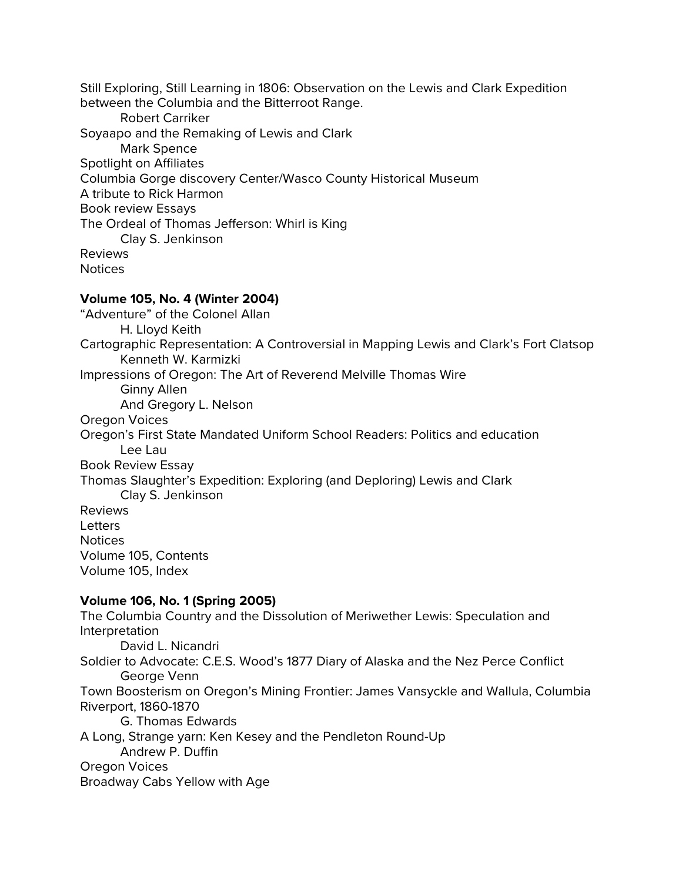Still Exploring, Still Learning in 1806: Observation on the Lewis and Clark Expedition between the Columbia and the Bitterroot Range. Robert Carriker Soyaapo and the Remaking of Lewis and Clark Mark Spence Spotlight on Affiliates Columbia Gorge discovery Center/Wasco County Historical Museum A tribute to Rick Harmon Book review Essays The Ordeal of Thomas Jefferson: Whirl is King Clay S. Jenkinson Reviews **Notices** 

# **Volume 105, No. 4 (Winter 2004)**

"Adventure" of the Colonel Allan H. Lloyd Keith Cartographic Representation: A Controversial in Mapping Lewis and Clark's Fort Clatsop Kenneth W. Karmizki Impressions of Oregon: The Art of Reverend Melville Thomas Wire Ginny Allen And Gregory L. Nelson Oregon Voices Oregon's First State Mandated Uniform School Readers: Politics and education Lee Lau Book Review Essay Thomas Slaughter's Expedition: Exploring (and Deploring) Lewis and Clark Clay S. Jenkinson Reviews **Letters** Notices Volume 105, Contents Volume 105, Index

# **Volume 106, No. 1 (Spring 2005)**

The Columbia Country and the Dissolution of Meriwether Lewis: Speculation and Interpretation David L. Nicandri Soldier to Advocate: C.E.S. Wood's 1877 Diary of Alaska and the Nez Perce Conflict George Venn Town Boosterism on Oregon's Mining Frontier: James Vansyckle and Wallula, Columbia Riverport, 1860-1870 G. Thomas Edwards A Long, Strange yarn: Ken Kesey and the Pendleton Round-Up Andrew P. Duffin Oregon Voices Broadway Cabs Yellow with Age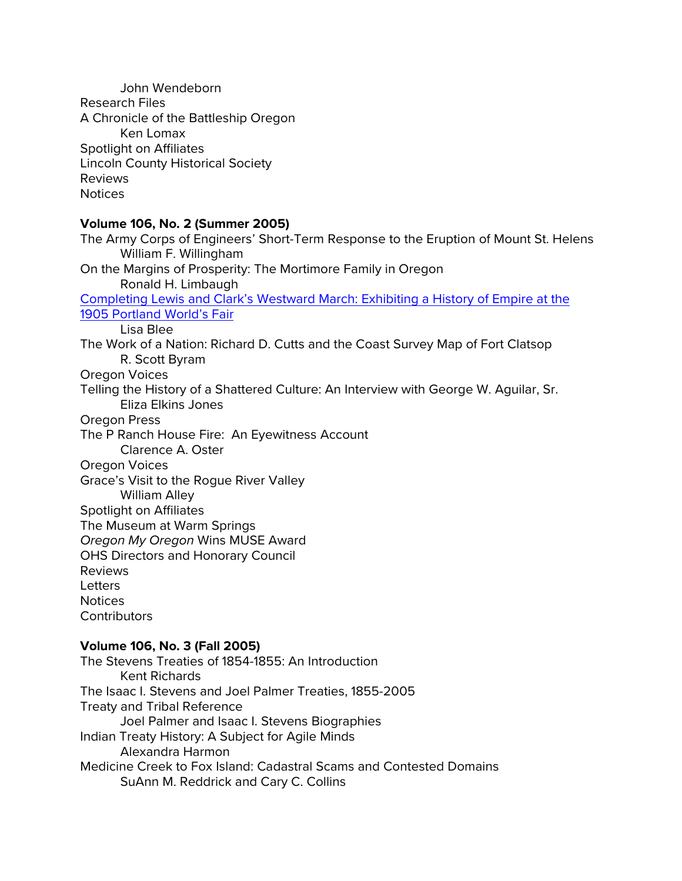John Wendeborn Research Files A Chronicle of the Battleship Oregon Ken Lomax Spotlight on Affiliates Lincoln County Historical Society Reviews Notices

## **Volume 106, No. 2 (Summer 2005)**

The Army Corps of Engineers' Short-Term Response to the Eruption of Mount St. Helens William F. Willingham On the Margins of Prosperity: The Mortimore Family in Oregon Ronald H. Limbaugh [Completing Lewis and Clark's Westward March: Exhibiting a History of Empire at the](http://ohs.org/research-and-library/oregon-historical-quarterly/upload/Blee-Completing-Lewis-and-Clark.pdf)  [1905 Portland World's Fair](http://ohs.org/research-and-library/oregon-historical-quarterly/upload/Blee-Completing-Lewis-and-Clark.pdf) Lisa Blee The Work of a Nation: Richard D. Cutts and the Coast Survey Map of Fort Clatsop R. Scott Byram Oregon Voices Telling the History of a Shattered Culture: An Interview with George W. Aguilar, Sr. Eliza Elkins Jones Oregon Press The P Ranch House Fire: An Eyewitness Account Clarence A. Oster Oregon Voices Grace's Visit to the Rogue River Valley William Alley Spotlight on Affiliates The Museum at Warm Springs *Oregon My Oregon* Wins MUSE Award OHS Directors and Honorary Council Reviews **Letters** Notices **Contributors** 

#### **Volume 106, No. 3 (Fall 2005)**

The Stevens Treaties of 1854-1855: An Introduction Kent Richards The Isaac I. Stevens and Joel Palmer Treaties, 1855-2005 Treaty and Tribal Reference Joel Palmer and Isaac I. Stevens Biographies Indian Treaty History: A Subject for Agile Minds Alexandra Harmon Medicine Creek to Fox Island: Cadastral Scams and Contested Domains SuAnn M. Reddrick and Cary C. Collins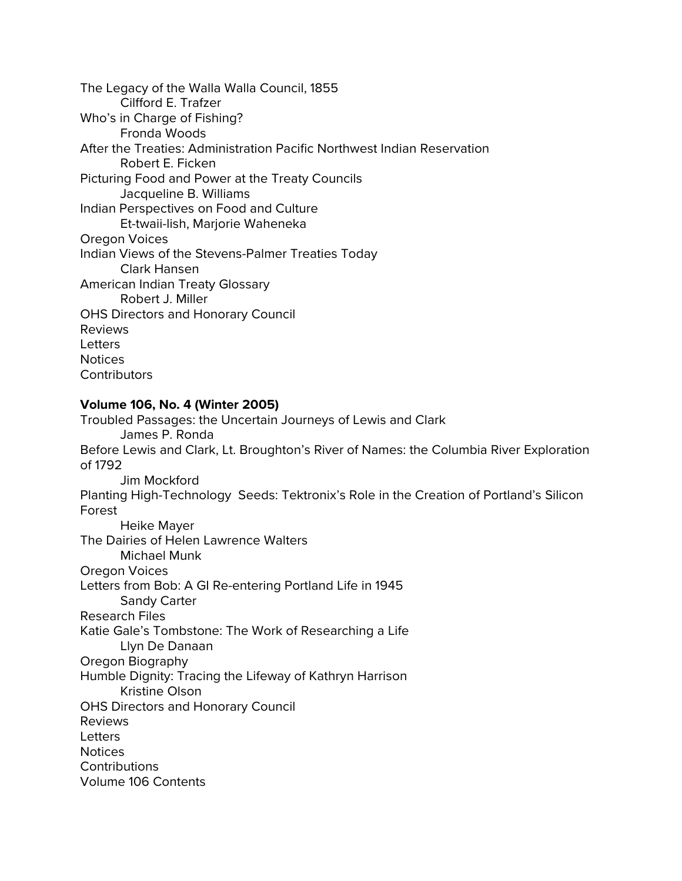The Legacy of the Walla Walla Council, 1855 Cilfford E. Trafzer Who's in Charge of Fishing? Fronda Woods After the Treaties: Administration Pacific Northwest Indian Reservation Robert E. Ficken Picturing Food and Power at the Treaty Councils Jacqueline B. Williams Indian Perspectives on Food and Culture Et-twaii-lish, Marjorie Waheneka Oregon Voices Indian Views of the Stevens-Palmer Treaties Today Clark Hansen American Indian Treaty Glossary Robert J. Miller OHS Directors and Honorary Council Reviews **Letters** Notices **Contributors** 

#### **Volume 106, No. 4 (Winter 2005)**

Troubled Passages: the Uncertain Journeys of Lewis and Clark James P. Ronda Before Lewis and Clark, Lt. Broughton's River of Names: the Columbia River Exploration of 1792 Jim Mockford Planting High-Technology Seeds: Tektronix's Role in the Creation of Portland's Silicon Forest Heike Mayer The Dairies of Helen Lawrence Walters Michael Munk Oregon Voices Letters from Bob: A GI Re-entering Portland Life in 1945 Sandy Carter Research Files Katie Gale's Tombstone: The Work of Researching a Life Llyn De Danaan Oregon Biography Humble Dignity: Tracing the Lifeway of Kathryn Harrison Kristine Olson OHS Directors and Honorary Council Reviews **Letters Notices Contributions** Volume 106 Contents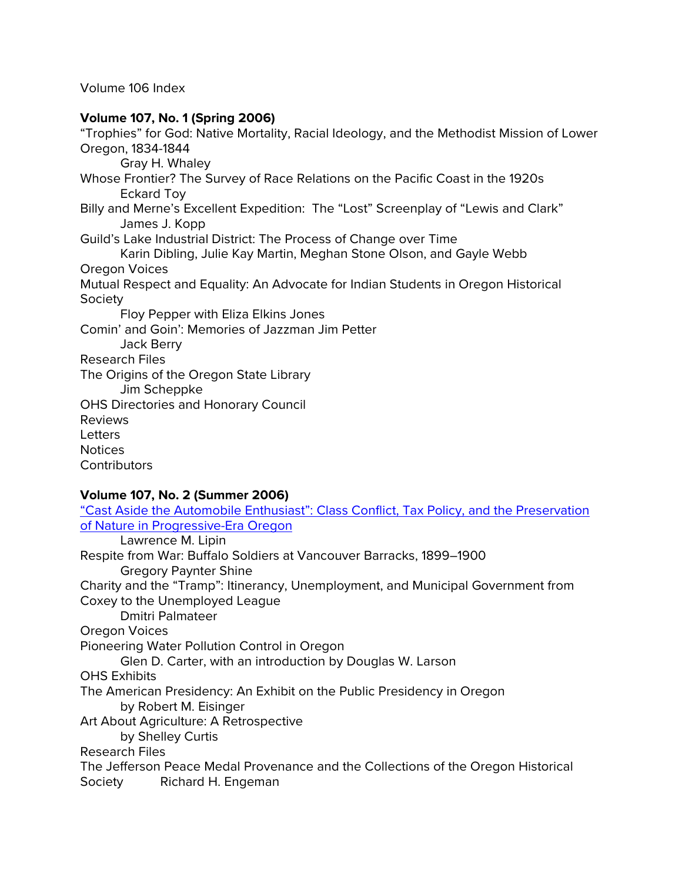Volume 106 Index

# **Volume 107, No. 1 (Spring 2006)**

"Trophies" for God: Native Mortality, Racial Ideology, and the Methodist Mission of Lower Oregon, 1834-1844 Gray H. Whaley Whose Frontier? The Survey of Race Relations on the Pacific Coast in the 1920s Eckard Toy Billy and Merne's Excellent Expedition: The "Lost" Screenplay of "Lewis and Clark" James J. Kopp Guild's Lake Industrial District: The Process of Change over Time Karin Dibling, Julie Kay Martin, Meghan Stone Olson, and Gayle Webb Oregon Voices Mutual Respect and Equality: An Advocate for Indian Students in Oregon Historical Society Floy Pepper with Eliza Elkins Jones Comin' and Goin': Memories of Jazzman Jim Petter Jack Berry Research Files The Origins of the Oregon State Library Jim Scheppke OHS Directories and Honorary Council Reviews Letters Notices **Contributors** 

# **Volume 107, No. 2 (Summer 2006)**

| of Nature in Progressive-Era Oregon<br>Lawrence M. Lipin<br>Respite from War: Buffalo Soldiers at Vancouver Barracks, 1899–1900<br><b>Gregory Paynter Shine</b><br>Charity and the "Tramp": Itinerancy, Unemployment, and Municipal Government from<br>Coxey to the Unemployed League<br><b>Dmitri Palmateer</b><br>Oregon Voices<br>Pioneering Water Pollution Control in Oregon<br>Glen D. Carter, with an introduction by Douglas W. Larson<br><b>OHS Exhibits</b><br>The American Presidency: An Exhibit on the Public Presidency in Oregon<br>by Robert M. Eisinger |
|--------------------------------------------------------------------------------------------------------------------------------------------------------------------------------------------------------------------------------------------------------------------------------------------------------------------------------------------------------------------------------------------------------------------------------------------------------------------------------------------------------------------------------------------------------------------------|
|                                                                                                                                                                                                                                                                                                                                                                                                                                                                                                                                                                          |
|                                                                                                                                                                                                                                                                                                                                                                                                                                                                                                                                                                          |
|                                                                                                                                                                                                                                                                                                                                                                                                                                                                                                                                                                          |
|                                                                                                                                                                                                                                                                                                                                                                                                                                                                                                                                                                          |
|                                                                                                                                                                                                                                                                                                                                                                                                                                                                                                                                                                          |
|                                                                                                                                                                                                                                                                                                                                                                                                                                                                                                                                                                          |
|                                                                                                                                                                                                                                                                                                                                                                                                                                                                                                                                                                          |
|                                                                                                                                                                                                                                                                                                                                                                                                                                                                                                                                                                          |
|                                                                                                                                                                                                                                                                                                                                                                                                                                                                                                                                                                          |
|                                                                                                                                                                                                                                                                                                                                                                                                                                                                                                                                                                          |
|                                                                                                                                                                                                                                                                                                                                                                                                                                                                                                                                                                          |
|                                                                                                                                                                                                                                                                                                                                                                                                                                                                                                                                                                          |
|                                                                                                                                                                                                                                                                                                                                                                                                                                                                                                                                                                          |
| Art About Agriculture: A Retrospective                                                                                                                                                                                                                                                                                                                                                                                                                                                                                                                                   |
| by Shelley Curtis                                                                                                                                                                                                                                                                                                                                                                                                                                                                                                                                                        |
| <b>Research Files</b>                                                                                                                                                                                                                                                                                                                                                                                                                                                                                                                                                    |
| The Jefferson Peace Medal Provenance and the Collections of the Oregon Historical                                                                                                                                                                                                                                                                                                                                                                                                                                                                                        |
|                                                                                                                                                                                                                                                                                                                                                                                                                                                                                                                                                                          |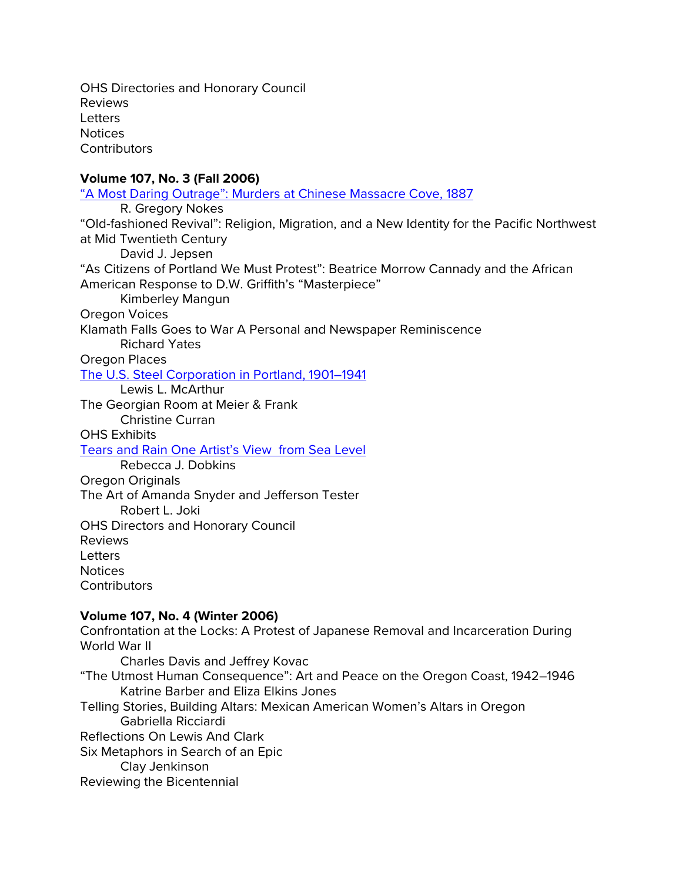OHS Directories and Honorary Council Reviews **Letters** Notices **Contributors** 

# **Volume 107, No. 3 (Fall 2006)**

"A Most Daring Outrage": [Murders at Chinese Massacre Cove, 1887](https://ohs.org/research-and-library/oregon-historical-quarterly/upload/Nokes_A-Most-Daring-Outrage_OHQ-Fall-2006_107_3.pdf) R. Gregory Nokes "Old-fashioned Revival": Religion, Migration, and a New Identity for the Pacific Northwest at Mid Twentieth Century David J. Jepsen "As Citizens of Portland We Must Protest": Beatrice Morrow Cannady and the African American Response to D.W. Griffith's "Masterpiece" Kimberley Mangun Oregon Voices Klamath Falls Goes to War A Personal and Newspaper Reminiscence Richard Yates Oregon Places [The U.S. Steel Corporation in Portland, 1901–1941](https://ohs.org/research-and-library/oregon-historical-quarterly/back-issues/upload/McArthur_US-Steel-Corporation-in-Portland_OHQ-107_3_Fall-2006.pdf) Lewis L. McArthur The Georgian Room at Meier & Frank Christine Curran OHS Exhibits [Tears and Rain One Artist's View from Sea Level](http://ohs.org/research-and-library/oregon-historical-quarterly/upload/Fall-2006-Dobkins_Rick-Bartow.pdf) Rebecca J. Dobkins Oregon Originals The Art of Amanda Snyder and Jefferson Tester Robert L. Joki OHS Directors and Honorary Council Reviews **Letters Notices Contributors Volume 107, No. 4 (Winter 2006)**

Confrontation at the Locks: A Protest of Japanese Removal and Incarceration During World War II Charles Davis and Jeffrey Kovac "The Utmost Human Consequence": Art and Peace on the Oregon Coast, 1942–1946 Katrine Barber and Eliza Elkins Jones

Telling Stories, Building Altars: Mexican American Women's Altars in Oregon Gabriella Ricciardi Reflections On Lewis And Clark Six Metaphors in Search of an Epic Clay Jenkinson Reviewing the Bicentennial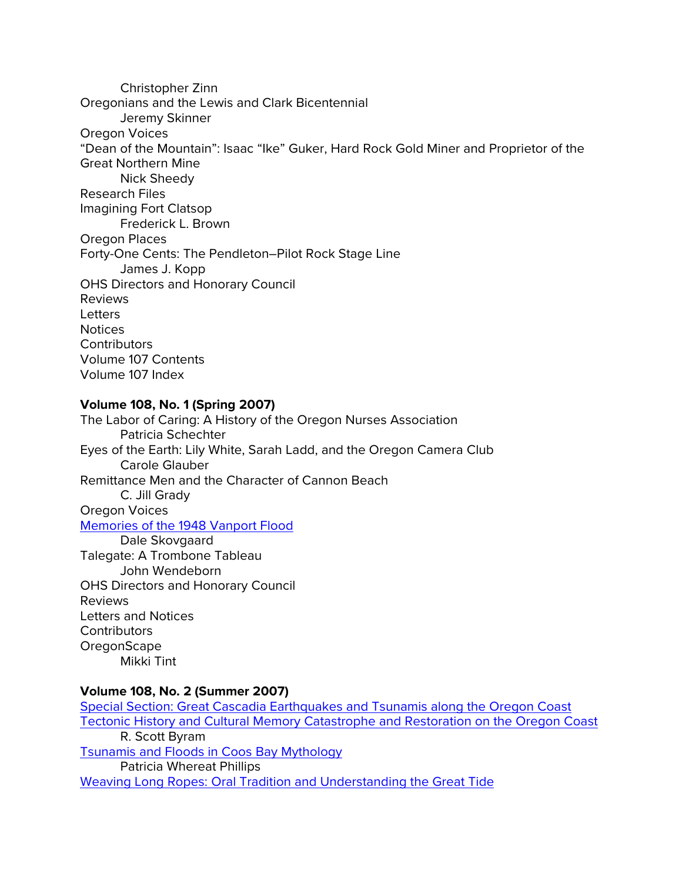Christopher Zinn Oregonians and the Lewis and Clark Bicentennial Jeremy Skinner Oregon Voices "Dean of the Mountain": Isaac "Ike" Guker, Hard Rock Gold Miner and Proprietor of the Great Northern Mine Nick Sheedy Research Files Imagining Fort Clatsop Frederick L. Brown Oregon Places Forty-One Cents: The Pendleton–Pilot Rock Stage Line James J. Kopp OHS Directors and Honorary Council Reviews **Letters** Notices **Contributors** Volume 107 Contents Volume 107 Index

#### **Volume 108, No. 1 (Spring 2007)**

The Labor of Caring: A History of the Oregon Nurses Association Patricia Schechter Eyes of the Earth: Lily White, Sarah Ladd, and the Oregon Camera Club Carole Glauber Remittance Men and the Character of Cannon Beach C. Jill Grady Oregon Voices [Memories of the 1948 Vanport Flood](http://ohs.org/research-and-library/oregon-historical-quarterly/upload/Skovgaard-Vanport-Memories_OHQ-108_1_Spring-2007.pdf) Dale Skovgaard Talegate: A Trombone Tableau John Wendeborn OHS Directors and Honorary Council Reviews Letters and Notices **Contributors** OregonScape Mikki Tint

## **Volume 108, No. 2 (Summer 2007)**

[Special Section: Great Cascadia Earthquakes and Tsunamis along the Oregon Coast](http://ohs.org/research-and-library/oregon-historical-quarterly/upload/OHQ-1082-Byram-Losey-Yonker-and-Whereat-tsunami.pdf) [Tectonic History and Cultural Memory Catastrophe and Restoration on the Oregon Coast](http://ohs.org/research-and-library/oregon-historical-quarterly/upload/OHQ-1082-Byram-Losey-Yonker-and-Whereat-tsunami.pdf) R. Scott Byram [Tsunamis and Floods in Coos Bay Mythology](http://ohs.org/research-and-library/oregon-historical-quarterly/upload/OHQ-1082-Byram-Losey-Yonker-and-Whereat-tsunami.pdf) Patricia Whereat Phillips [Weaving Long Ropes: Oral Tradition and Understanding the Great Tide](http://ohs.org/research-and-library/oregon-historical-quarterly/upload/OHQ-1082-Byram-Losey-Yonker-and-Whereat-tsunami.pdf)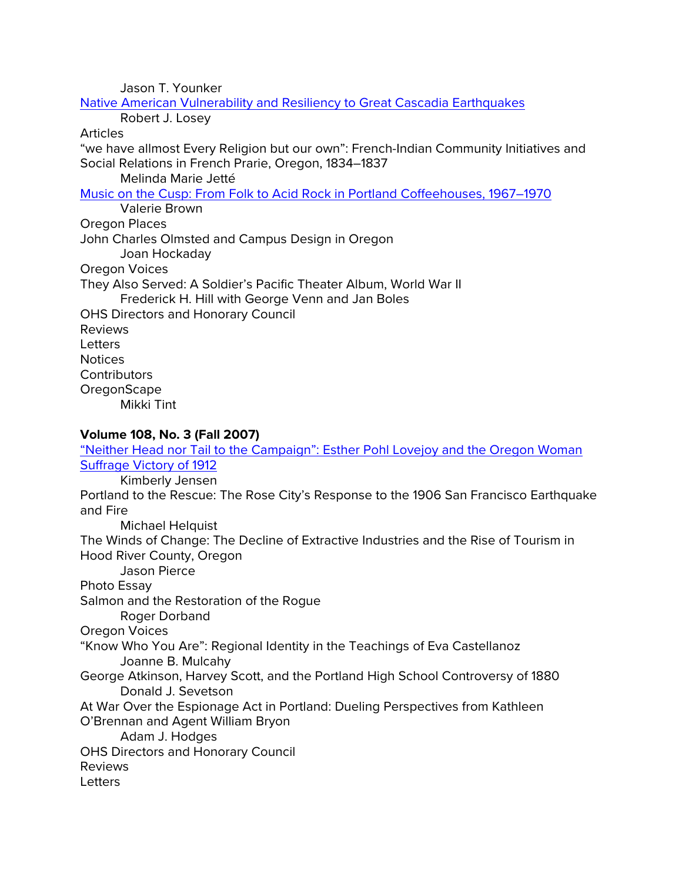Jason T. Younker

[Native American Vulnerability and Resiliency to Great Cascadia Earthquakes](http://ohs.org/research-and-library/oregon-historical-quarterly/upload/OHQ-1082-Byram-Losey-Yonker-and-Whereat-tsunami.pdf)

Robert J. Losey

# Articles

"we have allmost Every Religion but our own": French-Indian Community Initiatives and Social Relations in French Prarie, Oregon, 1834–1837

Melinda Marie Jetté

[Music on the Cusp: From Folk to Acid Rock in Portland Coffeehouses, 1967–1970](https://ohs.org/research-and-library/oregon-historical-quarterly/back-issues/upload/Valerie-Brown_Music-on-the-Cusp_OHQ-108_2_Summer-2007.pdf)

Valerie Brown

Oregon Places

John Charles Olmsted and Campus Design in Oregon

Joan Hockaday

Oregon Voices

They Also Served: A Soldier's Pacific Theater Album, World War II

Frederick H. Hill with George Venn and Jan Boles

OHS Directors and Honorary Council Reviews

**Letters** 

Notices

**Contributors** 

**OregonScape** 

Mikki Tint

# **Volume 108, No. 3 (Fall 2007)**

"Neither Head nor Tail to the Campaign": Esther Pohl Lovejoy and the Oregon Woman [Suffrage Victory of 1912](http://ohs.org/research-and-library/oregon-historical-quarterly/upload/108_3-Jensen_Esther-Pohl-Lovejoy.pdf) Kimberly Jensen Portland to the Rescue: The Rose City's Response to the 1906 San Francisco Earthquake and Fire Michael Helquist The Winds of Change: The Decline of Extractive Industries and the Rise of Tourism in Hood River County, Oregon Jason Pierce Photo Essay Salmon and the Restoration of the Rogue Roger Dorband Oregon Voices "Know Who You Are": Regional Identity in the Teachings of Eva Castellanoz Joanne B. Mulcahy George Atkinson, Harvey Scott, and the Portland High School Controversy of 1880 Donald J. Sevetson At War Over the Espionage Act in Portland: Dueling Perspectives from Kathleen O'Brennan and Agent William Bryon Adam J. Hodges OHS Directors and Honorary Council Reviews **Letters**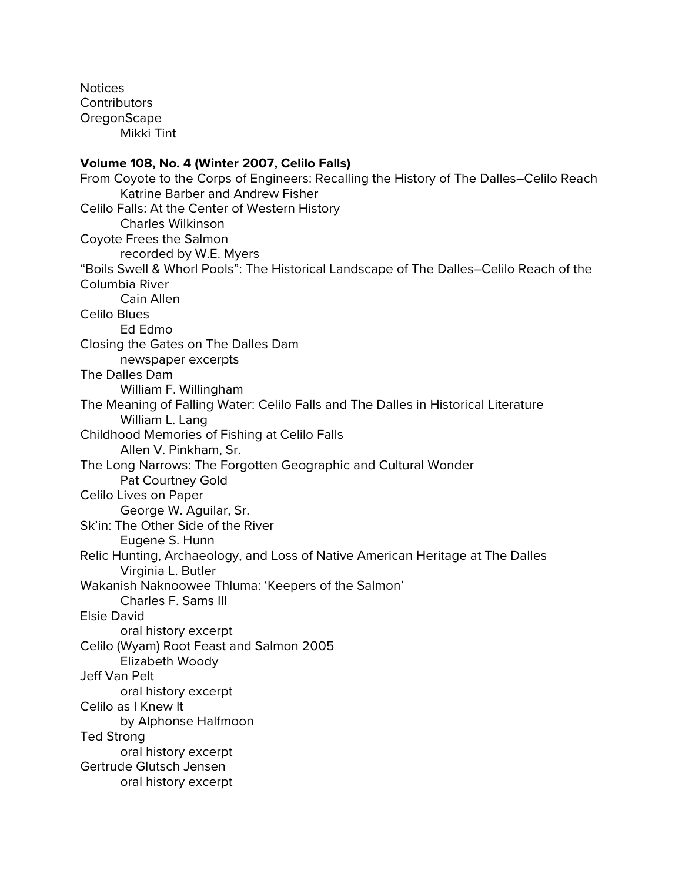Notices **Contributors OregonScape** Mikki Tint

#### **Volume 108, No. 4 (Winter 2007, Celilo Falls)**

From Coyote to the Corps of Engineers: Recalling the History of The Dalles–Celilo Reach Katrine Barber and Andrew Fisher Celilo Falls: At the Center of Western History Charles Wilkinson Coyote Frees the Salmon recorded by W.E. Myers "Boils Swell & Whorl Pools": The Historical Landscape of The Dalles–Celilo Reach of the Columbia River Cain Allen Celilo Blues Ed Edmo Closing the Gates on The Dalles Dam newspaper excerpts The Dalles Dam William F. Willingham The Meaning of Falling Water: Celilo Falls and The Dalles in Historical Literature William L. Lang Childhood Memories of Fishing at Celilo Falls Allen V. Pinkham, Sr. The Long Narrows: The Forgotten Geographic and Cultural Wonder Pat Courtney Gold Celilo Lives on Paper George W. Aguilar, Sr. Sk'in: The Other Side of the River Eugene S. Hunn Relic Hunting, Archaeology, and Loss of Native American Heritage at The Dalles Virginia L. Butler Wakanish Naknoowee Thluma: 'Keepers of the Salmon' Charles F. Sams III Elsie David oral history excerpt Celilo (Wyam) Root Feast and Salmon 2005 Elizabeth Woody Jeff Van Pelt oral history excerpt Celilo as I Knew It by Alphonse Halfmoon Ted Strong oral history excerpt Gertrude Glutsch Jensen oral history excerpt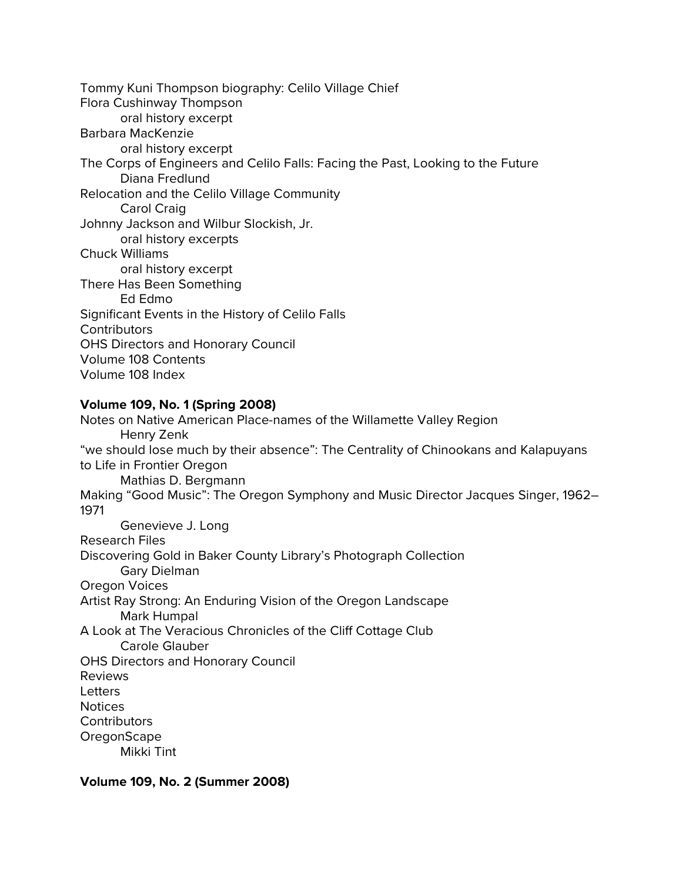Tommy Kuni Thompson biography: Celilo Village Chief Flora Cushinway Thompson oral history excerpt Barbara MacKenzie oral history excerpt The Corps of Engineers and Celilo Falls: Facing the Past, Looking to the Future Diana Fredlund Relocation and the Celilo Village Community Carol Craig Johnny Jackson and Wilbur Slockish, Jr. oral history excerpts Chuck Williams oral history excerpt There Has Been Something Ed Edmo Significant Events in the History of Celilo Falls **Contributors** OHS Directors and Honorary Council Volume 108 Contents Volume 108 Index

# **Volume 109, No. 1 (Spring 2008)**

Notes on Native American Place-names of the Willamette Valley Region Henry Zenk "we should lose much by their absence": The Centrality of Chinookans and Kalapuyans to Life in Frontier Oregon Mathias D. Bergmann Making "Good Music": The Oregon Symphony and Music Director Jacques Singer, 1962– 1971 Genevieve J. Long Research Files Discovering Gold in Baker County Library's Photograph Collection Gary Dielman Oregon Voices Artist Ray Strong: An Enduring Vision of the Oregon Landscape Mark Humpal A Look at The Veracious Chronicles of the Cliff Cottage Club Carole Glauber OHS Directors and Honorary Council Reviews **Letters** Notices **Contributors OregonScape** Mikki Tint

**Volume 109, No. 2 (Summer 2008)**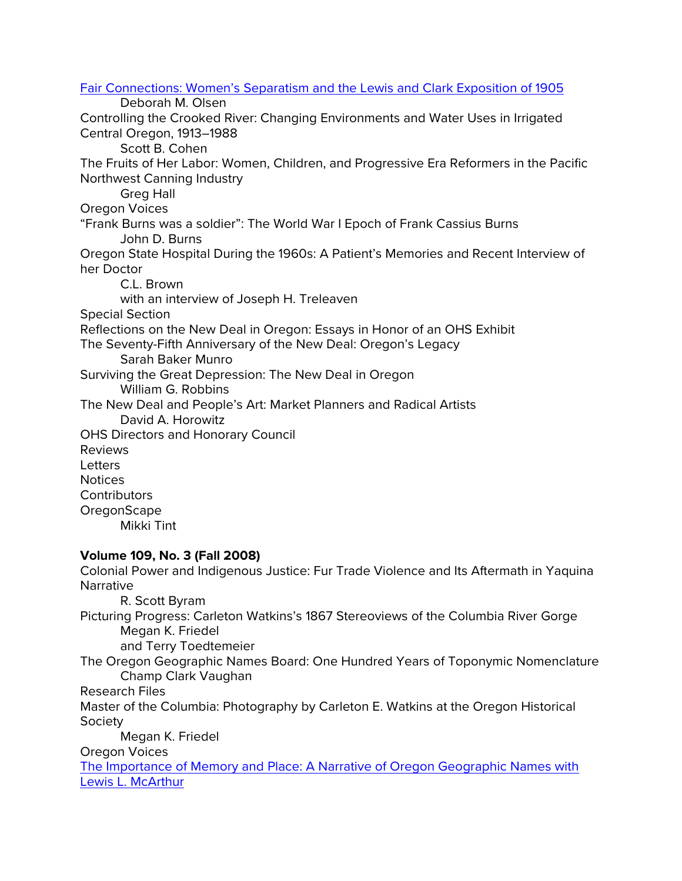[Fair Connections: Women's Separatism and the Lewis and Clark Exposition of 1905](http://ohs.org/research-and-library/oregon-historical-quarterly/upload/Olsen_Fair-Connections.pdf) Deborah M. Olsen Controlling the Crooked River: Changing Environments and Water Uses in Irrigated Central Oregon, 1913–1988 Scott B. Cohen The Fruits of Her Labor: Women, Children, and Progressive Era Reformers in the Pacific Northwest Canning Industry Greg Hall Oregon Voices "Frank Burns was a soldier": The World War I Epoch of Frank Cassius Burns John D. Burns Oregon State Hospital During the 1960s: A Patient's Memories and Recent Interview of her Doctor C.L. Brown with an interview of Joseph H. Treleaven Special Section Reflections on the New Deal in Oregon: Essays in Honor of an OHS Exhibit The Seventy-Fifth Anniversary of the New Deal: Oregon's Legacy Sarah Baker Munro Surviving the Great Depression: The New Deal in Oregon William G. Robbins The New Deal and People's Art: Market Planners and Radical Artists David A. Horowitz OHS Directors and Honorary Council Reviews Letters Notices **Contributors OregonScape** Mikki Tint **Volume 109, No. 3 (Fall 2008)** Colonial Power and Indigenous Justice: Fur Trade Violence and Its Aftermath in Yaquina Narrative R. Scott Byram Picturing Progress: Carleton Watkins's 1867 Stereoviews of the Columbia River Gorge Megan K. Friedel and Terry Toedtemeier The Oregon Geographic Names Board: One Hundred Years of Toponymic Nomenclature Champ Clark Vaughan Research Files Master of the Columbia: Photography by Carleton E. Watkins at the Oregon Historical Society Megan K. Friedel Oregon Voices

[The Importance of Memory and Place: A Narrative of Oregon Geographic Names with](https://ohs.org/research-and-library/oregon-historical-quarterly/back-issues/upload/Peneva_The-Importance-of-Memory-and-Place_OHQ-109_3_Fall-2008.pdf)  [Lewis L. McArthur](https://ohs.org/research-and-library/oregon-historical-quarterly/back-issues/upload/Peneva_The-Importance-of-Memory-and-Place_OHQ-109_3_Fall-2008.pdf)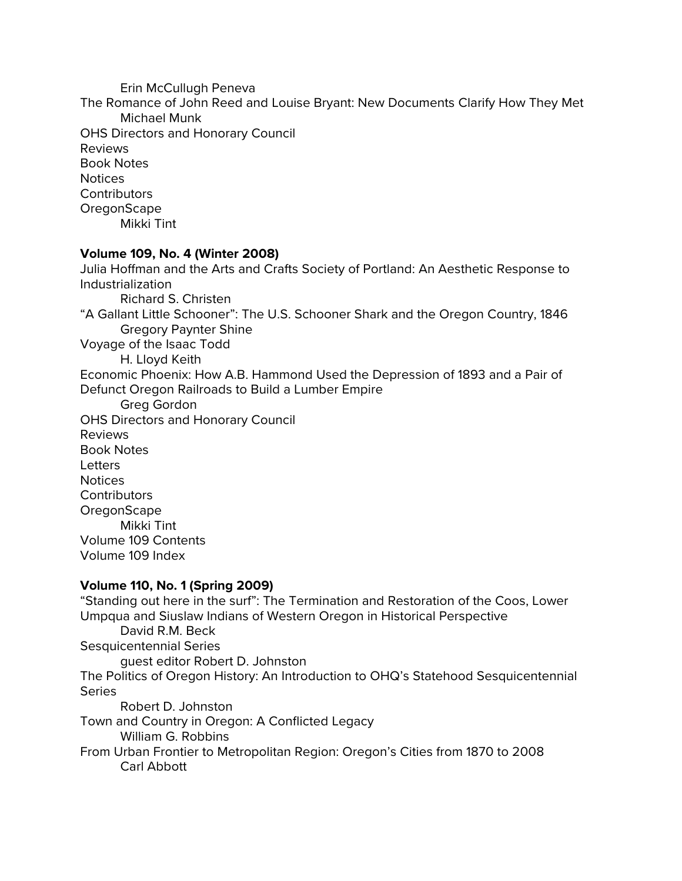Erin McCullugh Peneva The Romance of John Reed and Louise Bryant: New Documents Clarify How They Met Michael Munk OHS Directors and Honorary Council Reviews Book Notes **Notices Contributors OregonScape** Mikki Tint

#### **Volume 109, No. 4 (Winter 2008)**

Julia Hoffman and the Arts and Crafts Society of Portland: An Aesthetic Response to Industrialization Richard S. Christen "A Gallant Little Schooner": The U.S. Schooner Shark and the Oregon Country, 1846 Gregory Paynter Shine Voyage of the Isaac Todd H. Lloyd Keith Economic Phoenix: How A.B. Hammond Used the Depression of 1893 and a Pair of Defunct Oregon Railroads to Build a Lumber Empire Greg Gordon OHS Directors and Honorary Council Reviews Book Notes Letters Notices **Contributors OregonScape** Mikki Tint Volume 109 Contents Volume 109 Index

## **Volume 110, No. 1 (Spring 2009)**

"Standing out here in the surf": The Termination and Restoration of the Coos, Lower Umpqua and Siuslaw Indians of Western Oregon in Historical Perspective David R.M. Beck Sesquicentennial Series guest editor Robert D. Johnston The Politics of Oregon History: An Introduction to OHQ's Statehood Sesquicentennial **Series** Robert D. Johnston Town and Country in Oregon: A Conflicted Legacy William G. Robbins From Urban Frontier to Metropolitan Region: Oregon's Cities from 1870 to 2008 Carl Abbott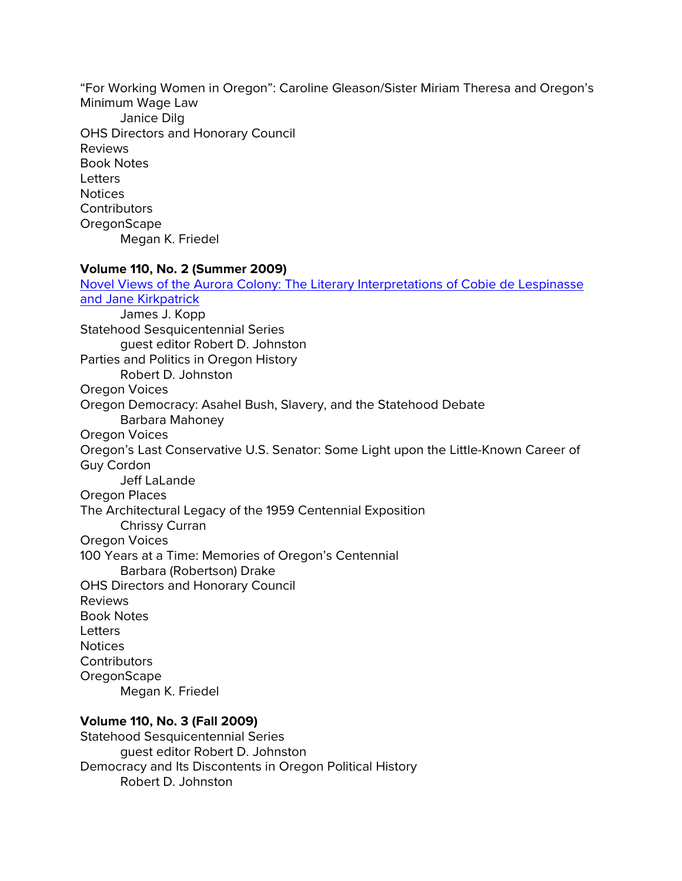"For Working Women in Oregon": Caroline Gleason/Sister Miriam Theresa and Oregon's Minimum Wage Law Janice Dilg OHS Directors and Honorary Council Reviews Book Notes **Letters Notices Contributors OregonScape** Megan K. Friedel

#### **Volume 110, No. 2 (Summer 2009)**

[Novel Views of the Aurora Colony: The Literary Interpretations of Cobie de Lespinasse](http://ohs.org/research-and-library/oregon-historical-quarterly/upload/110_2-Kopp-Novel-Views.pdf)  [and Jane Kirkpatrick](http://ohs.org/research-and-library/oregon-historical-quarterly/upload/110_2-Kopp-Novel-Views.pdf) James J. Kopp Statehood Sesquicentennial Series guest editor Robert D. Johnston Parties and Politics in Oregon History Robert D. Johnston Oregon Voices Oregon Democracy: Asahel Bush, Slavery, and the Statehood Debate Barbara Mahoney Oregon Voices Oregon's Last Conservative U.S. Senator: Some Light upon the Little-Known Career of Guy Cordon Jeff LaLande Oregon Places The Architectural Legacy of the 1959 Centennial Exposition Chrissy Curran Oregon Voices 100 Years at a Time: Memories of Oregon's Centennial Barbara (Robertson) Drake OHS Directors and Honorary Council Reviews Book Notes Letters Notices **Contributors** OregonScape Megan K. Friedel

## **Volume 110, No. 3 (Fall 2009)**

Statehood Sesquicentennial Series guest editor Robert D. Johnston Democracy and Its Discontents in Oregon Political History Robert D. Johnston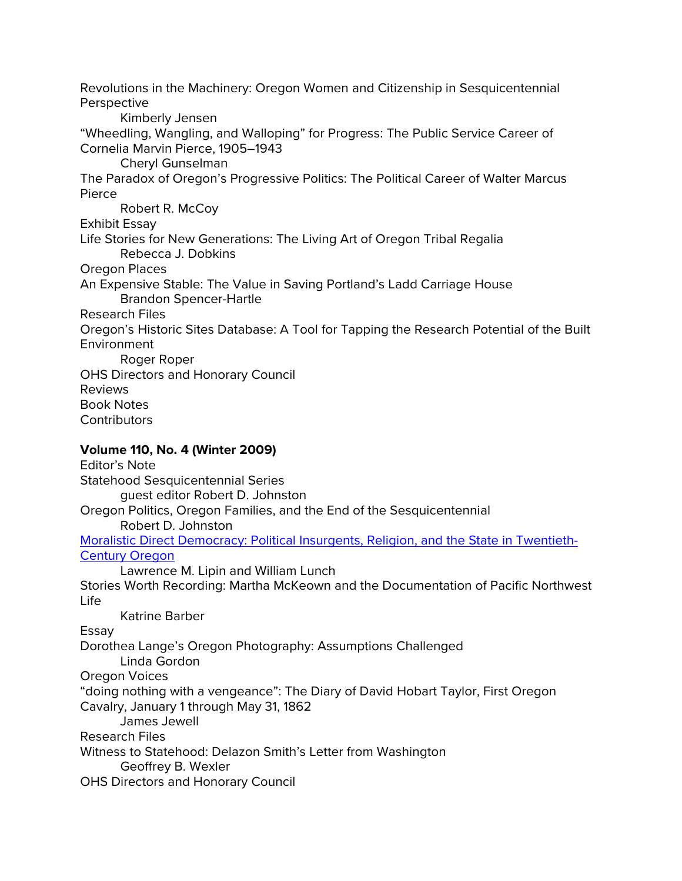Revolutions in the Machinery: Oregon Women and Citizenship in Sesquicentennial Perspective

Kimberly Jensen

"Wheedling, Wangling, and Walloping" for Progress: The Public Service Career of Cornelia Marvin Pierce, 1905–1943

Cheryl Gunselman

The Paradox of Oregon's Progressive Politics: The Political Career of Walter Marcus Pierce

Robert R. McCoy

Exhibit Essay

Life Stories for New Generations: The Living Art of Oregon Tribal Regalia Rebecca J. Dobkins

Oregon Places

An Expensive Stable: The Value in Saving Portland's Ladd Carriage House Brandon Spencer-Hartle

Research Files

Oregon's Historic Sites Database: A Tool for Tapping the Research Potential of the Built Environment

Roger Roper

OHS Directors and Honorary Council

Reviews

Book Notes

**Contributors** 

# **Volume 110, No. 4 (Winter 2009)**

Editor's Note Statehood Sesquicentennial Series guest editor Robert D. Johnston Oregon Politics, Oregon Families, and the End of the Sesquicentennial Robert D. Johnston [Moralistic Direct Democracy: Political Insurgents, Religion, and the State in Twentieth-](http://ohs.org/research-and-library/oregon-historical-quarterly/upload/Lipin-and-Lunch_Moralistic-Direct-Democracy.pdf)[Century Oregon](http://ohs.org/research-and-library/oregon-historical-quarterly/upload/Lipin-and-Lunch_Moralistic-Direct-Democracy.pdf) Lawrence M. Lipin and William Lunch Stories Worth Recording: Martha McKeown and the Documentation of Pacific Northwest Life Katrine Barber Essay Dorothea Lange's Oregon Photography: Assumptions Challenged Linda Gordon Oregon Voices "doing nothing with a vengeance": The Diary of David Hobart Taylor, First Oregon Cavalry, January 1 through May 31, 1862 James Jewell Research Files Witness to Statehood: Delazon Smith's Letter from Washington Geoffrey B. Wexler OHS Directors and Honorary Council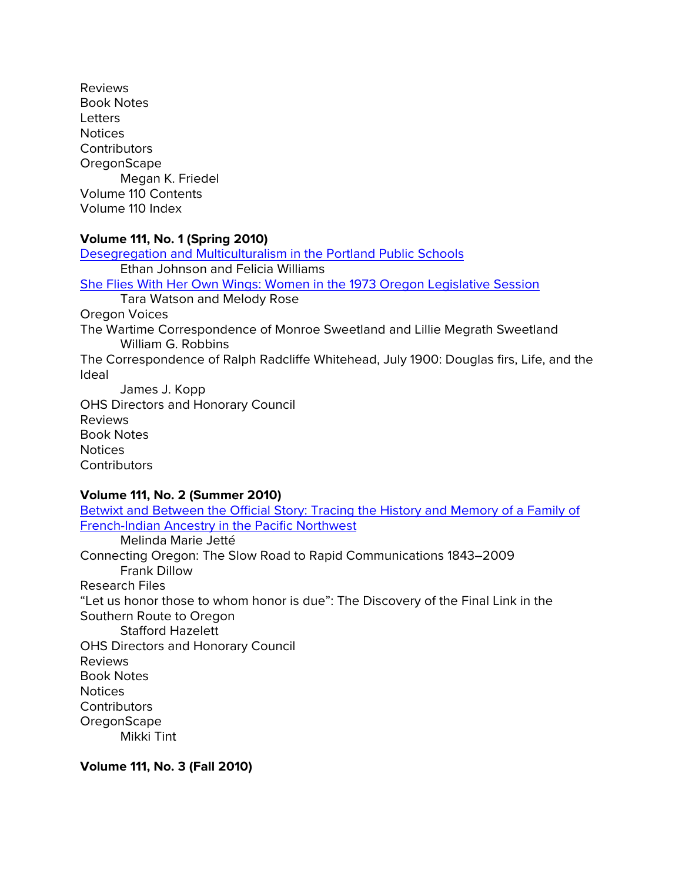Reviews Book Notes **Letters** Notices **Contributors OregonScape** Megan K. Friedel Volume 110 Contents Volume 110 Index

## **Volume 111, No. 1 (Spring 2010)**

[Desegregation and Multiculturalism in the Portland Public Schools](http://ohs.org/research-and-library/oregon-historical-quarterly/upload/OHQ_111_1-Johnson-and-Williams_PPS.pdf) Ethan Johnson and Felicia Williams [She Flies With Her Own Wings: Women in the 1973 Oregon Legislative Session](http://ohs.org/research-and-library/oregon-historical-quarterly/upload/Watson-and-Rose_1973-women.pdf) Tara Watson and Melody Rose Oregon Voices The Wartime Correspondence of Monroe Sweetland and Lillie Megrath Sweetland William G. Robbins The Correspondence of Ralph Radcliffe Whitehead, July 1900: Douglas firs, Life, and the Ideal James J. Kopp OHS Directors and Honorary Council Reviews Book Notes Notices **Contributors** 

## **Volume 111, No. 2 (Summer 2010)**

[Betwixt and Between the Official Story: Tracing the History and Memory of a Family of](https://ohs.org/research-and-library/oregon-historical-quarterly/upload/111_2_Jette-betwixt-and-between.pdf)  [French-Indian Ancestry in the Pacific Northwest](https://ohs.org/research-and-library/oregon-historical-quarterly/upload/111_2_Jette-betwixt-and-between.pdf) Melinda Marie Jetté Connecting Oregon: The Slow Road to Rapid Communications 1843–2009 Frank Dillow Research Files "Let us honor those to whom honor is due": The Discovery of the Final Link in the Southern Route to Oregon Stafford Hazelett OHS Directors and Honorary Council Reviews Book Notes **Notices Contributors OregonScape** Mikki Tint

**Volume 111, No. 3 (Fall 2010)**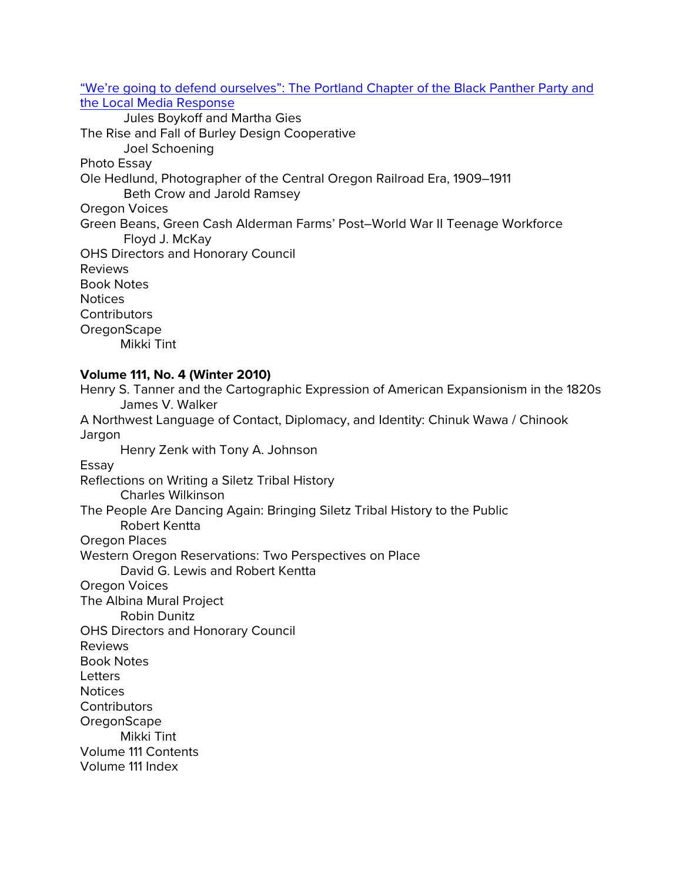["We're going to defend ourselves": The Portland Chapter of the Black Panther Party and](http://ohs.org/research-and-library/oregon-historical-quarterly/upload/OHQ_111_3-Gies-and-Boykoff_BPP.pdf)  [the Local Media Response](http://ohs.org/research-and-library/oregon-historical-quarterly/upload/OHQ_111_3-Gies-and-Boykoff_BPP.pdf)

Jules Boykoff and Martha Gies The Rise and Fall of Burley Design Cooperative Joel Schoening Photo Essay Ole Hedlund, Photographer of the Central Oregon Railroad Era, 1909–1911 Beth Crow and Jarold Ramsey Oregon Voices Green Beans, Green Cash Alderman Farms' Post–World War II Teenage Workforce Floyd J. McKay OHS Directors and Honorary Council Reviews Book Notes **Notices Contributors OregonScape** Mikki Tint

## **Volume 111, No. 4 (Winter 2010)**

Henry S. Tanner and the Cartographic Expression of American Expansionism in the 1820s James V. Walker A Northwest Language of Contact, Diplomacy, and Identity: Chinuk Wawa / Chinook Jargon Henry Zenk with Tony A. Johnson Essay Reflections on Writing a Siletz Tribal History Charles Wilkinson The People Are Dancing Again: Bringing Siletz Tribal History to the Public Robert Kentta Oregon Places Western Oregon Reservations: Two Perspectives on Place David G. Lewis and Robert Kentta Oregon Voices The Albina Mural Project Robin Dunitz OHS Directors and Honorary Council Reviews Book Notes **Letters Notices Contributors OregonScape** Mikki Tint Volume 111 Contents Volume 111 Index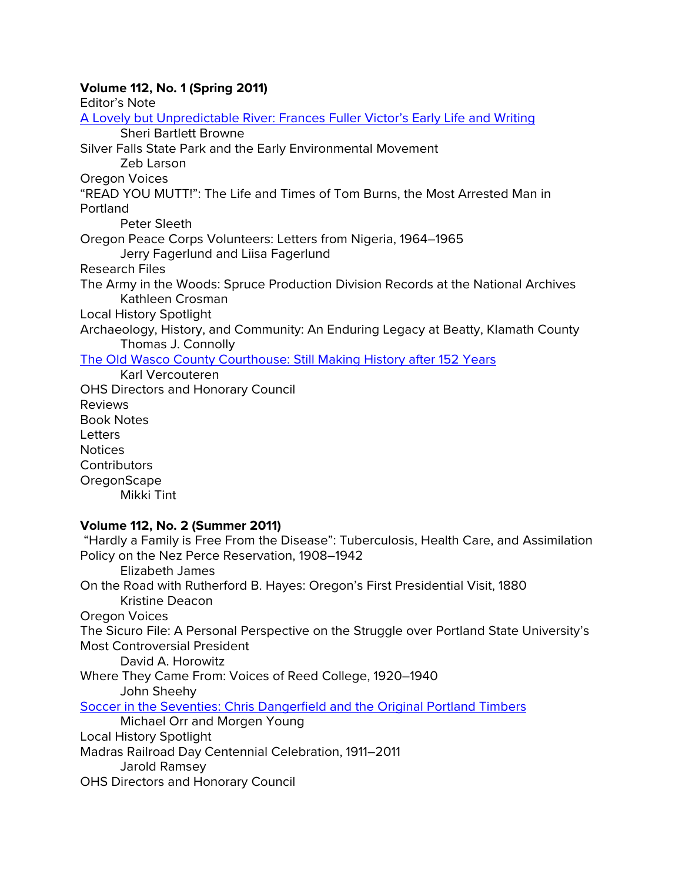# **Volume 112, No. 1 (Spring 2011)**

Editor's Note [A Lovely but Unpredictable River: Frances Fuller Victor's Early Life and Writing](https://ohs.org/research-and-library/oregon-historical-quarterly/joel-palmer-award/upload/112_1_Browne_Frances-Victor.pdf) Sheri Bartlett Browne Silver Falls State Park and the Early Environmental Movement Zeb Larson Oregon Voices "READ YOU MUTT!": The Life and Times of Tom Burns, the Most Arrested Man in Portland Peter Sleeth Oregon Peace Corps Volunteers: Letters from Nigeria, 1964–1965 Jerry Fagerlund and Liisa Fagerlund Research Files The Army in the Woods: Spruce Production Division Records at the National Archives Kathleen Crosman Local History Spotlight Archaeology, History, and Community: An Enduring Legacy at Beatty, Klamath County Thomas J. Connolly [The Old Wasco County Courthouse: Still Making History after 152 Years](http://ohs.org/research-and-library/oregon-historical-quarterly/upload/112_1-Vercouteren_Wasco-Courthouse.pdf) Karl Vercouteren OHS Directors and Honorary Council Reviews Book Notes **Letters** Notices **Contributors OregonScape** Mikki Tint **Volume 112, No. 2 (Summer 2011)** "Hardly a Family is Free From the Disease": Tuberculosis, Health Care, and Assimilation Policy on the Nez Perce Reservation, 1908–1942 Elizabeth James On the Road with Rutherford B. Hayes: Oregon's First Presidential Visit, 1880 Kristine Deacon Oregon Voices The Sicuro File: A Personal Perspective on the Struggle over Portland State University's Most Controversial President David A. Horowitz Where They Came From: Voices of Reed College, 1920–1940 John Sheehy [Soccer in the Seventies: Chris Dangerfield and the Original Portland Timbers](http://ohs.org/research-and-library/oregon-historical-quarterly/upload/112_2_Orr-and-Young_Timbers.pdf) Michael Orr and Morgen Young

Local History Spotlight

Madras Railroad Day Centennial Celebration, 1911–2011

Jarold Ramsey

OHS Directors and Honorary Council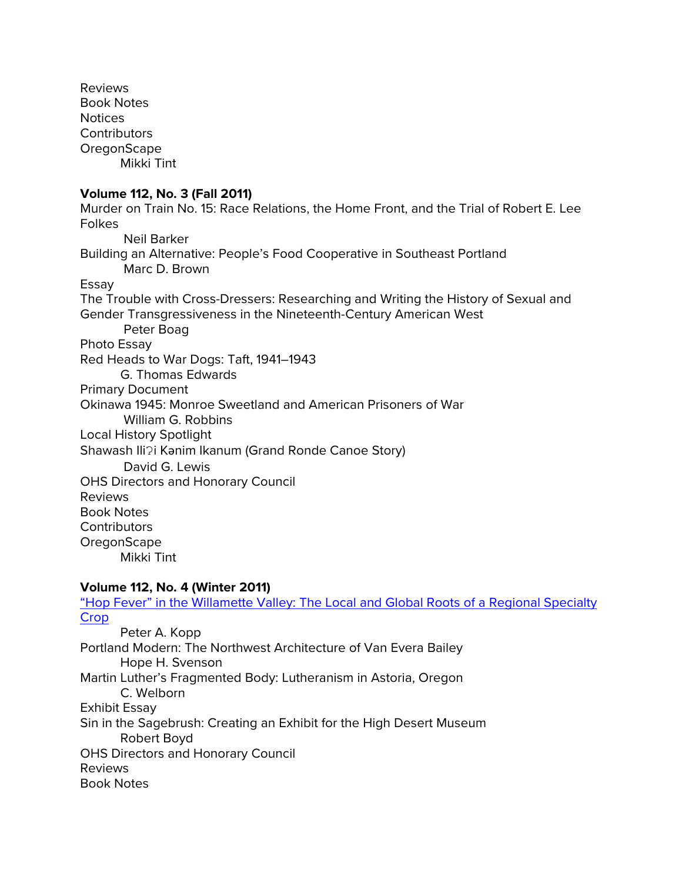Reviews Book Notes Notices **Contributors OregonScape** Mikki Tint **Volume 112, No. 3 (Fall 2011)** Murder on Train No. 15: Race Relations, the Home Front, and the Trial of Robert E. Lee Folkes Neil Barker Building an Alternative: People's Food Cooperative in Southeast Portland Marc D. Brown Essay The Trouble with Cross-Dressers: Researching and Writing the History of Sexual and Gender Transgressiveness in the Nineteenth-Century American West Peter Boag Photo Essay Red Heads to War Dogs: Taft, 1941–1943 G. Thomas Edwards Primary Document Okinawa 1945: Monroe Sweetland and American Prisoners of War William G. Robbins Local History Spotlight Shawash Ili?i Kanim Ikanum (Grand Ronde Canoe Story) David G. Lewis OHS Directors and Honorary Council Reviews Book Notes **Contributors** OregonScape Mikki Tint **Volume 112, No. 4 (Winter 2011)** "Hop Fever" in the Willamette Valley: The Local and Global Roots of a Regional Specialty

**[Crop](http://ohs.org/research-and-library/oregon-historical-quarterly/upload/02_ohq_112_4_Kopp_Hops.pdf)** Peter A. Kopp Portland Modern: The Northwest Architecture of Van Evera Bailey Hope H. Svenson Martin Luther's Fragmented Body: Lutheranism in Astoria, Oregon C. Welborn Exhibit Essay Sin in the Sagebrush: Creating an Exhibit for the High Desert Museum Robert Boyd OHS Directors and Honorary Council Reviews Book Notes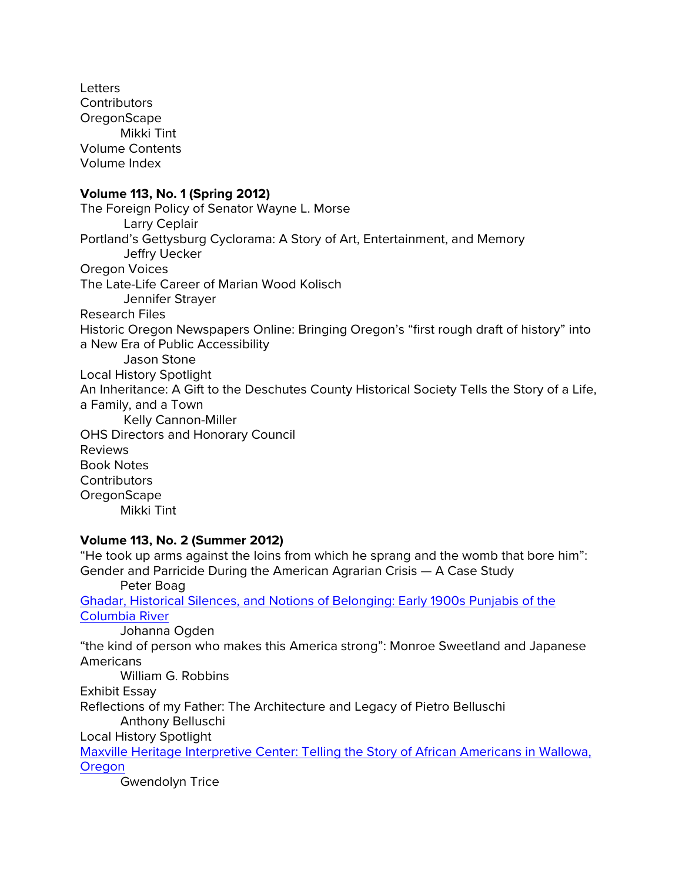**Letters Contributors OregonScape** Mikki Tint Volume Contents Volume Index **Volume 113, No. 1 (Spring 2012)** The Foreign Policy of Senator Wayne L. Morse Larry Ceplair Portland's Gettysburg Cyclorama: A Story of Art, Entertainment, and Memory Jeffry Uecker Oregon Voices The Late-Life Career of Marian Wood Kolisch Jennifer Strayer Research Files Historic Oregon Newspapers Online: Bringing Oregon's "first rough draft of history" into a New Era of Public Accessibility Jason Stone Local History Spotlight An Inheritance: A Gift to the Deschutes County Historical Society Tells the Story of a Life, a Family, and a Town Kelly Cannon-Miller OHS Directors and Honorary Council Reviews Book Notes **Contributors OregonScape** Mikki Tint **Volume 113, No. 2 (Summer 2012)**

"He took up arms against the loins from which he sprang and the womb that bore him": Gender and Parricide During the American Agrarian Crisis — A Case Study Peter Boag [Ghadar, Historical Silences, and Notions of Belonging: Early 1900s Punjabis of the](http://ohs.org/research-and-library/oregon-historical-quarterly/upload/03_113_02_Ogden_Ghadar.pdf)  [Columbia River](http://ohs.org/research-and-library/oregon-historical-quarterly/upload/03_113_02_Ogden_Ghadar.pdf) Johanna Ogden "the kind of person who makes this America strong": Monroe Sweetland and Japanese Americans William G. Robbins Exhibit Essay Reflections of my Father: The Architecture and Legacy of Pietro Belluschi Anthony Belluschi Local History Spotlight [Maxville Heritage Interpretive Center: Telling the Story of African Americans in Wallowa,](http://ohs.org/research-and-library/oregon-historical-quarterly/upload/Trice_Local-History-Spotlight_Maxville-Heritage-Interpretive-Center_113_2_Summer-2012.pdf)  **[Oregon](http://ohs.org/research-and-library/oregon-historical-quarterly/upload/Trice_Local-History-Spotlight_Maxville-Heritage-Interpretive-Center_113_2_Summer-2012.pdf)** 

Gwendolyn Trice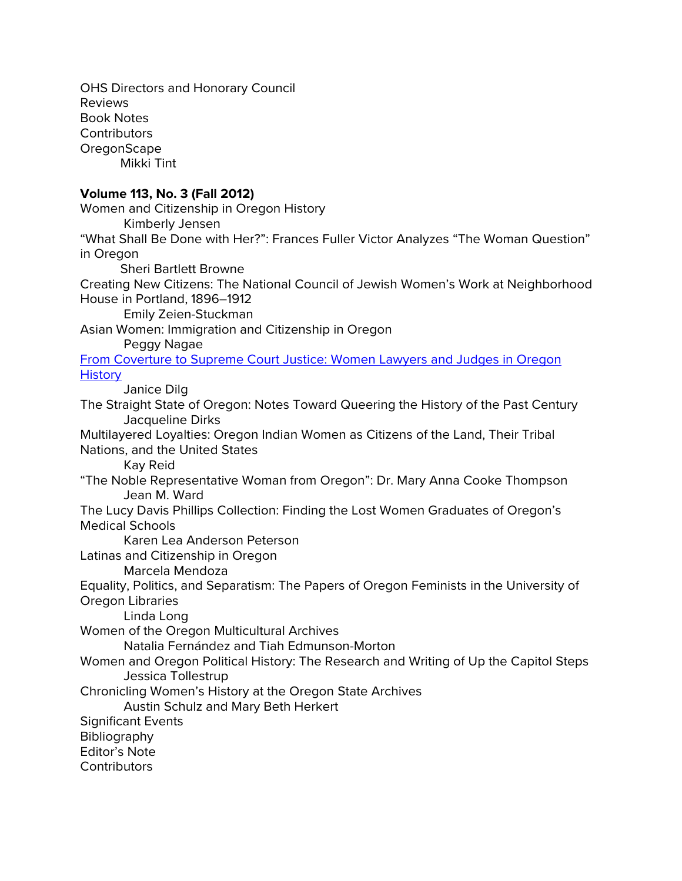OHS Directors and Honorary Council Reviews Book Notes **Contributors OregonScape** Mikki Tint **Volume 113, No. 3 (Fall 2012)** Women and Citizenship in Oregon History Kimberly Jensen "What Shall Be Done with Her?": Frances Fuller Victor Analyzes "The Woman Question" in Oregon Sheri Bartlett Browne Creating New Citizens: The National Council of Jewish Women's Work at Neighborhood House in Portland, 1896–1912 Emily Zeien-Stuckman Asian Women: Immigration and Citizenship in Oregon Peggy Nagae [From Coverture to Supreme Court Justice: Women Lawyers and Judges in Oregon](http://ohs.org/research-and-library/oregon-historical-quarterly/upload/06_113_03_Dilg_USDCHS.pdf)  **[History](http://ohs.org/research-and-library/oregon-historical-quarterly/upload/06_113_03_Dilg_USDCHS.pdf)** Janice Dilg The Straight State of Oregon: Notes Toward Queering the History of the Past Century Jacqueline Dirks Multilayered Loyalties: Oregon Indian Women as Citizens of the Land, Their Tribal Nations, and the United States Kay Reid "The Noble Representative Woman from Oregon": Dr. Mary Anna Cooke Thompson Jean M. Ward The Lucy Davis Phillips Collection: Finding the Lost Women Graduates of Oregon's Medical Schools Karen Lea Anderson Peterson Latinas and Citizenship in Oregon Marcela Mendoza Equality, Politics, and Separatism: The Papers of Oregon Feminists in the University of Oregon Libraries Linda Long Women of the Oregon Multicultural Archives Natalia Fernández and Tiah Edmunson-Morton Women and Oregon Political History: The Research and Writing of Up the Capitol Steps Jessica Tollestrup Chronicling Women's History at the Oregon State Archives Austin Schulz and Mary Beth Herkert Significant Events **Bibliography** Editor's Note **Contributors**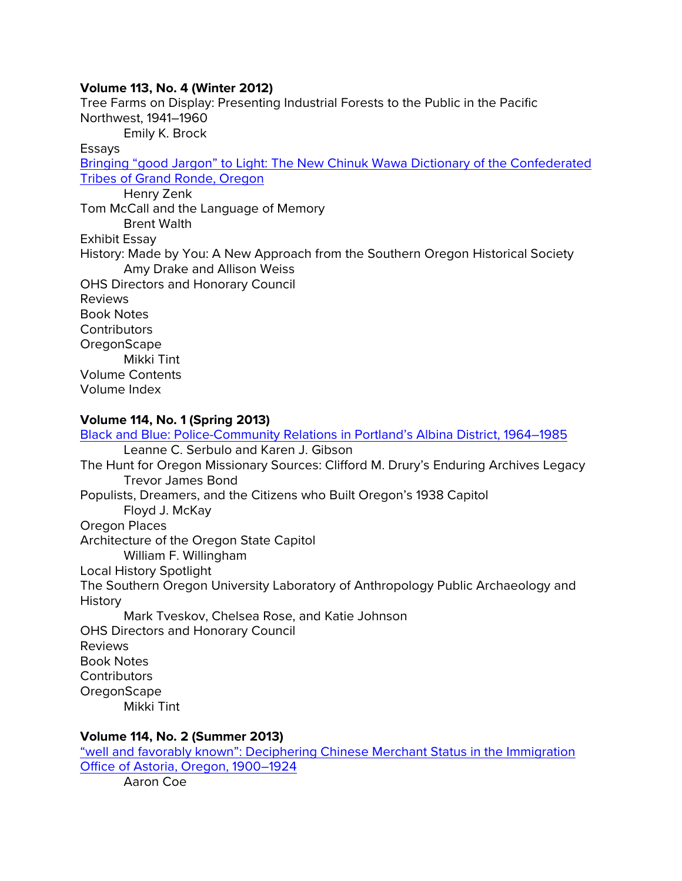### **Volume 113, No. 4 (Winter 2012)**

Tree Farms on Display: Presenting Industrial Forests to the Public in the Pacific Northwest, 1941–1960 Emily K. Brock Essays [Bringing "good Jargon" to Light: The New Chinuk Wawa Dictionary of the Confederated](http://ohs.org/research-and-library/oregon-historical-quarterly/upload/Bringing-good-jargon-to-light-pdf.pdf)  [Tribes of Grand Ronde, Oregon](http://ohs.org/research-and-library/oregon-historical-quarterly/upload/Bringing-good-jargon-to-light-pdf.pdf) Henry Zenk Tom McCall and the Language of Memory Brent Walth Exhibit Essay History: Made by You: A New Approach from the Southern Oregon Historical Society Amy Drake and Allison Weiss OHS Directors and Honorary Council Reviews Book Notes **Contributors OregonScape** Mikki Tint Volume Contents Volume Index

## **Volume 114, No. 1 (Spring 2013)**

[Black and Blue: Police-Community Relations in Portland's Albina District, 1964–1985](http://ohs.org/research-and-library/oregon-historical-quarterly/upload/serbulo-gibson_black-and-blue.pdf) Leanne C. Serbulo and Karen J. Gibson The Hunt for Oregon Missionary Sources: Clifford M. Drury's Enduring Archives Legacy Trevor James Bond Populists, Dreamers, and the Citizens who Built Oregon's 1938 Capitol Floyd J. McKay Oregon Places Architecture of the Oregon State Capitol William F. Willingham Local History Spotlight The Southern Oregon University Laboratory of Anthropology Public Archaeology and History Mark Tveskov, Chelsea Rose, and Katie Johnson OHS Directors and Honorary Council Reviews Book Notes **Contributors OregonScape** Mikki Tint

### **Volume 114, No. 2 (Summer 2013)**

["well and favorably known": Deciphering Chinese Merchant Status in the Immigration](http://ohs.org/research-and-library/oregon-historical-quarterly/upload/02_Coe_Chinese-in-Astoria.pdf)  [Office of Astoria, Oregon, 1900–1924](http://ohs.org/research-and-library/oregon-historical-quarterly/upload/02_Coe_Chinese-in-Astoria.pdf) Aaron Coe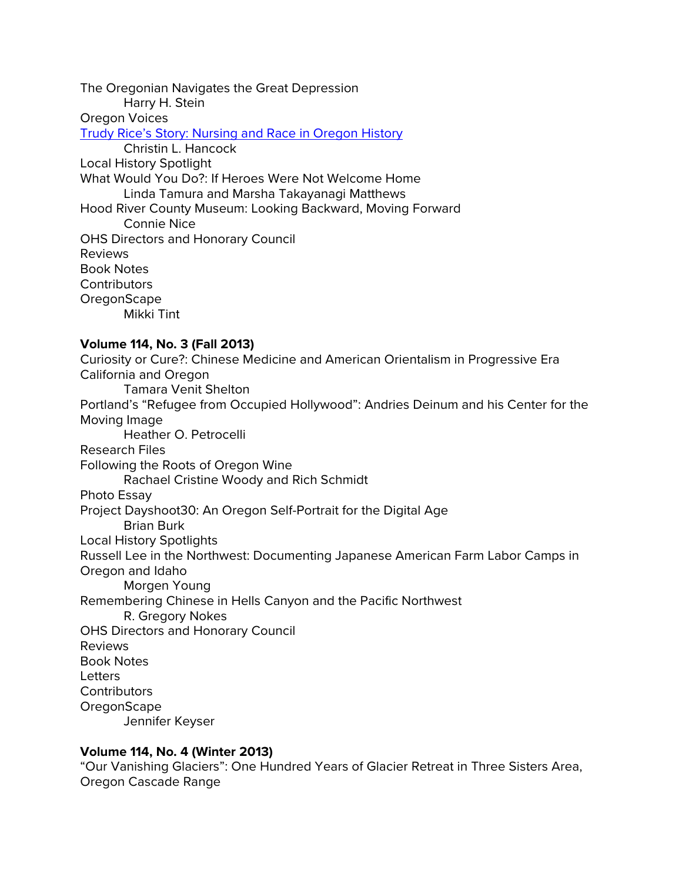The Oregonian Navigates the Great Depression Harry H. Stein Oregon Voices [Trudy Rice's Story: Nursing and Race in Oregon History](http://ohs.org/research-and-library/oregon-historical-quarterly/upload/04_hancock-and-rice_nurse-of-color.pdf) Christin L. Hancock Local History Spotlight What Would You Do?: If Heroes Were Not Welcome Home Linda Tamura and Marsha Takayanagi Matthews Hood River County Museum: Looking Backward, Moving Forward Connie Nice OHS Directors and Honorary Council Reviews Book Notes **Contributors OregonScape** Mikki Tint **Volume 114, No. 3 (Fall 2013)** Curiosity or Cure?: Chinese Medicine and American Orientalism in Progressive Era California and Oregon Tamara Venit Shelton Portland's "Refugee from Occupied Hollywood": Andries Deinum and his Center for the Moving Image Heather O. Petrocelli Research Files Following the Roots of Oregon Wine Rachael Cristine Woody and Rich Schmidt Photo Essay Project Dayshoot30: An Oregon Self-Portrait for the Digital Age Brian Burk Local History Spotlights Russell Lee in the Northwest: Documenting Japanese American Farm Labor Camps in Oregon and Idaho Morgen Young Remembering Chinese in Hells Canyon and the Pacific Northwest R. Gregory Nokes OHS Directors and Honorary Council Reviews Book Notes **Letters Contributors OregonScape** 

Jennifer Keyser

### **Volume 114, No. 4 (Winter 2013)**

"Our Vanishing Glaciers": One Hundred Years of Glacier Retreat in Three Sisters Area, Oregon Cascade Range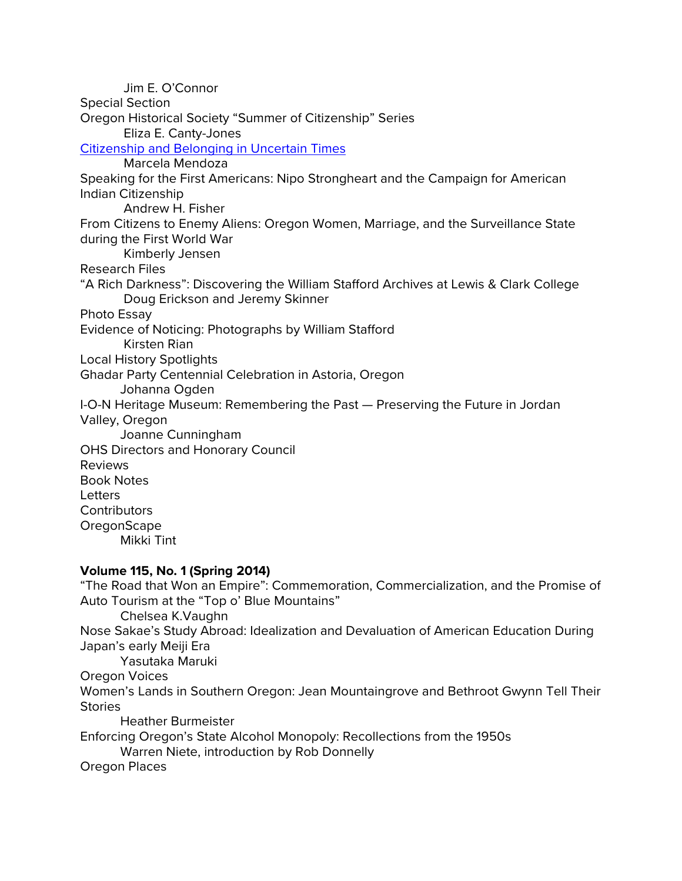Jim E. O'Connor Special Section Oregon Historical Society "Summer of Citizenship" Series Eliza E. Canty-Jones [Citizenship and Belonging in Uncertain Times](https://ohs.org/research-and-library/oregon-historical-quarterly/back-issues/upload/04_Mendoza_SOC-Essays_OHQ_114_4.pdf) Marcela Mendoza Speaking for the First Americans: Nipo Strongheart and the Campaign for American Indian Citizenship Andrew H. Fisher From Citizens to Enemy Aliens: Oregon Women, Marriage, and the Surveillance State during the First World War Kimberly Jensen Research Files "A Rich Darkness": Discovering the William Stafford Archives at Lewis & Clark College Doug Erickson and Jeremy Skinner Photo Essay Evidence of Noticing: Photographs by William Stafford Kirsten Rian Local History Spotlights Ghadar Party Centennial Celebration in Astoria, Oregon Johanna Ogden I-O-N Heritage Museum: Remembering the Past — Preserving the Future in Jordan Valley, Oregon Joanne Cunningham OHS Directors and Honorary Council Reviews Book Notes **Letters Contributors OregonScape** Mikki Tint **Volume 115, No. 1 (Spring 2014)**

"The Road that Won an Empire": Commemoration, Commercialization, and the Promise of Auto Tourism at the "Top o' Blue Mountains" Chelsea K.Vaughn Nose Sakae's Study Abroad: Idealization and Devaluation of American Education During Japan's early Meiji Era Yasutaka Maruki Oregon Voices Women's Lands in Southern Oregon: Jean Mountaingrove and Bethroot Gwynn Tell Their **Stories** Heather Burmeister Enforcing Oregon's State Alcohol Monopoly: Recollections from the 1950s Warren Niete, introduction by Rob Donnelly Oregon Places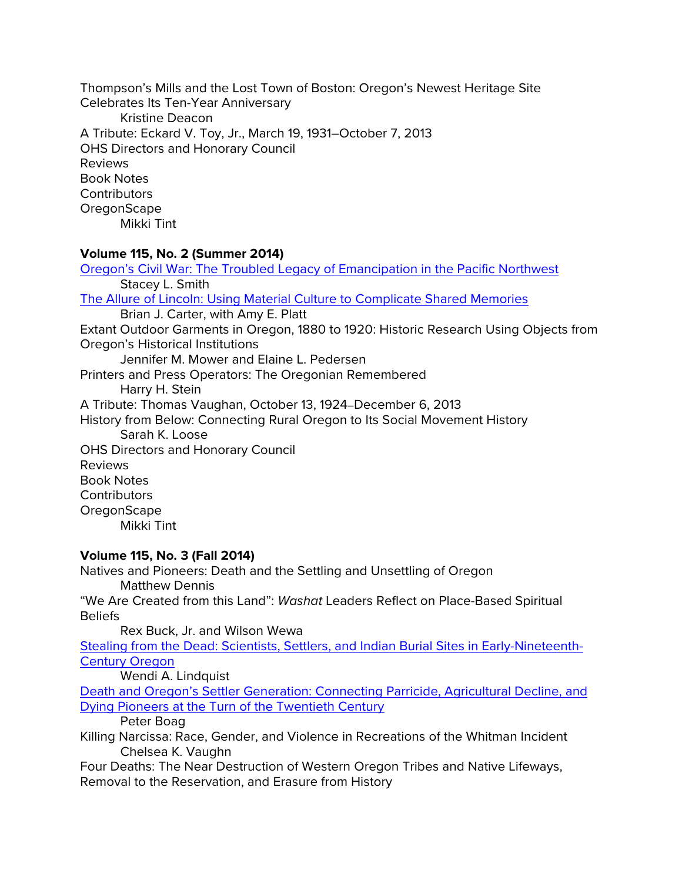Thompson's Mills and the Lost Town of Boston: Oregon's Newest Heritage Site Celebrates Its Ten-Year Anniversary Kristine Deacon A Tribute: Eckard V. Toy, Jr., March 19, 1931–October 7, 2013 OHS Directors and Honorary Council Reviews Book Notes **Contributors OregonScape** Mikki Tint

## **Volume 115, No. 2 (Summer 2014)**

[Oregon's Civil War: The Troubled Legacy of Emancipation in the Pacific Northwest](http://ohs.org/research-and-library/oregon-historical-quarterly/upload/02_Smith_Oregon-s-Civil-War_115_2_Summer-2014.pdf) Stacey L. Smith [The Allure of Lincoln: Using Material Culture to Complicate Shared Memories](http://ohs.org/research-and-library/oregon-historical-quarterly/upload/03_Carter-and-Platt_Exhibit-Feature_.pdf) Brian J. Carter, with Amy E. Platt Extant Outdoor Garments in Oregon, 1880 to 1920: Historic Research Using Objects from Oregon's Historical Institutions Jennifer M. Mower and Elaine L. Pedersen Printers and Press Operators: The Oregonian Remembered Harry H. Stein A Tribute: Thomas Vaughan, October 13, 1924–December 6, 2013 History from Below: Connecting Rural Oregon to Its Social Movement History Sarah K. Loose OHS Directors and Honorary Council Reviews Book Notes **Contributors OregonScape** 

Mikki Tint

## **Volume 115, No. 3 (Fall 2014)**

Natives and Pioneers: Death and the Settling and Unsettling of Oregon Matthew Dennis "We Are Created from this Land": *Washat* Leaders Reflect on Place-Based Spiritual

Beliefs

Rex Buck, Jr. and Wilson Wewa

[Stealing from the Dead: Scientists, Settlers, and Indian Burial Sites in Early-Nineteenth-](http://ohs.org/research-and-library/oregon-historical-quarterly/upload/04_Lindquist_Stealing-from-the-Dead_OHQ-115_revised.pdf)[Century Oregon](http://ohs.org/research-and-library/oregon-historical-quarterly/upload/04_Lindquist_Stealing-from-the-Dead_OHQ-115_revised.pdf)

Wendi A. Lindquist

[Death and Oregon's Settler Generation: Connecting Parricide, Agricultural Decline, and](http://ohs.org/research-and-library/oregon-historical-quarterly/upload/05_Boag_Death-and-Oregon-s-Settler-Generation_ohq-115_3.pdf)  [Dying Pioneers at the Turn of the Twentieth Century](http://ohs.org/research-and-library/oregon-historical-quarterly/upload/05_Boag_Death-and-Oregon-s-Settler-Generation_ohq-115_3.pdf)

Peter Boag

Killing Narcissa: Race, Gender, and Violence in Recreations of the Whitman Incident Chelsea K. Vaughn

Four Deaths: The Near Destruction of Western Oregon Tribes and Native Lifeways, Removal to the Reservation, and Erasure from History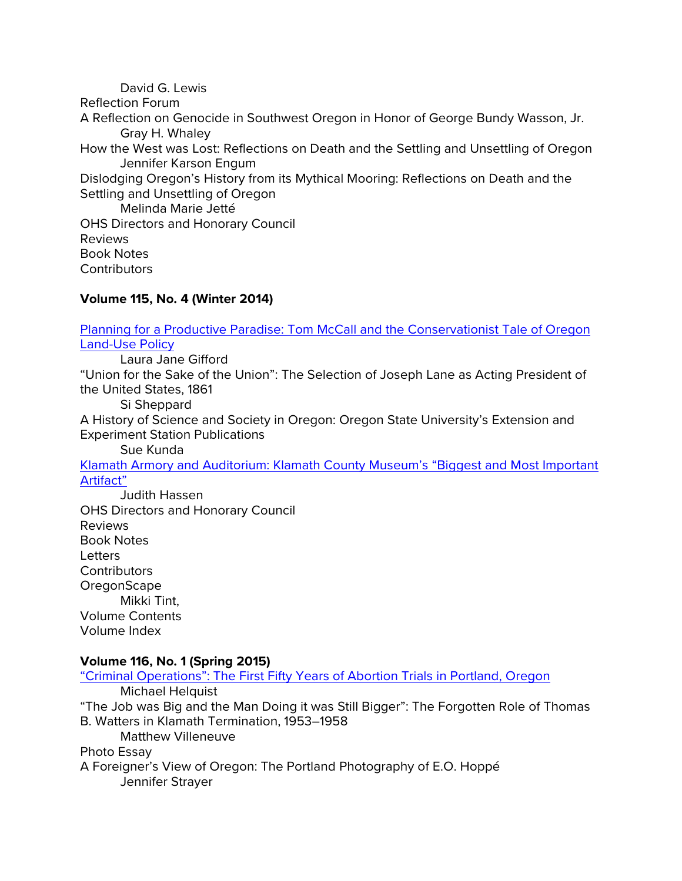David G. Lewis Reflection Forum A Reflection on Genocide in Southwest Oregon in Honor of George Bundy Wasson, Jr. Gray H. Whaley How the West was Lost: Reflections on Death and the Settling and Unsettling of Oregon Jennifer Karson Engum Dislodging Oregon's History from its Mythical Mooring: Reflections on Death and the Settling and Unsettling of Oregon Melinda Marie Jetté OHS Directors and Honorary Council Reviews Book Notes **Contributors** 

### **Volume 115, No. 4 (Winter 2014)**

[Planning for a Productive Paradise: Tom McCall and the Conservationist Tale of Oregon](http://ohs.org/research-and-library/oregon-historical-quarterly/upload/02_Gifford_Planning-for-a-Productive-Paradise_OHQ-115_4.pdf)  [Land-Use Policy](http://ohs.org/research-and-library/oregon-historical-quarterly/upload/02_Gifford_Planning-for-a-Productive-Paradise_OHQ-115_4.pdf)

Laura Jane Gifford

"Union for the Sake of the Union": The Selection of Joseph Lane as Acting President of the United States, 1861

Si Sheppard

A History of Science and Society in Oregon: Oregon State University's Extension and Experiment Station Publications

Sue Kunda

[Klamath Armory and Auditorium: Klamath County Museum's "Biggest and Most Important](http://ohs.org/research-and-library/oregon-historical-quarterly/upload/05_Hassen_Klamath-Armory_115_4_Winter-2014.pdf)  [Artifact"](http://ohs.org/research-and-library/oregon-historical-quarterly/upload/05_Hassen_Klamath-Armory_115_4_Winter-2014.pdf)

Judith Hassen OHS Directors and Honorary Council Reviews Book Notes **Letters Contributors OregonScape** Mikki Tint, Volume Contents Volume Index

#### **Volume 116, No. 1 (Spring 2015)**

["Criminal Operations": The First Fifty Years of Abortion Trials in Portland, Oregon](http://ohs.org/research-and-library/oregon-historical-quarterly/joel-palmer-award/upload/Helquist_Criminal-Operations_OHQ-116_1_Spring-2015_p.pdf) Michael Helquist "The Job was Big and the Man Doing it was Still Bigger": The Forgotten Role of Thomas B. Watters in Klamath Termination, 1953–1958 Matthew Villeneuve Photo Essay A Foreigner's View of Oregon: The Portland Photography of E.O. Hoppé Jennifer Strayer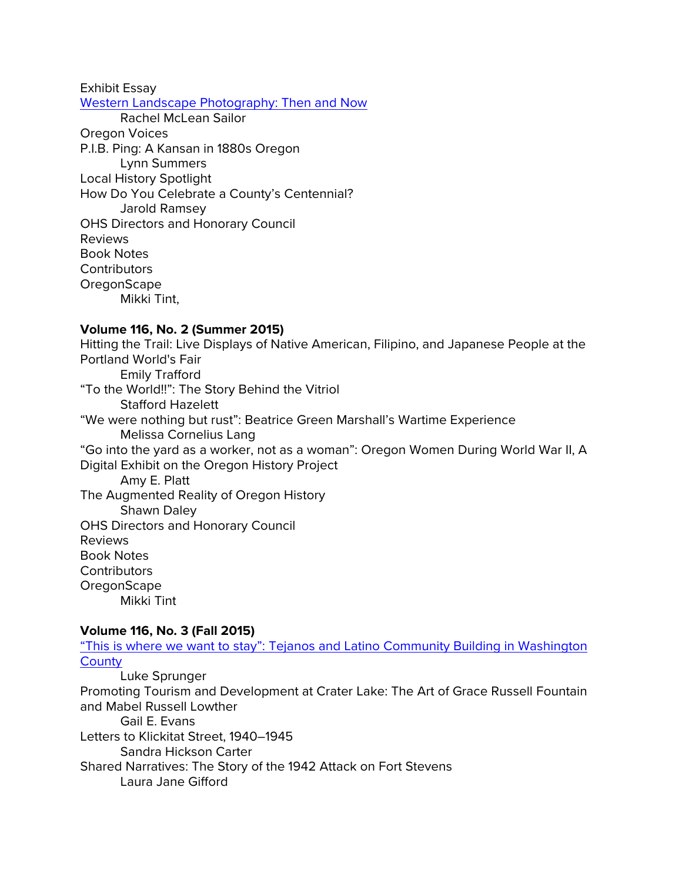Exhibit Essay

[Western Landscape Photography: Then and Now](http://ohs.org/research-and-library/oregon-historical-quarterly/upload/05_Sailor_Landscape-Photography_OHQ-116_1_Spring-2015.pdf) Rachel McLean Sailor

Oregon Voices P.I.B. Ping: A Kansan in 1880s Oregon Lynn Summers Local History Spotlight How Do You Celebrate a County's Centennial? Jarold Ramsey OHS Directors and Honorary Council Reviews Book Notes **Contributors** OregonScape Mikki Tint,

## **Volume 116, No. 2 (Summer 2015)**

Hitting the Trail: Live Displays of Native American, Filipino, and Japanese People at the Portland World's Fair Emily Trafford "To the World!!": The Story Behind the Vitriol Stafford Hazelett "We were nothing but rust": Beatrice Green Marshall's Wartime Experience Melissa Cornelius Lang "Go into the yard as a worker, not as a woman": Oregon Women During World War II, A Digital Exhibit on the Oregon History Project Amy E. Platt The Augmented Reality of Oregon History Shawn Daley OHS Directors and Honorary Council Reviews Book Notes **Contributors OregonScape** 

Mikki Tint

## **Volume 116, No. 3 (Fall 2015)**

"This is where [we want to stay": Tejanos and Latino Community Building in Washington](http://ohs.org/research-and-library/oregon-historical-quarterly/upload/02_Sprunger_Tejano-Community-Builders_OHQ-116_3.pdf)  **[County](http://ohs.org/research-and-library/oregon-historical-quarterly/upload/02_Sprunger_Tejano-Community-Builders_OHQ-116_3.pdf)** 

Luke Sprunger Promoting Tourism and Development at Crater Lake: The Art of Grace Russell Fountain and Mabel Russell Lowther Gail E. Evans Letters to Klickitat Street, 1940–1945 Sandra Hickson Carter Shared Narratives: The Story of the 1942 Attack on Fort Stevens Laura Jane Gifford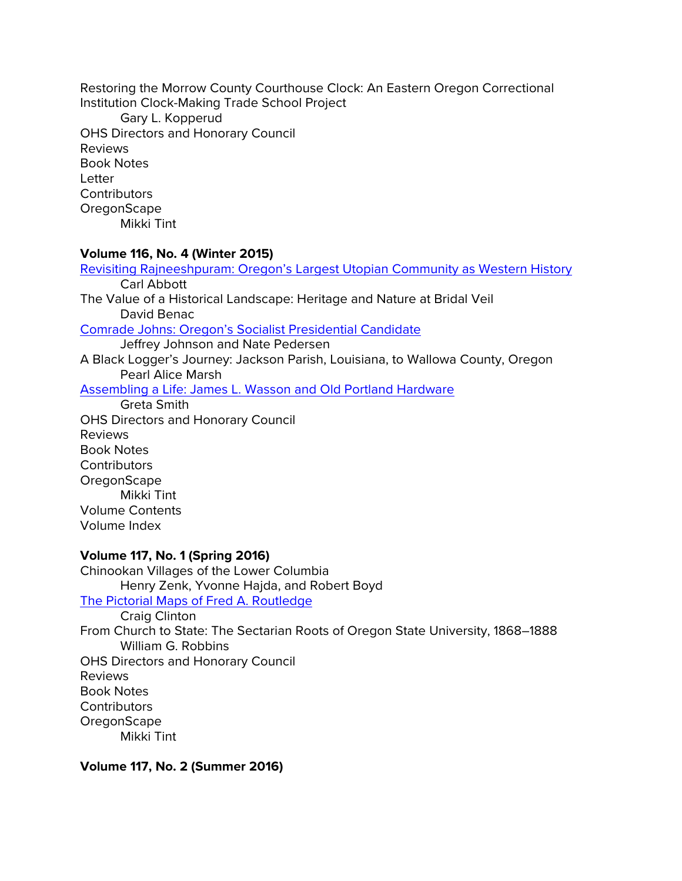Restoring the Morrow County Courthouse Clock: An Eastern Oregon Correctional Institution Clock-Making Trade School Project Gary L. Kopperud OHS Directors and Honorary Council Reviews Book Notes Letter **Contributors OregonScape** 

Mikki Tint

### **Volume 116, No. 4 (Winter 2015)**

[Revisiting Rajneeshpuram: Oregon's Largest Utopian Community as Western History](https://ohs.org/research-and-library/oregon-historical-quarterly/back-issues/upload/Abbott_Revisiting-Rajneeshparum_OHQ-116_4_Winter-2015_spread.pdf) Carl Abbott The Value of a Historical Landscape: Heritage and Nature at Bridal Veil David Benac [Comrade Johns: Oregon's Socialist Presidential Candidate](http://ohs.org/research-and-library/oregon-historical-quarterly/upload/04_Johnson-and-Pedersen_Comrade-Johns_OHQ-116_4_Winter-2015.pdf) Jeffrey Johnson and Nate Pedersen A Black Logger's Journey: Jackson Parish, Louisiana, to Wallowa County, Oregon Pearl Alice Marsh [Assembling a Life: James L. Wasson and Old Portland Hardware](http://ohs.org/research-and-library/oregon-historical-quarterly/upload/Smith_Wasson_OHQ-116_4_Winter-2015.pdf) Greta Smith OHS Directors and Honorary Council Reviews

Book Notes **Contributors OregonScape** Mikki Tint Volume Contents Volume Index

## **Volume 117, No. 1 (Spring 2016)**

Chinookan Villages of the Lower Columbia Henry Zenk, Yvonne Hajda, and Robert Boyd [The Pictorial Maps of Fred A. Routledge](http://ohs.org/research-and-library/oregon-historical-quarterly/upload/03_Clinton_Routledge-Maps_117_1_Spring-2016.pdf) Craig Clinton From Church to State: The Sectarian Roots of Oregon State University, 1868–1888 William G. Robbins OHS Directors and Honorary Council Reviews Book Notes **Contributors OregonScape** Mikki Tint

**Volume 117, No. 2 (Summer 2016)**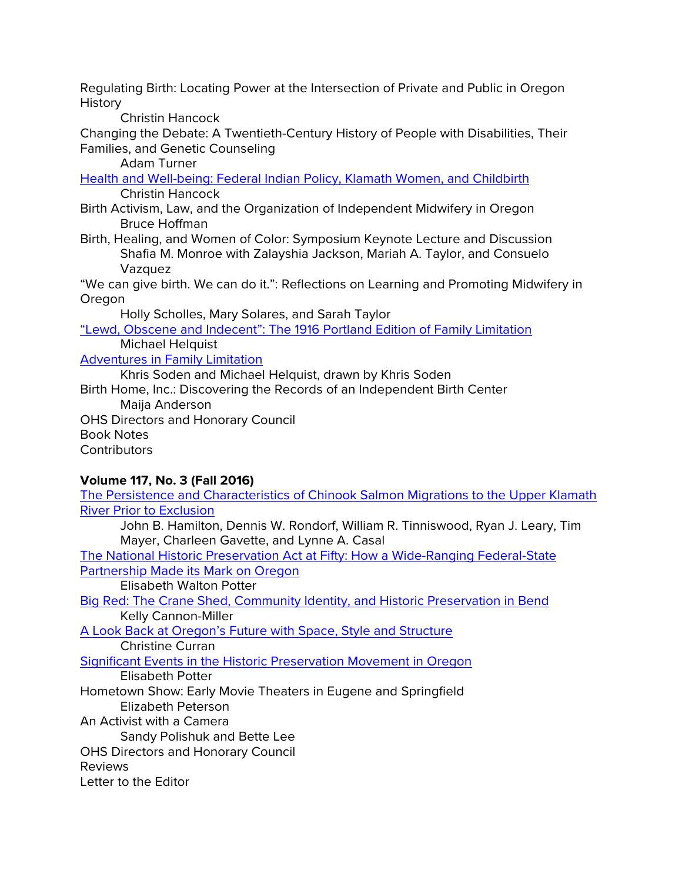Regulating Birth: Locating Power at the Intersection of Private and Public in Oregon History

Christin Hancock

Changing the Debate: A Twentieth-Century History of People with Disabilities, Their Families, and Genetic Counseling

Adam Turner

[Health and Well-being: Federal Indian Policy, Klamath Women, and Childbirth](http://ohs.org/research-and-library/oregon-historical-quarterly/joel-palmer-award/upload/04_Hancock_Klamath-Women-and-Childbirth-OHQ_117_2_Summer-2016.pdf) Christin Hancock

- Birth Activism, Law, and the Organization of Independent Midwifery in Oregon Bruce Hoffman
- Birth, Healing, and Women of Color: Symposium Keynote Lecture and Discussion Shafia M. Monroe with Zalayshia Jackson, Mariah A. Taylor, and Consuelo Vazquez

"We can give birth. We can do it.": Reflections on Learning and Promoting Midwifery in Oregon

Holly Scholles, Mary Solares, and Sarah Taylor

["Lewd, Obscene and Indecent": The 1916 Portland Edition of Family Limitation](http://ohs.org/research-and-library/oregon-historical-quarterly/upload/08_Helquist_Lewd-Obscene-and-Indecent-OHQ_117_2_Summer-2016.pdf) Michael Helquist

[Adventures in Family Limitation](http://ohs.org/research-and-library/oregon-historical-quarterly/upload/09_Soden-and-Helquist_Adventures-in-Family-Limitation-OHQ_117_2_Summer-2016.pdf)

Khris Soden and Michael Helquist, drawn by Khris Soden

Birth Home, Inc.: Discovering the Records of an Independent Birth Center Maija Anderson

OHS Directors and Honorary Council Book Notes **Contributors** 

# **Volume 117, No. 3 (Fall 2016)**

[The Persistence and Characteristics of Chinook Salmon Migrations to the Upper Klamath](http://ohs.org/research-and-library/oregon-historical-quarterly/upload/Hamilton_Chinook-Salmon-Migrations_OHQ_117_3_Fall-2016_Spread.pdf)  [River Prior to Exclusion](http://ohs.org/research-and-library/oregon-historical-quarterly/upload/Hamilton_Chinook-Salmon-Migrations_OHQ_117_3_Fall-2016_Spread.pdf)

John B. Hamilton, Dennis W. Rondorf, William R. Tinniswood, Ryan J. Leary, Tim Mayer, Charleen Gavette, and Lynne A. Casal

[The National Historic Preservation Act at Fifty: How a Wide-Ranging Federal-State](http://ohs.org/research-and-library/oregon-historical-quarterly/upload/Potter_NHPA-at-50_OHQ_117_3_Fall-2016.pdf)  [Partnership Made its](http://ohs.org/research-and-library/oregon-historical-quarterly/upload/Potter_NHPA-at-50_OHQ_117_3_Fall-2016.pdf) Mark on Oregon

Elisabeth Walton Potter

[Big Red: The Crane Shed, Community Identity, and Historic Preservation in Bend](http://ohs.org/research-and-library/oregon-historical-quarterly/upload/Cannon-Miller_Big-Red_OHQ_117-3_Fall-2016.pdf) Kelly Cannon-Miller

[A Look Back at Oregon's Future with Space, Style and Structure](http://ohs.org/research-and-library/oregon-historical-quarterly/upload/Curran_A-Look-Back-at-Oregons-Future_OHQ-117_3_Fall2016.pdf) Christine Curran

[Significant Events in the Historic Preservation Movement in Oregon](http://ohs.org/research-and-library/oregon-historical-quarterly/upload/Timeline_OHQ_117_3_Fall-2016.pdf)

Elisabeth Potter

Hometown Show: Early Movie Theaters in Eugene and Springfield Elizabeth Peterson

An Activist with a Camera

Sandy Polishuk and Bette Lee

OHS Directors and Honorary Council

Reviews

Letter to the Editor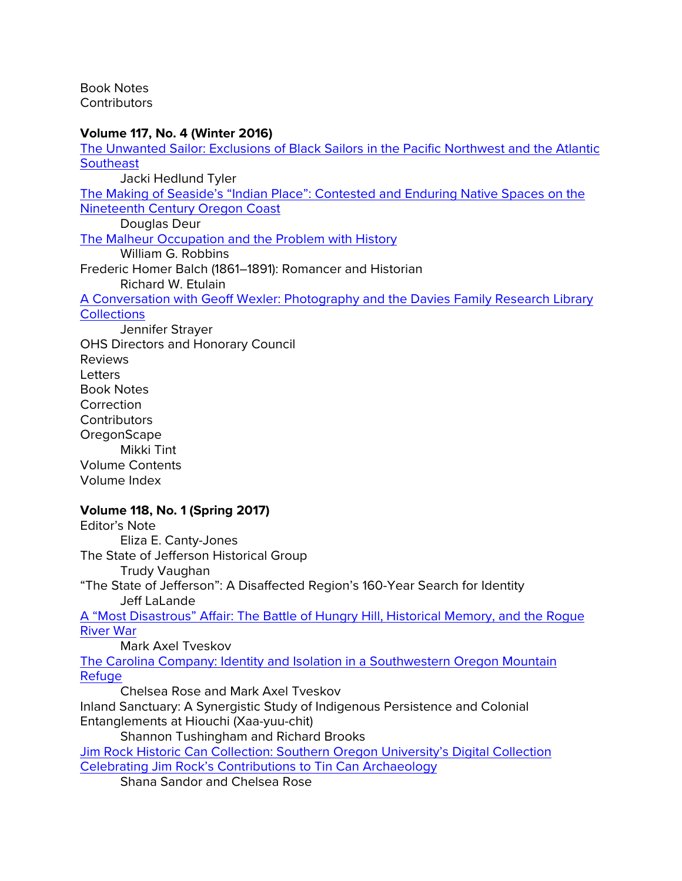Book Notes **Contributors** 

### **Volume 117, No. 4 (Winter 2016)**

[The Unwanted Sailor: Exclusions of Black Sailors in the Pacific Northwest and the Atlantic](http://ohs.org/research-and-library/oregon-historical-quarterly/joel-palmer-award/upload/02_Tyler_The-Unwanted-Sailor_OHQ-117_4_Winter-2016.pdf)  **[Southeast](http://ohs.org/research-and-library/oregon-historical-quarterly/joel-palmer-award/upload/02_Tyler_The-Unwanted-Sailor_OHQ-117_4_Winter-2016.pdf)** Jacki Hedlund Tyler

[The Making of Seaside's "Indian Place": Contested and Enduring Native Spaces on the](http://ohs.org/research-and-library/oregon-historical-quarterly/joel-palmer-award/upload/03_Deur_Indian-Place_OHQ-117_4_Winter-2016.pdf)  [Nineteenth Century Oregon Coast](http://ohs.org/research-and-library/oregon-historical-quarterly/joel-palmer-award/upload/03_Deur_Indian-Place_OHQ-117_4_Winter-2016.pdf)

Douglas Deur

[The Malheur Occupation and the Problem with History](https://ohs.org/research-and-library/oregon-historical-quarterly/back-issues/upload/04_Robbins_Malheur-Occupation_OHQ-117_4_Winter-2016.pdf)

William G. Robbins

Frederic Homer Balch (1861–1891): Romancer and Historian Richard W. Etulain

[A Conversation with Geoff Wexler: Photography and the Davies Family Research Library](http://ohs.org/research-and-library/oregon-historical-quarterly/upload/Strayer-and-Wexler_Conversation_OHQ-117_4_Winter-2016_2pagespread.pdf)  **[Collections](http://ohs.org/research-and-library/oregon-historical-quarterly/upload/Strayer-and-Wexler_Conversation_OHQ-117_4_Winter-2016_2pagespread.pdf)** 

Jennifer Strayer OHS Directors and Honorary Council Reviews **Letters** Book Notes **Correction Contributors OregonScape** Mikki Tint Volume Contents Volume Index

### **Volume 118, No. 1 (Spring 2017)**

Editor's Note Eliza E. Canty-Jones The State of Jefferson Historical Group Trudy Vaughan "The State of Jefferson": A Disaffected Region's 160-Year Search for Identity Jeff LaLande [A "Most Disastrous" Affair: The Battle of Hungry Hill, Historical Memory, and the Rogue](http://ohs.org/research-and-library/oregon-historical-quarterly/upload/Tveskov_A-Most-Disastrous-Affair_OHQ-Spring-2017_spread.pdf)  [River War](http://ohs.org/research-and-library/oregon-historical-quarterly/upload/Tveskov_A-Most-Disastrous-Affair_OHQ-Spring-2017_spread.pdf) Mark Axel Tveskov [The Carolina Company: Identity and Isolation in a Southwestern Oregon Mountain](http://ohs.org/research-and-library/oregon-historical-quarterly/upload/Rose-and-Tveskov_Carolina-Company_OHQ-Spring-2017_spread.pdf)  **[Refuge](http://ohs.org/research-and-library/oregon-historical-quarterly/upload/Rose-and-Tveskov_Carolina-Company_OHQ-Spring-2017_spread.pdf)** Chelsea Rose and Mark Axel Tveskov Inland Sanctuary: A Synergistic Study of Indigenous Persistence and Colonial Entanglements at Hiouchi (Xaa-yuu-chit) Shannon Tushingham and Richard Brooks [Jim Rock Historic Can Collection: Southern Oregon University's Digital Collection](http://ohs.org/research-and-library/oregon-historical-quarterly/upload/Sandor-and-Rose_Jim-Rock-Historic-Can-Collection_OHQ-Spring-2017.pdf)  [Celebrating Jim Rock's Contributions to Tin Can Archaeology](http://ohs.org/research-and-library/oregon-historical-quarterly/upload/Sandor-and-Rose_Jim-Rock-Historic-Can-Collection_OHQ-Spring-2017.pdf) Shana Sandor and Chelsea Rose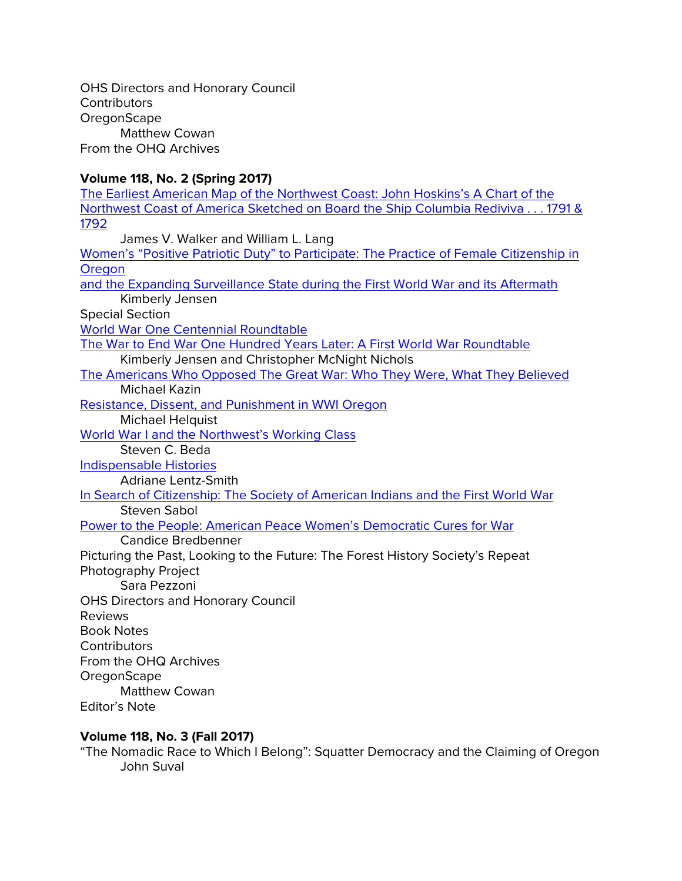OHS Directors and Honorary Council **Contributors OregonScape** Matthew Cowan From the OHQ Archives

# **Volume 118, No. 2 (Spring 2017)**

| The Earliest American Map of the Northwest Coast: John Hoskins's A Chart of the         |
|-----------------------------------------------------------------------------------------|
| Northwest Coast of America Sketched on Board the Ship Columbia Rediviva 1791 &          |
| 1792                                                                                    |
| James V. Walker and William L. Lang                                                     |
| Women's "Positive Patriotic Duty" to Participate: The Practice of Female Citizenship in |
| Oregon                                                                                  |
| and the Expanding Surveillance State during the First World War and its Aftermath       |
| Kimberly Jensen                                                                         |
| <b>Special Section</b>                                                                  |
| World War One Centennial Roundtable                                                     |
| The War to End War One Hundred Years Later: A First World War Roundtable                |
| Kimberly Jensen and Christopher McNight Nichols                                         |
| The Americans Who Opposed The Great War: Who They Were, What They Believed              |
| <b>Michael Kazin</b>                                                                    |
| Resistance, Dissent, and Punishment in WWI Oregon                                       |
| Michael Helquist                                                                        |
| World War I and the Northwest's Working Class                                           |
| Steven C. Beda                                                                          |
| <b>Indispensable Histories</b>                                                          |
| <b>Adriane Lentz-Smith</b>                                                              |
| In Search of Citizenship: The Society of American Indians and the First World War       |
| <b>Steven Sabol</b>                                                                     |
| Power to the People: American Peace Women's Democratic Cures for War                    |
| <b>Candice Bredbenner</b>                                                               |
| Picturing the Past, Looking to the Future: The Forest History Society's Repeat          |
| Photography Project                                                                     |
| Sara Pezzoni                                                                            |
| <b>OHS Directors and Honorary Council</b>                                               |
| <b>Reviews</b>                                                                          |
| <b>Book Notes</b>                                                                       |
| Contributors                                                                            |
| From the OHQ Archives                                                                   |
| OregonScape                                                                             |
| <b>Matthew Cowan</b>                                                                    |
| <b>Editor's Note</b>                                                                    |
| <b>Volume 118, No. 3 (Fall 2017)</b>                                                    |

"The Nomadic Race to Which I Belong": Squatter Democracy and the Claiming of Oregon John Suval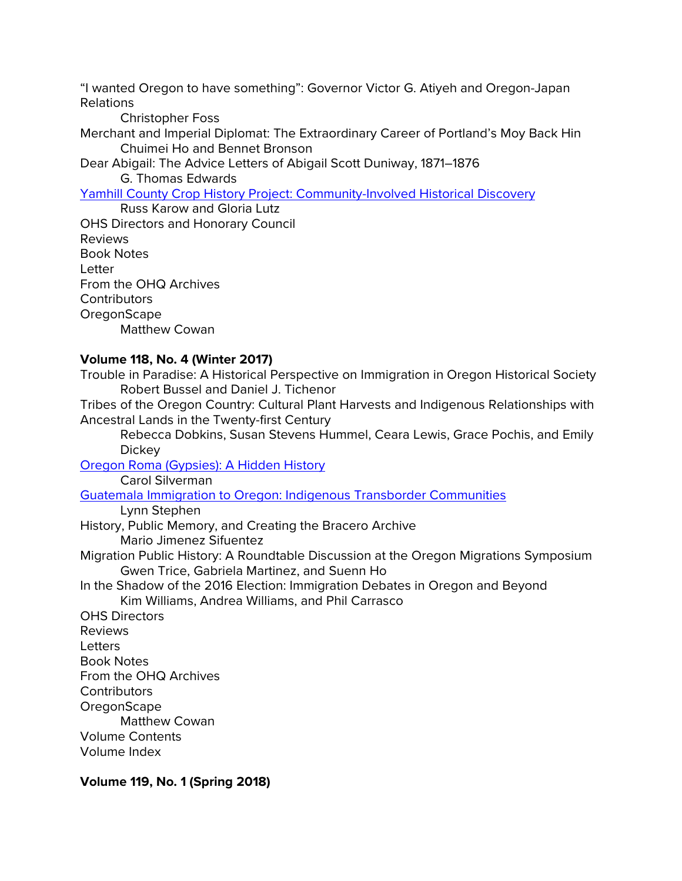"I wanted Oregon to have something": Governor Victor G. Atiyeh and Oregon-Japan Relations

Christopher Foss

Merchant and Imperial Diplomat: The Extraordinary Career of Portland's Moy Back Hin Chuimei Ho and Bennet Bronson

Dear Abigail: The Advice Letters of Abigail Scott Duniway, 1871–1876

G. Thomas Edwards

[Yamhill County Crop History Project: Community-Involved Historical Discovery](http://ohs.org/research-and-library/oregon-historical-quarterly/upload/Karow-and-Lutz_Yamhill-County-Crop-History-Project_OHQ-118_3_Fall-2017_spread.pdf)

Russ Karow and Gloria Lutz OHS Directors and Honorary Council Reviews Book Notes Letter From the OHQ Archives **Contributors OregonScape** Matthew Cowan

# **Volume 118, No. 4 (Winter 2017)**

Trouble in Paradise: A Historical Perspective on Immigration in Oregon Historical Society Robert Bussel and Daniel J. Tichenor

Tribes of the Oregon Country: Cultural Plant Harvests and Indigenous Relationships with Ancestral Lands in the Twenty-first Century

Rebecca Dobkins, Susan Stevens Hummel, Ceara Lewis, Grace Pochis, and Emily Dickey

[Oregon Roma \(Gypsies\): A Hidden History](https://ohs.org/research-and-library/oregon-historical-quarterly/joel-palmer-award/upload/Silverman_Roma-in-Oregon_OHQ-Winter-2017_Final.pdf) Carol Silverman [Guatemala Immigration to Oregon: Indigenous Transborder Communities](https://ohs.org/research-and-library/oregon-historical-quarterly/back-issues/upload/Stephen_Guatemaln-Immigration-to-Oregon_OHQ-118_4_Winter-2017.pdf) Lynn Stephen History, Public Memory, and Creating the Bracero Archive Mario Jimenez Sifuentez Migration Public History: A Roundtable Discussion at the Oregon Migrations Symposium Gwen Trice, Gabriela Martinez, and Suenn Ho In the Shadow of the 2016 Election: Immigration Debates in Oregon and Beyond Kim Williams, Andrea Williams, and Phil Carrasco

OHS Directors Reviews Letters Book Notes From the OHQ Archives **Contributors OregonScape** Matthew Cowan Volume Contents Volume Index

**Volume 119, No. 1 (Spring 2018)**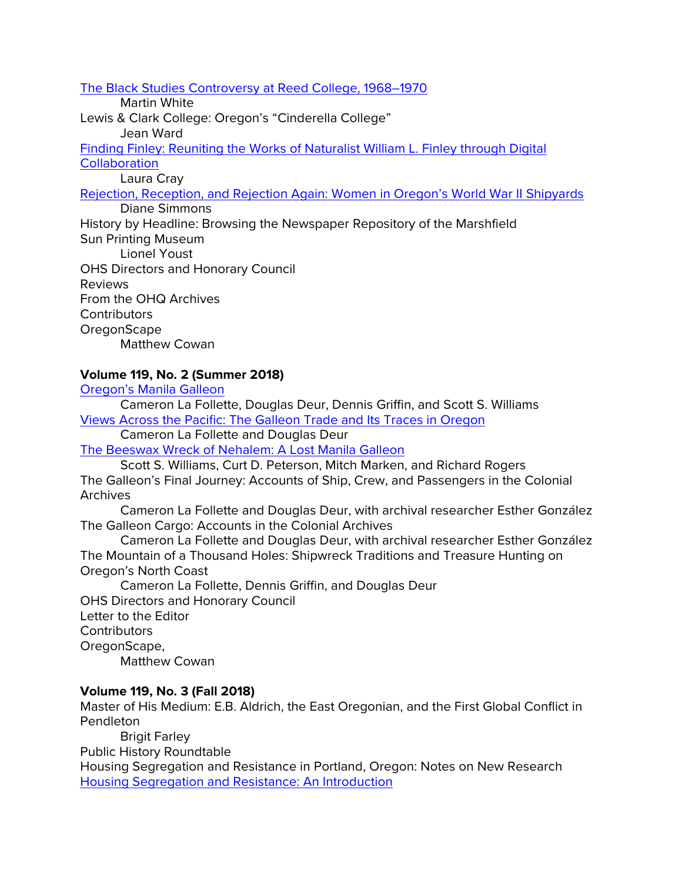[The Black Studies Controversy at Reed College, 1968–1970](https://ohs.org/research-and-library/oregon-historical-quarterly/upload/White_Black-Studies-at-Reed_OHQ-119_1_Spring-2018_spread.pdf)

Martin White

Lewis & Clark College: Oregon's "Cinderella College"

Jean Ward

[Finding Finley: Reuniting the Works of Naturalist William L. Finley through Digital](https://ohs.org/research-and-library/oregon-historical-quarterly/upload/Cray_Finding-Finley_OHQ-Spring-2018_119_1.pdf)  **[Collaboration](https://ohs.org/research-and-library/oregon-historical-quarterly/upload/Cray_Finding-Finley_OHQ-Spring-2018_119_1.pdf)** 

Laura Cray

[Rejection, Reception, and Rejection Again: Women in Oregon's World War II Shipyards](https://ohs.org/research-and-library/oregon-historical-quarterly/back-issues/upload/Simmons_Bos-n-Whistle_Research-Files_Spring-2018_for-web.pdf) Diane Simmons

History by Headline: Browsing the Newspaper Repository of the Marshfield Sun Printing Museum

Lionel Youst OHS Directors and Honorary Council Reviews From the OHQ Archives **Contributors OregonScape** Matthew Cowan

# **Volume 119, No. 2 (Summer 2018)**

[Oregon's Manila Galleon](https://ohs.org/research-and-library/oregon-historical-quarterly/back-issues/upload/La-Follette_Oregon-s-Manila-Galleon_OHQ-Summer-2018.pdf)

Cameron La Follette, Douglas Deur, Dennis Griffin, and Scott S. Williams [Views Across the Pacific: The Galleon Trade and Its Traces in Oregon](https://ohs.org/research-and-library/oregon-historical-quarterly/back-issues/upload/La-Follette_Views-Across-the-Pacific_OHQ-Summer-2018.pdf)

Cameron La Follette and Douglas Deur

[The Beeswax Wreck of Nehalem: A Lost Manila Galleon](https://ohs.org/research-and-library/oregon-historical-quarterly/back-issues/upload/Williams-et-al_The-Beeswax-Wreck-of-Nehalem.pdf)

Scott S. Williams, Curt D. Peterson, Mitch Marken, and Richard Rogers The Galleon's Final Journey: Accounts of Ship, Crew, and Passengers in the Colonial **Archives** 

Cameron La Follette and Douglas Deur, with archival researcher Esther González The Galleon Cargo: Accounts in the Colonial Archives

Cameron La Follette and Douglas Deur, with archival researcher Esther González The Mountain of a Thousand Holes: Shipwreck Traditions and Treasure Hunting on Oregon's North Coast

Cameron La Follette, Dennis Griffin, and Douglas Deur

OHS Directors and Honorary Council Letter to the Editor **Contributors** OregonScape, Matthew Cowan

# **Volume 119, No. 3 (Fall 2018)**

Master of His Medium: E.B. Aldrich, the East Oregonian, and the First Global Conflict in Pendleton

Brigit Farley Public History Roundtable

Housing Segregation and Resistance in Portland, Oregon: Notes on New Research [Housing Segregation and Resistance: An Introduction](https://ohs.org/research-and-library/oregon-historical-quarterly/back-issues/upload/Thompson_Housing-Segregation-and-Resistance-in-Portland_OHQ-Fall-2018.pdf)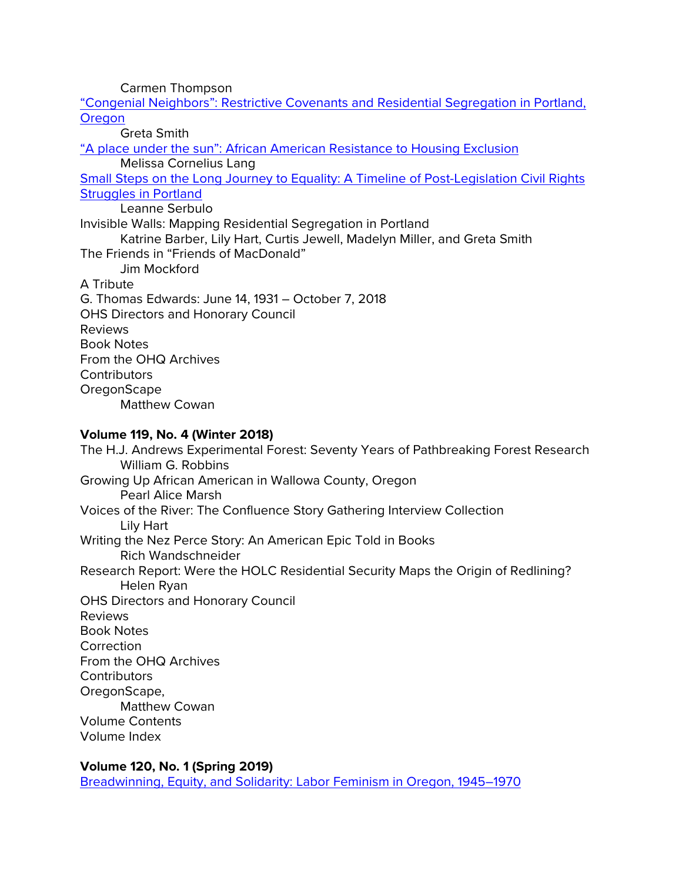Carmen Thompson ["Congenial Neighbors": Restrictive Covenants and Residential Segregation in Portland,](https://ohs.org/research-and-library/oregon-historical-quarterly/back-issues/upload/Smith_Congenial-Neighbors_Fall-2018.pdf) 

**[Oregon](https://ohs.org/research-and-library/oregon-historical-quarterly/back-issues/upload/Smith_Congenial-Neighbors_Fall-2018.pdf)** 

Greta Smith ["A place under the sun": African American Resistance to Housing Exclusion](https://ohs.org/research-and-library/oregon-historical-quarterly/back-issues/upload/Lang_A-place-under-the-sun_OHQ-Fall-2018.pdf) Melissa Cornelius Lang [Small Steps on the Long Journey to Equality: A Timeline of Post-Legislation Civil Rights](https://ohs.org/research-and-library/oregon-historical-quarterly/upload/Serbulo_Post-Legislation-Civil-Rights-Timeline_Fall-2018_OHQ-119_spread.pdf)  [Struggles in Portland](https://ohs.org/research-and-library/oregon-historical-quarterly/upload/Serbulo_Post-Legislation-Civil-Rights-Timeline_Fall-2018_OHQ-119_spread.pdf) Leanne Serbulo Invisible Walls: Mapping Residential Segregation in Portland Katrine Barber, Lily Hart, Curtis Jewell, Madelyn Miller, and Greta Smith The Friends in "Friends of MacDonald" Jim Mockford A Tribute G. Thomas Edwards: June 14, 1931 – October 7, 2018 OHS Directors and Honorary Council Reviews Book Notes From the OHQ Archives **Contributors OregonScape** Matthew Cowan

## **Volume 119, No. 4 (Winter 2018)**

The H.J. Andrews Experimental Forest: Seventy Years of Pathbreaking Forest Research William G. Robbins Growing Up African American in Wallowa County, Oregon Pearl Alice Marsh Voices of the River: The Confluence Story Gathering Interview Collection Lily Hart Writing the Nez Perce Story: An American Epic Told in Books Rich Wandschneider Research Report: Were the HOLC Residential Security Maps the Origin of Redlining? Helen Ryan OHS Directors and Honorary Council Reviews Book Notes **Correction** From the OHQ Archives **Contributors** OregonScape, Matthew Cowan Volume Contents Volume Index

## **Volume 120, No. 1 (Spring 2019)**

[Breadwinning, Equity, and Solidarity: Labor Feminism in Oregon, 1945–1970](https://ohs.org/research-and-library/oregon-historical-quarterly/upload/Mercier_Labor-Feminism_OHQ-120_1_Spring-2019.pdf)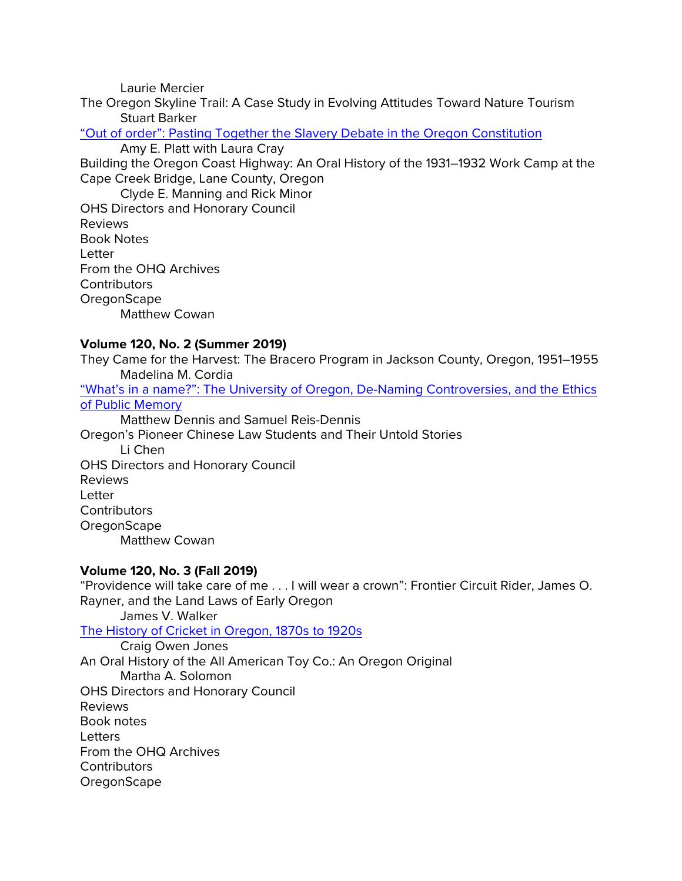Laurie Mercier

The Oregon Skyline Trail: A Case Study in Evolving Attitudes Toward Nature Tourism Stuart Barker

["Out of order": Pasting Together the Slavery Debate in the Oregon Constitution](https://ohs.org/research-and-library/oregon-historical-quarterly/back-issues/upload/Platt-with-Cray_Oregon-State-Constitution_OHQ-120_1_Spring-2019.pdf)

Amy E. Platt with Laura Cray

Building the Oregon Coast Highway: An Oral History of the 1931–1932 Work Camp at the Cape Creek Bridge, Lane County, Oregon

Clyde E. Manning and Rick Minor OHS Directors and Honorary Council Reviews Book Notes Letter From the OHQ Archives **Contributors OregonScape** Matthew Cowan

## **Volume 120, No. 2 (Summer 2019)**

They Came for the Harvest: The Bracero Program in Jackson County, Oregon, 1951–1955 Madelina M. Cordia

["What's in a name?": The University of Oregon, De-Naming Controversies, and the Ethics](https://ohs.org/research-and-library/oregon-historical-quarterly/back-issues/upload/Dennis-and-Reis-Dennis_UO-Renaming_OHQ-120_2_Summer-2019.pdf)  [of Public Memory](https://ohs.org/research-and-library/oregon-historical-quarterly/back-issues/upload/Dennis-and-Reis-Dennis_UO-Renaming_OHQ-120_2_Summer-2019.pdf)

Matthew Dennis and Samuel Reis-Dennis

Oregon's Pioneer Chinese Law Students and Their Untold Stories Li Chen OHS Directors and Honorary Council Reviews Letter

**Contributors OregonScape** Matthew Cowan

## **Volume 120, No. 3 (Fall 2019)**

"Providence will take care of me . . . I will wear a crown": Frontier Circuit Rider, James O. Rayner, and the Land Laws of Early Oregon

James V. Walker [The History of Cricket in Oregon, 1870s to 1920s](https://ohs.org/research-and-library/oregon-historical-quarterly/back-issues/upload/Jones_Cricket-in-Oregon_OHQ-Fall-2019.pdf)

Craig Owen Jones An Oral History of the All American Toy Co.: An Oregon Original Martha A. Solomon OHS Directors and Honorary Council Reviews Book notes **Letters** From the OHQ Archives **Contributors OregonScape**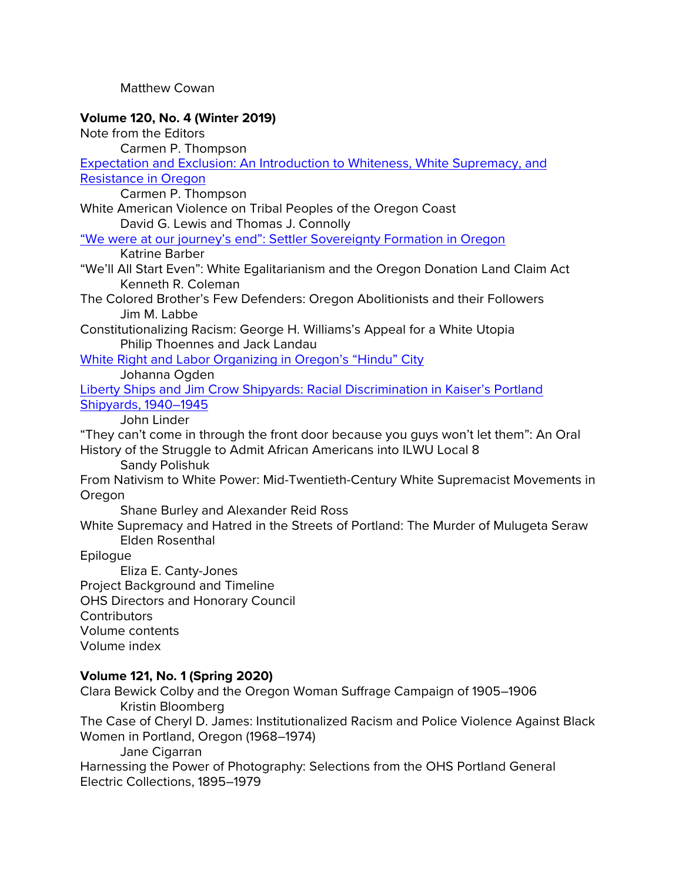### Matthew Cowan

## **Volume 120, No. 4 (Winter 2019)**

Note from the Editors

Carmen P. Thompson

[Expectation and Exclusion: An Introduction to Whiteness, White Supremacy, and](https://ohs.org/research-and-library/oregon-historical-quarterly/back-issues/upload/Thompson_Expectation-and-Exclusion_OHQ-Winter-2019.pdf)  [Resistance in Oregon](https://ohs.org/research-and-library/oregon-historical-quarterly/back-issues/upload/Thompson_Expectation-and-Exclusion_OHQ-Winter-2019.pdf)

Carmen P. Thompson

### White American Violence on Tribal Peoples of the Oregon Coast David G. Lewis and Thomas J. Connolly

# ["We were at our journey's end": Settler Sovereignty Formation in Oregon](https://ohs.org/research-and-library/oregon-historical-quarterly/joel-palmer-award/upload/Barber_We-were-at-our-journey-s-end_OHQ-Winter-2019.pdf)

Katrine Barber

- "We'll All Start Even": White Egalitarianism and the Oregon Donation Land Claim Act Kenneth R. Coleman
- The Colored Brother's Few Defenders: Oregon Abolitionists and their Followers Jim M. Labbe
- Constitutionalizing Racism: George H. Williams's Appeal for a White Utopia Philip Thoennes and Jack Landau

[White Right and Labor Organizing in Oregon's "Hindu" City](https://ohs.org/research-and-library/oregon-historical-quarterly/back-issues/upload/Ogden_White-Right-and-Labor-Organizing-in-Oregon-s-Hindu-City_OHQ-Winter-2019.pdf)

Johanna Ogden

[Liberty Ships and Jim Crow Shipyards: Racial Discrimination in Kaiser's Portland](https://ohs.org/research-and-library/oregon-historical-quarterly/back-issues/upload/Linder_Liberty-Ships-and-Jim-Crow-Shipyards_OHQ-Winter-2019.pdf)  [Shipyards, 1940–1945](https://ohs.org/research-and-library/oregon-historical-quarterly/back-issues/upload/Linder_Liberty-Ships-and-Jim-Crow-Shipyards_OHQ-Winter-2019.pdf)

John Linder

"They can't come in through the front door because you guys won't let them": An Oral History of the Struggle to Admit African Americans into ILWU Local 8

Sandy Polishuk

From Nativism to White Power: Mid-Twentieth-Century White Supremacist Movements in Oregon

Shane Burley and Alexander Reid Ross

White Supremacy and Hatred in the Streets of Portland: The Murder of Mulugeta Seraw Elden Rosenthal

Epilogue

Eliza E. Canty-Jones Project Background and Timeline OHS Directors and Honorary Council **Contributors** Volume contents Volume index

## **Volume 121, No. 1 (Spring 2020)**

Clara Bewick Colby and the Oregon Woman Suffrage Campaign of 1905–1906 Kristin Bloomberg

The Case of Cheryl D. James: Institutionalized Racism and Police Violence Against Black Women in Portland, Oregon (1968–1974)

Jane Cigarran

Harnessing the Power of Photography: Selections from the OHS Portland General Electric Collections, 1895–1979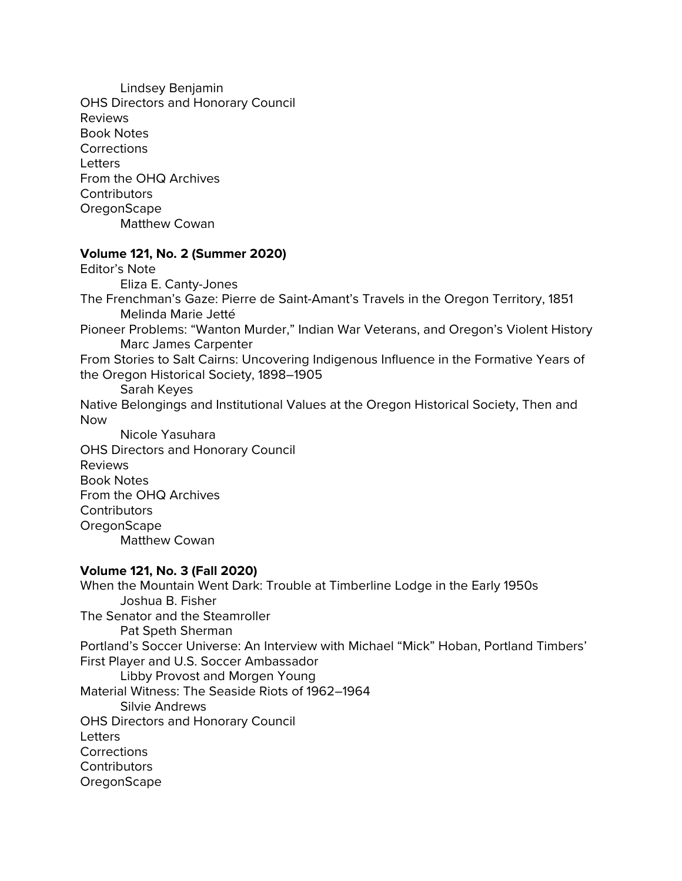Lindsey Benjamin OHS Directors and Honorary Council Reviews Book Notes **Corrections Letters** From the OHQ Archives **Contributors OregonScape** Matthew Cowan

### **Volume 121, No. 2 (Summer 2020)**

Editor's Note Eliza E. Canty-Jones The Frenchman's Gaze: Pierre de Saint-Amant's Travels in the Oregon Territory, 1851 Melinda Marie Jetté Pioneer Problems: "Wanton Murder," Indian War Veterans, and Oregon's Violent History Marc James Carpenter From Stories to Salt Cairns: Uncovering Indigenous Influence in the Formative Years of the Oregon Historical Society, 1898–1905 Sarah Keyes Native Belongings and Institutional Values at the Oregon Historical Society, Then and Now Nicole Yasuhara OHS Directors and Honorary Council Reviews Book Notes From the OHQ Archives **Contributors OregonScape** Matthew Cowan **Volume 121, No. 3 (Fall 2020)**

When the Mountain Went Dark: Trouble at Timberline Lodge in the Early 1950s Joshua B. Fisher The Senator and the Steamroller Pat Speth Sherman Portland's Soccer Universe: An Interview with Michael "Mick" Hoban, Portland Timbers' First Player and U.S. Soccer Ambassador Libby Provost and Morgen Young Material Witness: The Seaside Riots of 1962–1964 Silvie Andrews OHS Directors and Honorary Council **Letters Corrections Contributors OregonScape**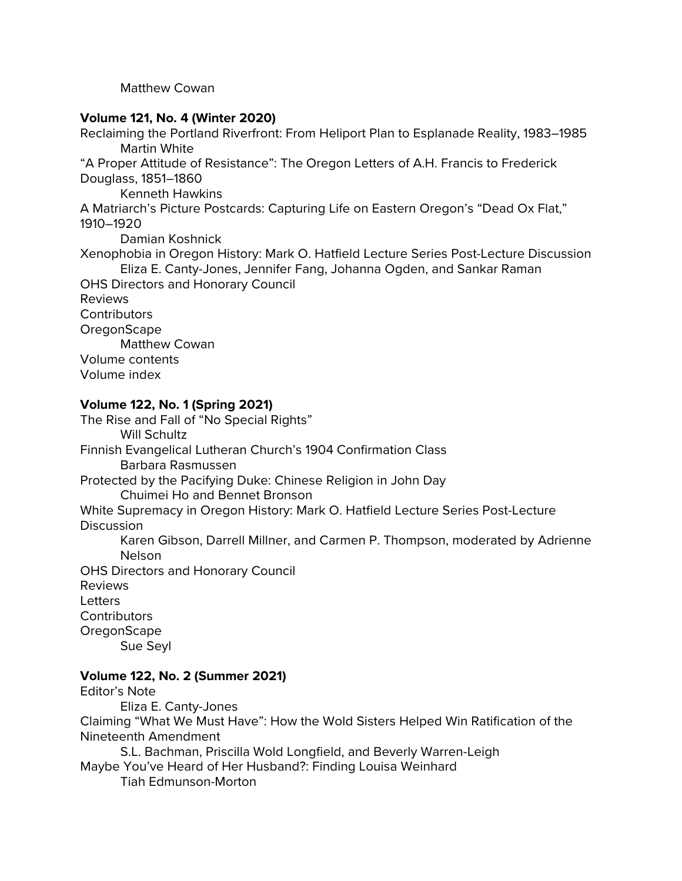Matthew Cowan

## **Volume 121, No. 4 (Winter 2020)**

Reclaiming the Portland Riverfront: From Heliport Plan to Esplanade Reality, 1983–1985 Martin White "A Proper Attitude of Resistance": The Oregon Letters of A.H. Francis to Frederick Douglass, 1851–1860 Kenneth Hawkins A Matriarch's Picture Postcards: Capturing Life on Eastern Oregon's "Dead Ox Flat," 1910–1920 Damian Koshnick Xenophobia in Oregon History: Mark O. Hatfield Lecture Series Post-Lecture Discussion Eliza E. Canty-Jones, Jennifer Fang, Johanna Ogden, and Sankar Raman OHS Directors and Honorary Council Reviews **Contributors OregonScape** Matthew Cowan Volume contents Volume index

## **Volume 122, No. 1 (Spring 2021)**

The Rise and Fall of "No Special Rights" Will Schultz Finnish Evangelical Lutheran Church's 1904 Confirmation Class Barbara Rasmussen Protected by the Pacifying Duke: Chinese Religion in John Day Chuimei Ho and Bennet Bronson White Supremacy in Oregon History: Mark O. Hatfield Lecture Series Post-Lecture **Discussion** Karen Gibson, Darrell Millner, and Carmen P. Thompson, moderated by Adrienne Nelson OHS Directors and Honorary Council Reviews **Letters** Contributors **OregonScape** Sue Seyl

# **Volume 122, No. 2 (Summer 2021)**

Editor's Note Eliza E. Canty-Jones Claiming "What We Must Have": How the Wold Sisters Helped Win Ratification of the Nineteenth Amendment S.L. Bachman, Priscilla Wold Longfield, and Beverly Warren-Leigh

Maybe You've Heard of Her Husband?: Finding Louisa Weinhard Tiah Edmunson-Morton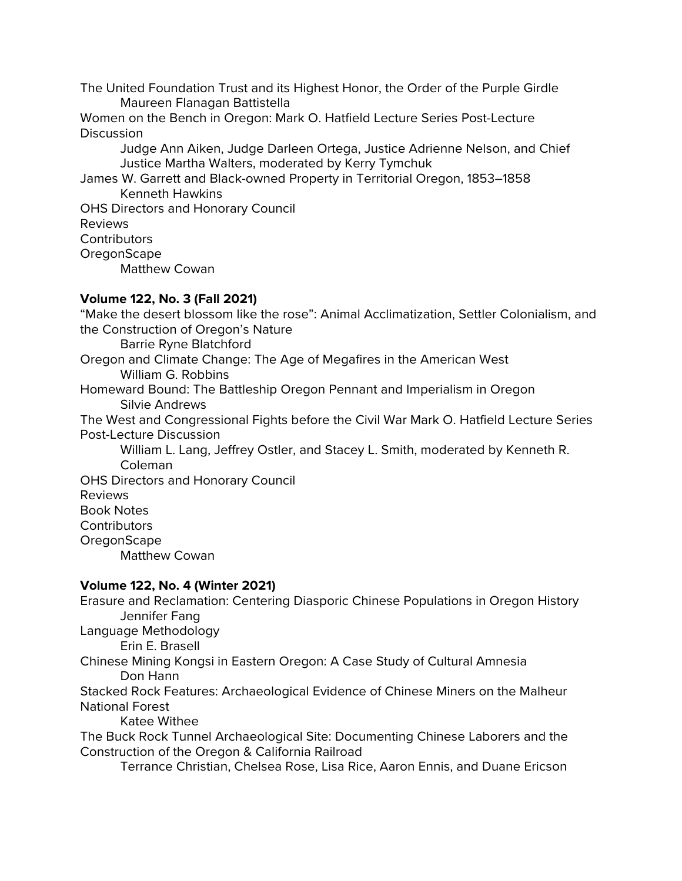The United Foundation Trust and its Highest Honor, the Order of the Purple Girdle Maureen Flanagan Battistella

Women on the Bench in Oregon: Mark O. Hatfield Lecture Series Post-Lecture **Discussion** 

Judge Ann Aiken, Judge Darleen Ortega, Justice Adrienne Nelson, and Chief Justice Martha Walters, moderated by Kerry Tymchuk

James W. Garrett and Black-owned Property in Territorial Oregon, 1853–1858 Kenneth Hawkins

OHS Directors and Honorary Council Reviews **Contributors OregonScape** Matthew Cowan

## **Volume 122, No. 3 (Fall 2021)**

"Make the desert blossom like the rose": Animal Acclimatization, Settler Colonialism, and the Construction of Oregon's Nature Barrie Ryne Blatchford Oregon and Climate Change: The Age of Megafires in the American West William G. Robbins Homeward Bound: The Battleship Oregon Pennant and Imperialism in Oregon Silvie Andrews The West and Congressional Fights before the Civil War Mark O. Hatfield Lecture Series Post-Lecture Discussion

William L. Lang, Jeffrey Ostler, and Stacey L. Smith, moderated by Kenneth R. Coleman

OHS Directors and Honorary Council Reviews Book Notes **Contributors** OregonScape Matthew Cowan

## **Volume 122, No. 4 (Winter 2021)**

Erasure and Reclamation: Centering Diasporic Chinese Populations in Oregon History Jennifer Fang

Language Methodology

Erin E. Brasell

Chinese Mining Kongsi in Eastern Oregon: A Case Study of Cultural Amnesia Don Hann

Stacked Rock Features: Archaeological Evidence of Chinese Miners on the Malheur National Forest

Katee Withee

The Buck Rock Tunnel Archaeological Site: Documenting Chinese Laborers and the Construction of the Oregon & California Railroad

Terrance Christian, Chelsea Rose, Lisa Rice, Aaron Ennis, and Duane Ericson